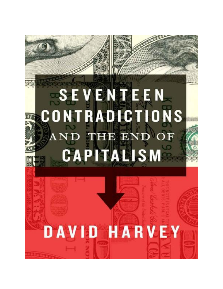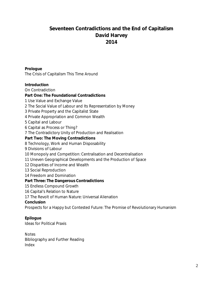## **Seventeen Contradictions and the End of Capitalism David Harvey 2014**

**Prologue** The Crisis of Capitalism This Time Around

**Introduction** On Contradiction **Part One: The Foundational Contradictions** 1 Use Value and Exchange Value 2 The Social Value of Labour and Its Representation by Money 3 Private Property and the Capitalist State 4 Private Appropriation and Common Wealth 5 Capital and Labour 6 Capital as Process or Thing? 7 The Contradictory Unity of Production and Realisation **Part Two: The Moving Contradictions** 8 Technology, Work and Human Disposability 9 Divisions of Labour 10 Monopoly and Competition: Centralisation and Decentralisation 11 Uneven Geographical Developments and the Production of Space 12 Disparities of Income and Wealth 13 Social Reproduction 14 Freedom and Domination **Part Three: The Dangerous Contradictions** 15 Endless Compound Growth 16 Capital's Relation to Nature 17 The Revolt of Human Nature: Universal Alienation **Conclusion** Prospects for a Happy but Contested Future: The Promise of Revolutionary Humanism

**Epilogue** Ideas for Political Praxis

**Notes** Bibliography and Further Reading Index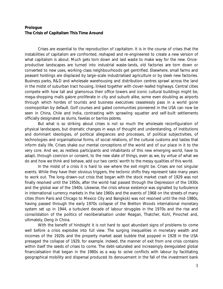## **Prologue The Crisis of Capitalism This Time Around**

Crises are essential to the reproduction of capitalism. It is in the course of crises that the instabilities of capitalism are confronted, reshaped and re-engineered to create a new version of what capitalism is about. Much gets torn down and laid waste to make way for the new. Onceproductive landscapes are turned into industrial waste-lands, old factories are torn down or converted to new uses, working-class neighbourhoods get gentrified. Elsewhere, small farms and peasant holdings are displaced by large-scale industrialised agriculture or by sleek new factories. Business parks, R&D and wholesale warehousing and distribution centres sprawl across the land in the midst of suburban tract housing, linked together with clover-leafed highways. Central cities compete with how tall and glamorous their office towers and iconic cultural buildings might be, mega-shopping malls galore proliferate in city and suburb alike, some even doubling as airports through which hordes of tourists and business executives ceaselessly pass in a world gone cosmopolitan by default. Golf courses and gated communities pioneered in the USA can now be seen in China, Chile and India, contrasting with sprawling squatter and self-built settlements officially designated as slums, favelas or *barrios pobres*.

But what is so striking about crises is not so much the wholesale reconfiguration of physical landscapes, but dramatic changes in ways of thought and understanding, of institutions and dominant ideologies, of political allegiances and processes, of political subjectivities, of technologies and organisational forms, of social relations, of the cultural customs and tastes that inform daily life. Crises shake our mental conceptions of the world and of our place in it to the very core. And we, as restless participants and inhabitants of this new emerging world, have to adapt, through coercion or consent, to the new state of things, even as we, by virtue of what we do and how we think and behave, add our two cents' worth to the messy qualities of this world.

In the midst of a crisis it is hard to see where the exit might be. Crises are not singular events. While they have their obvious triggers, the tectonic shifts they represent take many years to work out. The long-drawn-out crisis that began with the stock market crash of 1929 was not finally resolved until the 1950s, after the world had passed through the Depression of the 1930s and the global war of the 1940s. Likewise, the crisis whose existence was signalled by turbulence in international currency markets in the late 1960s and the events of 1968 on the streets of many cities (from Paris and Chicago to Mexico City and Bangkok) was not resolved until the mid-1980s, having passed through the early 1970s collapse of the Bretton Woods international monetary system set up in 1944, a turbulent decade of labour struggles in the 1970s and the rise and consolidation of the politics of neoliberalisation under Reagan, Thatcher, Kohl, Pinochet and, ultimately, Deng in China.

With the benefit of hindsight it is not hard to spot abundant signs of problems to come well before a crisis explodes into full view. The surging inequalities in monetary wealth and incomes of the 1920s and the property market asset bubble that popped in 1928 in the USA presaged the collapse of 1929, for example. Indeed, the manner of exit from one crisis contains within itself the seeds of crises to come. The debt-saturated and increasingly deregulated global financialisation that began in the 1980s as a way to solve conflicts with labour by facilitating geographical mobility and dispersal produced its denouement in the fall of the investment bank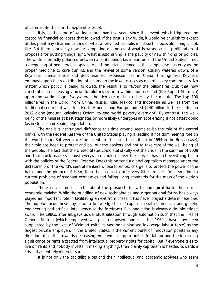of Lehman Brothers on 15 September 2008.

It is, at the time of writing, more than five years since that event, which triggered the cascading financial collapses that followed. If the past is any guide, it would be churlish to expect at this point any clear indications of what a revivified capitalism – if such is possible – might look like. But there should by now be competing diagnoses of what is wrong and a proliferation of proposals for putting things right. What is astonishing is the paucity of new thinking or policies. The world is broadly polarised between a continuation (as in Europe and the United States) if not a deepening of neoliberal, supply-side and monetarist remedies that emphasise austerity as the proper medicine to cure our ills; and the revival of some version, usually watered down, of a Keynesian demand-side and debt-financed expansion (as in China) that ignores Keynes's emphasis upon the redistribution of income to the lower classes as one of its key components. No matter which policy is being followed, the result is to favour the billionaires club that now constitutes an increasingly powerful plutocracy both within countries and (like Rupert Murdoch) upon the world stage. Everywhere, the rich are getting richer by the minute. The top 100 billionaires in the world (from China, Russia, India, Mexico and Indonesia as well as from the traditional centres of wealth in North America and Europe) added \$240 billion to their coffers in 2012 alone (enough, calculates Oxfam, to end world poverty overnight). By contrast, the wellbeing of the masses at best stagnates or more likely undergoes an accelerating if not catastrophic (as in Greece and Spain) degradation.

The one big institutional difference this time around seems to be the role of the central banks, with the Federal Reserve of the United States playing a leading if not domineering role on the world stage. But ever since the inception of central banks (back in 1694 in the British case), their role has been to protect and bail out the bankers and not to take care of the well-being of the people. The fact that the United States could statistically exit the crisis in the summer of 2009 and that stock markets almost everywhere could recover their losses has had everything to do with the policies of the Federal Reserve. Does this portend a global capitalism managed under the dictatorship of the world's central bankers whose foremost charge is to protect the power of the banks and the plutocrats? If so, then that seems to offer very little prospect for a solution to current problems of stagnant economies and falling living standards for the mass of the world's population.

There is also much chatter about the prospects for a technological fix to the current economic malaise. While the bundling of new technologies and organisational forms has always played an important role in facilitating an exit from crises, it has never played a determinate one. The hopeful focus these days is on a 'knowledge-based' capitalism (with biomedical and genetic engineering and artificial intelligence at the forefront). But innovation is always a double-edged sword. The 1980s, after all, gave us deindustrialisation through automation such that the likes of General Motors (which employed well-paid unionised labour in the 1960s) have now been supplanted by the likes of Walmart (with its vast non-unionised low-wage labour force) as the largest private employers in the United States. If the current burst of innovation points in any direction at all, it is towards decreasing employment opportunities for labour and the increasing significance of rents extracted from intellectual property rights for capital. But if everyone tries to live off rents and nobody invests in making anything, then plainly capitalism is headed towards a crisis of an entirely different sort.

It is not only the capitalist elites and their intellectual and academic acolytes who seem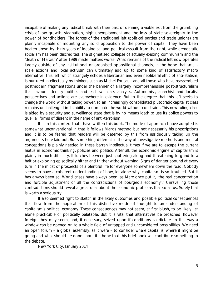incapable of making any radical break with their past or defining a viable exit from the grumbling crisis of low growth, stagnation, high unemployment and the loss of state sovereignty to the power of bondholders. The forces of the traditional left (political parties and trade unions) are plainly incapable of mounting any solid opposition to the power of capital. They have been beaten down by thirty years of ideological and political assault from the right, while democratic socialism has been discredited. The stigmatised collapse of actually existing communism and the 'death of Marxism' after 1989 made matters worse. What remains of the radical left now operates largely outside of any institutional or organised oppositional channels, in the hope that smallscale actions and local activism can ultimately add up to some kind of satisfactory macro alternative. This left, which strangely echoes a libertarian and even neoliberal ethic of anti-statism, is nurtured intellectually by thinkers such as Michel Foucault and all those who have reassembled postmodern fragmentations under the banner of a largely incomprehensible post-structuralism that favours identity politics and eschews class analysis. Autonomist, anarchist and localist perspectives and actions are everywhere in evidence. But to the degree that this left seeks to change the world without taking power, so an increasingly consolidated plutocratic capitalist class remains unchallenged in its ability to dominate the world without constraint. This new ruling class is aided by a security and surveillance state that is by no means loath to use its police powers to quell all forms of dissent in the name of anti-terrorism.

It is in this context that I have written this book. The mode of approach I have adopted is somewhat unconventional in that it follows Marx's method but not necessarily his prescriptions and it is to be feared that readers will be deterred by this from assiduously taking up the arguments here laid out. But something different in the way of investigative methods and mental conceptions is plainly needed in these barren intellectual times if we are to escape the current hiatus in economic thinking, policies and politics. After all, the economic engine of capitalism is plainly in much difficulty. It lurches between just sputtering along and threatening to grind to a halt or exploding episodically hither and thither without warning. Signs of danger abound at every turn in the midst of prospects of a plentiful life for everyone somewhere down the road. Nobody seems to have a coherent understanding of how, let alone why, capitalism is so troubled. But it has always been so. World crises have always been, as Marx once put it, 'the real concentration and forcible adjustment of all the contradictions of bourgeois economy'.<sup>1</sup> Unravelling those contradictions should reveal a great deal about the economic problems that so ail us. Surely that is worth a serious try.

It also seemed right to sketch in the likely outcomes and possible political consequences that flow from the application of this distinctive mode of thought to an understanding of capitalism's political economy. These consequences may not seem, at first blush, to be likely, let alone practicable or politically palatable. But it is vital that alternatives be broached, however foreign they may seem, and, if necessary, seized upon if conditions so dictate. In this way a window can be opened on to a whole field of untapped and unconsidered possibilities. We need an open forum – a global assembly, as it were – to consider where capital is, where it might be going and what should be done about it. I hope that this brief book will contribute something to the debate.

New York City, January 2014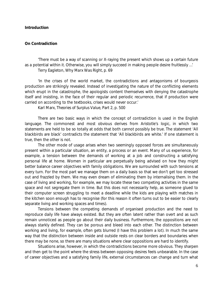## **On Contradiction**

'There must be a way of scanning or X-raying the present which shows up a certain future as a potential within it. Otherwise, you will simply succeed in making people desire fruitlessly …' Terry Eagleton, *Why Marx Was Right*, p. 69

'In the crises of the world market, the contradictions and antagonisms of bourgeois production are strikingly revealed. Instead of investigating the nature of the conflicting elements which erupt in the catastrophe, the apologists content themselves with denying the catastrophe itself and insisting, in the face of their regular and periodic recurrence, that if production were carried on according to the textbooks, crises would never occur.'

Karl Marx, *Theories of Surplus Value*, Part 2, p. 500

There are two basic ways in which the concept of contradiction is used in the English language. The commonest and most obvious derives from Aristotle's logic, in which two statements are held to be so totally at odds that both cannot possibly be true. The statement 'All blackbirds are black' contradicts the statement that 'All blackbirds are white.' If one statement is true, then the other is not.

The other mode of usage arises when two seemingly opposed forces are simultaneously present within a particular situation, an entity, a process or an event. Many of us experience, for example, a tension between the demands of working at a job and constructing a satisfying personal life at home. Women in particular are perpetually being advised on how they might better balance career objectives with family obligations. We are surrounded with such tensions at every turn. For the most part we manage them on a daily basis so that we don't get too stressed out and frazzled by them. We may even dream of eliminating them by internalising them. In the case of living and working, for example, we may locate these two competing activities in the same space and not segregate them in time. But this does not necessarily help, as someone glued to their computer screen struggling to meet a deadline while the kids are playing with matches in the kitchen soon enough has to recognise (for this reason it often turns out to be easier to clearly separate living and working spaces and times).

Tensions between the competing demands of organised production and the need to reproduce daily life have always existed. But they are often latent rather than overt and as such remain unnoticed as people go about their daily business. Furthermore, the oppositions are not always starkly defined. They can be porous and bleed into each other. The distinction between working and living, for example, often gets blurred (I have this problem a lot). In much the same way that the distinction between inside and outside rests on clear borders and boundaries when there may be none, so there are many situations where clear oppositions are hard to identify.

Situations arise, however, in which the contradictions become more obvious. They sharpen and then get to the point where the stress between opposing desires feels unbearable. In the case of career objectives and a satisfying family life, external circumstances can change and turn what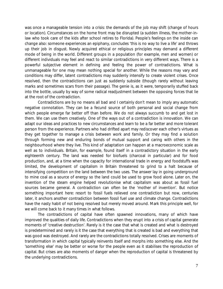was once a manageable tension into a crisis: the demands of the job may shift (change of hours or location). Circumstances on the home front may be disrupted (a sudden illness, the mother-inlaw who took care of the kids after school retires to Florida). People's feelings on the inside can change also: someone experiences an epiphany, concludes 'this is no way to live a life' and throws up their job in disgust. Newly acquired ethical or religious principles may demand a different mode of being in the world. Different groups in a population (for example, men and women) or different individuals may feel and react to similar contradictions in very different ways. There is a powerful subjective element in defining and feeling the power of contradictions. What is unmanageable for one may mean nothing special for another. While the reasons may vary and conditions may differ, latent contradictions may suddenly intensify to create violent crises. Once resolved, then the contradictions can just as suddenly subside (though rarely without leaving marks and sometimes scars from their passage). The genie is, as it were, temporarily stuffed back into the bottle, usually by way of some radical readjustment between the opposing forces that lie at the root of the contradiction.

Contradictions are by no means all bad and I certainly don't mean to imply any automatic negative connotation. They can be a fecund source of both personal and social change from which people emerge far better off than before. We do not always succumb to and get lost in them. We can use them creatively. One of the ways out of a contradiction is innovation. We can adapt our ideas and practices to new circumstances and learn to be a far better and more tolerant person from the experience. Partners who had drifted apart may rediscover each other's virtues as they get together to manage a crisis between work and family. Or they may find a solution through forming new and enduring bonds of mutual support and caring with others in the neighbourhood where they live. This kind of adaptation can happen at a macroeconomic scale as well as to individuals. Britain, for example, found itself in a contradictory situation in the early eighteenth century. The land was needed for biofuels (charcoal in particular) and for food production, and, at a time when the capacity for international trade in energy and foodstuffs was limited, the development of capitalism in Britain threatened to grind to a halt because of intensifying competition on the land between the two uses. The answer lay in going underground to mine coal as a source of energy so the land could be used to grow food alone. Later on, the invention of the steam engine helped revolutionise what capitalism was about as fossil fuel sources became general. A contradiction can often be the 'mother of invention'. But notice something important here: resort to fossil fuels relieved one contradiction but now, centuries later, it anchors another contradiction between fossil fuel use and climate change. Contradictions have the nasty habit of not being resolved but merely moved around. Mark this principle well, for we will come back to it many times in what follows.

The contradictions of capital have often spawned innovations, many of which have improved the qualities of daily life. Contradictions when they erupt into a crisis of capital generate moments of 'creative destruction'. Rarely is it the case that what is created and what is destroyed is predetermined and rarely is it the case that everything that is created is bad and everything that was good was destroyed. And rarely are the contradictions totally resolved. Crises are moments of transformation in which capital typically reinvents itself and morphs into something else. And the 'something else' may be better or worse for the people even as it stabilises the reproduction of capital. But crises are also moments of danger when the reproduction of capital is threatened by the underlying contradictions.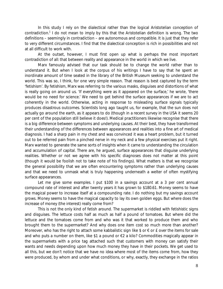In this study I rely on the dialectical rather than the logical Aristotelian conception of contradiction.<sup>1</sup> I do not mean to imply by this that the Aristotelian definition is wrong. The two definitions – seemingly in contradiction – are autonomous and compatible. It is just that they refer to very different circumstances. I find that the dialectical conception is rich in possibilities and not at all difficult to work with.

At the outset, however, I must first open up what is perhaps the most important contradiction of all: that between reality and appearance in the world in which we live.

Marx famously advised that our task should be to change the world rather than to understand it. But when I look at the corpus of his writings I have to say that he spent an inordinate amount of time seated in the library of the British Museum seeking to understand the world. This was so, I think, for one very simple reason. That reason is best captured by the term 'fetishism'. By fetishism, Marx was referring to the various masks, disguises and distortions of what is really going on around us. 'If everything were as it appeared on the surface,' he wrote, 'there would be no need for science.' We need to get behind the surface appearances if we are to act coherently in the world. Otherwise, acting in response to misleading surface signals typically produces disastrous outcomes. Scientists long ago taught us, for example, that the sun does not actually go around the earth, as it appears to do (though in a recent survey in the USA it seems 20 per cent of the population still believe it does!). Medical practitioners likewise recognise that there is a big difference between symptoms and underlying causes. At their best, they have transformed their understanding of the differences between appearances and realities into a fine art of medical diagnosis. I had a sharp pain in my chest and was convinced it was a heart problem, but it turned out to be referred pain from a pinched nerve in my neck and a few physical exercises put it right. Marx wanted to generate the same sorts of insights when it came to understanding the circulation and accumulation of capital. There are, he argued, surface appearances that disguise underlying realities. Whether or not we agree with his specific diagnoses does not matter at this point (though it would be foolish not to take note of his findings). What matters is that we recognise the general possibility that we are often encountering symptoms rather than underlying causes and that we need to unmask what is truly happening underneath a welter of often mystifying surface appearances.

Let me give some examples. I put \$100 in a savings account at a 3 per cent annual compound rate of interest and after twenty years it has grown to \$180.61. Money seems to have the magical power to increase itself at a compounding rate. I do nothing but my savings account grows. Money seems to have the magical capacity to lay its own golden eggs. But where does the increase of money (the interest) really come from?

This is not the only kind of fetish around. The supermarket is riddled with fetishistic signs and disguises. The lettuce costs half as much as half a pound of tomatoes. But where did the lettuce and the tomatoes come from and who was it that worked to produce them and who brought them to the supermarket? And why does one item cost so much more than another? Moreover, who has the right to attach some kabbalistic sign like \$ or  $\epsilon$  or  $\epsilon$  over the items for sale and who puts a number on them, like \$1 a pound or  $E$  a kilo? Commodities magically appear in the supermarkets with a price tag attached such that customers with money can satisfy their wants and needs depending upon how much money they have in their pockets. We get used to all this, but we don't notice that we have no idea where most of the items come from, how they were produced, by whom and under what conditions, or why, exactly, they exchange in the ratios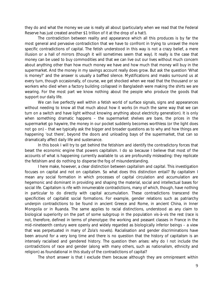they do and what the money we use is really all about (particularly when we read that the Federal Reserve has just created another \$1 trillion of it at the drop of a hat!).

The contradiction between reality and appearance which all this produces is by far the most general and pervasive contradiction that we have to confront in trying to unravel the more specific contradictions of capital. The fetish understood in this way is not a crazy belief, a mere illusion or a hall of mirrors (though it will sometimes seem that way). It really is the case that money can be used to buy commodities and that we can live out our lives without much concern about anything other than how much money we have and how much that money will buy in the supermarket. And the money in my savings account really does grow. But ask the question 'What is money?' and the answer is usually a baffled silence. Mystifications and masks surround us at every turn, though occasionally, of course, we get shocked when we read that the thousand or so workers who died when a factory building collapsed in Bangladesh were making the shirts we are wearing. For the most part we know nothing about the people who produce the goods that support our daily life.

We can live perfectly well within a fetish world of surface signals, signs and appearances without needing to know all that much about how it works (in much the same way that we can turn on a switch and have light without knowing anything about electricity generation). It is only when something dramatic happens – the supermarket shelves are bare, the prices in the supermarket go haywire, the money in our pocket suddenly becomes worthless (or the light does not go on) – that we typically ask the bigger and broader questions as to why and how things are happening 'out there', beyond the doors and unloading bays of the supermarket, that can so dramatically affect daily life and sustenance.

In this book I will try to get behind the fetishism and identify the contradictory forces that beset the economic engine that powers capitalism. I do so because I believe that most of the accounts of what is happening currently available to us are profoundly misleading: they replicate the fetishism and do nothing to disperse the fog of misunderstanding.

I here make, however, a clear distinction between *capitalism* and *capital*. This investigation focuses on capital and not on capitalism. So what does this distinction entail? By capitalism I mean any social formation in which processes of capital circulation and accumulation are hegemonic and dominant in providing and shaping the material, social and intellectual bases for social life. Capitalism is rife with innumerable contradictions, many of which, though, have nothing in particular to do directly with capital accumulation. These contradictions transcend the specificities of capitalist social formations. For example, gender relations such as patriarchy underpin contradictions to be found in ancient Greece and Rome, in ancient China, in Inner Mongolia or in Ruanda. The same applies to racial distinctions, understood as any claim to biological superiority on the part of some subgroup in the population vis-à-vis the rest (race is not, therefore, defined in terms of phenotype: the working and peasant classes in France in the mid-nineteenth century were openly and widely regarded as biologically inferior beings – a view that was perpetuated in many of Zola's novels). Racialisation and gender discriminations have been around for a very long time and there is no question that the history of capitalism is an intensely racialised and gendered history. The question then arises: why do I not include the contradictions of race and gender (along with many others, such as nationalism, ethnicity and religion) as foundational in this study of the contradictions of capital?

The short answer is that I exclude them because although they are omnipresent within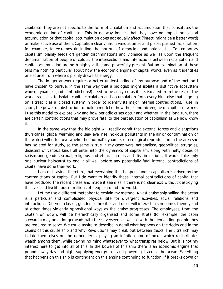capitalism they are not specific to the form of circulation and accumulation that constitutes the economic engine of capitalism. This in no way implies that they have no impact on capital accumulation or that capital accumulation does not equally affect ('infect' might be a better word) or make active use of them. Capitalism clearly has in various times and places pushed racialisation, for example, to extremes (including the horrors of genocide and holocausts). Contemporary capitalism plainly feeds off gender discriminations and violence as well as upon the frequent dehumanisation of people of colour. The intersections and interactions between racialisation and capital accumulation are both highly visible and powerfully present. But an examination of these tells me nothing particular about how the economic engine of capital works, even as it identifies one source from where it plainly draws its energy.

The longer answer requires a better understanding of my purpose and of the method I have chosen to pursue. In the same way that a biologist might isolate a distinctive ecosystem whose dynamics (and contradictions!) need to be analysed as if it is isolated from the rest of the world, so I seek to isolate capital circulation and accumulation from everything else that is going on. I treat it as a 'closed system' in order to identify its major internal contradictions. I use, in short, the power of abstraction to build a model of how the economic engine of capitalism works. I use this model to explore why and how periodic crises occur and whether, in the long run, there are certain contradictions that may prove fatal to the perpetuation of capitalism as we now know it.

In the same way that the biologist will readily admit that external forces and disruptions (hurricanes, global warming and sea-level rise, noxious pollutants in the air or contamination of the water) will often overwhelm the 'normal' dynamics of ecological reproduction in the area she has isolated for study, so the same is true in my case: wars, nationalism, geopolitical struggles, disasters of various kinds all enter into the dynamics of capitalism, along with hefty doses of racism and gender, sexual, religious and ethnic hatreds and discriminations. It would take only one nuclear holocaust to end it all well before any potentially fatal internal contradictions of capital have done their work.

I am not saying, therefore, that everything that happens under capitalism is driven by the contradictions of capital. But I do want to identify those internal contradictions of capital that have produced the recent crises and made it seem as if there is no clear exit without destroying the lives and livelihoods of millions of people around the world.

Let me use a different metaphor to explain my method. A vast cruise ship sailing the ocean is a particular and complicated physical site for divergent activities, social relations and interactions. Different classes, genders, ethnicities and races will interact in sometimes friendly and at other times violently oppositional ways as the cruise progresses. The employees, from the captain on down, will be hierarchically organised and some strata (for example, the cabin stewards) may be at loggerheads with their overseers as well as with the demanding people they are required to serve. We could aspire to describe in detail what happens on the decks and in the cabins of this cruise ship and why. Revolutions may break out between decks. The ultra rich may isolate themselves on the upper decks, playing an infinite game of poker which redistributes wealth among them, while paying no mind whatsoever to what transpires below. But it is not my interest here to get into all of this. In the bowels of this ship there is an economic engine that pounds away day and night supplying energy to it and powering it across the ocean. Everything that happens on this ship is contingent on this engine continuing to function. If it breaks down or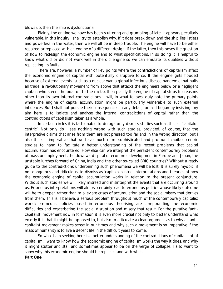blows up, then the ship is dysfunctional.

Plainly, the engine we have has been stuttering and grumbling of late. It appears peculiarly vulnerable. In this inquiry I shall try to establish why. If it does break down and the ship lies listless and powerless in the water, then we will all be in deep trouble. The engine will have to be either repaired or replaced with an engine of a different design. If the latter, then this poses the question of how to redesign the economic engine and to what specifications. In so doing it is helpful to know what did or did not work well in the old engine so we can emulate its qualities without replicating its faults.

There are, however, a number of key points where the contradictions of capitalism affect the economic engine of capital with potentially disruptive force. If the engine gets flooded because of external events (such as a nuclear war, a global infectious disease pandemic that halts all trade, a revolutionary movement from above that attacks the engineers below or a negligent captain who steers the boat on to the rocks), then plainly the engine of capital stops for reasons other than its own internal contradictions. I will, in what follows, duly note the primary points where the engine of capital accumulation might be particularly vulnerable to such external influences. But I shall not pursue their consequences in any detail, for, as I began by insisting, my aim here is to isolate and analyse the *internal* contradictions of capital rather than the contradictions of capitalism taken as a whole.

In certain circles it is fashionable to derogatorily dismiss studies such as this as 'capitalocentric'. Not only do I see nothing wrong with such studies, provided, of course, that the interpretive claims that arise from them are not pressed too far and in the wrong direction, but I also think it imperative that we have much more sophisticated and profound capitalo-centric studies to hand to facilitate a better understanding of the recent problems that capital accumulation has encountered. How else can we interpret the persistent contemporary problems of mass unemployment, the downward spiral of economic development in Europe and Japan, the unstable lurches forward of China, India and the other so-called BRIC countries? Without a ready guide to the contradictions underpinning such phenomena we will be lost. It is surely myopic, if not dangerous and ridiculous, to dismiss as 'capitalo-centric' interpretations and theories of how the economic engine of capital accumulation works in relation to the present conjuncture. Without such studies we will likely misread and misinterpret the events that are occurring around us. Erroneous interpretations will almost certainly lead to erroneous politics whose likely outcome will be to deepen rather than to alleviate crises of accumulation and the social misery that derives from them. This is, I believe, a serious problem throughout much of the contemporary capitalist world: erroneous policies based in erroneous theorising are compounding the economic difficulties and exacerbating the social disruption and misery that result. For the putative 'anticapitalist' movement now in formation it is even more crucial not only to better understand what exactly it is that it might be opposed to, but also to articulate a clear argument as to why an anticapitalist movement makes sense in our times and why such a movement is so imperative if the mass of humanity is to live a decent life in the difficult years to come.

So what I am seeking here is a better understanding of the contradictions of *capital*, not of *capitalism*. I want to know how the economic engine of *capitalism* works the way it does, and why it might stutter and stall and sometimes appear to be on the verge of collapse. I also want to show why this economic engine should be replaced and with what. **Part One**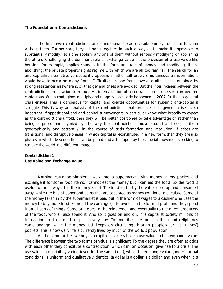*The first seven contradictions are foundational because capital simply could not function without them. Furthermore, they all hang together in such a way as to make it impossible to substantially modify, let alone abolish, any one of them without seriously modifying or abolishing the others. Challenging the dominant role of exchange value in the provision of a use value like housing, for example, implies changes in the form and role of money and modifying, if not abolishing, the private property rights regime with which we are all too familiar. The search for an anti-capitalist alternative consequently appears a rather tall order. Simultaneous transformations would have to occur on many fronts. Difficulties on one front have also often been contained by strong resistances elsewhere such that general crises are avoided. But the interlinkages between the contradictions on occasion turn toxic. An intensification of a contradiction of one sort can become contagious. When contagions multiply and magnify (as clearly happened in 2007–9), then a general crisis ensues. This is dangerous for capital and creates opportunities for systemic anti-capitalist struggle. This is why an analysis of the contradictions that produce such general crises is so important. If oppositional and anti-capitalist movements in particular know what broadly to expect as the contradictions unfold, then they will be better positioned to take advantage of, rather than being surprised and stymied by, the way the contradictions move around and deepen (both geographically and sectorally) in the course of crisis formation and resolution. If crises are transitional and disruptive phases in which capital is reconstituted in a new form, then they are also phases in which deep questions can be posed and acted upon by those social movements seeking to remake the world in a different image*.

**Contradiction 1 Use Value and Exchange Value** 

Nothing could be simpler. I walk into a supermarket with money in my pocket and exchange it for some food items. I cannot eat the money but I can eat the food. So the food is useful to me in ways that the money is not. The food is shortly thereafter used up and consumed away, while the bits of paper and coins that are accepted as money continue to circulate. Some of the money taken in by the supermarket is paid out in the form of wages to a cashier who uses the money to buy more food. Some of the earnings go to owners in the form of profit and they spend it on all sorts of things. Some of it goes to the middlemen and eventually to the direct producers of the food, who all also spend it. And so it goes on and on. In a capitalist society millions of transactions of this sort take place every day. Commodities like food, clothing and cellphones come and go, while the money just keeps on circulating through people's (or institutions') pockets. This is how daily life is currently lived by much of the world's population.

All the commodities we buy in a capitalist society have a use value and an exchange value. The difference between the two forms of value is significant. To the degree they are often at odds with each other they constitute a contradiction, which can, on occasion, give rise to a crisis. The use values are infinitely varied (even for the same item), while the exchange value (under normal conditions) is uniform and qualitatively identical (a dollar is a dollar is a dollar, and even when it is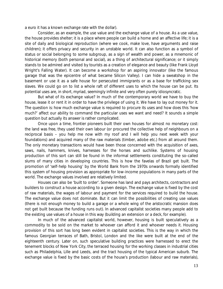a euro it has a known exchange rate with the dollar).

Consider, as an example, the use value and the exchange value of a house. As a use value, the house provides shelter; it is a place where people can build a home and an affective life; it is a site of daily and biological reproduction (where we cook, make love, have arguments and raise children); it offers privacy and security in an unstable world. It can also function as a symbol of status or social belonging to some subgroup, as a sign of wealth and power, as a mnemonic of historical memory (both personal and social), as a thing of architectural significance; or it simply stands to be admired and visited by tourists as a creation of elegance and beauty (like Frank Lloyd Wright's Falling Water). It can become a workshop for an aspiring innovator (like the famous garage that was the epicentre of what became Silicon Valley). I can hide a sweatshop in the basement or use it as a safe house for persecuted immigrants or as a base for trafficking sex slaves. We could go on to list a whole raft of different uses to which the house can be put. Its potential uses are, in short, myriad, seemingly infinite and very often purely idiosyncratic.

But what of its exchange value? In much of the contemporary world we have to buy the house, lease it or rent it in order to have the privilege of using it. We have to lay out money for it. The question is: how much exchange value is required to procure its uses and how does this 'how much?' affect our ability to command the particular uses we want and need? It sounds a simple question but actually its answer is rather complicated.

Once upon a time, frontier pioneers built their own houses for almost no monetary cost: the land was free, they used their own labour (or procured the collective help of neighbours on a reciprocal basis – you help me now with my roof and I will help you next week with your foundations) and acquired many of the raw materials (timber, adobe etc.) from all around them. The only monetary transactions would have been those concerned with the acquisition of axes, saws, nails, hammers, knives, harnesses for the horses and suchlike. Systems of housing production of this sort can still be found in the informal settlements constituting the so-called slums of many cities in developing countries. This is how the favelas of Brazil get built. The promotion of 'self-help housing' by the World Bank from the 1970s onwards formally identified this system of housing provision as appropriate for low-income populations in many parts of the world. The exchange values involved are relatively limited.

Houses can also be 'built to order'. Someone has land and pays architects, contractors and builders to construct a house according to a given design. The exchange value is fixed by the cost of raw materials, the wages of labour and payment for the services required to build the house. The exchange value does not dominate. But it can limit the possibilities of creating use values (there is not enough money to build a garage or a whole wing of the aristocratic mansion does not get built because the funding runs out). In advanced capitalist societies many people add to the existing use values of a house in this way (building an extension or a deck, for example).

In much of the advanced capitalist world, however, housing is built speculatively as a commodity to be sold on the market to whoever can afford it and whoever needs it. Housing provision of this sort has long been evident in capitalist societies. This is the way in which the famous Georgian terraces of Bath, Bristol, London and the like were built at the end of the eighteenth century. Later on, such speculative building practices were harnessed to erect the tenement blocks of New York City, the terraced housing for the working classes in industrial cities such as Philadelphia, Lille and Leeds, and the tract housing of the typical American suburb. The exchange value is fixed by the basic costs of the house's production (labour and raw materials),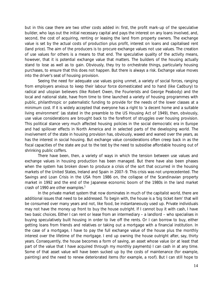but in this case there are two other costs added in: first, the profit mark-up of the speculative builder, who lays out the initial necessary capital and pays the interest on any loans involved, and, second, the cost of acquiring, renting or leasing the land from property owners. The exchange value is set by the actual costs of production plus profit, interest on loans and capitalised rent (land price). The aim of the producers is to procure exchange values not use values. The creation of use values for others is a means to that end. The speculative quality of the activity means, however, that it is *potential* exchange value that matters. The builders of the housing actually stand to lose as well as to gain. Obviously, they try to orchestrate things, particularly housing purchases, to ensure that this does not happen. But there is always a risk. Exchange value moves into the driver's seat of housing provision.

Seeing the need for adequate use values going unmet, a variety of social forces, ranging from employers anxious to keep their labour force domesticated and to hand (like Cadbury) to radical and utopian believers (like Robert Owen, the Fourierists and George Peabody) and the local and national state, have from time to time launched a variety of housing programmes with public, philanthropic or paternalistic funding to provide for the needs of the lower classes at a minimum cost. If it is widely accepted that everyone has a right to 'a decent home and a suitable living environment' (as stated in the preamble to the US Housing Act of 1949), then, obviously, use value considerations are brought back to the forefront of struggles over housing provision. This political stance very much affected housing policies in the social democratic era in Europe and had spillover effects in North America and in selected parts of the developing world. The involvement of the state in housing provision has, obviously, waxed and waned over the years, as has the interest in social housing. But exchange value considerations often creep back in as the fiscal capacities of the state are put to the test by the need to subsidise affordable housing out of shrinking public coffers.

There have been, then, a variety of ways in which the tension between use values and exchange values in housing production has been managed. But there have also been phases when the system has broken down to produce a crisis of the sort that occurred in the housing markets of the United States, Ireland and Spain in 2007–9. This crisis was not unprecedented. The Savings and Loan Crisis in the USA from 1986 on, the collapse of the Scandinavian property market in 1992 and the end of the Japanese economic boom of the 1980s in the land market crash of 1990 are other examples.<sup>1</sup>

In the private market system that now dominates in much of the capitalist world, there are additional issues that need to be addressed. To begin with, the house is a 'big ticket item' that will be consumed over many years and not, like food, be instantaneously used up. Private individuals may not have the money up front to buy the house outright. If I cannot buy it with cash, I have two basic choices. Either I can rent or lease from an intermediary – a landlord – who specialises in buying speculatively built housing in order to live off the rents. Or I can borrow to buy, either getting loans from friends and relatives or taking out a mortgage with a financial institution. In the case of a mortgage, I have to pay the full exchange value of the house plus the monthly interest over the lifetime of the mortgage. I end up owning the house outright after, say, thirty years. Consequently, the house becomes a form of saving, an asset whose value (or at least that part of the value that I have acquired through my monthly payments) I can cash in at any time. Some of that asset value will have been sucked up by the costs of maintenance (for example, painting) and the need to renew deteriorated items (for example, a roof). But I can still hope to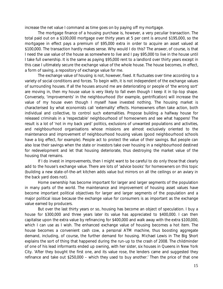increase the net value I command as time goes on by paying off my mortgage.

The mortgage finance of a housing purchase is, however, a very peculiar transaction. The total paid out on a \$100,000 mortgage over thirty years at 5 per cent is around \$195,000, so the mortgagee in effect pays a premium of \$95,000 extra in order to acquire an asset valued at \$100,000. The transaction hardly makes sense. Why would I do this? The answer, of course, is that I need the use value of the house as somewhere to live and I pay \$95,000 to live in the house until I take full ownership. It is the same as paying \$95,000 rent to a landlord over thirty years except in this case I ultimately secure the exchange value of the whole house. The house becomes, in effect, a form of saving, a repository of exchange value for me.

The exchange value of housing is not, however, fixed. It fluctuates over time according to a variety of social conditions and forces. To begin with, it is not independent of the exchange values of surrounding houses. If all the houses around me are deteriorating or people of 'the wrong sort' are moving in, then my house value is very likely to fall even though I keep it in tip-top shape. Conversely, 'improvements' in the neighbourhood (for example, gentrification) will increase the value of my house even though I myself have invested nothing. The housing market is characterised by what economists call 'externality' effects. Homeowners often take action, both individual and collective, to control such externalities. Propose building a halfway house for released criminals in a 'respectable' neighbourhood of homeowners and see what happens! The result is a lot of 'not in my back yard' politics, exclusions of unwanted populations and activities, and neighbourhood organisations whose missions are almost exclusively oriented to the maintenance and improvement of neighbourhood housing values (good neighbourhood schools have a big effect, for example). People act to protect the value of their savings. But people can also lose their savings when the state or investors take over housing in a neighbourhood destined for redevelopment and let that housing deteriorate, thus destroying the market value of the housing that remains.

If I do invest in improvements, then I might want to be careful to do only those that clearly add to the house's exchange value. There are lots of 'advice books' for homeowners on this topic (building a new state-of-the-art kitchen adds value but mirrors on all the ceilings or an aviary in the back yard does not).

Home ownership has become important for larger and larger segments of the population in many parts of the world. The maintenance and improvement of housing asset values have become important political objectives for larger and larger segments of the population and a major political issue because the exchange value for consumers is as important as the exchange value earned by producers.

But over the last thirty years or so, housing has become an object of speculation. I buy a house for \$300,000 and three years later its value has appreciated to \$400,000. I can then capitalise upon the extra value by refinancing for \$400,000 and walk away with the extra \$100,000, which I can use as I wish. The enhanced exchange value of housing becomes a hot item. The house becomes a convenient cash cow, a personal ATM machine, thus boosting aggregate demand, including, of course, the further demand for housing. Michael Lewis in *The Big Short* explains the sort of thing that happened during the run-up to the crash of 2008. The childminder of one of his lead informants ended up owning, with her sister, six houses in Queens in New York City. 'After they bought the first one, and its value rose, the lenders came and suggested they refinance and take out \$250,000 – which they used to buy another.' Then the price of that one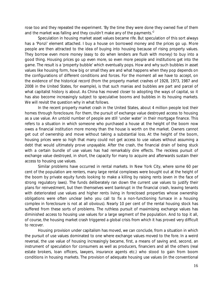rose too and they repeated the experiment. 'By the time they were done they owned five of them and the market was falling and they couldn't make any of the payments.<sup> $2$ </sup>

Speculation in housing market asset values became rife. But speculation of this sort always has a 'Ponzi' element attached. I buy a house on borrowed money and the prices go up. More people are then attracted to the idea of buying into housing because of rising property values. They borrow even more money (easy to do when lenders are flush with money) to buy into a good thing. Housing prices go up even more, so even more people and institutions get into the game. The result is a 'property bubble' which eventually pops. How and why such bubbles in asset values like housing form, how big or small they are and what happens when they pop depends on the configurations of different conditions and forces. For the moment all we have to accept, on the evidence of the historical record (from the property market crashes of 1928, 1973, 1987 and 2008 in the United States, for example), is that such manias and bubbles are part and parcel of what capitalist history is about. As China has moved closer to adopting the ways of capital, so it has also become increasingly subject to speculative booms and bubbles in its housing markets. We will revisit the question why in what follows.

In the recent property market crash in the United States, about 4 million people lost their homes through foreclosure. For them, the pursuit of exchange value destroyed access to housing as a use value. An untold number of people are still 'under water' in their mortgage finance. This refers to a situation in which someone who purchased a house at the height of the boom now owes a financial institution more money than the house is worth on the market. Owners cannot get out of ownership and move without taking a substantial loss. At the height of the boom, housing prices were so high that many could not get access to use values without assuming a debt that would ultimately prove unpayable. After the crash, the financial drain of being stuck with a certain bundle of use values has had remarkably dire effects. The reckless pursuit of exchange value destroyed, in short, the capacity for many to acquire and afterwards sustain their access to housing use values.

Similar problems have occurred in rental markets. In New York City, where some 60 per cent of the population are renters, many large rental complexes were bought out at the height of the boom by private equity funds looking to make a killing by raising rents (even in the face of strong regulatory laws). The funds deliberately ran down the current use values to justify their plans for reinvestment, but then themselves went bankrupt in the financial crash, leaving tenants with deteriorated use values and higher rents living in foreclosed properties whose ownership obligations were often unclear (who you call to fix a non-functioning furnace in a housing complex in foreclosure is not at all obvious). Nearly 10 per cent of the rental housing stock has suffered from these sorts of problems. The ruthless pursuit of maximising exchange values has diminished access to housing use values for a large segment of the population. And to top it all, of course, the housing market crash triggered a global crisis from which it has proved very difficult to recover.

Housing provision under capitalism has moved, we can conclude, from a situation in which the pursuit of use values dominated to one where exchange values moved to the fore. In a weird reversal, the use value of housing increasingly became, first, a means of saving and, second, an instrument of speculation for consumers as well as producers, financiers and all the others (real estate brokers, loan officers, lawyers, insurance agents etc.) who stood to gain from boom conditions in housing markets. The provision of adequate housing use values (in the conventional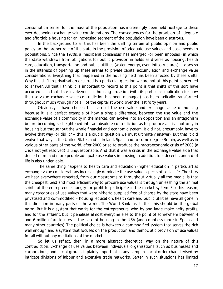consumption sense) for the mass of the population has increasingly been held hostage to these ever-deepening exchange value considerations. The consequences for the provision of adequate and affordable housing for an increasing segment of the population have been disastrous.

In the background to all this has been the shifting terrain of public opinion and public policy on the proper role of the state in the provision of adequate use values and basic needs to populations. Since the 1970s, a 'neoliberal consensus' has emerged (or been imposed) in which the state withdraws from obligations for public provision in fields as diverse as housing, health care, education, transportation and public utilities (water, energy, even infrastructures). It does so in the interests of opening up these arenas to private capital accumulation and exchange value considerations. Everything that happened in the housing field has been affected by these shifts. Why this shift to privatisation occurred is a particular question we are not at this point concerned to answer. All that I think it is important to record at this point is that shifts of this sort have occurred such that state involvement in housing provision (with its particular implication for how the use value–exchange value contradiction has been managed) has been radically transformed throughout much (though not all) of the capitalist world over the last forty years.

Obviously, I have chosen this case of the use value and exchange value of housing because it is a perfect example of how a simple difference, between the use value and the exchange value of a commodity in the market, can evolve into an opposition and an antagonism before becoming so heightened into an absolute contradiction as to produce a crisis not only in housing but throughout the whole financial and economic system. It did not, presumably, have to evolve that way (or did it? – this is a crucial question we must ultimately answer). But that it did evolve that way in the United States and in Ireland, Spain and to some degree Britain, as well as in various other parts of the world, after 2000 or so to produce the macroeconomic crisis of 2008 (a crisis not yet resolved) is unquestionable. And that it was a crisis in the exchange value side that denied more and more people adequate use values in housing in addition to a decent standard of life is also undeniable.

The same thing happens to health care and education (higher education in particular) as exchange value considerations increasingly dominate the use value aspects of social life. The story we hear everywhere repeated, from our classrooms to throughout virtually all the media, is that the cheapest, best and most efficient way to procure use values is through unleashing the animal spirits of the entrepreneur hungry for profit to participate in the market system. For this reason, many categories of use values that were hitherto supplied free of charge by the state have been privatised and commodified – housing, education, health care and public utilities have all gone in this direction in many parts of the world. The World Bank insists that this should be the global norm. But it is a system that works for the entrepreneurs, who by and large make hefty profits, and for the affluent, but it penalises almost everyone else to the point of somewhere between 4 and 6 million foreclosures in the case of housing in the USA (and countless more in Spain and many other countries). The political choice is between a commodified system that serves the rich well enough and a system that focuses on the production and democratic provision of use values for all without any mediations of the market.

So let us reflect, then, in a more abstract theoretical way on the nature of this contradiction. Exchange of use values between individuals, organisations (such as businesses and corporations) and social groups is plainly important in any complex social order characterised by intricate divisions of labour and extensive trade networks. Barter in such situations has limited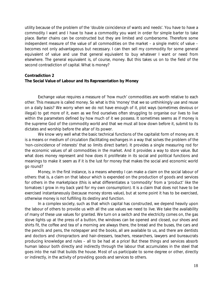utility because of the problem of the 'double coincidence of wants and needs'. You have to have a commodity I want and I have to have a commodity you want in order for simple barter to take place. Barter chains can be constructed but they are limited and cumbersome. Therefore some independent measure of the value of all commodities on the market – a single metric of value – becomes not only advantageous but necessary. I can then sell my commodity for some general equivalent of value and use that general equivalent to buy whatever I want or need from elsewhere. The general equivalent is, of course, money. But this takes us on to the field of the second contradiction of capital. What is money?

**Contradiction 2** 

**The Social Value of Labour and Its Representation by Money** 

Exchange value requires a measure of 'how much' commodities are worth relative to each other. This measure is called money. So what is this 'money' that we so unthinkingly use and reuse on a daily basis? We worry when we do not have enough of it, plot ways (sometimes devious or illegal) to get more of it, even as we find ourselves often struggling to organise our lives to live within the parameters defined by how much of it we possess. It sometimes seems as if money is the supreme God of the commodity world and that we must all bow down before it, submit to its dictates and worship before the altar of its power.

We know very well what the basic technical functions of the capitalist form of money are. It is a means or medium of circulation (facilitating exchanges in a way that solves the problem of the 'non-coincidence of interests' that so limits direct barter). It provides a single measuring rod for the economic values of all commodities in the market. And it provides a way to store value. But what does money represent and how does it proliferate in its social and political functions and meanings to make it seem as if it is the lust for money that makes the social and economic world go round?

Money, in the first instance, is a means whereby I can make a claim on the social labour of others: that is, a claim on that labour which is expended on the production of goods and services for others in the marketplace (this is what differentiates a 'commodity' from a 'product' like the tomatoes I grow in my back yard for my own consumption). It is a claim that does not have to be exercised instantaneously (because money stores value), but at some point it has to be exercised, otherwise money is not fulfilling its destiny and function.

In a complex society, such as that which capital has constructed, we depend heavily upon the labour of others to provide us with all the use values we need to live. We take the availability of many of these use values for granted. We turn on a switch and the electricity comes on, the gas stove lights up at the press of a button, the windows can be opened and closed, our shoes and shirts fit, the coffee and tea of a morning are always there, the bread and the buses, the cars and the pencils and pens, the notepaper and the books, all are available to us, and there are dentists and doctors and chiropractors and hair-dressers, teachers, researchers, lawyers and bureaucrats producing knowledge and rules – all to be had at a price! But these things and services absorb human labour both directly and indirectly through the labour that accumulates in the steel that goes into the nail that builds the house. Most of us participate to some degree or other, directly or indirectly, in the activity of providing goods and services to others.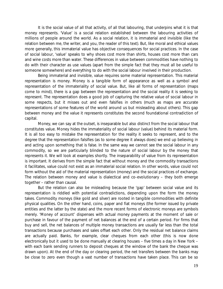It is the social value of all that activity, of all that labouring, that underpins what it is that money represents. 'Value' is a social relation established between the labouring activities of millions of people around the world. As a social relation, it is immaterial and invisible (like the relation between me, the writer, and you, the reader of this text). But, like moral and ethical values more generally, this immaterial value has objective consequences for social practices. In the case of social labour, 'value' speaks to why shoes cost more than shirts, houses cost more than cars and wine costs more than water. These differences in value between commodities have nothing to do with their character as use values (apart from the simple fact that they must all be useful to someone somewhere) and everything to do with the social labour involved in their production.

Being immaterial and invisible, value requires some material representation. This material representation is money. Money is a tangible form of appearance as well as a symbol and representation of the immateriality of social value. But, like all forms of representation (maps come to mind), there is a gap between the representation and the social reality it is seeking to represent. The representation does a good job of capturing the relative value of social labour in some respects, but it misses out and even falsifies in others (much as maps are accurate representations of some features of the world around us but misleading about others). This gap between money and the value it represents constitutes the second foundational contradiction of capital.

Money, we can say at the outset, is inseparable but also distinct from the social labour that constitutes value. Money hides the immateriality of social labour (value) behind its material form. It is all too easy to mistake the representation for the reality it seeks to represent, and to the degree that the representation falsifies (as to some degree it always does) we end up believing in and acting upon something that is false. In the same way we cannot see the social labour in any commodity, so we are particularly blinded to the nature of social labour by the money that represents it. We will look at examples shortly. The inseparability of value from its representation is important. It derives from the simple fact that without money and the commodity transactions it facilitates, value could not exist as an immaterial social relation. In other words, value could not form without the aid of the material representation (money) and the social practices of exchange. The relation between money and value is dialectical and co-evolutionary – they both emerge together – rather than causal.

But the relation can also be misleading because the 'gap' between social value and its representation is riddled with potential contradictions, depending upon the form the money takes. Commodity moneys (like gold and silver) are rooted in tangible commodities with definite physical qualities. On the other hand, coins, paper and fiat moneys (the former issued by private entities and the latter by the state) and the more recent forms of electronic moneys are symbols merely. 'Money of account' dispenses with actual money payments at the moment of sale or purchase in favour of the payment of net balances at the end of a certain period. For firms that buy and sell, the net balances of multiple money transactions are usually far less than the total transactions because purchases and sales offset each other. Only the residual net balance claims are actually paid. Banks, for example, clear cheques from each other (this is now done electronically but it used to be done manually at clearing houses – five times a day in New York – with each bank sending runners to deposit cheques at the window of the bank the cheque was drawn upon). At the end of the day or clearing period, the net transfers between the banks may be close to zero even though a vast number of transactions have taken place. This can be so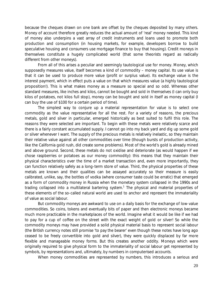because the cheques drawn on one bank are offset by the cheques deposited by many others. Money of account therefore greatly reduces the actual amount of 'real' money needed. This kind of money also underpins a vast array of credit instruments and loans used to promote both production and consumption (in housing markets, for example, developers borrow to build speculative housing and consumers use mortgage finance to buy that housing). Credit moneys in themselves constitute a hugely complicated world (that some theorists regard as radically different from other moneys).

From all of this arises a peculiar and seemingly tautological use for money. Money, which supposedly measures value, itself becomes a kind of commodity – *money capital*. Its use value is that it can be used to produce more value (profit or surplus value). Its exchange value is the interest payment, which in effect puts a value on that which measures value (a highly tautological proposition!). This is what makes money as a measure so special and so odd. Whereas other standard measures, like inches and kilos, cannot be bought and sold in themselves (I can only buy kilos of potatoes, not kilos full stop), money can be bought and sold in itself as money capital (I can buy the use of \$100 for a certain period of time).

The simplest way to conjure up a material representation for value is to select one commodity as the value representative for all the rest. For a variety of reasons, the precious metals, gold and silver in particular, emerged historically as best suited to fulfil this role. The reasons they were selected are important. To begin with these metals were relatively scarce and there is a fairly constant accumulated supply. I cannot go into my back yard and dig up some gold or silver whenever I want. The supply of the precious metals is relatively inelastic, so they maintain their relative value against all other commodities over time (though bursts of production activity, like the California gold rush, did create some problems). Most of the world's gold is already mined and above ground. Second, these metals do not oxidise and deteriorate (as would happen if we chose raspberries or potatoes as our money commodity): this means that they maintain their physical characteristics over the time of a market transaction and, even more importantly, they can function relatively safely as a long-term store of value. Third, the physical properties of these metals are known and their qualities can be assayed accurately so their measure is easily calibrated, unlike, say, the bottles of vodka (where consumer taste could be erratic) that emerged as a form of commodity money in Russia when the monetary system collapsed in the 1990s and trading collapsed into a multilateral bartering system.<sup>1</sup> The physical and material properties of these elements of the so-called natural world are used to anchor and represent the immateriality of value as social labour.

But commodity moneys are awkward to use on a daily basis for the exchange of low-value commodities. So coins, tokens and eventually bits of paper and then electronic moneys became much more practicable in the marketplaces of the world. Imagine what it would be like if we had to pay for a cup of coffee on the street with the exact weight of gold or silver! So while the commodity moneys may have provided a solid physical material basis to represent social labour (the British currency notes still promise 'to pay the bearer' even though these notes have long ago ceased to be freely convertible into gold and silver), they were quickly displaced by far more flexible and manageable money forms. But this creates another oddity. Moneys which were originally required to give physical form to the immateriality of social labour get represented by symbols, by representations and, ultimately, by numbers in computerised accounts.

When money commodities are represented by numbers, this introduces a serious and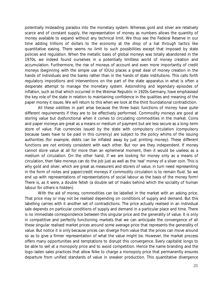potentially misleading paradox into the monetary system. Whereas gold and silver are relatively scarce and of constant supply, the representation of money as numbers allows the quantity of money available to expand without any technical limit. We thus see the Federal Reserve in our time adding trillions of dollars to the economy at the drop of a hat through tactics like quantitative easing. There seems no limit to such possibilities except that imposed by state policies and regulation. When the metallic basis of global moneys was totally abandoned in the 1970s, we indeed found ourselves in a potentially limitless world of money creation and accumulation. Furthermore, the rise of moneys of account and even more importantly of credit moneys (beginning with the simple use of IOUs) places a great deal of money creation in the hands of individuals and the banks rather than in the hands of state institutions. This calls forth regulatory impositions and interventions on the part of the state apparatus in what is often a desperate attempt to manage the monetary system. Astonishing and legendary episodes of inflation, such as that which occurred in the Weimar Republic in 1920s Germany, have emphasised the key role of the state in relation to maintaining confidence in the qualities and meaning of the paper money it issues. We will return to this when we look at the third foundational contradiction.

All these oddities in part arise because the three basic functions of money have quite different requirements if they are to be effectively performed. Commodity moneys are good at storing value but dysfunctional when it comes to circulating commodities in the market. Coins and paper moneys are great as a means or medium of payment but are less secure as a long-term store of value. Fiat currencies issued by the state with compulsory circulation (compulsory because taxes have to be paid in this currency) are subject to the policy whims of the issuing authorities (for example, debts can be inflated away by just printing money). These different functions are not entirely consistent with each other. But nor are they independent. If money cannot store value at all for more than an ephemeral moment, then it would be useless as a medium of circulation. On the other hand, if we are looking for money only as a means of circulation, then fake moneys can do the job just as well as the 'real' money of a silver coin. This is why gold and silver, which are great as measurers and storers of value, in turn need representing in the form of notes and paper/credit moneys if commodity circulation is to remain fluid. So we end up with representations of representations of social labour as the basis of the money form! There is, as it were, a double fetish (a double set of masks behind which the sociality of human labour for others is hidden).

With the aid of money, commodities can be labelled in the market with an asking price. That price may or may not be realised depending on conditions of supply and demand. But this labelling carries with it another set of contradictions. The price actually realised in an individual sale depends on particular conditions of supply and demand in a particular place and time. There is no immediate correspondence between this singular price and the generality of value. It is only in competitive and perfectly functioning markets that we can anticipate the convergence of all these singular realised market prices around some average price that represents the generality of value. But notice it is only because prices can diverge from value that the prices can move around so as to give a firmer representation of what the value might be. However, the market process offers many opportunities and temptations to disrupt this convergence. Every capitalist longs to be able to sell at a monopoly price and to avoid competition. Hence the name branding and the logo-laden sales practices that allow Nike to charge a monopoly price that permanently ensures departure from unified standards of value in sneaker production. This quantitative divergence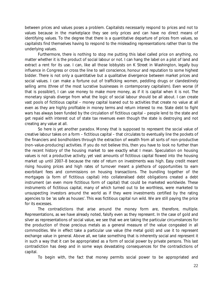between prices and values poses a problem. Capitalists necessarily respond to prices and not to values because in the marketplace they see only prices and can have no direct means of identifying values. To the degree that there is a quantitative departure of prices from values, so capitalists find themselves having to respond to the misleading representations rather than to the underlying values.

Furthermore, there is nothing to stop me putting this label called price on anything, no matter whether it is the product of social labour or not. I can hang the label on a plot of land and extract a rent for its use. I can, like all those lobbyists on K Street in Washington, legally buy influence in Congress or cross the line to sell conscience, honour and reputation to some highest bidder. There is not only a quantitative but a qualitative divergence between market prices and social values. I can make a fortune out of trafficking women, peddling drugs or clandestinely selling arms (three of the most lucrative businesses in contemporary capitalism). Even worse (if that is possible!), I can use money to make more money, as if it is capital when it is not. The monetary signals diverge from what the logic of social labour should be all about. I can create vast pools of fictitious capital – money capital loaned out to activities that create no value at all even as they are highly profitable in money terms and return interest to me. State debt to fight wars has always been funded by the circulation of fictitious capital – people lend to the state and get repaid with interest out of state tax revenues even though the state is destroying and not creating any value at all.

So here is yet another paradox. Money that is supposed to represent the social value of creative labour takes on a form – fictitious capital – that circulates to eventually line the pockets of the financiers and bondholders through the extraction of wealth from all sorts of non-productive (non-value-producing) activities. If you do not believe this, then you have to look no further than the recent history of the housing market to see exactly what I mean. Speculation on housing values is not a productive activity, yet vast amounts of fictitious capital flowed into the housing market up until 2007–8 because the rate of return on investments was high. Easy credit meant rising housing prices and high rates of turnover meant a plethora of opportunities to earn exorbitant fees and commissions on housing transactions. The bundling together of the mortgages (a form of fictitious capital) into collateralised debt obligations created a debt instrument (an even more fictitious form of capital) that could be marketed worldwide. These instruments of fictitious capital, many of which turned out to be worthless, were marketed to unsuspecting investors around the world as if they were investments certified by the rating agencies to be 'as safe as houses'. This was fictitious capital run wild. We are still paying the price for its excesses.

The contradictions that arise around the money form are, therefore, multiple. Representations, as we have already noted, falsify even as they represent. In the case of gold and silver as representations of social value, we see that we are taking the particular circumstances for the production of those precious metals as a general measure of the value congealed in all commodities. We in effect take a particular use value (the metal gold) and use it to represent exchange value in general. Above all, we take something that is inherently social and represent it in such a way that it can be appropriated as a form of social power by private persons. This last contradiction has deep and in some ways devastating consequences for the contradictions of capital.

To begin with, the fact that money permits social power to be appropriated and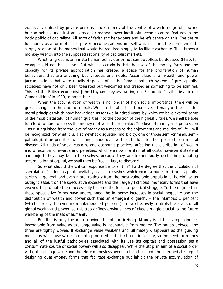exclusively utilised by private persons places money at the centre of a wide range of noxious human behaviours – lust and greed for money power inevitably become central features in the body politic of capitalism. All sorts of fetishistic behaviours and beliefs centre on this. The desire for money as a form of social power becomes an end in itself which distorts the neat demand– supply relation of the money that would be required simply to facilitate exchange. This throws a monkey wrench into the supposed rationality of capitalist markets.

Whether greed is an innate human behaviour or not can doubtless be debated (Marx, for example, did not believe so). But what is certain is that the rise of the money form and the capacity for its private appropriation has created a space for the proliferation of human behaviours that are anything but virtuous and noble. Accumulations of wealth and power (accumulations that were ritually disposed of in the famous potlatch system of pre-capitalist societies) have not only been tolerated but welcomed and treated as something to be admired. This led the British economist John Maynard Keynes, writing on 'Economic Possibilities for our Grandchildren' in 1930, to hope that:

When the accumulation of wealth is no longer of high social importance, there will be great changes in the code of morals. We shall be able to rid ourselves of many of the pseudomoral principles which have hag-ridden us for two hundred years, by which we have exalted some of the most distasteful of human qualities into the position of the highest virtues. We shall be able to afford to dare to assess the money motive at its true value. The love of money as a possession – as distinguished from the love of money as a means to the enjoyments and realities of life – will be recognized for what it is, a somewhat disgusting morbidity, one of those semi-criminal, semipathological propensities which one hands over with a shudder to the specialists on mental disease. All kinds of social customs and economic practices, affecting the distribution of wealth and of economic rewards and penalties, which we now maintain at all costs, however distasteful and unjust they may be in themselves, because they are tremendously useful in promoting accumulation of capital, we shall then be free, at last, to discard.<sup>2</sup>

So what should the critical response be to all this? To the degree that the circulation of speculative fictitious capital inevitably leads to crashes which exact a huge toll from capitalist society in general (and even more tragically from the most vulnerable populations therein), so an outright assault on the speculative excesses and the (largely fictitious) monetary forms that have evolved to promote them necessarily become the focus of political struggle. To the degree that these speculative forms have underpinned the immense increases in social inequality and the distribution of wealth and power such that an emergent oligarchy – the infamous 1 per cent (which is really the even more infamous 0.1 per cent) – now effectively controls the levers of all global wealth and power, so this also defines obvious lines of class struggle crucial to the future well-being of the mass of humanity.

But this is only the more obvious tip of the iceberg. Money is, it bears repeating, as inseparable from value as exchange value is inseparable from money. The bonds between the three are tightly woven. If exchange value weakens and ultimately disappears as the guiding means by which use values are both produced and distributed in society, so the need for money and all of the lustful pathologies associated with its use (as capital) and possession (as a consummate source of social power) will also disappear. While the utopian aim of a social order without exchange value and therefore moneyless needs to be articulated, the intermediate step of designing quasi-money forms that facilitate exchange but inhibit the private accumulation of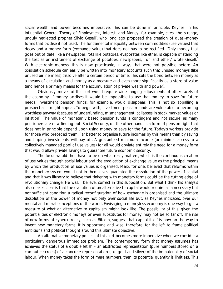social wealth and power becomes imperative. This can be done in principle. Keynes, in his influential *General Theory of Employment, Interest, and Money*, for example, cites 'the strange, unduly neglected prophet Silvio Gesell', who long ago proposed the creation of quasi-money forms that oxidise if not used. The fundamental inequality between commodities (use values) that decay and a money form (exchange value) that does not has to be rectified. 'Only money that goes out of date like a newspaper, rots like potatoes, evaporates like ether, is capable of standing the test as an instrument of exchange of potatoes, newspapers, iron and ether,' wrote Gesell.<sup>3</sup> With electronic moneys, this is now practicable, in ways that were not possible before. An oxidisation schedule can easily be written into monetary accounts such that unused moneys (like unused airline miles) dissolve after a certain period of time. This cuts the bond between money as a means of circulation and money as a measure and even more significantly as a store of value (and hence a primary means for the accumulation of private wealth and power).

Obviously, moves of this sort would require wide-ranging adjustments of other facets of the economy. If money oxidises it would be impossible to use that money to save for future needs. Investment pension funds, for example, would disappear. This is not so appalling a prospect as it might appear. To begin with, investment pension funds are vulnerable to becoming worthless anyway (because of underfunding, mismanagement, collapses in stock market values or inflation). The value of monetarily based pension funds is contingent and not secure, as many pensioners are now finding out. Social Security, on the other hand, is a form of pension right that does not in principle depend upon using money to save for the future. Today's workers provide for those who preceded them. Far better to organise future incomes by this means than by saving and hoping investments will pay off. A guaranteed minimum income (or minimal access to a collectively managed pool of use values) for all would obviate entirely the need for a money form that would allow private savings to guarantee future economic security.

The focus would then have to be on what really matters, which is the continuous creation of use values through social labour and the eradication of exchange value as the principal means by which the production of use values is organised. Marx, for one, believed that reforms within the monetary system would not in themselves guarantee the dissolution of the power of capital and that it was illusory to believe that tinkering with monetary forms could be the cutting edge of revolutionary change. He was, I believe, correct in this supposition. But what I think his analysis also makes clear is that the evolution of an alternative to capital would require as a necessary but not sufficient condition a radical reconfiguration of how exchange is organised and the ultimate dissolution of the power of money not only over social life but, as Keynes indicates, over our mental and moral conceptions of the world. Envisaging a moneyless economy is one way to get a measure of what an alternative to capitalism might look like. The possibility of this, given the potentialities of electronic moneys or even substitutes for money, may not be so far off. The rise of new forms of cybercurrency, such as Bitcoin, suggest that capital itself is now on the way to invent new monetary forms. It is opportune and wise, therefore, for the left to frame political ambitions and political thought around this ultimate objective.

An alternative monetary politics of this sort becomes more imperative when we consider a particularly dangerous immediate problem. The contemporary form that money assumes has achieved the status of a double fetish – an abstracted representation (pure numbers stored on a computer screen) of a concrete representation (like gold and silver) of the immateriality of social labour. When money takes the form of mere numbers, then its potential quantity is limitless. This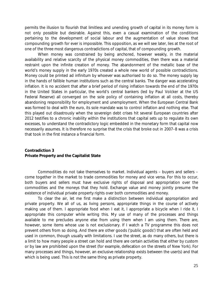permits the illusion to flourish that limitless and unending growth of capital in its money form is not only possible but desirable. Against this, even a casual examination of the conditions pertaining to the development of social labour and the augmentation of value shows that compounding growth for ever is impossible. This opposition, as we will see later, lies at the root of one of the three most dangerous contradictions of capital, that of compounding growth.

When money was constrained by being anchored, however weakly, in the material availability and relative scarcity of the physical money commodities, then there was a material restraint upon the infinite creation of money. The abandonment of the metallic base of the world's money supply in the early 1970s created a whole new world of possible contradictions. Money could be printed ad infinitum by whoever was authorised to do so. The money supply lay in the hands of fallible human institutions such as the central banks. The danger was accelerating inflation. It is no accident that after a brief period of rising inflation towards the end of the 1970s in the United States in particular, the world's central bankers (led by Paul Volcker at the US Federal Reserve) all converged on the sole policy of containing inflation at all costs, thereby abandoning responsibility for employment and unemployment. When the European Central Bank was formed to deal with the euro, its sole mandate was to control inflation and nothing else. That this played out disastrously when the sovereign debt crises hit several European countries after 2012 testifies to a chronic inability within the institutions that capital sets up to regulate its own excesses, to understand the contradictory logic embedded in the monetary form that capital now necessarily assumes. It is therefore no surprise that the crisis that broke out in 2007–8 was a crisis that took in the first instance a financial form.

**Contradiction 3 Private Property and the Capitalist State** 

Commodities do not take themselves to market. Individual agents – buyers and sellers – come together in the market to trade commodities for money and vice versa. For this to occur, both buyers and sellers must have exclusive rights of disposal and appropriation over the commodities and the moneys that they hold. Exchange value and money jointly presume the existence of individual private property rights over both commodities and money.

To clear the air, let me first make a distinction between individual appropriation and private property. We all of us, as living persons, appropriate things in the course of actively making use of them. I appropriate food when I eat it, I appropriate a bicycle when I ride it, I appropriate this computer while writing this. My use of many of the processes and things available to me precludes anyone else from using them when I am using them. There are, however, some items whose use is not exclusionary. If I watch a TV programme this does not prevent others from so doing. And there are other goods ('public goods') that are often held and used in common, though usually with limitations. I use the street, as do many others, but there is a limit to how many people a street can hold and there are certain activities that either by custom or by law are prohibited upon the street (for example, defecation on the streets of New York). For many processes and things, however, an exclusive relationship exists between the user(s) and that which is being used. This is not the same thing as private property.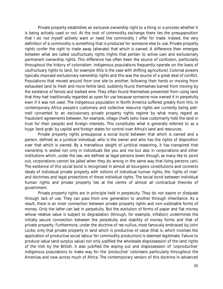Private property establishes an exclusive ownership right to a thing or a process whether it is being actively used or not. At the root of commodity exchange there lies the presupposition that I do not myself actively want or need the commodity I offer for trade. Indeed, the very definition of a commodity is something that is produced for someone else to use. Private property rights confer the right to trade away (alienate) that which is owned. A difference then emerges between what are called usufructuary rights (rights that pertain to active use) and exclusionary permanent ownership rights. This difference has often been the source of confusion, particularly throughout the history of colonialism. Indigenous populations frequently operate on the basis of usufructuary rights to land, for example (this is the case with shifting agriculture). Colonial powers typically imposed exclusionary ownership rights and this was the source of a great deal of conflict. Populations that moved around from one site to another, following their herds or moving from exhausted land to fresh and more fertile land, suddenly found themselves barred from moving by the existence of fences and barbed wire. They often found themselves prevented from using land that they had traditionally regarded as open for use because someone now owned it in perpetuity even if it was not used. The indigenous population in North America suffered greatly from this. In contemporary Africa people's customary and collective resource rights are currently being pellmell converted to an exclusionary private property rights regime by what many regard as fraudulent agreements between, for example, village chiefs (who have customarily held the land in trust for their people) and foreign interests. This constitutes what is generally referred to as a huge 'land grab' by capital and foreign states for control over Africa's land and resources.

Private property rights presuppose a social bond between that which is owned and a person, defined as a juridical individual, who is the owner and who has the rights of disposition over that which is owned. By a marvellous sleight of juridical reasoning, it has transpired that ownership is vested not only in individuals like you and me but also in corporations and other institutions which, under the law, are defined as legal persons (even though, as many like to point out, corporations cannot be jailed when they do wrong in the same way that living persons can). The existence of this social bond is recognised in almost all bourgeois constitutions and connects ideals of individual private property with notions of individual human rights, the 'rights of man' and doctrines and legal protections of those individual rights. The social bond between individual human rights and private property lies at the centre of almost all contractual theories of government.

Private property rights are in principle held in perpetuity. They do not expire or dissipate through lack of use. They can pass from one generation to another through inheritance. As a result, there is an inner connection between private property rights and non-oxidisable forms of money. Only the latter can last in perpetuity. But the evolution of forms of paper and fiat money whose relative value is subject to degradation (through, for example, inflation) undermines the initially secure connection between the perpetuity and stability of money forms and that of private property. Furthermore, under the doctrine of *res nullius*, most famously embraced by John Locke, only that private property in land which is productive of value (that is, which involves the application of productive social labour for commodity production) is deemed legitimate. Failure to produce value (and surplus value) not only justified the wholesale dispossession of the land rights of the Irish by the British, it also justified the wiping out and dispossession of 'unproductive' indigenous populations to make way for the 'productive' colonisers particularly throughout the Americas and now across much of Africa. The contemporary version of this doctrine in advanced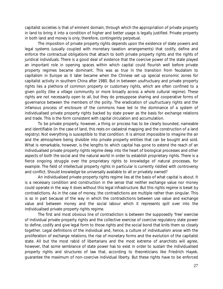capitalist societies is that of eminent domain, through which the appropriation of private property in land to bring it into a condition of higher and better usage is legally justified. Private property in both land and money is only, therefore, contingently perpetual.

The imposition of private property rights depends upon the existence of state powers and legal systems (usually coupled with monetary taxation arrangements) that codify, define and enforce the contractual obligations that attach to both private property rights and the rights of juridical individuals. There is a good deal of evidence that the coercive power of the state played an important role in opening spaces within which capital could flourish well before private property regimes became dominant. This was as true in the transition from feudalism to capitalism in Europe as it later became when the Chinese set up special economic zones for capitalist activity in southern China after 1980. But in between usufructuary and private property rights lies a plethora of common property or customary rights, which are often confined to a given polity (like a village community or more broadly across a whole cultural regime). These rights are not necessarily open to all, but they do presuppose sharing and cooperative forms of governance between the members of the polity. The eradication of usufructuary rights and the infamous process of enclosure of the commons have led to the dominance of a system of individualised private property rights backed by state power as *the* basis for exchange relations and trade. This is the form consistent with capital circulation and accumulation.

To be private property, however, a thing or process has to be clearly bounded, nameable and identifiable (in the case of land, this rests on cadastral mapping and the construction of a land registry). Not everything is susceptible to that condition. It is almost impossible to imagine the air and the atmosphere being divisible into private property entities that can be bought and sold. What is remarkable, however, is the lengths to which capital has gone to extend the reach of an individualised private property rights regime deep into the heart of biological processes and other aspects of both the social and the natural world in order to establish proprietary rights. There is a fierce ongoing struggle over the proprietary rights to knowledge of natural processes, for example. The field of intellectual property rights in particular is currently riddled with controversy and conflict. Should knowledge be universally available to all or privately owned?

An individualised private property rights regime lies at the basis of what capital is about. It is a necessary condition and construction in the sense that neither exchange value nor money could operate in the way it does without this legal infrastructure. But this rights regime is beset by contradictions. As in the case of money, the contradictions are multiple rather than singular. This is so in part because of the way in which the contradictions between use value and exchange value and between money and the social labour which it represents spill over into the individualised private property rights regime.

The first and most obvious line of contradiction is between the supposedly 'free' exercise of individual private property rights and the collective exercise of coercive regulatory state power to define, codify and give legal form to those rights and the social bond that knits them so closely together. Legal definitions of the individual and, hence, a culture of individualism arose with the proliferation of exchange relations, the rise of monetary forms and the evolution of the capitalist state. All but the most rabid of libertarians and the most extreme of anarchists will agree, however, that some semblance of state power has to exist in order to sustain the individualised property rights and structures of law that, according to theoreticians like Friedrich Hayek, guarantee the maximum of non-coercive individual liberty. But these rights have to be enforced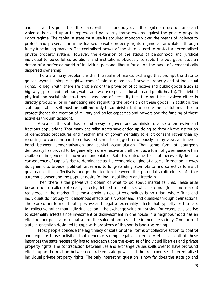and it is at this point that the state, with its monopoly over the legitimate use of force and violence, is called upon to repress and police any transgressions against the private property rights regime. The capitalist state must use its acquired monopoly over the means of violence to protect and preserve the individualised private property rights regime as articulated through freely functioning markets. The centralised power of the state is used to protect a decentralised private property system. However, the extension of the status of personhood and juridical individual to powerful corporations and institutions obviously corrupts the bourgeois utopian dream of a perfected world of individual personal liberty for all on the basis of democratically dispersed ownership.

There are many problems within the realm of market exchange that prompt the state to go far beyond a simple 'nightwatchman' role as guardian of private property and of individual rights. To begin with, there are problems of the provision of collective and public goods (such as highways, ports and harbours, water and waste disposal, education and public health). The field of physical and social infrastructures is vast and of necessity the state must be involved either in directly producing or in mandating and regulating the provision of these goods. In addition, the state apparatus itself must be built not only to administer but to secure the institutions it has to protect (hence the creation of military and police capacities and powers and the funding of these activities through taxation).

Above all, the state has to find a way to govern and administer diverse, often restive and fractious populations. That many capitalist states have ended up doing so through the institution of democratic procedures and mechanisms of governmentality to elicit consent rather than by resorting to coercion and force has led some to suggest, erroneously in my view, an inherent bond between democratisation and capital accumulation. That some form of bourgeois democracy has proved to be generally more effective and efficient as a form of governance within capitalism in general is, however, undeniable. But this outcome has not necessarily been a consequence of capital's rise to dominance as the economic engine of a social formation: it owes its dynamic to broader political forces and to long-standing attempts to find collective forms of governance that effectively bridge the tension between the potential arbitrariness of state autocratic power and the popular desire for individual liberty and freedom.

Then there is the pervasive problem of what to do about market failures. These arise because of so-called externality effects, defined as real costs which are not (for some reason) registered in the market. The most obvious field of externalities is pollution, where firms and individuals do not pay for deleterious effects on air, water and land qualities through their actions. There are other forms of both positive and negative externality effects that typically lead to calls for collective rather than individual action – the exchange value of housing, for example, is captive to externality effects since investment or disinvestment in one house in a neighbourhood has an effect (either positive or negative) on the value of houses in the immediate vicinity. One form of state intervention designed to cope with problems of this sort is land-use zoning.

Most people concede the legitimacy of state or other forms of collective action to control and regulate those activities that generate strong negative externality effects. In all of these instances the state necessarily has to encroach upon the exercise of individual liberties and private property rights. The contradiction between use and exchange values spills over to have profound effects upon the relation between centralised state power and the free exercise of decentralised individual private property rights. The only interesting question is how far does the state go and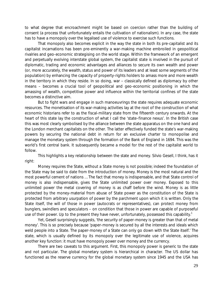to what degree that encroachment might be based on coercion rather than the building of consent (a process that unfortunately entails the cultivation of nationalism). In any case, the state has to have a monopoly over the legalised use of violence to exercise such functions.

That monopoly also becomes explicit in the way the state in both its pre-capitalist and its capitalist incarnations has been pre-eminently a war-making machine embroiled in geopolitical rivalries and geo-economic strategising on the world stage. Within the framework of an emergent and perpetually evolving interstate global system, the capitalist state is involved in the pursuit of diplomatic, trading and economic advantages and alliances to secure its own wealth and power (or, more accurately, the wealth, status and power of its leaders and at least some segments of the population) by enhancing the capacity of property-rights holders to amass more and more wealth in the territory in which they reside. In so doing, war – classically defined as diplomacy by other means – becomes a crucial tool of geopolitical and geo-economic positioning in which the amassing of wealth, competitive power and influence within the territorial confines of the state becomes a distinctive aim.

But to fight wars and engage in such manoeuvrings the state requires adequate economic resources. The monetisation of its war-making activities lay at the root of the construction of what economic historians refer to as the fiscal-military state from the fifteenth century onwards. At the heart of this state lay the construction of what I call the 'state–finance nexus'. In the British case this was most clearly symbolised by the alliance between the state apparatus on the one hand and the London merchant capitalists on the other. The latter effectively funded the state's war-making powers by securing the national debt in return for an exclusive charter to monopolise and manage the monetary system through the formation of the Bank of England in 1694. This was the world's first central bank. It subsequently became a model for the rest of the capitalist world to follow.

This highlights a key relationship between the state and money. Silvio Gesell, I think, has it right:

Money requires the State, without a State money is not possible; indeed the foundation of the State may be said to date from the introduction of money. Money is the most natural and the most powerful cement of nations … The fact that money is indispensable, and that State control of money is also indispensable, gives the State unlimited power over money. Exposed to this unlimited power the metal covering of money is as chaff before the wind. Money is as little protected by the money-material from abuse of State power as the constitution of the State is protected from arbitrary usurpation of power by the parchment upon which it is written. Only the State itself, the will of those in power (autocrats or representatives), can protect money from bunglers, swindlers and speculators – on condition that those in power are capable of purposeful use of their power. Up to the present they have never, unfortunately, possessed this capability.<sup>1</sup>

Yet, Gesell surprisingly suggests, 'the security of paper-money is greater than that of metal money'. This is so precisely because 'paper-money is secured by all the interests and ideals which weld people into a State. The paper-money of a State can only go down with the State itself.' The state, which is usually defined by its monopoly over the legitimate use of violence, acquires another key function: it must have monopoly power over money and the currency.

There are two caveats to this argument. First, this monopoly power is generic to the state and not particular. The global monetary system is hierarchical in character. The US dollar has functioned as the reserve currency for the global monetary system since 1945 and the USA has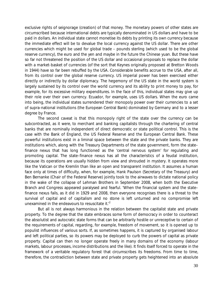exclusive rights of seignorage (creation) of that money. The monetary powers of other states are circumscribed because international debts are typically denominated in US dollars and have to be paid in dollars. An individual state cannot monetise its debts by printing its own currency because the immediate effect will be to devalue the local currency against the US dollar. There are other currencies which might be used for global trade – pounds sterling (which used to be the global reserve currency), the euro and the yen and maybe in the future the Chinese yuan. But these have so far not threatened the position of the US dollar and occasional proposals to replace the dollar with a market-basket of currencies (of the sort that Keynes originally proposed at Bretton Woods in 1944) have so far been rebuffed by the USA. Considerable benefits accrue to the USA, after all, from its control over the global reserve currency. US imperial power has been exercised either directly or indirectly by dollar diplomacy. The hegemony of the US state in the world system is largely sustained by its control over the world currency and its ability to print money to pay, for example, for its excessive military expenditures. In the face of this, individual states may give up their role over their own currency. Ecuador, for example, uses US dollars. When the euro came into being, the individual states surrendered their monopoly power over their currencies to a set of supra-national institutions (the European Central Bank) dominated by Germany and to a lesser degree by France.

The second caveat is that this monopoly right of the state over the currency can be subcontracted, as it were, to merchant and banking capitalists through the chartering of central banks that are nominally independent of direct democratic or state political control. This is the case with the Bank of England, the US Federal Reserve and the European Central Bank. These powerful institutions exist in a liminal space between the state and the private banks. They are institutions which, along with the Treasury Departments of the state government, form the state– finance nexus that has long functioned as the 'central nervous system' for regulating and promoting capital. The state–finance nexus has all the characteristics of a feudal institution, because its operations are usually hidden from view and shrouded in mystery. It operates more like the Vatican or the Kremlin than like an open and transparent institution. It assumes a human face only at times of difficulty, when, for example, Hank Paulson (Secretary of the Treasury) and Ben Bernanke (Chair of the Federal Reserve) jointly took to the airwaves to dictate national policy in the wake of the collapse of Lehman Brothers in September 2008, when both the Executive Branch and Congress appeared paralysed and fearful. 'When the financial system and the state– finance nexus fails, as it did in 1929 and 2008, then everyone recognises there is a threat to the survival of capital and of capitalism and no stone is left unturned and no compromise left unexamined in the endeavours to resuscitate it.<sup>2</sup>

But all is not always harmonious in the relation between the capitalist state and private property. To the degree that the state embraces some form of democracy in order to counteract the absolutist and autocratic state forms that can be arbitrarily hostile or unreceptive to certain of the requirements of capital, regarding, for example, freedom of movement, so it is opened up to populist influences of various sorts. If, as sometimes happens, it is captured by organised labour and left political parties, so its powers may be deployed to curb the powers of capital as private property. Capital can then no longer operate freely in many domains of the economy (labour markets, labour processes, income distributions and the like). It finds itself forced to operate in the framework of a veritable regulatory forest that circumscribes its freedoms. From time to time, therefore, the contradiction between state and private property gets heightened into an absolute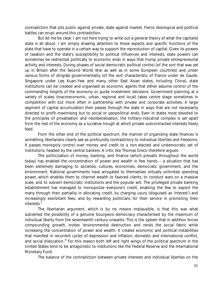contradiction that pits public against private, state against market. Fierce ideological and political battles can erupt around this contradiction.

But let me be clear: I am not here trying to write out a general theory of what the capitalist state is all about. I am simply drawing attention to those aspects and specific functions of the state that have to operate in a certain way to support the reproduction of capital. Given its powers of taxation and the state's susceptibility to political influences and interests, state powers can sometimes be redirected politically to economic ends in ways that trump private entrepreneurial activity and interests. During phases of social democratic political control (of the sort that was set up in Britain after the Second World War as well as in some European countries) and under various forms of *dirigiste* governmentality (of the sort characteristic of France under de Gaulle, Singapore under Lee Kuan-Yew and many other East Asian states, including China), state institutions can be created and organised as economic agents that either assume control of the commanding heights of the economy or guide investment decisions. Government planning at a variety of scales (macroeconomic, urban, regional and local) takes centre stage sometimes in competition with but more often in partnership with private and corporate activities. A large segment of capital accumulation then passes through the state in ways that are not necessarily directed to profit-maximising but to social or geopolitical ends. Even in states most devoted to the principles of privatisation and neoliberalisation, the military-industrial complex is set apart from the rest of the economy as a lucrative trough at which private subcontracted interests freely feed.

From the other end of the political spectrum, the manner of organising state finances is something libertarians clearly see as profoundly contradictory to individual liberties and freedoms. It passes monopoly control over money and credit to a non-elected and undemocratic set of institutions, headed by the central bankers. A critic like Thomas Greco therefore argues:

The politicization of money, banking, and finance (which prevails throughout the world today) has enabled the concentration of power and wealth in few hands – a situation that has been extremely damaging to societies, cultures, economies, democratic government, and the environment. National governments have arrogated to themselves virtually unlimited spending power, which enables them to channel wealth to favored clients, to conduct wars on a massive scale, and to subvert democratic institutions and the popular will. The privileged private banking establishment has managed to monopolize everyone's credit, enabling the few to exploit the many through their partiality in allocating credit, by charging usury (disguised as 'interest') and increasingly exorbitant fees, and by rewarding politicians for their service in promoting their interests.<sup>3</sup>

The libertarian argument, which is by no means implausible, is that this was what subverted the possibility of a genuine bourgeois democracy characterised by the maximum of individual liberty from the seventeenth century onwards. This is the system that in addition forces compounding growth, invites 'environmental destruction and rends the social fabric while increasing the concentration of power and wealth. It creates economic and political instabilities that manifest in recurrent cycles of depression and inflation, domestic and international conflict, and social dislocation.<sup>,4</sup> For this reason both left and right wings of the political spectrum in the United States tend to be antagonistic to institutions like the Federal Reserve and the International Monetary Fund.

The balance of the contradiction between private interests and individual liberties on the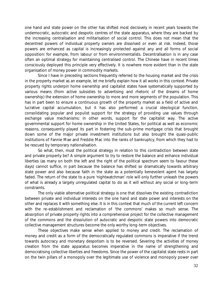one hand and state power on the other has shifted most decisively in recent years towards the undemocratic, autocratic and despotic centres of the state apparatus, where they are backed by the increasing centralisation and militarisation of social control. This does not mean that the decentred powers of individual property owners are dissolved or even at risk. Indeed, those powers are enhanced as capital is increasingly protected against any and all forms of social opposition: for example, from labour or from environmentalists. Decentralisation is in any case often an optimal strategy for maintaining centralised control. The Chinese have in recent times consciously deployed this principle very effectively. It is nowhere more evident than in the state organisation of money power in commodity markets.

Since I have in preceding sections frequently referred to the housing market and the crisis in the property market as an example, let me briefly explain how it all works in this context. Private property rights underpin home ownership and capitalist states have systematically supported by various means (from active subsidies to advertising and rhetoric of the dreams of home ownership) the extension of home ownership to more and more segments of the population. This has in part been to ensure a continuous growth of the property market as a field of active and lucrative capital accumulation, but it has also performed a crucial ideological function, consolidating popular and populist support for the strategy of providing use values through exchange value mechanisms: in other words, support for the capitalist way. The active governmental support for home ownership in the United States, for political as well as economic reasons, consequently played its part in fostering the sub-prime mortgage crisis that brought down some of the major private investment institutions but also brought the quasi-public institutions of Fannie Mae and Freddie Mac into the ranks of bankruptcy, from which they had to be rescued by temporary nationalisation.

So what, then, must the political strategy in relation to this contradiction between state and private property be? A simple argument to try to restore the balance and enhance individual liberties (as many on both the left and the right of the political spectrum seem to favour these days) cannot suffice, in part because the balance has shifted so dramatically towards arbitrary state power and also because faith in the state as a potentially benevolent agent has largely faded. The return of the state to a pure 'nightwatchman' role will only further unleash the powers of what is already a largely unregulated capital to do as it will without any social or long-term constraints.

The only viable alternative political strategy is one that dissolves the existing contradiction between private and individual interests on the one hand and state power and interests on the other and replaces it with something else. It is in this context that much of the current left concern with the re-establishment and reclamation of 'the commons' makes so much sense. The absorption of private property rights into a comprehensive project for the collective management of the commons and the dissolution of autocratic and despotic state powers into democratic collective management structures become the only worthy long-term objectives.

These objectives make sense when applied to money and credit. The reclamation of money and credit as a form of the democratically regulated commons is imperative if the trend towards autocracy and monetary despotism is to be reversed. Severing the activities of money creation from the state apparatus becomes imperative in the name of strengthening and democratising collective liberties and freedoms. Since the power of the capitalist state rests in part on the twin pillars of a monopoly over the legitimate use of violence and monopoly power over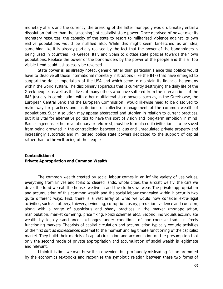monetary affairs and the currency, the breaking of the latter monopoly would ultimately entail a dissolution (rather than the 'smashing') of capitalist state power. Once deprived of power over its monetary resources, the capacity of the state to resort to militarised violence against its own restive populations would be nullified also. While this might seem far-fetched as an idea, something like it is already partially realised by the fact that the power of the bondholders is being used in countries like Greece, Italy and Spain to dictate state policies towards their own populations. Replace the power of the bondholders by the power of the people and this all too visible trend could just as easily be reversed.

State power is, as already noted, generic rather than particular. Hence this politics would have to dissolve all those international monetary institutions (like the IMF) that have emerged to support the dollar imperialism of the USA and which serve to maintain its financial hegemony within the world system. The disciplinary apparatus that is currently destroying the daily life of the Greek people, as well as the lives of many others who have suffered from the interventions of the IMF (usually in combination with other multilateral state powers, such as, in the Greek case, the European Central Bank and the European Commission), would likewise need to be dissolved to make way for practices and institutions of collective management of the common wealth of populations. Such a solution may appear abstracted and utopian in relation to current practices. But it is vital for alternative politics to have this sort of vision and long-term ambition in mind. Radical agendas, either revolutionary or reformist, must be formulated if civilisation is to be saved from being drowned in the contradiction between callous and unregulated private property and increasingly autocratic and militarised police state powers dedicated to the support of capital rather than to the well-being of the people.

**Contradiction 4 Private Appropriation and Common Wealth** 

The common wealth created by social labour comes in an infinite variety of use values, everything from knives and forks to cleared lands, whole cities, the aircraft we fly, the cars we drive, the food we eat, the houses we live in and the clothes we wear. The private appropriation and accumulation of this common wealth and the social labour congealed within it occur in two quite different ways. First, there is a vast array of what we would now consider extra-legal activities, such as robbery, thievery, swindling, corruption, usury, predation, violence and coercion, along with a range of suspicious and shady practices in the market (monopolisation, manipulation, market cornering, price fixing, Ponzi schemes etc.). Second, individuals accumulate wealth by legally sanctioned exchanges under conditions of non-coercive trade in freely functioning markets. Theorists of capital circulation and accumulation typically exclude activities of the first sort as excrescences external to the 'normal' and legitimate functioning of the capitalist market. They build their models of capital circulation and accumulation on the presumption that only the second mode of private appropriation and accumulation of social wealth is legitimate and relevant.

I think it is time we overthrew this convenient but profoundly misleading fiction promoted by the economics textbooks and recognise the symbiotic relation between these two forms of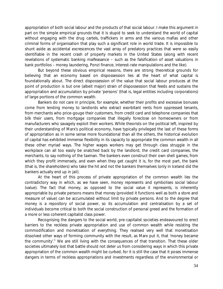appropriation of both social labour and the products of that social labour. I make this argument in part on the simple empirical grounds that it is stupid to seek to understand the world of capital without engaging with the drug cartels, traffickers in arms and the various mafias and other criminal forms of organisation that play such a significant role in world trade. It is impossible to shunt aside as accidental excrescences the vast array of predatory practices that were so easily identifiable in the recent crash of property markets in the United States (along with recent revelations of systematic banking malfeasance – such as the falsification of asset valuations in bank portfolios – money laundering, Ponzi finance, interest-rate manipulations and the like).

But beyond these obvious empirical reasons, there are strong theoretical grounds for believing that an economy based on dispossession lies at the heart of what capital is foundationally about. The direct dispossession of the value that social labour produces at the point of production is but one (albeit major) strain of dispossession that feeds and sustains the appropriation and accumulation by private 'persons' (that is, legal entities including corporations) of large portions of the common wealth.

Bankers do not care in principle, for example, whether their profits and excessive bonuses come from lending money to landlords who extract exorbitant rents from oppressed tenants, from merchants who price-gouge their customers, from credit card and telephone companies that bilk their users, from mortgage companies that illegally foreclose on homeowners or from manufacturers who savagely exploit their workers. While theorists on the political left, inspired by their understanding of Marx's political economy, have typically privileged the last of these forms of appropriation as in some sense more foundational than all the others, the historical evolution of capital has exhibited immense flexibility in its capacity to appropriate the common wealth in all these other myriad ways. The higher wages workers may get through class struggle in the workplace can all too easily be snatched back by the landlord, the credit card companies, the merchants, to say nothing of the taxman. The bankers even construct their own shell games, from which they profit immensely, and even when they get caught it is, for the most part, the bank (that is, the shareholders) who take the hit and not the bankers themselves (only in Iceland did the bankers actually end up in jail).

At the heart of this process of private appropriation of the common wealth lies the contradictory way in which, as we have seen, money represents and symbolises social labour (value). The fact that money, as opposed to the social value it represents, is inherently appropriable by private persons means that money (provided it functions well as both a store and measure of value) can be accumulated without limit by private persons. And to the degree that money is a repository of social power, so its accumulation and centralisation by a set of individuals become critical to both the social construction of personal greed and the formation of a more or less coherent capitalist class power.

Recognising the dangers to the social world, pre-capitalist societies endeavoured to erect barriers to the reckless private appropriation and use of common wealth while resisting the commodification and monetisation of everything. They realised very well that monetisation dissolved other ways of forming community with the result, as Marx put it, that 'money became the community'.<sup>1</sup> We are still living with the consequences of that transition. That these older societies ultimately lost that battle should not deter us from considering ways in which this private appropriation of the common wealth might be curbed, for it is still the case that it poses immense dangers in terms of reckless appropriations and investments regardless of the environmental or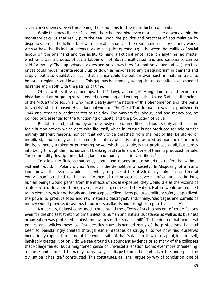social consequences, even threatening the conditions for the reproduction of capital itself.

While this may all be self-evident, there is something even more sinister at work within the monetary calculus that really puts the seal upon the politics and practices of accumulation by dispossession as the hallmark of what capital is about. In the examination of how money works, we saw how the distinction between value and price opened a gap between the realities of social labour on the one hand and the ability to hang a fictional price label on anything, no matter whether it was a product of social labour or not. Both uncultivated land and conscience can be sold for money! The gap between values and prices was therefore not only quantitative (such that prices could move instantaneously up or down in response to any disequilibrium in demand and supply) but also qualitative (such that a price could be put on even such immaterial traits as honour, allegiances and loyalties). This gap has become a yawning chasm as capital has expanded its range and depth with the passing of time.

Of all writers it was, perhaps, Karl Polanyi, an émigré Hungarian socialist economic historian and anthropologist who ended up working and writing in the United States at the height of the McCarthyite scourge, who most clearly saw the nature of this phenomenon and 'the perils to society' which it posed. His influential work on *The Great Transformation* was first published in 1944 and remains a landmark text to this day. The markets for labour, land and money are, he pointed out, essential for the functioning of capital and the production of value.

But labor, land, and money are obviously *not* commodities … Labor is only another name for a human activity which goes with life itself, which in its turn is not produced for sale but for entirely different reasons, nor can that activity be detached from the rest of life, be stored or mobilized; land is only another name for nature, which is not produced by man; actual money, finally, is merely a token of purchasing power which, as a rule, is not produced at all, but comes into being through the mechanism of banking or state finance. None of them is produced for sale. The commodity description of labor, land, and money is entirely fictitious.<sup>2</sup>

To allow the fictions that land, labour and money are commodities to flourish without restraint would, in Polanyi's view, 'result in the demolition of society'. In 'disposing of a man's labor power the system would, incidentally, dispose of the physical, psychological, and moral entity "man" attached to that tag. Robbed of the protective covering of cultural institutions, human beings would perish from the effects of social exposure; they would die as the victims of acute social dislocation through vice, perversion, crime and starvation. Nature would be reduced to its elements, neighborhoods and landscapes defiled, rivers polluted, military safety jeopardized, the power to produce food and raw materials destroyed'; and, finally, 'shortages and surfeits of money would prove as disastrous to business as floods and droughts in primitive society'.

No society, Polanyi concluded, 'could stand the effects of such a system of crude fictions even for the shortest stretch of time unless its human and natural substance as well as its business organization was protected against the ravages of this satanic mill'.<sup>3</sup> To the degree that neoliberal politics and policies these last few decades have dismantled many of the protections that had been so painstakingly created through earlier decades of struggle, so we now find ourselves increasingly exposed to some of the worst traits of that 'satanic mill' which capital, left to itself, inevitably creates. Not only do we see around us abundant evidence of so many of the collapses that Polanyi feared, but a heightened sense of universal alienation looms ever more threatening, as more and more of humanity turns away in disgust from the barbarism the underpins the civilisation it has itself constructed. This constitutes, as I shall argue by way of conclusion, one of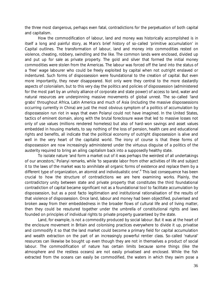the three most dangerous, perhaps even fatal, contradictions for the perpetuation of both capital and capitalism.

How the commodification of labour, land and money was historically accomplished is in itself a long and painful story, as Marx's brief history of so-called 'primitive accumulation' in *Capital* outlines. The transformation of labour, land and money into commodities rested on violence, cheating, robbery, swindling and the like. The common lands were enclosed, divided up and put up for sale as private property. The gold and silver that formed the initial money commodities were stolen from the Americas. The labour was forced off the land into the status of a 'free' wage labourer who could be freely exploited by capital when not outright enslaved or indentured. Such forms of dispossession were foundational to the creation of capital. But even more importantly, they never disappeared. Not only were they central to the more dastardly aspects of colonialism, but to this very day the politics and policies of dispossession (administered for the most part by an unholy alliance of corporate and state power) of access to land, water and natural resources are underpinning massive movements of global unrest. The so-called 'land grabs' throughout Africa, Latin America and much of Asia (including the massive dispossessions occurring currently in China) are just the most obvious symptom of a politics of accumulation by dispossession run riot in ways that even Polanyi could not have imagined. In the United States, tactics of eminent domain, along with the brutal foreclosure wave that led to massive losses not only of use values (millions rendered homeless) but also of hard-won savings and asset values embedded in housing markets, to say nothing of the loss of pension, health care and educational rights and benefits, all indicate that the political economy of outright dispossession is alive and well in the very heart of the capitalist world. The irony of course is that these forms of dispossession are now increasingly administered under the virtuous disguise of a politics of the austerity required to bring an ailing capitalism back into a supposedly healthy state.

To isolate nature 'and form a market out of it was perhaps the weirdest of all undertakings of our ancestors,' Polanyi remarks, while 'to separate labor from other activities of life and subject it to the laws of the market was to annihilate all organic forms of existence and replace them by a different type of organization, an atomist and individualistic one'.<sup>4</sup> This last consequence has been crucial to how the structure of contradictions we are here examining works. Plainly, the contradictory unity between state and private property that constitutes the third foundational contradiction of capital became significant *not* as a foundational tool to facilitate accumulation by dispossession, but as a post facto legitimation and institutional rationalisation of the results of that violence of dispossession. Once land, labour and money had been objectified, pulverised and broken away from their embeddedness in the broader flows of cultural life and of living matter, then they could be resutured together under the umbrella of constitutional rights and laws founded on principles of individual rights to private property guaranteed by the state.

Land, for example, is not a commodity produced by social labour. But it was at the heart of the enclosure movement in Britain and colonising practices everywhere to divide it up, privatise and commodify it so that the land market could become a primary field for capital accumulation and wealth extraction on the part of an increasingly powerful rentier class. So-called 'natural' resources can likewise be bought up even though they are not in themselves a product of social labour. The commodification of nature has certain limits because some things (like the atmosphere and the restless oceans) are not easily privatised and enclosed. While the fish extracted from the oceans can easily be commodified, the waters in which they swim pose a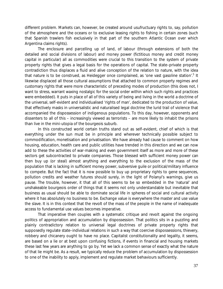different problem. Markets can, however, be created around usufructuary rights to, say, pollution of the atmosphere and the oceans or to exclusive leasing rights to fishing in certain zones (such that Spanish trawlers fish exclusively in that part of the southern Atlantic Ocean over which Argentina claims rights).

The enclosure and parcelling up of land, of labour (through extensions of both the detailed and social divisions of labour) and money power (fictitious money and credit money capital in particular) all as commodities were crucial to this transition to the system of private property rights that gives a legal basis for the operations of capital. The state–private property contradiction thus displaces a fluid and alive conception of the relation to nature, with the idea that nature is to be construed, as Heidegger once complained, as 'one vast gasoline station'.<sup>5</sup> It likewise displaced all those cultural assumptions that attached to common property regimes and customary rights that were more characteristic of preceding modes of production (this does not, I want to stress, warrant waxing nostalgic for the social order within which such rights and practices were embedded). It puts in place of all of this variety of being and living in the world a doctrine of the universal, self-evident and individualised 'rights of man', dedicated to the production of value, that effectively masks in universalistic and naturalised legal doctrine the lurid trail of violence that accompanied the dispossession of indigenous populations. To this day, however, opponents and dissenters to all of this – increasingly viewed as terrorists – are more likely to inhabit the prisons than live in the mini-utopia of the bourgeois suburb.

In this constructed world certain truths stand out as self-evident, chief of which is that everything under the sun must be in principle and wherever technically possible subject to commodification, monetisation and privatisation. We have already had cause to comment on how housing, education, health care and public utilities have trended in this direction and we can now add to these the activities of war-making and even government itself as more and more of these sectors get subcontracted to private companies. Those blessed with sufficient money power can then buy up (or steal) almost anything and everything to the exclusion of the mass of the population that is lacking in sufficient money power, subversive guile or political/military influence to compete. But the fact that it is now possible to buy up proprietary rights to gene sequences, pollution credits and weather futures should surely, in the light of Polanyi's warnings, give us pause. The trouble, however, it that all of this seems to be so embedded in the 'natural' and unshakeable bourgeois order of things that it seems not only understandable but inevitable that business as usual should be able to dominate social life in spheres of social and cultural activity where it has absolutely no business to be. Exchange value is everywhere the master and use value the slave. It is in this context that the revolt of the mass of the people in the name of inadequate access to fundamental use values becomes imperative.

That imperative then couples with a systematic critique and revolt against the ongoing politics of appropriation and accumulation by dispossession. That politics sits in a puzzling and plainly contradictory relation to universal legal doctrines of private property rights that supposedly regulate state–individual relations in such a way that coercive dispossessions, thievery, robbery and chicanery ought to have no place. Capitalist constitutionality and legality, it seems, are based on a lie or at best upon confusing fictions, if events in financial and housing markets these last few years are anything to go by. Yet we lack a common sense of exactly what the nature of that lie might be. As a result, we typically reduce the problem of accumulation by dispossession to one of the inability to apply, implement and regulate market behaviours sufficiently.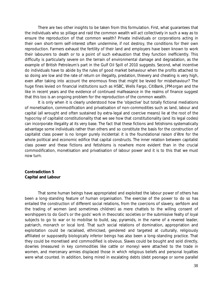There are two other insights to be taken from this formulation. First, what guarantees that the individuals who so pillage and raid the common wealth will act collectively in such a way as to ensure the reproduction of that common wealth? Private individuals or corporations acting in their own short-term self-interest often undermine, if not destroy, the conditions for their own reproduction. Farmers exhaust the fertility of their land and employers have been known to work their labourers to death or to a point of such exhaustion that they function inefficiently. This difficulty is particularly severe on the terrain of environmental damage and degradation, as the example of British Petroleum's part in the Gulf Oil Spill of 2010 suggests. Second, what incentive do individuals have to abide by the rules of good market behaviour when the profits attached to so doing are low and the rate of return on illegality, predation, thievery and cheating is very high, even after taking into account the enormous fines that might be levied for misbehaviour? The huge fines levied on financial institutions such as HSBC, Wells Fargo, CitiBank, JPMorgan and the like in recent years and the evidence of continued malfeasance in the realms of finance suggest that this too is an ongoing problem for the reproduction of the common wealth.

It is only when it is clearly understood how the 'objective' but totally fictional mediations of monetisation, commodification and privatisation of non-commodities such as land, labour and capital (all wrought and often sustained by extra-legal and coercive means) lie at the root of the hypocrisy of capitalist constitutionality that we see how that constitutionality (and its legal codes) can incorporate illegality at its very base. The fact that these fictions and fetishisms systematically advantage some individuals rather than others and so constitute the basis for the construction of capitalist class power is no longer purely incidental: it is the foundational raison d'être for the whole political and economic edifice that capital constructs. The inner relation between capitalist class power and these fictions and fetishisms is nowhere more evident than in the crucial commodification, monetisation and privatisation of labour power and it is to this that we must now turn.

## **Contradiction 5 Capital and Labour**

That some human beings have appropriated and exploited the labour power of others has been a long-standing feature of human organisation. The exercise of the power to do so has entailed the construction of different social relations, from the coercions of slavery, serfdom and the trading of women (and sometimes children) as mere chattels to the willing consent of worshippers to do God's or the gods' work in theocratic societies or the submissive fealty of loyal subjects to go to war or to mobilise to build, say, pyramids, in the name of a revered leader, patriarch, monarch or local lord. That such social relations of domination, appropriation and exploitation could be racialised, ethnicised, gendered and targeted at culturally, religiously affiliated or supposedly biologically inferior beings has also been a long-standing practice. That they could be monetised and commodified is obvious. Slaves could be bought and sold directly, dowries (measured in key commodities like cattle or money) were attached to the trade in women, and mercenary armies displaced those in which religious beliefs and personal loyalties were what counted. In addition, being mired in escalating debts (debt peonage or some parallel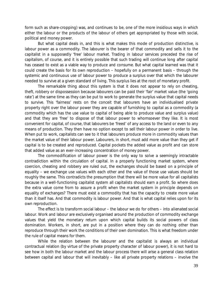form such as share-cropping) was, and continues to be, one of the more insidious ways in which either the labour or the products of the labour of others get appropriated by those with social, political and money power.

But what capital deals in, and this is what makes this mode of production distinctive, is labour power as a commodity. The labourer is the bearer of that commodity and sells it to the capitalist in a supposedly 'free' labour market. Trading in labour services preceded the rise of capitalism, of course, and it is entirely possible that such trading will continue long after capital has ceased to exist as a viable way to produce and consume. But what capital learned was that it could create the basis for its own reproduction – hopefully on a permanent basis – through the systemic and continuous use of labour power to produce a surplus over that which the labourer needed to survive at a given standard of living. This surplus lies at the root of monetary profit.

The remarkable thing about this system is that it does not appear to rely on cheating, theft, robbery or dispossession because labourers can be paid their 'fair' market value (the 'going rate') at the same time as they can be put to work to generate the surplus value that capital needs to survive. This 'fairness' rests on the conceit that labourers have an individualised private property right over the labour power they are capable of furnishing to capital as a commodity (a commodity which has the use value to capital of being able to produce value and surplus value) and that they are 'free' to dispose of that labour power to whomsoever they like. It is most convenient for capital, of course, that labourers be 'freed' of any access to the land or even to any means of production. They then have no option except to sell their labour power in order to live. When put to work, capitalists can see to it that labourers produce more in commodity values than the market value of their labour power. Labourers, in short, must add more value than they get if capital is to be created and reproduced. Capital pockets the added value as profit and can store that added value as an ever-increasing concentration of money power.

The commodification of labour power is the only way to solve a seemingly intractable contradiction within the circulation of capital. In a properly functioning market system, where coercion, cheating and robbery are ruled out, the exchanges should be based on a principle of equality – we exchange use values with each other and the value of those use values should be roughly the same. This contradicts the presumption that there will be more value for all capitalists because in a well-functioning capitalist system all capitalists should earn a profit. So where does the extra value come from to assure a profit when the market system in principle depends on equality of exchanges? There must exist a commodity that has the capacity to create more value than it itself has. And that commodity is labour power. And that is what capital relies upon for its own reproduction.

The effect is to transform social labour – the labour we do for others – into *alienated* social labour. Work and labour are exclusively organised around the production of commodity exchange values that yield the monetary return upon which capital builds its social powers of class domination. Workers, in short, are put in a position where they can do nothing other than reproduce through their work the conditions of their own domination. This is what freedom under the rule of capital means for them.

While the relation between the labourer and the capitalist is always an individual contractual relation (by virtue of the private property character of labour power), it is not hard to see how in both the labour market and the labour process there will arise a general class relation between capital and labour that will inevitably – like all private property relations – involve the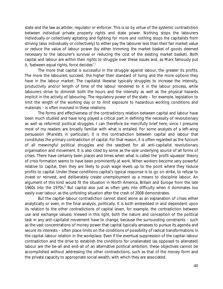state and the law as arbiter, regulator or enforcer. This is so by virtue of the systemic contradiction between individual private property rights and state power. Nothing stops the labourers individually or collectively agitating and fighting for more and nothing stops the capitalists from striving (also individually or collectively) to either pay the labourer less than their fair market value or reduce the value of labour power (by either trimming the market basket of goods deemed necessary to the labourer's survival or reducing the cost of the existing market basket). Both capital and labour are within their rights to struggle over these issues and, as Marx famously put it, 'between equal rights, force decides'. $1$ 

The more that capital is successful in the struggle against labour, the greater its profits. The more the labourers succeed, the higher their standard of living and the more options they have in the labour market. The capitalist likewise typically struggles to increase the intensity, productivity and/or length of time of the labour rendered to it in the labour process, while labourers strive to diminish both the hours and the intensity as well as the physical hazards implicit in the activity of labouring. The regulatory power of the state – for example, legislation to limit the length of the working day or to limit exposure to hazardous working conditions and materials – is often involved in these relations.

The forms and effectiveness of the contradictory relation between capital and labour have been much studied and have long played a critical part in defining the necessity of revolutionary as well as reformist political struggles. I can therefore be mercifully brief here, since I presume most of my readers are broadly familiar with what is entailed. For some analysts of a left-wing persuasion (Marxists in particular), it is this contradiction between capital and labour that constitutes the primary contradiction of capital. For that reason, it is often regarded as the fulcrum of all meaningful political struggles and the seedbed for all anti-capitalist revolutionary organisation and movement. It is also cited by some as the sole underlying source of all forms of crises. There have certainly been places and times when what is called the 'profit squeeze' theory of crisis formation seems to have been prominently at work. When workers become very powerful relative to capital, then they are likely to push wage levels up to the point where they reduce profits to capital. Under these conditions capital's typical response is to go on strike, to refuse to invest or reinvest, and deliberately create unemployment as a means to discipline labour. An argument of this kind would fit the situation in North America, Britain and Europe from the late 1960s into the 1970s.<sup>2</sup> But capital also just as often gets into difficulty when it dominates too easily over labour, as the unfolding situation after the crash of 2008 demonstrates.

But the capital–labour contradiction cannot stand alone as an explanation of crises either analytically or even, in the final analysis, politically. It is both embedded in and dependent upon its relation to the other contradictions of capital (even, for example, the contradiction between use and exchange values). Viewed in this light, both the nature and conception of the political task in any anti-capitalist movement have to change, because the surrounding constraints – such as the vast concentrations of money power that capital typically amasses to pursue its agenda and secure its interests – often place limits on the conditions of possibility of radical transformations in the capital–labour relation in the workplace. Even if the eventual suppression of the capital–labour contradiction and the drive to establish the conditions for unalienated (as opposed to alienated) labour are the be-all and end-all of an alternative political ambition, these objectives cannot be accomplished without addressing the other contradictions, such as that of the money form and the private capacity to appropriate social wealth, with which they are associated.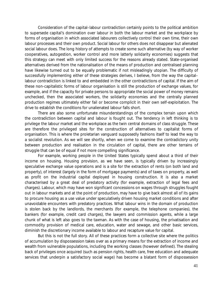Consideration of the capital–labour contradiction certainly points to the political ambition to supersede capital's domination over labour in both the labour market and the workplace by forms of organisation in which associated labourers collectively control their own time, their own labour processes and their own product. Social labour for others does not disappear but alienated social labour does. The long history of attempts to create some such alternative (by way of worker cooperatives, autogestion, worker control and more latterly solidarity economies) suggests that this strategy can meet with only limited success for the reasons already stated. State-organised alternatives derived from the nationalisation of the means of production and centralised planning have likewise turned out to be equally problematic if not misleadingly utopian. The difficulty of successfully implementing either of these strategies derives, I believe, from the way the capital– labour contradiction is linked to and embedded in the other contradictions of capital. If the aim of these non-capitalistic forms of labour organisation is still the production of exchange values, for example, and if the capacity for private persons to appropriate the social power of money remains unchecked, then the associated workers, the solidarity economies and the centrally planned production regimes ultimately either fail or become complicit in their own self-exploitation. The drive to establish the conditions for unalienated labour falls short.

There are also some unfortunate misunderstandings of the complex terrain upon which the contradiction between capital and labour is fought out. The tendency in left thinking is to privilege the labour market and the workplace as the twin central domains of class struggle. These are therefore the privileged sites for the construction of alternatives to capitalist forms of organisation. This is where the proletarian vanguard supposedly fashions itself to lead the way to a socialist revolution. As we will see shortly, when we come to examine the contradictory unity between production and realisation in the circulation of capital, there are other terrains of struggle that can be of equal if not more compelling significance.

For example, working people in the United States typically spend about a third of their income on housing. Housing provision, as we have seen, is typically driven by increasingly speculative exchange value operations and is a site for the extraction of rents (on both land and property), of interest (largely in the form of mortgage payments) and of taxes on property, as well as profit on the industrial capital deployed in housing construction. It is also a market characterised by a great deal of predatory activity (for example, extraction of legal fees and charges). Labour, which may have won significant concessions on wages through struggles fought out in labour markets and at the point of production, may have to give back almost all of its gains to procure housing as a use value under speculatively driven housing market conditions and after unavoidable encounters with predatory practices. What labour wins in the domain of production is stolen back by the landlords, the merchants (for example, the telephone companies), the bankers (for example, credit card charges), the lawyers and commission agents, while a large chunk of what is left also goes to the taxman. As with the case of housing, the privatisation and commodity provision of medical care, education, water and sewage, and other basic services, diminish the discretionary income available to labour and recapture value for capital.

But this is not the full story. All of these practices form a collective site where the politics of accumulation by dispossession takes over as a primary means for the extraction of income and wealth from vulnerable populations, including the working classes (however defined). The stealing back of privileges once acquired (such as pension rights, health care, free education and adequate services that underpin a satisfactory social wage) has become a blatant form of dispossession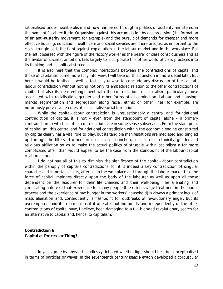rationalised under neoliberalism and now reinforced through a politics of austerity ministered in the name of fiscal rectitude. Organising against this accumulation by dispossession (the formation of an anti-austerity movement, for example) and the pursuit of demands for cheaper and more effective housing, education, health care and social services are, therefore, just as important to the class struggle as is the fight against exploitation in the labour market and in the workplace. But the left, obsessed with the figure of the factory worker as the bearer of class consciousness and as the avatar of socialist ambition, fails largely to incorporate this other world of class practices into its thinking and its political strategies.

It is also here that the complex interactions between the contradictions of *capital* and those of *capitalism* come more fully into view. I will take up this question in more detail later. But here it would be foolish as well as tactically unwise to conclude any discussion of the capital– labour contradiction without noting not only its embedded relation to the other contradictions of capital but also its clear entanglement with the contradictions of *capitalism*, particularly those associated with racialisation, gender and other forms of discrimination. Labour and housingmarket segmentation and segregation along racial, ethnic or other lines, for example, are notoriously pervasive features of all capitalist social formations.

While the capital–labour contradiction is unquestionably a central and foundational contradiction of capital, it is not – even from the standpoint of *capital* alone – a primary contradiction to which all other contradictions are in some sense subservient. From the standpoint of *capitalism*, this central and foundational contradiction within the economic engine constituted by capital clearly has a vital role to play, but its tangible manifestations are mediated and tangled up through the filters of other forms of social distinction, such as race, ethnicity, gender and religious affiliation so as to make the actual politics of struggle within capitalism a far more complicated affair than would appear to be the case from the standpoint of the labour–capital relation alone.

I do not say all of this to diminish the significance of the capital–labour contradiction within the panoply of capital's contradictions, for it is indeed a key contradiction of singular character and importance. It is, after all, in the workplace and through the labour market that the force of capital impinges directly upon the body of the labourer as well as upon all those dependent on the labourer for their life chances and their well-being. The alienating and coruscating nature of that experience for many people (the often savage treatment in the labour process and the experience of raw hunger in the workers' household) is always a primary locus of mass alienation and, consequently, a flashpoint for outbreaks of revolutionary anger. But its overemphasis and its treatment as if it operates autonomously and independently of the other contradictions of capital have, I believe, been damaging to a full-blooded revolutionary search for an alternative to capital and, hence, to capitalism.

**Contradiction 6 Capital as Process or Thing?** 

In years gone by physicists endlessly debated whether light should best be conceptualised in terms of particles or waves. In the seventeenth century Isaac Newton developed a corpuscular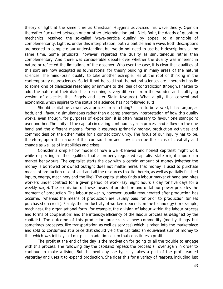theory of light at the same time as Christiaan Huygens advocated his wave theory. Opinion thereafter fluctuated between one or other determination until Niels Bohr, the daddy of quantum mechanics, resolved the so-called 'wave–particle duality' by appeal to a principle of complementarity. Light is, under this interpretation, both a particle and a wave. Both descriptions are needed to complete our understanding, but we do not need to use both descriptions at the same time. Some physicists, however, regarded the duality as simultaneous rather than complementary. And there was considerable debate over whether the duality was inherent in nature or reflected the limitations of the observer. Whatever the case, it is clear that dualities of this sort are now accepted as foundational for theory building in many areas of the natural sciences. The mind–brain duality, to take another example, lies at the root of thinking in the contemporary neurosciences. So let it not be said that the natural sciences are inherently hostile to some kind of dialectical reasoning or immune to the idea of contradiction (though, I hasten to add, the nature of their dialectical reasoning is very different from the wooden and stultifying version of dialectics that Engels and later Stalin favoured). What a pity that conventional economics, which aspires to the status of a science, has not followed suit!

Should capital be viewed as a process or as a thing? It has to be viewed, I shall argue, as both, and I favour a simultaneous rather than a complementary interpretation of how this duality works, even though, for purposes of exposition, it is often necessary to favour one standpoint over another. The unity of the capital circulating continuously as a process and a flow on the one hand and the different material forms it assumes (primarily money, production activities and commodities) on the other make for a contradictory unity. The focus of our inquiry has to be, therefore, upon the nature of this contradiction and how it can be the locus of creativity and change as well as of instabilities and crises.

Consider a simple flow model of how a well-behaved and honest capitalist might work while respecting all the legalities that a properly regulated capitalist state might impose on market behaviours. The capitalist starts the day with a certain amount of money (whether the money is borrowed or owned outright does not matter here). That money is used to purchase means of production (use of land and all the resources that lie therein, as well as partially finished inputs, energy, machinery and the like). The capitalist also finds a labour market at hand and hires workers under contract for a given period of work (say, eight hours a day for five days for a weekly wage). The acquisition of these means of production and of labour power precedes the moment of production. The labour power is, however, usually remunerated after production has occurred, whereas the means of production are usually paid for prior to production (unless purchased on credit). Plainly, the productivity of workers depends on the technology (for example, machines), the organisational form (for example, the division of labour within the labour process and forms of cooperation) and the intensity/efficiency of the labour process as designed by the capitalist. The outcome of this production process is a new commodity (mostly things but sometimes processes, like transportation as well as services) which is taken into the marketplace and sold to consumers at a price that should yield the capitalist an equivalent sum of money to that which was initially laid out plus an additional sum that constitutes a profit.

The profit at the end of the day is the motivation for going to all the trouble to engage with this process. The following day the capitalist repeats the process all over again in order to continue to make a living. But the next day she typically takes a part of the profit earned yesterday and uses it to expand production. She does this for a variety of reasons, including lust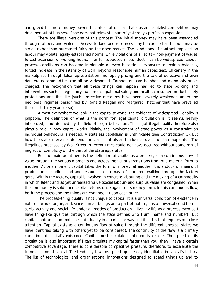and greed for more money power, but also out of fear that upstart capitalist competitors may drive her out of business if she does not reinvest a part of yesterday's profits in expansion.

There are illegal versions of this process. The initial money may have been assembled through robbery and violence. Access to land and resources may be coerced and inputs may be stolen rather than purchased fairly on the open market. The conditions of contract imposed on labour may violate legally established norms, while violations of all sorts – non-payment of wages, forced extension of working hours, fines for supposed misconduct – can be widespread. Labour process conditions can become intolerable or even hazardous (exposure to toxic substances, forced increase in the intensity of work beyond reasonable human capacities). Chicanery in the marketplace through false representation, monopoly pricing and the sale of defective and even dangerous commodities can all be widespread. Competitors can be shot and monopoly prices charged. The recognition that all these things can happen has led to state policing and interventions such as regulatory laws on occupational safety and health, consumer product safety protections and the like (such protective measures have been severely weakened under the neoliberal regimes personified by Ronald Reagan and Margaret Thatcher that have prevailed these last thirty years or so).

Almost everywhere we look in the capitalist world, the evidence of widespread illegality is palpable. The definition of what is the norm for legal capital circulation is, it seems, heavily influenced, if not defined, by the field of illegal behaviours. This legal–illegal duality therefore also plays a role in how capital works. Plainly, the involvement of state power as a constraint on individual behaviours is needed. A stateless capitalism is unthinkable (see Contradiction 3). But how the state intervenes depends on class controls and influence over the state apparatus. The illegalities practised by Wall Street in recent times could not have occurred without some mix of neglect or complicity on the part of the state apparatus.

But the main point here is the definition of capital as a process, as a continuous flow of value through the various moments and across the various transitions from one material form to another. At one moment capital takes the form of money, at another it is a stock of means of production (including land and resources) or a mass of labourers walking through the factory gates. Within the factory, capital is involved in concrete labouring and the making of a commodity in which latent and as yet unrealised value (social labour) and surplus value are congealed. When the commodity is sold, then capital returns once again to its money form. In this continuous flow, both the process and the things are contingent upon each other.

The process–thing duality is not unique to capital. It is a universal condition of existence in nature, I would argue, and, since human beings are a part of nature, it is a universal condition of social activity and social life under all modes of production. I live my life as a process even as I have thing-like qualities through which the state defines who I am (name and number!). But capital confronts and mobilises this duality in a particular way and it is this that requires our close attention. Capital exists as a continuous flow of value through the different physical states we have identified (along with others yet to be considered). The continuity of the flow is a primary condition of capital's existence. Capital must circulate continuously or die. The speed of its circulation is also important. If I can circulate my capital faster than you, then I have a certain competitive advantage. There is considerable competitive pressure, therefore, to accelerate the turnover time of capital. The tendency towards speed-up is easily identifiable in capital's history. The list of technological and organisational innovations designed to speed things up and to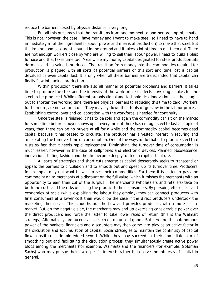reduce the barriers posed by physical distance is very long.

But all this presumes that the transitions from one moment to another are unproblematic. This is not, however, the case. I have money and I want to make steel, so I need to have to hand immediately all of the ingredients (labour power and means of production) to make that steel. But the iron ore and coal are still buried in the ground and it takes a lot of time to dig them out. There are not enough workers close by who are willing to sell their labour power. I need to build a blast furnace and that takes time too. Meanwhile my money capital designated for steel production sits dormant and no value is produced. The transition from money into the commodities required for production is plagued with all sorts of potential barriers of this sort and time lost is capital devalued or even capital lost. It is only when all these barriers are transcended that capital can finally flow into actual production.

Within production there are also all manner of potential problems and barriers. It takes time to produce the steel and the intensity of the work process affects how long it takes for the steel to be produced. While different organisational and technological innovations can be sought out to shorten the working time, there are physical barriers to reducing this time to zero. Workers, furthermore, are not automatons. They may lay down their tools or go slow in the labour process. Establishing control over and collaboration with the workforce is needed for continuity.

Once the steel is finished it has to be sold and again the commodity can sit on the market for some time before a buyer shows up. If everyone out there has enough steel to last a couple of years, then there can be no buyers at all for a while and the commodity capital becomes dead capital because it has ceased to circulate. The producer has a vested interest in securing and accelerating the turnover time of consumption. One of the ways to do that is to produce steel that rusts so fast that it needs rapid replacement. Diminishing the turnover time of consumption is much easier, however, in the case of cellphones and electronic devices. Planned obsolescence, innovation, shifting fashion and the like become deeply rooted in capitalist culture.

All sorts of strategies and short cuts emerge as capital desperately seeks to transcend or bypass the barriers to circulation and to smooth out and speed up its turnover time. Producers, for example, may not want to wait to sell their commodities. For them it is easier to pass the commodity on to merchants at a discount on the full value (which furnishes the merchants with an opportunity to earn their cut of the surplus). The merchants (wholesalers and retailers) take on both the costs and the risks of selling the product to final consumers. By pursuing efficiencies and economies of scale (while exploiting the labour they employ) they can connect producers with final consumers at a lower cost than would be the case if the direct producers undertook the marketing themselves. This smooths out the flow and provides producers with a more secure market. But, on the negative side, the merchants may end up exercising considerable power over the direct producers and force the latter to take lower rates of return (this is the Walmart strategy). Alternatively, producers can seek credit on unsold goods. But here too the autonomous power of the bankers, financiers and discounters may then come into play as an active factor in the circulation and accumulation of capital. Social strategies to maintain the continuity of capital flow constitute a double-edged sword. While they may succeed in their immediate aim of smoothing out and facilitating the circulation process, they simultaneously create active power blocs among the merchants (for example, Walmart) and the financiers (for example, Goldman Sachs) who may pursue their own specific interests rather than serve the interests of capital in general.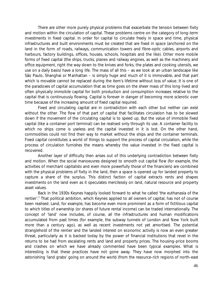There are other more purely physical problems that exacerbate the tension between fixity and motion within the circulation of capital. These problems centre on the category of long-term investments in fixed capital. In order for capital to circulate freely in space and time, physical infrastructures and built environments must be created that are fixed in space (anchored on the land in the form of roads, railways, communication towers and fibre-optic cables, airports and harbours, factory buildings, offices, houses, schools, hospitals and the like). Other more mobile forms of fixed capital (the ships, trucks, planes and railway engines, as well as the machinery and office equipment, right the way down to the knives and forks, the plates and cooking utensils, we use on a daily basis) have a long life. The mass of all this – as we look at an urban landscape like São Paulo, Shanghai or Manhattan – is simply huge and much of it is immovable, and that part which is movable cannot be replaced during the item's lifetime without loss of value. It is one of the paradoxes of capital accumulation that as time goes on the sheer mass of this long-lived and often physically immobile capital for both production and consumption increases relative to the capital that is continuously flowing. Capital is forever in danger of becoming more sclerotic over time because of the increasing amount of fixed capital required.

Fixed and circulating capital are in contradiction with each other but neither can exist without the other. The flow of that part of capital that facilitates circulation has to be slowed down if the movement of the circulating capital is to speed up. But the value of immobile fixed capital (like a container port terminal) can be realised only through its use. A container facility to which no ships come is useless and the capital invested in it is lost. On the other hand, commodities could not find their way to market without the ships and the container terminals. Fixed capital constitutes a world of things to support the process of capital circulation, while the process of circulation furnishes the means whereby the value invested in the fixed capital is recovered.

Another layer of difficulty then arises out of this underlying contradiction between fixity and motion. When the social manoeuvres designed to smooth out capital flow (for example, the activities of merchant capitalists and even more powerfully those of the financiers) are combined with the physical problems of fixity in the land, then a space is opened up for landed property to capture a share of the surplus. This distinct faction of capital extracts rents and shapes investments on the land even as it speculates mercilessly on land, natural resource and property asset values.

Back in the 1930s Keynes happily looked forward to what he called 'the euthanasia of the rentier'.<sup>1</sup> That political ambition, which Keynes applied to all owners of capital, has not of course been realised. Land, for example, has become even more prominent as a form of fictitious capital to which titles of ownership (or shares of future rental income) can be traded internationally. The concept of 'land' now includes, of course, all the infrastructures and human modifications accumulated from past times (for example, the subway tunnels of London and New York built more than a century ago), as well as recent investments not yet amortised. The potential stranglehold of the rentier and the landed interest on economic activity is now an even greater threat, particularly as it is backed today by the power of financial institutions that revel in the returns to be had from escalating rents and land and property prices. The housing-price booms and crashes on which we have already commented have been typical examples. What is interesting is that these practices have not gone away. They have now morphed into the astonishing 'land grabs' going on around the world (from the resource-rich regions of north-east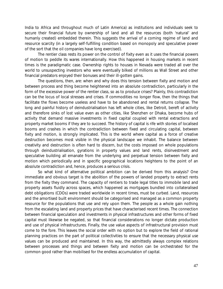India to Africa and throughout much of Latin America) as institutions and individuals seek to secure their financial future by ownership of land and all the resources (both 'natural' and humanly created) embedded therein. This suggests the arrival of a coming regime of land and resource scarcity (in a largely self-fulfilling condition based on monopoly and speculative power of the sort that the oil companies have long exercised).

The rentier class rests its power on the control of fixity even as it uses the financial powers of motion to peddle its wares internationally. How this happened in housing markets in recent times is the paradigmatic case. Ownership rights to houses in Nevada were traded all over the world to unsuspecting investors who were eventually bilked of millions as Wall Street and other financial predators enjoyed their bonuses and their ill-gotten gains.

The questions, then, are: when and why does this tension between fixity and motion and between process and thing become heightened into an absolute contradiction, particularly in the form of the excessive power of the rentier class, so as to produce crises? Plainly, this contradiction can be the locus of local stresses and crises. If commodities no longer flow, then the things that facilitate the flows become useless and have to be abandoned and rental returns collapse. The long and painful history of deindustrialisation has left whole cities, like Detroit, bereft of activity and therefore sinks of lost value even as other cities, like Shenzhen or Dhaka, become hubs of activity that demand massive investments in fixed capital coupled with rental extractions and property market booms if they are to succeed. The history of capital is rife with stories of localised booms and crashes in which the contradiction between fixed and circulating capital, between fixity and motion, is strongly implicated. This is the world where capital as a force of creative destruction becomes most visible in the physical landscape we inhabit. The balance between creativity and destruction is often hard to discern, but the costs imposed on whole populations through deindustrialisation, gyrations in property values and land rents, disinvestment and speculative building all emanate from the underlying and perpetual tension between fixity and motion which periodically and in specific geographical locations heightens to the point of an absolute contradiction and, hence, produces a serious crisis.

So what kind of alternative political ambition can be derived from this analysis? One immediate and obvious target is the abolition of the powers of landed property to extract rents from the fixity they command. The capacity of rentiers to trade legal titles to immobile land and property assets fluidly across spaces, which happened as mortgages bundled into collateralised debt obligations (CDOs) were traded worldwide in recent times, must be curbed. Land, resources and the amortised built environment should be categorised and managed as a common property resource for the populations that use and rely upon them. The people as a whole gain nothing from the escalating land and property prices that have characterised recent times. The connection between financial speculation and investments in physical infrastructures and other forms of fixed capital must likewise be negated, so that financial considerations no longer dictate production and use of physical infrastructures. Finally, the use value aspects of infrastructural provision must come to the fore. This leaves the social order with no option but to explore the field of rational planning practices on the part of political collectivities to ensure that the necessary physical use values can be produced and maintained. In this way, the admittedly always complex relations between processes and things and between fixity and motion can be orchestrated for the common good rather than mobilised for the endless accumulation of capital.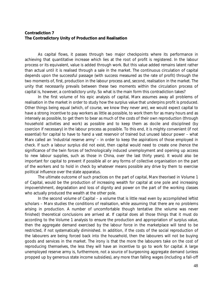## **Contradiction 7 The Contradictory Unity of Production and Realisation**

As capital flows, it passes through two major checkpoints where its performance in achieving that quantitative increase which lies at the root of profit is registered. In the labour process or its equivalent, value is added through work. But this value added remains latent rather than actual until it is realised through a sale in the market. The continuous circulation of capital depends upon the successful passage (with success measured as the rate of profit) through the two moments of, first, production in the labour process and, second, realisation in the market. The unity that necessarily prevails between these two moments within the circulation process of capital is, however, a contradictory unity. So what is the main form this contradiction takes?

In the first volume of his epic analysis of capital, Marx assumes away all problems of realisation in the market in order to study how the surplus value that underpins profit is produced. Other things being equal (which, of course, we know they never are), we would expect capital to have a strong incentive to pay workers as little as possible, to work them for as many hours and as intensely as possible, to get them to bear as much of the costs of their own reproduction (through household activities and work) as possible and to keep them as docile and disciplined (by coercion if necessary) in the labour process as possible. To this end, it is mighty convenient (if not essential) for capital to have to hand a vast reservoir of trained but unused labour power – what Marx called an 'industrial reserve army' – in order to keep the aspirations of those employed in check. If such a labour surplus did not exist, then capital would need to create one (hence the significance of the twin forces of technologically induced unemployment and opening up access to new labour supplies, such as those in China, over the last thirty years). It would also be important for capital to prevent if possible all or any forms of collective organisation on the part of the workers and to hold in check by whatever means possible any drive by them to exercise political influence over the state apparatus.

The ultimate outcome of such practices on the part of capital, Marx theorised in Volume 1 of *Capital*, would be the production of increasing wealth for capital at one pole and increasing impoverishment, degradation and loss of dignity and power on the part of the working classes who actually produced the wealth at the other pole.

In the second volume of *Capital* – a volume that is little read even by accomplished leftist scholars – Marx studies the conditions of realisation, while assuming that there are no problems arising in production. A number of uncomfortable though tentative (the volume was never finished) theoretical conclusions are arrived at. If capital does all those things that it must do according to the Volume 1 analysis to ensure the production and appropriation of surplus value, then the aggregate demand exercised by the labour force in the marketplace will tend to be restricted, if not systematically diminished. In addition, if the costs of the social reproduction of the labourers are being forced back into the household, then the labourers will not be buying goods and services in the market. The irony is that the more the labourers take on the cost of reproducing themselves, the less they will have an incentive to go to work for capital. A large unemployed reserve army is, furthermore, not a source of burgeoning aggregate demand (unless propped up by generous state income subsidies), any more than falling wages (including a fall-off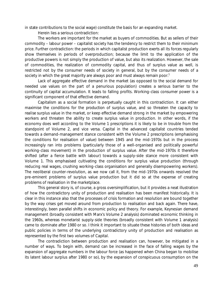in state contributions to the social wage) constitute the basis for an expanding market.

Herein lies a serious contradiction:

The workers are important for the market as buyers of commodities. But as sellers of their commodity – labour power – capitalist society has the tendency to restrict them to their minimum price. Further contradiction: the periods in which capitalist production exerts all its forces regularly show themselves in periods of overproduction; because the limit to the application of the productive powers is not simply the production of value, but also its realization. However, the sale of commodities, the realization of commodity capital, and thus of surplus value as well, is restricted not by the consumer needs of society in general, but by the consumer needs of a society in which the great majority are always poor and must always remain poor.<sup>1</sup>

Lack of aggregate effective demand in the market (as opposed to the social demand for needed use values on the part of a penurious population) creates a serious barrier to the continuity of capital accumulation. It leads to falling profits. Working-class consumer power is a significant component of that effective demand.

Capitalism as a social formation is perpetually caught in this contradiction. It can either maximise the conditions for the *production* of surplus value, and so threaten the capacity to *realise* surplus value in the market, or keep effective demand strong in the market by empowering workers and threaten the ability to create surplus value in production. In other words, if the economy does well according to the Volume 1 prescriptions it is likely to be in trouble from the standpoint of Volume 2, and vice versa. Capital in the advanced capitalist countries tended towards a demand-management stance consistent with the Volume 2 prescriptions (emphasising the conditions for realisation of value) between 1945 and the mid-1970s but in the process increasingly ran into problems (particularly those of a well-organised and politically powerful working-class movement) in the production of surplus value. After the mid-1970s it therefore shifted (after a fierce battle with labour) towards a supply-side stance more consistent with Volume 1. This emphasised cultivating the conditions for surplus value production (through reducing real wages, crushing working-class organisation and generally disempowering workers). The neoliberal counter-revolution, as we now call it, from the mid-1970s onwards resolved the pre-eminent problems of surplus value production but it did so at the expense of creating problems of realisation in the marketplace.

This general story is, of course, a gross oversimplification, but it provides a neat illustration of how the contradictory unity of production and realisation has been manifest historically. It is clear in this instance also that the processes of crisis formation and resolution are bound together by the way crises get moved around from production to realisation and back again. There have, interestingly, been parallel shifts in economic policy and theory. For example, Keynesian demand management (broadly consistent with Marx's Volume 2 analysis) dominated economic thinking in the 1960s, whereas monetarist supply-side theories (broadly consistent with Volume 1 analysis) came to dominate after 1980 or so. I think it important to situate these histories of both ideas and public policies in terms of the underlying contradictory unity of production and realisation as represented by the first two volumes of *Capital*.

The contradiction between production and realisation can, however, be mitigated in a number of ways. To begin with, demand can be increased in the face of falling wages by the expansion of aggregate numbers in the labour force (as happened when China began to mobilise its latent labour surplus after 1980 or so), by the expansion of conspicuous consumption on the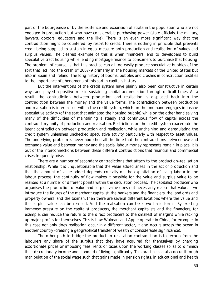part of the bourgeoisie or by the existence and expansion of strata in the population who are not engaged in production but who have considerable purchasing power (state officials, the military, lawyers, doctors, educators and the like). There is an even more significant way that the contradiction might be countered: by resort to credit. There is nothing in principle that prevents credit being supplied to sustain in equal measure both production and realisation of values and surplus values. The clearest example of this is when financiers lend to developers to build speculative tract housing while lending mortgage finance to consumers to purchase that housing. The problem, of course, is that this practice can all too easily produce speculative bubbles of the sort that led into the crash of 2007–9 primarily in the housing markets of the United States but also in Spain and Ireland. The long history of booms, bubbles and crashes in construction testifies to the importance of phenomena of this sort in capital's history.

But the interventions of the credit system have plainly also been constructive in certain ways and played a positive role in sustaining capital accumulation through difficult times. As a result, the contradiction between production and realisation is displaced back into the contradiction between the money and the value forms. The contradiction between production and realisation is internalised within the credit system, which on the one hand engages in insane speculative activity (of the sort that animated the housing bubble) while on the other hand salving many of the difficulties of maintaining a steady and continuous flow of capital across the contradictory unity of production and realisation. Restrictions on the credit system exacerbate the latent contradiction between production and realisation, while unchaining and deregulating the credit system unleashes unchecked speculative activity particularly with respect to asset values. The underlying problem is never abolished all the time that the contradictions between use and exchange value and between money and the social labour money represents remain in place. It is out of the interconnections between these different contradictions that financial and commercial crises frequently arise.

There are a number of secondary contradictions that attach to the production–realisation relationship. While it is unquestionable that the value added arises in the act of production and that the amount of value added depends crucially on the exploitation of living labour in the labour process, the continuity of flow makes it possible for the value and surplus value to be realised at a number of different points within the circulation process. The capitalist producer who organises the production of value and surplus value does not necessarily realise that value. If we introduce the figures of the merchant capitalist, the bankers and the financiers, the landlords and property owners, and the taxman, then there are several different locations where the value and the surplus value can be realised. And the realisation can take two basic forms. By exerting immense pressure on the capitalist producers, the merchant capitalists and the financiers, for example, can reduce the return to the direct producers to the smallest of margins while racking up major profits for themselves. This is how Walmart and Apple operate in China, for example. In this case not only does realisation occur in a different sector, it also occurs across the ocean in another country (creating a geographical transfer of wealth of considerable significance).

The other path to bridge the production–realisation contradiction is to recoup from the labourers any share of the surplus that they have acquired for themselves by charging extortionate prices or imposing fees, rents or taxes upon the working classes so as to diminish their discretionary income and standard of living significantly. This practice can also occur through manipulation of the social wage such that gains made in pension rights, in educational and health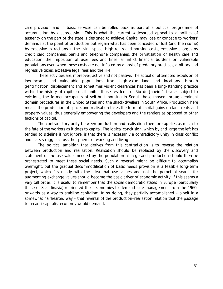care provision and in basic services can be rolled back as part of a political programme of accumulation by dispossession. This is what the current widespread appeal to a politics of austerity on the part of the state is designed to achieve. Capital may lose or concede to workers' demands at the point of production but regain what has been conceded or lost (and then some) by excessive extractions in the living space. High rents and housing costs, excessive charges by credit card companies, banks and telephone companies, the privatisation of health care and education, the imposition of user fees and fines, all inflict financial burdens on vulnerable populations even when these costs are not inflated by a host of predatory practices, arbitrary and regressive taxes, excessive legal fees and the like.

These activities are, moreover, active and not passive. The actual or attempted expulsion of low-income and vulnerable populations from high-value land and locations through gentrification, displacement and sometimes violent clearances has been a long-standing practice within the history of capitalism. It unites those residents of Rio de Janeiro's favelas subject to evictions, the former occupants of self-built housing in Seoul, those moved through eminent domain procedures in the United States and the shack-dwellers in South Africa. Production here means the production of space, and realisation takes the form of capital gains on land rents and property values, thus generally empowering the developers and the rentiers as opposed to other factions of capital.

The contradictory unity between production and realisation therefore applies as much to the fate of the workers as it does to capital. The logical conclusion, which by and large the left has tended to sideline if not ignore, is that there is necessarily a contradictory unity in class conflict and class struggle across the spheres of working and living.

The political ambition that derives from this contradiction is to reverse the relation between production and realisation. Realisation should be replaced by the discovery and statement of the use values needed by the population at large and production should then be orchestrated to meet these social needs. Such a reversal might be difficult to accomplish overnight, but the gradual decommodification of basic needs provision is a feasible long-term project, which fits neatly with the idea that use values and not the perpetual search for augmenting exchange values should become the basic driver of economic activity. If this seems a very tall order, it is useful to remember that the social democratic states in Europe (particularly those of Scandinavia) reoriented their economies to demand-side management from the 1960s onwards as a way to stabilise capitalism. In so doing, they partially accomplished – albeit in a somewhat halfhearted way – that reversal of the production–realisation relation that the passage to an anti-capitalist economy would demand.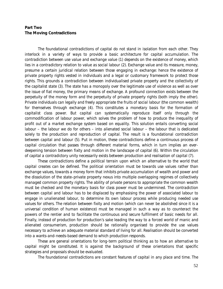## **Part Two The Moving Contradictions**

*The foundational contradictions of capital do not stand in isolation from each other. They interlock in a variety of ways to provide a basic architecture for capital accumulation. The contradiction between use value and exchange value (1) depends on the existence of money, which lies in a contradictory relation to value as social labour (2). Exchange value and its measure, money, presume a certain juridical relation between those engaging in exchange: hence the existence of private property rights vested in individuals and a legal or customary framework to protect those rights. This grounds a contradiction between individualised private property and the collectivity of the capitalist state (3). The state has a monopoly over the legitimate use of violence as well as over the issue of fiat money, the primary means of exchange. A profound connection exists between the perpetuity of the money form and the perpetuity of private property rights (both imply the other). Private individuals can legally and freely appropriate the fruits of social labour (the common wealth) for themselves through exchange (4). This constitutes a monetary basis for the formation of capitalist class power. But capital can systematically reproduce itself only through the commodification of labour power, which solves the problem of how to produce the inequality of profit out of a market exchange system based on equality. This solution entails converting social labour – the labour we do for others – into alienated social labour – the labour that is dedicated solely to the production and reproduction of capital. The result is a foundational contradiction between capital and labour (5). Put in motion, these contradictions define a continuous process of capital circulation that passes through different material forms, which in turn implies an everdeepening tension between fixity and motion in the landscape of capital (6). Within the circulation of capital a contradictory unity necessarily exists between production and realisation of capital (7)*.

*These contradictions define a political terrain upon which an alternative to the world that capital creates can be defined. The political orientation must be towards use values rather than exchange values, towards a money form that inhibits private accumulation of wealth and power and the dissolution of the state–private property nexus into multiple overlapping regimes of collectively managed common property rights. The ability of private persons to appropriate the common wealth must be checked and the monetary basis for class power must be undermined. The contradiction between capital and labour has to be displaced by emphasising the power of associated labour to engage in unalienated labour, to determine its own labour process while producing needed use values for others. The relation between fixity and motion (which can never be abolished since it is a universal condition of human existence) must be managed in such a way as to counteract the powers of the rentier and to facilitate the continuous and secure fulfilment of basic needs for all. Finally, instead of production for production's sake leading the way to a forced world of manic and alienated consumerism, production should be rationally organised to provide the use values necessary to achieve an adequate material standard of living for all. Realisation should be converted into a wants-and-needs-based demand to which production responds*.

*These are general orientations for long-term political thinking as to how an alternative to capital might be constituted. It is against the background of these orientations that specific strategies and proposals should be evaluated*.

*The foundational contradictions are constant features of capital in any place and time. The*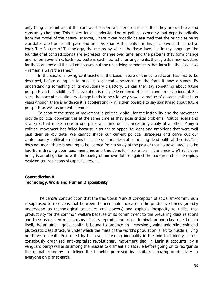*only thing constant about the contradictions we will next consider is that they are unstable and constantly changing. This makes for an understanding of political economy that departs radically from the model of the natural sciences, where it can broadly be assumed that the principles being elucidated are true for all space and time. As Brian Arthur puts it in his perceptive and instructive book* The Nature of Technology, *the means by which the 'base laws' (or in my language 'the foundational contradictions') are expressed 'change over time, and the patterns they form change and re-form over time. Each new pattern, each new set of arrangements, then, yields a new structure for the economy and the old one passes, but the underlying components that form it – the base laws – remain always the same.'*<sup>1</sup>

*In the case of moving contradictions, the basic nature of the contradiction has first to be described, before going on to provide a general assessment of the form it now assumes. By understanding something of its evolutionary trajectory, we can then say something about future prospects and possibilities. This evolution is not predetermined. Nor is it random or accidental. But since the pace of evolutionary change tends to be relatively slow – a matter of decades rather than years (though there is evidence it is accelerating) – it is then possible to say something about future prospects as well as present dilemmas*.

*To capture the sense of movement is politically vital, for the instability and the movement provide political opportunities at the same time as they pose critical problems. Political ideas and strategies that make sense in one place and time do not necessarily apply at another. Many a political movement has failed because it sought to appeal to ideas and ambitions that were well past their sell-by date. We cannot shape our current political strategies and carve out our contemporary political ambitions to fit the defunct ideas of some long-dead political theorist. This does not mean there is nothing to be learned from a study of the past or that no advantage is to be had from drawing upon past memories and traditions for inspiration in the present. What it does imply is an obligation to write the poetry of our own future against the background of the rapidly evolving contradictions of capital's present*.

## **Contradiction 8**

**Technology, Work and Human Disposability** 

The central contradiction that the traditional Marxist conception of socialism/communism is supposed to resolve is that between the incredible increase in the productive forces (broadly understood as technological capacities and powers) and capital's incapacity to utilise that productivity for the common welfare because of its commitment to the prevailing class relations and their associated mechanisms of class reproduction, class domination and class rule. Left to itself, the argument goes, capital is bound to produce an increasingly vulnerable oligarchic and plutocratic class structure under which the mass of the world's population is left to hustle a living or starve to death. Frustrated by this ever-increasing inequality in the midst of plenty, a selfconsciously organised anti-capitalist revolutionary movement (led, in Leninist accounts, by a vanguard party) will arise among the masses to dismantle class rule before going on to reorganise the global economy to deliver the benefits promised by capital's amazing productivity to everyone on planet earth.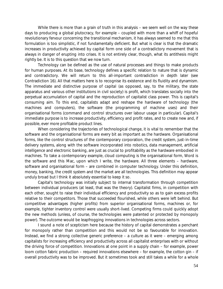While there is more than a grain of truth in this analysis – we seem well on the way these days to producing a global plutocracy, for example – coupled with more than a whiff of hopeful revolutionary fervour concerning the transitional mechanism, it has always seemed to me that this formulation is too simplistic, if not fundamentally deficient. But what is clear is that the dramatic increases in productivity achieved by capital form one side of a contradictory movement that is always in danger of erupting into crises. It is not entirely clear, though, what its antithesis might rightly be. It is to this question that we now turn.

Technology can be defined as the use of natural processes and things to make products for human purposes. At its base, technology defines a specific relation to nature that is dynamic and contradictory. We will return to this all-important contradiction in depth later (see Contradiction 16). All that matters here is to recognise its existence and its fluidity and dynamism. The immediate and distinctive purpose of *capital* (as opposed, say, to the military, the state apparatus and various other institutions in civil society) is *profit*, which translates socially into the perpetual accumulation of capital and the reproduction of capitalist class power. This is capital's consuming aim. To this end, capitalists adapt and reshape the hardware of technology (the machines and computers), the software (the programming of machine uses) and their organisational forms (command and control structures over labour usage in particular). Capital's immediate purpose is to increase productivity, efficiency and profit rates, and to create new and, if possible, ever more profitable product lines.

When considering the trajectories of technological change, it is vital to remember that the software and the organisational forms are every bit as important as the hardware. Organisational forms, like the control structures of the contemporary corporation, the credit system, just-in-time delivery systems, along with the software incorporated into robotics, data management, artificial intelligence and electronic banking, are just as crucial to profitability as the hardware embodied in machines. To take a contemporary example, cloud computing is the organisational form, Word is the software and this Mac, upon which I write, the hardware. All three elements – hardware, software and organisational form – are combined in computer technology. Under this definition, money, banking, the credit system and the market are all technologies. This definition may appear unduly broad but I think it absolutely essential to keep it so.

Capital's technology was initially subject to internal transformation through competition between individual producers (at least, that was the theory). Capitalist firms, in competition with each other, sought to raise their individual efficiency and productivity so as to gain excess profits relative to their competitors. Those that succeeded flourished, while others were left behind. But competitive advantages (higher profits) from superior organisational forms, machines or, for example, tighter inventory control were usually short-lived. Competing firms could quickly adopt the new methods (unless, of course, the technologies were patented or protected by monopoly power). The outcome would be leapfrogging innovations in technologies across sectors.

I sound a note of scepticism here because the history of capital demonstrates a penchant for monopoly rather than competition and this would not be so favourable for innovation. Instead, we find a strong collective generic preference – a culture as it were – emerging among capitalists for increasing efficiency and productivity across all capitalist enterprises with or without the driving force of competition. Innovations at one point in a supply chain – for example, power loom cotton fabric production – required innovations elsewhere – for example, the cotton gin – if overall productivity was to be improved. But it sometimes took and still takes a while for a whole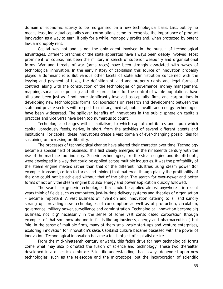domain of economic activity to be reorganised on a new technological basis. Last, but by no means least, individual capitalists and corporations came to recognise the importance of product innovation as a way to earn, if only for a while, monopoly profits and, when protected by patent law, a monopoly rent.

Capital was not and is not the only agent involved in the pursuit of technological advantages. Different branches of the state apparatus have always been deeply involved. Most prominent, of course, has been the military in search of superior weaponry and organisational forms. War and threats of war (arms races) have been strongly associated with waves of technological innovation. In the early history of capitalism this source of innovation probably played a dominant role. But various other facets of state administration concerned with the levying and payment of taxes, the definition of land and property rights and legal forms of contract, along with the construction of the technologies of governance, money management, mapping, surveillance, policing and other procedures for the control of whole populations, have all along been just as if not more significantly involved as capitalist firms and corporations in developing new technological forms. Collaborations on research and development between the state and private sectors with respect to military, medical, public health and energy technologies have been widespread. The spillover benefits of innovations in the public sphere on capital's practices and vice versa have been too numerous to count.

Technological changes within capitalism, to which capital contributes and upon which capital voraciously feeds, derive, in short, from the activities of several different agents and institutions. For capital, these innovations create a vast domain of ever-changing possibilities for sustaining or increasing profitability.

The processes of technological change have altered their character over time. Technology became a special field of business. This first clearly emerged in the nineteenth century with the rise of the machine-tool industry. Generic technologies, like the steam engine and its offshoots, were developed in a way that could be applied across multiple industries. It was the profitability of the steam engine makers rather than that of the different industries using steam power (for example, transport, cotton factories and mining) that mattered, though plainly the profitability of the one could not be achieved without that of the other. The search for ever-newer and better forms of not only the steam engine but also energy and power application quickly followed.

The search for generic technologies that could be applied almost anywhere – in recent years think of fields such as computers, just-in-time delivery systems and theories of organisation – became important. A vast business of invention and innovation catering to all and sundry sprang up, providing new technologies of consumption as well as of production, circulation, governance, military power, surveillance and administration. Technological innovation became big business, not 'big' necessarily in the sense of some vast consolidated corporation (though examples of that sort now abound in fields like agribusiness, energy and pharmaceuticals) but 'big' in the sense of multiple firms, many of them small-scale start-ups and venture enterprises, exploring innovation for innovation's sake. Capitalist culture became obsessed with the power of innovation. Technological innovation became a fetish object of capitalist desire.

From the mid-nineteenth century onwards, this fetish drive for new technological forms come what may also promoted the fusion of science and technology. These two thereafter developed in a dialectical embrace. Scientific understandings had always depended upon new technologies, such as the telescope and the microscope, but the incorporation of scientific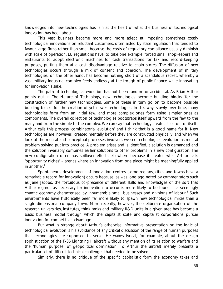knowledges into new technologies has lain at the heart of what the business of technological innovation has been about.

This vast business became more and more adept at imposing sometimes costly technological innovations on reluctant customers, often aided by state regulation that tended to favour large firms rather than small because the costs of regulatory compliance usually diminish with scale of operation. EU regulations have, to take one example, forced small shopkeepers and restaurants to adopt electronic machines for cash transactions for tax and record-keeping purposes, putting them at a cost disadvantage relative to chain stores. The diffusion of new technologies occurs through a mix of consent and coercion. The development of military technologies, on the other hand, has become nothing short of a scandalous racket, whereby a vast military industrial complex feeds endlessly at the trough of public finance while innovating for innovation's sake.

The path of technological evolution has not been random or accidental. As Brian Arthur points out in *The Nature of Technology*, new technologies become building blocks 'for the construction of further new technologies. Some of these in turn go on to become possible building blocks for the creation of yet newer technologies. In this way, slowly over time, many technologies form from an initial few, and more complex ones form using simpler ones as components. The overall collection of technologies bootstraps itself upward from the few to the many and from the simple to the complex. We can say that technology creates itself out of itself. Arthur calls this process 'combinatorial evolution' and I think that is a good name for it. New technologies are, however, 'created mentally before they are constructed physically' and when we look at the mental and conceptual processes involved, we see technological evolution as mental problem solving put into practice. A problem arises and is identified, a solution is demanded and the solution invariably combines earlier solutions to other problems in a new configuration. The new configuration often has spillover effects elsewhere because it creates what Arthur calls 'opportunity niches' – arenas where an innovation from one place might be meaningfully applied in another $<sup>1</sup>$ </sup>

Spontaneous development of innovation centres (some regions, cities and towns have a remarkable record for innovation) occurs because, as was long ago noted by commentators such as Jane Jacobs, the fortuitous co-presence of different skills and knowledges of the sort that Arthur regards as necessary for innovation to occur is more likely to be found in a seemingly chaotic economy characterised by innumerable small businesses and divisions of labour.<sup>2</sup> Such environments have historically been far more likely to spawn new technological mixes than a single-dimensional company town. More recently, however, the deliberate organisation of the research universities, institutes, think tanks and military R&D units in a given area has become a basic business model through which the capitalist state and capitalist corporations pursue innovation for competitive advantage.

But what is strange about Arthur's otherwise informative presentation on the logic of technological evolution is his avoidance of any critical discussion of the range of human purposes that technologies are supposed to serve. He waxes lyrical, for example, about the design sophistication of the F-35 Lightning II aircraft without any mention of its relation to warfare and the 'human purpose' of geopolitical domination. To Arthur the aircraft merely presents a particular set of difficult technical challenges that needed to be solved.

Similarly, there is no critique of the specific capitalistic form the economy takes and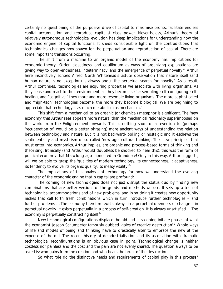certainly no questioning of the purposive drive of capital to maximise profits, facilitate endless capital accumulation and reproduce capitalist class power. Nevertheless, Arthur's theory of relatively autonomous technological evolution has deep implications for understanding how the economic engine of capital functions. It sheds considerable light on the contradictions that technological changes now spawn for the perpetuation and reproduction of capital. There are some important transitions occurring.

The shift from a machine to an organic model of the economy has implications for economic theory. 'Order, closedness, and equilibrium as ways of organizing explanations are giving way to open-endedness, indeterminacy, and the emergence of perpetual novelty.<sup>,3</sup> Arthur here instinctively echoes Alfred North Whitehead's astute observation that nature itself (and human nature is no exception) is always about the perpetual search for novelty.<sup>4</sup> As a result, Arthur continues, 'technologies are acquiring properties we associate with living organisms. As they sense and react to their environment, as they become self-assembling, self-configuring, selfhealing, and "cognitive," they more and more resemble living organisms. The more sophisticated and "high-tech" technologies become, the more they become biological. We are beginning to appreciate that technology is as much metabolism as mechanism.'

This shift from a mechanical to an organic (or chemical) metaphor is significant. The 'new economy' that Arthur sees appears more natural than the mechanical rationality superimposed on the world from the Enlightenment onwards. This is nothing short of a reversion to (perhaps 'recuperation of' would be a better phrasing) more ancient ways of understanding the relation between technology and nature. But it is not backward-looking or nostalgic and it eschews the sentimentality and mysticism of so-called 'new age' cultural thinking. The 'new principles' that must enter into economics, Arthur implies, are organic and process-based forms of thinking and theorising. Ironically (and Arthur would doubtless be shocked to hear this), this was the form of political economy that Marx long ago pioneered in *Grundrisse*! Only in this way, Arthur suggests, will we be able to grasp the 'qualities of modern technology, its connectedness, it adaptiveness, its tendency to evolve, its organic quality. Its messy vitality.'<sup>5</sup>

The implications of this analysis of technology for how we understand the evolving character of the economic engine that is capital are profound:

The coming of new technologies does not just disrupt the status quo by finding new combinations that are better versions of the goods and methods we use. It sets up a train of technological accommodations and of new problems, and in so doing it creates new opportunity niches that call forth fresh combinations which in turn introduce further technologies – and further problems … The economy therefore exists always in a perpetual openness of change – in perpetual novelty. It exists perpetually in a process of self-creation. It is always unsatisfied … The economy is perpetually constructing itself.<sup>6</sup>

New technological configurations displace the old and in so doing initiate phases of what the economist Joseph Schumpeter famously dubbed 'gales of creative destruction'.<sup>7</sup> Whole ways of life and modes of being and thinking have to drastically alter to embrace the new at the expense of the old. The recent history of deindustrialisation and its association with dramatic technological reconfigurations is an obvious case in point. Technological change is neither costless nor painless and the cost and the pain are not evenly shared. The question always to be asked is: who gains from the creation and who bears the brunt of the destruction.

So what role do the distinctive needs and requirements of capital play in this process?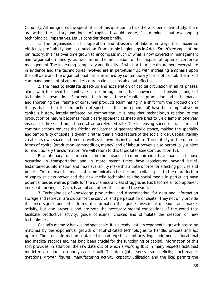Curiously, Arthur ignores the specificities of this question in his otherwise perceptive study. There are within the history and logic of capital, I would argue, five dominant but overlapping technological imperatives. Let us consider these briefly.

1. The organisation of cooperation and divisions of labour in ways that maximise efficiency, profitability and accumulation. From simple beginnings in Adam Smith's example of the pin factory, this has over time grown to encompass much of what is now covered in management and organisation theory, as well as in the articulation of techniques of optimal corporate management. The increasing complexity and fluidity of which Arthur speaks are here everywhere in evidence and the technologies involved are in perpetual flux, with increasing emphasis upon the software and the organisational forms assumed by contemporary forms of capital. The mix of command and control and market coordinations is unstable but effective.

2. The need to facilitate speed-up and acceleration of capital circulation in all its phases, along with the need to 'annihilate space through time', has spawned an astonishing range of technological revolutions. Shortening the turnover time of capital in production and in the market and shortening the lifetime of consumer products (culminating in a shift from the production of things that last to the production of spectacles that are ephemeral) have been imperatives in capital's history, largely enforced by competition. It is here that technology's relation to the production of nature becomes most clearly apparent as sheep are bred to yield lamb in one year instead of three and hogs breed at an accelerated rate. The increasing speed of transport and communications reduces the friction and barrier of geographical distance, making the spatiality and temporality of capital a dynamic rather than a fixed feature of the social order. Capital literally creates its own space and time as well as its own distinctive nature. The mobility of the different forms of capital (production, commodities, money) and of labour power is also perpetually subject to revolutionary transformation. We will return to this topic later (see Contradiction 12).

Revolutionary transformations in the means of communication have paralleled those occurring in transportation and in more recent times have accelerated beyond belief. Instantaneous information and news availability make this a potent force for affecting policies and politics. Control over the means of communication has become a vital aspect to the reproduction of capitalist class power and the new media technologies (the social media in particular) have potentialities as well as pitfalls for the dynamics of class struggle, as has become all too apparent in recent uprisings in Cairo, Istanbul and other cities around the world.

3. Technologies of knowledge production and dissemination, for data and information storage and retrieval, are crucial for the survival and perpetuation of capital. They not only provide the price signals and other forms of information that guide investment decisions and market activity, but also preserve and promote the necessary mental conceptions of the world that facilitate productive activity, guide consumer choices and stimulate the creation of new technologies.

Capital's memory bank is indispensable. It is already vast. Its exponential growth has to be matched by the exponential growth of sophisticated technologies to handle, process and act upon it. The basic information contained in land registers, contracts, legal judgments, educational and medical records etc. has long been crucial for the functioning of capital. Information of this sort provides, in addition, the raw data out of which a working (but in many respects fictitious) model of a national economy can be built. This data (joblessness, trade deficits, stock market gyrations, growth figures, manufacturing activity, capacity utilisation and the like) permits the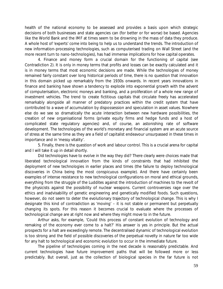health of the national economy to be assessed and provides a basis upon which strategic decisions of both businesses and state agencies can (for better or for worse) be based. Agencies like the World Bank and the IMF at times seem to be drowning in the mass of data they produce. A whole host of 'experts' come into being to help us to understand the trends. The introduction of new information-processing technologies, such as computerised trading on Wall Street (and the more recent turn to nano-technologies), has had immense implications for how capital operates.

4. Finance and money form a crucial domain for the functioning of capital (see Contradiction 2). It is only in money terms that profits and losses can be exactly calculated and it is in money terms that most economic decisions are made. While the technologies of money remained fairly constant over long historical periods of time, there is no question that innovation in this domain picked up remarkably from the 1930s onwards. In recent years innovations in finance and banking have shown a tendency to explode into exponential growth with the advent of computerisation, electronic moneys and banking, and a proliferation of a whole new range of investment vehicles. The trend to create fictitious capitals that circulate freely has accelerated remarkably alongside all manner of predatory practices within the credit system that have contributed to a wave of accumulation by dispossession and speculation in asset values. Nowhere else do we see so dramatically the acute interaction between new hardware possibilities, the creation of new organisational forms (private equity firms and hedge funds and a host of complicated state regulatory agencies) and, of course, an astonishing rate of software development. The technologies of the world's monetary and financial system are an acute source of stress at the same time as they are a field of capitalist endeavour unsurpassed in these times in importance and in 'messy vitality'.

5. Finally, there is the question of work and labour control. This is a crucial arena for capital and I will take it up in detail shortly.

Did technologies have to evolve in the way they did? There clearly were choices made that liberated technological innovation from the kinds of constraints that had inhibited the deployment of new technologies in earlier places and times (the failure to deploy technological discoveries in China being the most conspicuous example). And there have certainly been examples of intense resistance to new technological configurations on moral and ethical grounds, everything from the struggle of the Luddites against the introduction of machines to the revolt of the physicists against the possibility of nuclear weapons. Current controversies rage over the ethics and inadvisability of genetic engineering and genetically modified foods. Such questions, however, do not seem to deter the evolutionary trajectory of technological change. This is why I designate this kind of contradiction as 'moving' – it is not stable or permanent but perpetually changing its spots. For this reason it becomes crucial to evaluate where the processes of technological change are at right now and where they might move to in the future.

Arthur asks, for example, 'Could this process of constant evolution of technology and remaking of the economy ever come to a halt?' His answer is yes in principle. But the actual prospects for a halt are exceedingly remote. The decentralised dynamic of technological evolution is too strong and the field of possible discoveries of the perpetual novelty in nature far too wide for any halt to technological and economic evolution to occur in the immediate future.

The pipeline of technologies coming in the next decade is reasonably predictable. And current technologies have future improvement paths that will be followed more or less predictably. But overall, just as the collection of biological species in the far future is not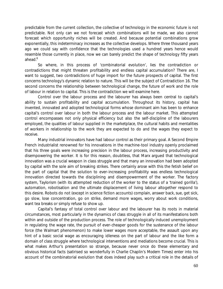predictable from the current collection, the collective of technology in the economic future is not predictable. Not only can we not forecast which combinations will be made, we also cannot forecast which opportunity niches will be created. And because potential combinations grow exponentially, this indeterminacy increases as the collective develops. Where three thousand years ago we could say with confidence that the technologies used a hundred years hence would resemble those currently in place, now we can barely predict the shape of technology fifty years ahead $8$ 

So where, in this process of 'combinatorial evolution', lies *the* contradiction or contradictions that might threaten profitability and endless capital accumulation? There are, I want to suggest, two contradictions of huge import for the future prospects of capital. The first concerns technology's dynamic relation to nature. This will be the subject of Contradiction 16. The second concerns the relationship between technological change, the future of work and the role of labour in relation to capital. This is the contradiction we will examine here.

Control over the labour process and the labourer has always been central to capital's ability to sustain profitability and capital accumulation. Throughout its history, capital has invented, innovated and adopted technological forms whose dominant aim has been to enhance capital's control over labour in both the labour process and the labour market. This attempted control encompasses not only physical efficiency but also the self-discipline of the labourers employed, the qualities of labour supplied in the marketplace, the cultural habits and mentalities of workers in relationship to the work they are expected to do and the wages they expect to receive.

Many industrial innovators have had labour control as their primary goal. A Second Empire French industrialist renowned for his innovations in the machine-tool industry openly proclaimed that his three goals were increasing precision in the labour process, increasing productivity and disempowering the worker. It is for this reason, doubtless, that Marx argued that technological innovation was a crucial weapon in class struggle and that many an innovation had been adopted by capital with the sole aim of breaking strikes. There certainly arose with this the fetish belief on the part of capital that the solution to ever-increasing profitability was endless technological innovation directed towards the disciplining and disempowerment of the worker. The factory system, Taylorism (with its attempted reduction of the worker to the status of a 'trained gorilla'), automation, robotisation and the ultimate displacement of living labour altogether respond to this desire. Robots do not (except in science fiction accounts) complain, answer back, sue, get sick, go slow, lose concentration, go on strike, demand more wages, worry about work conditions, want tea breaks or simply refuse to show up.

Capital's fantasy of total control over labour and the labourer has its roots in material circumstances, most particularly in the dynamics of class struggle in all of its manifestations both within and outside of the production process. The role of technologically induced unemployment in regulating the wage rate, the pursuit of ever-cheaper goods for the sustenance of the labour force (the Walmart phenomenon) to make lower wages more acceptable, the assault upon any hint of a basic social wage as encouraging idleness on the part of labour and the like form a domain of class struggle where technological interventions and mediations become crucial. This is what makes Arthur's presentation so strange, because never once do these elementary and obvious historical facts (satirised so wonderfully in Charlie Chaplin's *Modern Times*) enter into his account of the combinatorial evolution that does indeed play such a critical role in the details of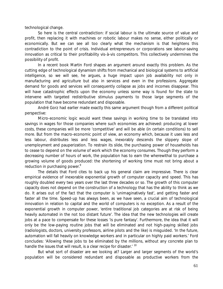technological change.

So here is the central contradiction: if social labour is the ultimate source of value and profit, then replacing it with machines or robotic labour makes no sense, either politically or economically. But we can see all too clearly what the mechanism is that heightens this contradiction to the point of crisis. Individual entrepreneurs or corporations see labour-saving innovation as critical to their profitability vis-à-vis competitors. This collectively undermines the possibility of profit.

In a recent book Martin Ford shapes an argument around exactly this problem. As the cutting edge of technological dynamism shifts from mechanical and biological systems to artificial intelligence, so we will see, he argues, a huge impact upon job availability not only in manufacturing and agriculture but also in services and even in the professions. Aggregate demand for goods and services will consequently collapse as jobs and incomes disappear. This will have catastrophic effects upon the economy unless some way is found for the state to intervene with targeted redistributive stimulus payments to those large segments of the population that have become redundant and disposable.

André Gorz had earlier made exactly this same argument though from a different political perspective:

Micro-economic logic would want these savings in working time to be translated into savings in wages for those companies where such economies are achieved: producing at lower costs, these companies will be more 'competitive' and will be able (in certain conditions) to sell more. But from the macro-economic point of view, an economy which, because it uses less and less labour, distributes less and less wages, inexorably descends the slippery slope of unemployment and pauperization. To restrain its slide, the purchasing power of households has to cease to depend on the volume of work which the economy consumes. Though they perform a decreasing number of hours of work, the population has to earn the wherewithal to purchase a growing volume of goods produced: the shortening of working time must not bring about a reduction in purchasing power.<sup>9</sup>

The details that Ford cites to back up his general claim are impressive. There is clear empirical evidence of inexorable exponential growth of computer capacity and speed. This has roughly doubled every two years over the last three decades or so. The growth of this computer capacity does not depend on the construction of a technology that has the ability to think as we do. It arises out of the fact that the computer is 'unimaginatively fast', and getting faster and faster all the time. Speed-up has always been, as we have seen, a crucial aim of technological innovation in relation to capital and the world of computers is no exception. As a result of the exponential growth in computer power, 'entire traditional job categories are at risk of being heavily automated in the not too distant future'. The idea that the new technologies will create jobs at a pace to compensate for these losses 'is pure fantasy'. Furthermore, the idea that it will only be the low-paying routine jobs that will be eliminated and not high-paying skilled jobs (radiologists, doctors, university professors, airline pilots and the like) is misguided. 'In the future, automation will fall heavily on knowledge workers and in particular on highly paid workers.' Ford concludes: 'Allowing these jobs to be eliminated by the millions, without any concrete plan to handle the issues that will result, is a clear recipe for disaster.' <sup>10</sup>

But what sort of disaster are we looking at? Larger and larger segments of the world's population will be considered redundant and disposable as productive workers from the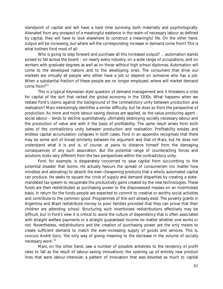standpoint of capital and will have a hard time surviving both materially and psychologically. Alienated from any prospect of a meaningful existence in the realm of necessary labour as defined by capital, they will have to look elsewhere to construct a meaningful life. On the other hand, output will be increasing, but where will the corresponding increase in demand come from? This is what bothers Ford most of all:

*Who* is going to step forward and purchase all this increased output? … automation stands poised to fall across the board – on nearly every industry, on a wide range of occupations, and on workers with graduate degrees as well as on those without high school diplomas. Automation will come to the developed nations and to the developing ones. The consumers that drive our markets are virtually all people who either have a job or depend on someone who has a job. When a substantial fraction of these people are no longer employed, where will market demand come from?<sup>11</sup>

This is a typical Keynesian-style question of demand management and it threatens a crisis for capital of the sort that racked the global economy in the 1930s. What happens when we restate Ford's claims against the background of the contradictory unity between production and realisation? Marx interestingly identifies a similar difficulty, but he does so from the perspective of production. As more and more labour-saving devices are applied, so the value-producing agent – social labour – tends to decline quantitatively, ultimately destroying socially necessary labour and the production of value and with it the basis of profitability. The same result arises from both sides of the contradictory unity between production and realisation. Profitability erodes and endless capital accumulation collapses in both cases. Ford in an appendix recognises that there may be some sort of broad similarity between his argument and that of Marx, but he does not understand what it is and is, of course, at pains to distance himself from the damaging consequences of any such association. But the potential range of counteracting forces and solutions looks very different from the two perspectives within the contradictory unity.

Ford, for example, is desperately concerned to save capital from succumbing to the potential disaster that looms. He actually favours the spread of consumerism (no matter how mindless and alienating) to absorb the ever-cheapening products that a wholly automated capital can produce. He seeks to square the circle of supply and demand disparities by creating a statemandated tax system to recuperate the productivity gains created by the new technologies. These funds are then redistributed as purchasing power to the dispossessed masses on an incentivised basis. In return for the funds people are expected to commit to creative or worthy social activities and contribute to the common good. Programmes of this sort already exist. The poverty grants in Argentina and Brazil redistribute money to poor families provided that they can prove that their children are attending school. Structuring such incentivised redistributions effectively may be difficult, but in Ford's view it is critical to avoid the culture of dependency that is often associated with straight welfare payments or a straight guaranteed income no matter whether one works or not. Nevertheless, redistributions and the creation of purchasing power are the only means to create sufficient demand to match the ever-increasing supply of goods and services. This is, concurs André Gorz, 'the only way of giving meaning to the decrease in the volume of socially necessary work'.<sup>12</sup>

Marx, on the other hand, saw a number of possible antidotes to the tendency of profit rates to fall as the result of labour-saving innovations: the opening up of entirely new product lines that were labour-intensive; a pattern of innovation that was devoted as much to capital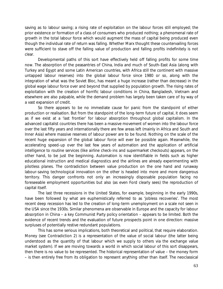saving as to labour saving; a rising rate of exploitation on the labour forces still employed; the prior existence or formation of a class of consumers who produced nothing; a phenomenal rate of growth in the total labour force which would augment the mass of capital being produced even though the individual rate of return was falling. Whether Marx thought these countervailing forces were sufficient to stave off the falling value of production and falling profits indefinitely is not clear.

Developmental paths of this sort have effectively held off falling profits for some time now. The absorption of the peasantries of China, India and much of South-East Asia (along with Turkey and Egypt and some Latin American countries, with Africa still the continent with massive untapped labour reserves) into the global labour force since 1980 or so, along with the integration of what was the Soviet Bloc, has meant a huge increase (rather than decrease) in the global wage labour force over and beyond that supplied by population growth. The rising rates of exploitation with the creation of horrific labour conditions in China, Bangladesh, Vietnam and elsewhere are also palpable, while the demand problem has largely been taken care of by way of a vast expansion of credit.

So there appears to be no immediate cause for panic from the standpoint of either production or realisation. But from the standpoint of the long-term future of capital, it does seem as if we exist at a 'last frontier' for labour absorption throughout global capitalism. In the advanced capitalist countries there has been a massive movement of women into the labour force over the last fifty years and internationally there are few areas left (mainly in Africa and South and Inner Asia) where massive reserves of labour power are to be found. Nothing on the scale of the recent huge expansion of the global labour force will ever be possible again. Meanwhile, the accelerating speed-up over the last few years of automation and the application of artificial intelligence to routine services (like airline check-ins and supermarket checkouts) appears, on the other hand, to be just the beginning. Automation is now identifiable in fields such as higher educational instruction and medical diagnostics and the airlines are already experimenting with pilotless planes. The contradiction between value production on the one hand and runaway labour-saving technological innovation on the other is headed into more and more dangerous territory. This danger confronts not only an increasingly disposable population facing no foreseeable employment opportunities but also (as even Ford clearly sees) the reproduction of capital itself.

The last three recessions in the United States, for example, beginning in the early 1990s, have been followed by what are euphemistically referred to as 'jobless recoveries'. The most recent deep recession has led to the creation of long-term unemployment on a scale not seen in the USA since the 1930s. Similar phenomena are observable in Europe and the capacity for labour absorption in China – a key Communist Party policy orientation – appears to be limited. Both the evidence of recent trends and the evaluation of future prospects point in one direction: massive surpluses of potentially restive redundant populations.

This has some serious implications, both theoretical and political, that require elaboration. Money (see Contradiction 2) is a representation of the value of social labour (the latter being understood as the quantity of that labour which we supply to others via the exchange value market system). If we are moving towards a world in which social labour of this sort disappears, then there is no value to be represented. The historical representation of value – the money form – is then entirely free from its obligation to represent anything other than itself. The neoclassical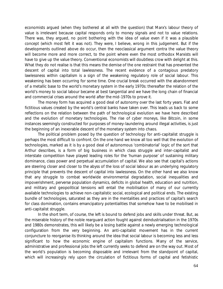economists argued (when they bothered at all with the question) that Marx's labour theory of value is irrelevant because capital responds only to money signals and not to value relations. There was, they argued, no point bothering with the idea of value even if it was a plausible concept (which most felt it was not). They were, I believe, wrong in this judgement. But if the developments outlined above do occur, then the neoclassical argument *contra* the value theory will become more and more correct, to the point where even the most orthodox Marxists will have to give up the value theory. Conventional economists will doubtless crow with delight at this. What they do not realise is that this means the demise of the one restraint that has prevented the descent of capital into total lawlessness. The recent evidence of a contagious predatory lawlessness within capitalism is a sign of the weakening regulatory role of social labour. This weakening has been occurring for some time. One crucial break occurred with the abandonment of a metallic base to the world's monetary system in the early 1970s: thereafter the relation of the world's money to social labour became at best tangential and we have the long chain of financial and commercial crises around the world after the mid-1970s to prove it.

The money form has acquired a good deal of autonomy over the last forty years. Fiat and fictitious values created by the world's central banks have taken over. This leads us back to some reflections on the relation between the path of technological evolution we have here described and the evolution of monetary technologies. The rise of cyber moneys, like Bitcoin, in some instances seemingly constructed for purposes of money-laundering around illegal activities, is just the beginning of an inexorable descent of the monetary system into chaos.

The political problem posed by the question of technology for anti-capitalist struggle is perhaps the most difficult to confront. On the one hand we know all too well that the evolution of technologies, marked as it is by a good deal of autonomous 'combinatorial' logic of the sort that Arthur describes, is a form of big business in which class struggle and inter-capitalist and interstate competition have played leading roles for the 'human purpose' of sustaining military dominance, class power and perpetual accumulation of capital. We also see that capital's actions are steering closer and closer to the abyss of the loss of social labour as an underlying regulatory principle that prevents the descent of capital into lawlessness. On the other hand we also know that any struggle to combat worldwide environmental degradation, social inequalities and impoverishment, perverse population dynamics, deficits in global health, education and nutrition, and military and geopolitical tensions will entail the mobilisation of many of our currently available technologies to achieve non-capitalistic social, ecological and political ends. The existing bundle of technologies, saturated as they are in the mentalities and practices of capital's search for class domination, contains emancipatory potentialities that somehow have to be mobilised in anti-capitalist struggle.

In the short term, of course, the left is bound to defend jobs and skills under threat. But, as the miserable history of the noble rearguard action fought against deindustrialisation in the 1970s and 1980s demonstrates, this will likely be a losing battle against a newly emerging technological configuration from the very beginning. An anti-capitalist movement has in the current conjuncture to reorganise its thinking around the idea that social labour is becoming less and less significant to how the economic engine of capitalism functions. Many of the service, administrative and professional jobs the left currently seeks to defend are on the way out. Most of the world's population is becoming disposable and irrelevant from the standpoint of capital, which will increasingly rely upon the circulation of fictitious forms of capital and fetishistic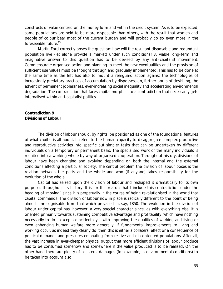constructs of value centred on the money form and within the credit system. As is to be expected, some populations are held to be more disposable than others, with the result that women and people of colour bear most of the current burden and will probably do so even more in the foreseeable future.<sup>13</sup>

Martin Ford correctly poses the question: how will the resultant disposable and redundant population live (let alone provide a market) under such conditions? A viable long-term and imaginative answer to this question has to be devised by any anti-capitalist movement. Commensurate organised action and planning to meet the new eventualities and the provision of sufficient use values must be thought through and gradually implemented. This has to be done at the same time as the left has also to mount a rearguard action against the technologies of increasingly predatory practices of accumulation by dispossession, further bouts of deskilling, the advent of permanent joblessness, ever-increasing social inequality and accelerating environmental degradation. The contradiction that faces capital morphs into a contradiction that necessarily gets internalised within anti-capitalist politics.

**Contradiction 9 Divisions of Labour** 

The division of labour should, by rights, be positioned as one of the foundational features of what capital is all about. It refers to the human capacity to disaggregate complex productive and reproductive activities into specific but simpler tasks that can be undertaken by different individuals on a temporary or permanent basis. The specialised work of the many individuals is reunited into a working whole by way of organised cooperation. Throughout history, divisions of labour have been changing and evolving depending on both the internal and the external conditions affecting a particular society. The central problem the division of labour poses is the relation between the parts and the whole and who (if anyone) takes responsibility for the evolution of the whole.

Capital has seized upon the division of labour and reshaped it dramatically to its own purposes throughout its history. It is for this reason that I include this contradiction under the heading of 'moving', since it is perpetually in the course of being revolutionised in the world that capital commands. The division of labour now in place is radically different to the point of being almost unrecognisable from that which prevailed in, say, 1850. The evolution in the division of labour under capital has, however, a very special character since, as with everything else, it is oriented primarily towards sustaining competitive advantage and profitability, which have nothing necessarily to do – except coincidentally – with improving the qualities of working and living or even enhancing human welfare more generally. If fundamental improvements to living and working occur, as indeed they clearly do, then this is either a collateral effect or a consequence of political demands and pressures emanating from restive and discontented populations. After all, the vast increase in ever-cheaper physical output that more efficient divisions of labour produce has to be consumed somehow and somewhere if the value produced is to be realised. On the other hand there are plenty of collateral damages (for example, in environmental conditions) to be taken into account also.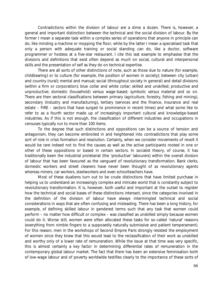Contradictions within the division of labour are a dime a dozen. There is, however, a general and important distinction between the technical and the social division of labour. By the former I mean a separate task within a complex series of operations that anyone in principle can do, like minding a machine or mopping the floor, while by the latter I mean a specialised task that only a person with adequate training or social standing can do, like a doctor, software programmer or hostess at a five-star restaurant. I cite this last example to emphasise that the divisions and definitions that exist often depend as much on social, cultural and interpersonal skills and the presentation of self as they do on technical expertise.

There are all sorts of other distinctions of note, such as those due to nature (for example, childbearing) or to culture (for example, the position of women in society); between city (urban) and country (rural); mental and manual; social (throughout society in general) and detail divisions (within a firm or corporation); blue collar and white collar; skilled and unskilled; productive and unproductive; domestic (household) versus wage-based; symbolic versus material and so on. There are then sectoral classifications between primary (agriculture, forestry, fishing and mining), secondary (industry and manufacturing), tertiary (services and the finance, insurance and real estate – FIRE – sectors that have surged to prominence in recent times) and what some like to refer to as a fourth sector made up of increasingly important cultural and knowledge-based industries. As if this is not enough, the classification of different industries and occupations in censuses typically run to more than 100 items.

To the degree that such distinctions and oppositions can be a source of tension and antagonism, they can become embroiled in and heightened into contradictions that play some sort of role in crisis formation and resolution. Certainly, when we consider movements of revolt it would be rare indeed not to find the causes as well as the active participants rooted in one or other of these oppositions or based in certain sectors. In socialist theory, of course, it has traditionally been the industrial proletariat (the 'productive' labourers) within the overall division of labour that has been favoured as the vanguard of revolutionary transformation. Bank clerks, domestic workers and street cleaners have never been thought of as revolutionary agents whereas miners, car workers, steelworkers and even schoolteachers have.

Most of these dualisms turn out to be crude distinctions that have limited purchase in helping us to understand an increasingly complex and intricate world that is constantly subject to revolutionary transformation. It is, however, both useful and important at the outset to register how the technical and social bases of these distinctions intersect, since the categories involved in the definition of the division of labour have always intermingled technical and social considerations in ways that are often confusing and misleading. There has been a long history, for example, of defining skilled labour in gendered terms such that any task that women could perform – no matter how difficult or complex – was classified as unskilled simply because women could do it. Worse still, women were often allocated these tasks for so-called 'natural' reasons (everything from nimble fingers to a supposedly naturally submissive and patient temperament). For this reason, men in the workshops of Second Empire Paris strongly resisted the employment of women since they knew that this would lead to the reclassification of their work as unskilled and worthy only of a lower rate of remuneration. While the issue at that time was very specific, this is almost certainly a key factor in determining differential rates of remuneration in the contemporary global labour market. The fact that there has been an extensive feminisation both of low-wage labour and of poverty worldwide testifies clearly to the importance of these sorts of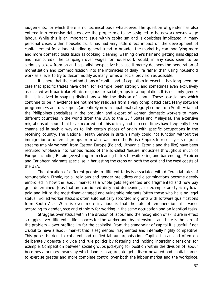judgements, for which there is no technical basis whatsoever. The question of gender has also entered into extensive debates over the proper role to be assigned to housework versus wage labour. While this is an important issue within capitalism and is doubtless implicated in many personal crises within households, it has had very little direct impact on the development of capital, except for a long-standing general trend to broaden the market by commodifying more and more domestic tasks (such as cooking, cleaning, washing one's hair and getting nails clipped and manicured). The campaign over wages for housework would, in any case, seem to be seriously askew from an anti-capitalist perspective because it merely deepens the penetration of monetisation and commodification into the intimacies of daily life rather than using household work as a lever to try to decommodify as many forms of social provision as possible.

It is here that the contradictions of capital and of capitalism intersect. It has long been the case that specific trades have often, for example, been strongly and sometimes even exclusively associated with particular ethnic, religious or racial groups in a population. It is not only gender that is involved in shaping distinctions within the division of labour. These associations which continue to be in evidence are not merely residuals from a very complicated past. Many software programmers and developers (an entirely new occupational category) come from South Asia and the Philippines specialises in the provision and export of women domestic workers to many different countries in the world (from the USA to the Gulf States and Malaysia). The extensive migrations of labour that have occurred both historically and in recent times have frequently been channelled in such a way as to link certain places of origin with specific occupations in the receiving country. The National Health Service in Britain simply could not function without the immigration of different groups from what was once the British Empire. In recent years migrant streams (mainly women) from Eastern Europe (Poland, Lithuania, Estonia and the like) have been recruited wholesale into various facets of the so-called 'leisure' industries throughout much of Europe including Britain (everything from cleaning hotels to waitressing and bartending). Mexican and Caribbean migrants specialise in harvesting the crops on both the east and the west coasts of the USA.

The allocation of different people to different tasks is associated with differential rates of remuneration. Ethnic, racial, religious and gender prejudices and discriminations become deeply embroiled in how the labour market as a whole gets segmented and fragmented and how pay gets determined. Jobs that are considered dirty and demeaning, for example, are typically lowpaid and left to the most disadvantaged and vulnerable migrants (often those who have no legal status). Skilled worker status is often automatically accorded migrants with software qualifications from South Asia. What is even more invidious is that the rate of remuneration also varies according to gender, race and ethnicity for working in the same occupation and on identical tasks.

Struggles over status within the division of labour and the recognition of skills are in effect struggles over differential life chances for the worker and, by extension – and here is the core of the problem – over profitability for the capitalist. From the standpoint of capital it is useful if not crucial to have a labour market that is segmented, fragmented and internally highly competitive. This poses barriers to coherent and unified labour organisation. Capitalists can and often do deliberately operate a divide and rule politics by fostering and inciting interethnic tensions, for example. Competition between social groups jockeying for position within the division of labour becomes a primary means by which labour in aggregate gets disem-powered and capital comes to exercise greater and more complete control over both the labour market and the workplace.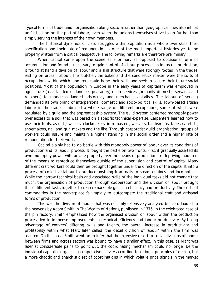Typical forms of trade union organisation along sectoral rather than geographical lines also inhibit unified action on the part of labour, even when the unions themselves strive to go further than simply serving the interests of their own members.

The historical dynamics of class struggles within capitalism as a whole over skills, their specification and their rate of remuneration is one of the most important histories yet to be properly written from a critical perspective. The following remarks are therefore preliminary.

When capital came upon the scene as a primary as opposed to occasional form of accumulation and found it necessary to gain control of labour processes in industrial production, it found at hand a division of labour and a skill structure that were strongly rooted in the trades, resting on artisan labour. The 'butcher, the baker and the candlestick maker' were the sorts of occupations within which labourers could hone their skills and seek to secure their future social positions. Most of the population in Europe in the early years of capitalism was employed in agriculture (as a landed or landless peasantry) or in services (primarily domestic servants and retainers) to monarchs, landed aristocracy and merchant capitalists. The labour of serving demanded its own brand of interpersonal, domestic and socio-political skills. Town-based artisan labour in the trades embraced a whole range of different occupations, some of which were regulated by a guild and the apprenticeship system. The guild system conferred monopoly power over access to a skill that was based on a specific technical expertise. Carpenters learned how to use their tools, as did jewellers, clockmakers, iron masters, weavers, blacksmiths, tapestry artists, shoemakers, nail and gun makers and the like. Through corporatist guild organisation, groups of workers could assure and maintain a higher standing in the social order and a higher rate of remuneration for their work.

Capital plainly had to do battle with this monopoly power of labour over its conditions of production and its labour process. It fought the battle on two fronts. First, it gradually asserted its own monopoly power with private property over the means of production, so depriving labourers of the means to reproduce themselves outside of the supervision and control of capital. Many different craft workers could then be brought together under the direction of the capitalist into a process of collective labour to produce anything from nails to steam engines and locomotives. While the narrow technical basis and associated skills of the individual tasks did not change that much, the organisation of production through cooperation and the division of labour brought these different tasks together to reap remarkable gains in efficiency and productivity. The costs of commodities in the marketplace fell rapidly to outcompete the traditional craft and artisanal forms of production.

This was the division of labour that was not only extensively analysed but also lauded to the heavens by Adam Smith in *The Wealth of Nations*, published in 1776. In the celebrated case of the pin factory, Smith emphasised how the organised division of labour within the production process led to immense improvements in technical efficiency and labour productivity. By taking advantage of workers' differing skills and talents, the overall increase in productivity and profitability within what Marx later called 'the detail division of labour' within the firm was assured. On this basis Smith went on to infer that the extensive resort to social divisions of labour between firms and across sectors was bound to have a similar effect. In this case, as Marx was later at considerable pains to point out, the coordinating mechanism could no longer be the individual capitalist organising cooperative activity according to rational principles of design, but a more chaotic and anarchistic set of coordinations in which volatile price signals in the market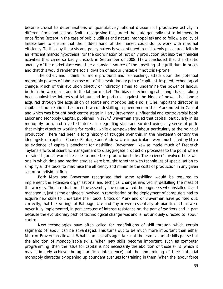became crucial to determinations of quantitatively rational divisions of productive activity in different firms and sectors. Smith, recognising this, urged the state generally not to intervene in price fixing (except in the case of public utilities and natural monopolies) and to follow a policy of laissez-faire to ensure that the hidden hand of the market could do its work with maximal efficiency. To this day theorists and policymakers have continued to mistakenly place great faith in an 'efficient market hypothesis' for the coordination of not only production but also the financial activities that came so badly unstuck in September of 2008. Marx concluded that the chaotic anarchy of the marketplace would be a constant source of the upsetting of equilibrium in prices and that this would render the social division of labour unstable if not crisis-prone.

The other, and I think far more profound and far-reaching, attack upon the potential monopoly powers of labour arose out of the evolutionary path of capitalist-inspired technological change. Much of this evolution directly or indirectly aimed to undermine the power of labour, both in the workplace and in the labour market. The bias of technological change has all along been against the interests of labour and in particular against the kinds of power that labour acquired through the acquisition of scarce and monopolisable skills. One important direction in capital–labour relations has been towards deskilling, a phenomenon that Marx noted in *Capital* and which was brought back centre stage in Harry Braverman's influential and controversial book Labor and Monopoly Capital, published in 1974.<sup>1</sup> Braverman argued that capital, particularly in its monopoly form, had a vested interest in degrading skills and so destroying any sense of pride that might attach to working for capital, while disempowering labour particularly at the point of production. There had been a long history of struggle over this. In the nineteenth century the ideologists of capital – Charles Babbage and Andrew Ure in particular – were much cited by Marx as evidence of capital's penchant for deskilling. Braverman likewise made much of Frederick Taylor's efforts at scientific management to disaggregate production processes to the point where a 'trained gorilla' would be able to undertake production tasks. The 'science' involved here was one in which time and motion studies were brought together with techniques of specialisation to simplify all the tasks, to maximise the efficiency and minimise the costs of production in any given sector or individual firm.

Both Marx and Braverman recognised that some reskilling would be required to implement the extensive organisational and technical changes involved in deskilling the mass of the workers. The introduction of the assembly line empowered the engineers who installed it and managed it, just as the engineers involved in robotisation or the deployment of computers had to acquire new skills to undertake their tasks. Critics of Marx and of Braverman have pointed out, correctly, that the writings of Babbage, Ure and Taylor were essentially utopian tracts that were never fully implemented, in part because of intense resistance on the part of workers and in part because the evolutionary path of technological change was and is not uniquely directed to labour control.

New technologies have often called for redefinitions of skill through which certain segments of labour can be advantaged. This turns out to be much more important than either Marx or Braverman allowed. What is on capital's agenda is not the eradication of skills per se but the abolition of *monopolisable* skills. When new skills become important, such as computer programming, then the issue for capital is not necessarily the abolition of those skills (which it may ultimately achieve through artificial intelligence) but the undermining of their potential monopoly character by opening up abundant avenues for training in them. When the labour force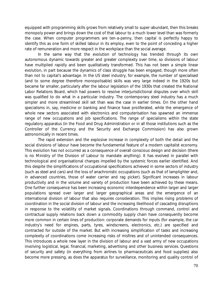equipped with programming skills grows from relatively small to super-abundant, then this breaks monopoly power and brings down the cost of that labour to a much lower level than was formerly the case. When computer programmers are ten-a-penny, then capital is perfectly happy to identify this as one form of skilled labour in its employ, even to the point of conceding a higher rate of remuneration and more respect in the workplace than the social average.

In the same way that the evolution of technology has trended through its own autonomous dynamic towards greater and greater complexity over time, so divisions of labour have multiplied rapidly and been qualitatively transformed. This has not been a simple linear evolution, in part because the dynamics of class struggle has been engaged, though more often than not to capital's advantage. In the US steel industry, for example, the number of specialised (and to some degree therefore monopolisable) skills was very large indeed in the 1920s but became far smaller, particularly after the labour legislation of the 1930s that created the National Labor Relations Board, which had powers to resolve interjurisdictional disputes over which skill was qualified to do what in a particular industry. The contemporary steel industry has a much simpler and more streamlined skill set than was the case in earlier times. On the other hand specialisms in, say, medicine or banking and finance have proliferated, while the emergence of whole new sectors associated with electronics and computerisation has spawned an immense range of new occupations and job specifications. The range of specialisms within the state regulatory apparatus (in the Food and Drug Administration or in all those institutions such as the Controller of the Currency and the Security and Exchange Commission) has also grown astronomically in recent times.

The rapid extension and the explosive increase in complexity of both the detail and the social divisions of labour have become *the* fundamental feature of a modern capitalist economy. This evolution has not occurred as a consequence of overall conscious design and decision (there is no Ministry of the Division of Labour to mandate anything). It has evolved in parallel with technological and organisational changes impelled by the systemic forces earlier identified. And this despite the simplifications of occupational specifications achieved in some sectors of industry (such as steel and cars) and the loss of anachronistic occupations (such as that of lamplighter and, in advanced countries, those of water carrier and rag picker). Significant increases in labour productivity and in the volume and variety of production have been achieved by these means. One further consequence has been increasing economic interdependence within larger and larger populations spread over larger and larger geographical areas and the emergence of an international division of labour that also requires consideration. This implies rising problems of coordination in the social division of labour and the increasing likelihood of cascading disruptions in response to the volatility of market signals. Coordinations through command, control and contractual supply relations back down a commodity supply chain have consequently become more common in certain lines of production: corporate demands for inputs (for example, the car industry's need for engines, parts, tyres, windscreens, electronics, etc.) are specified and contracted for outside of the market. But with increasing simplification of tasks and increasing complexity of coordinations come increasing risks of misfires and of unintended consequences. This introduces a whole new layer in the division of labour and a vast army of new occupations involving logistical, legal, financial, marketing, advertising and other business services. Questions of security and safety (in everything from airlines to pharmaceuticals and food supplies) also become more pressing, as does the apparatus for surveillance, monitoring and quality control of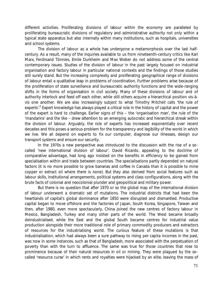different activities. Proliferating divisions of labour within the economy are paralleled by proliferating bureaucratic divisions of regulatory and administrative authority not only within a typical state apparatus but also internally within many institutions, such as hospitals, universities and school systems.

The division of labour as a whole has undergone a metamorphosis over the last halfcentury. As a result, many of the inquiries available to us from nineteenth-century critics like Karl Marx, Ferdinand Tönnies, Emile Durkheim and Max Weber do not address some of the central contemporary issues. Studies of the division of labour in the past largely focused on industrial organisation and factory labour in particular national contexts and the findings of those studies still surely stand. But the increasing complexity and proliferating geographical range of divisions of labour entail a qualitative leap in problems of coordination. Further problems arise because of the proliferation of state surveillance and bureaucratic authority functions and the wide-ranging shifts in the forms of organisation in civil society. Many of these divisions of labour and of authority interlock and feed off each other, while still others acquire a hierarchical position vis-àvis one another. We are also increasingly subject to what Timothy Mitchell calls 'the rule of experts'.<sup>2</sup> Expert knowledge has always played a critical role in the history of capital and the power of the expert is hard to challenge. Earlier signs of this – the 'organisation man', the rule of the 'mandarins' and the like – drew attention to an emerging autocratic and hierarchical streak within the division of labour. Arguably, the role of experts has increased exponentially over recent decades and this poses a serious problem for the transparency and legibility of the world in which we live. We all depend on experts to fix our computer, diagnose our illnesses, design our transport systems and ensure our security.

In the 1970s a new perspective was introduced to the discussion with the rise of a socalled 'new international division of labour'. David Ricardo, appealing to the doctrine of comparative advantage, had long ago insisted on the benefits in efficiency to be gained from specialisation within and trade between countries. The specialisations partly depended on natural factors (it is no more possible to grow bananas and coffee in Canada than it is possible to mine copper or extract oil where there is none). But they also derived from social features such as labour skills, institutional arrangements, political systems and class configurations, along with the brute facts of colonial and neocolonial plunder and geopolitical and military power.

But there is no question that after 1970 or so the global map of the international division of labour underwent a dramatic set of mutations. The industrial districts that had been the heartlands of capital's global dominance after 1850 were disrupted and dismantled. Productive capital began to move offshore and the factories of Japan, South Korea, Singapore, Taiwan and then, after 1980, even more spectacularly, China joined the new centres of factory labour in Mexico, Bangladesh, Turkey and many other parts of the world. The West became broadly deindustrialised, while the East and the global South became centres for industrial value production alongside their more traditional role of primary commodity producers and extractors of resources for the industrialising world. The curious feature of these mutations is that industrialisation, which had always been a sure pathway to rising per capita incomes in the past, was now in some instances, such as that of Bangladesh, more associated with the perpetuation of poverty than with the turn to affluence. The same was true for those countries that rose to prominence because of their natural resources in oil or mining. They were plagued by the socalled 'resource curse' in which rents and royalties were hijacked by an elite, leaving the mass of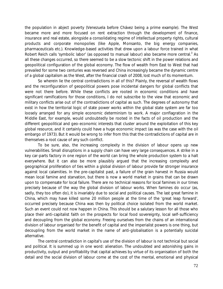the population in abject poverty (Venezuela before Chávez being a prime example). The West became more and more focused on rent extraction through the development of finance, insurance and real estate, alongside a consolidating regime of intellectual property rights, cultural products and corporate monopolies (like Apple, Monsanto, the big energy companies, pharmaceuticals etc.). Knowledge-based activities that drew upon a labour force trained in what Robert Reich calls 'symbolic labor' (as opposed to manual labour) also became more central.<sup>3</sup> As all these changes occurred, so there seemed to be a slow tectonic shift in the power relations and geopolitical configuration of the global economy. The flow of wealth from East to West that had prevailed for some two centuries was reversed and China increasingly became the dynamic centre of a global capitalism as the West, after the financial crash of 2008, lost much of its momentum.

So wherein lie the central contradictions in all of this? Plainly, the reversal of wealth flows and the reconfiguration of geopolitical powers pose incidental dangers for global conflicts that were not there before. While these conflicts are rooted in economic conditions and have significant ramifications for those conditions, I do not subscribe to the view that economic and military conflicts arise out of the contradictions of capital as such. The degrees of autonomy that exist in how the territorial logic of state power works within the global state system are far too loosely arranged for any simple economic determinism to work. A major conflagration in the Middle East, for example, would undoubtedly be rooted in the facts of oil production and the different geopolitical and geo-economic interests that cluster around the exploitation of this key global resource, and it certainly could have a huge economic impact (as was the case with the oil embargo of 1973). But it would be wrong to infer from this that the contradictions of capital are in themselves a root cause of any such conflict.

To be sure, also, the increasing complexity in the division of labour opens up new vulnerabilities. Small disruptions in a supply chain can have very large consequences. A strike in a key car-parts factory in one region of the world can bring the whole production system to a halt everywhere. But it can also be more plausibly argued that the increasing complexity and geographical proliferation of ties within a global division of labour provide far stronger insurance against local calamities. In the pre-capitalist past, a failure of the grain harvest in Russia would mean local famine and starvation, but there is now a world market in grains that can be drawn upon to compensate for local failure. There are no technical reasons for local famines in our times precisely because of the way the global division of labour works. When famines do occur (as, sadly, they too often do), it is invariably due to social and political causes. The last great famine in China, which may have killed some 20 million people at the time of the 'great leap forward', occurred precisely because China was then by political choice isolated from the world market. Such an event could not now happen in China. This should be a salutary lesson for all those who place their anti-capitalist faith on the prospects for local food sovereignty, local self-sufficiency and decoupling from the global economy. Freeing ourselves from the chains of an international division of labour organised for the benefit of capital and the imperialist powers is one thing, but decoupling from the world market in the name of anti-globalisation is a potentially suicidal alternative.

The central contradiction in capital's use of the division of labour is not technical but social and political. It is summed up in one word: *alienation*. The undoubted and astonishing gains in productivity, output and profitability that capital achieves by virtue of its organisation of both the detail and the social division of labour come at the cost of the mental, emotional and physical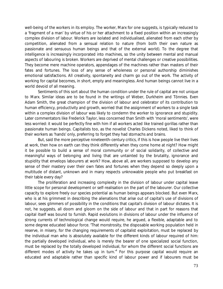well-being of the workers in its employ. The worker, Marx for one suggests, is typically reduced to a 'fragment of a man' by virtue of his or her attachment to a fixed position within an increasingly complex division of labour. Workers are isolated and individualised, alienated from each other by competition, alienated from a sensual relation to nature (from both their own nature as passionate and sensuous human beings and that of the external world). To the degree that intelligence is increasingly incorporated into machines, so the unity between mental and manual aspects of labouring is broken. Workers are deprived of mental challenges or creative possibilities. They become mere machine operators, appendages of the machines rather than masters of their fates and fortunes. The loss of any sense of wholeness or personal authorship diminishes emotional satisfactions. All creativity, spontaneity and charm go out of the work. The activity of working for capital becomes, in short, empty and meaningless. And human beings cannot live in a world devoid of all meaning.

Sentiments of this sort about the human condition under the rule of capital are not unique to Marx. Similar ideas are to be found in the writings of Weber, Durkheim and Tönnies. Even Adam Smith, the great champion of the division of labour and celebrator of its contribution to human efficiency, productivity and growth, worried that the assignment of workers to a single task within a complex division of labour was likely to condemn the worker to ignorance and stupidity. Later commentators like Frederick Taylor, less concerned than Smith with 'moral sentiments', were less worried: it would be perfectly fine with him if all workers acted like trained gorillas rather than passionate human beings. Capitalists too, as the novelist Charles Dickens noted, liked to think of their workers as 'hands' only, preferring to forget they had stomachs and brains.

But, said the more perceptive nineteenth-century critics, if this is how people live their lives at work, then how on earth can they think differently when they come home at night? How might it be possible to build a sense of moral community or of social solidarity, of collective and meaningful ways of belonging and living that are untainted by the brutality, ignorance and stupidity that envelops labourers at work? How, above all, are workers supposed to develop any sense of their mastery over their own fates and fortunes when they depend so deeply upon a multitude of distant, unknown and in many respects unknowable people who put breakfast on their table every day?

The proliferation and increasing complexity in the division of labour under capital leave little scope for personal development or self-realisation on the part of the labourer. Our collective capacity to explore freely our species potential as human beings appears blocked. But even Marx, who is at his grimmest in describing the alienations that arise out of capital's use of divisions of labour, sees glimmers of possibility in the conditions that capital's division of labour dictates. It is not, he suggests, all doom and gloom on the side of labour and that in part for reasons that capital itself was bound to furnish. Rapid evolutions in divisions of labour under the influence of strong currents of technological change would require, he argued, a flexible, adaptable and to some degree educated labour force. 'That monstrosity, the disposable working population held in reserve, in misery, for the changing requirements of capitalist exploitation, must be replaced by the individual man who is absolutely available for the different kinds of labour required of him: the partially developed individual, who is merely the bearer of one specialized social function, must be replaced by the totally developed individual, for whom the different social functions are different modes of activity he takes up in turn. $14$  For this purpose capital would require an educated and adaptable rather than specific kind of labour power and if labourers must be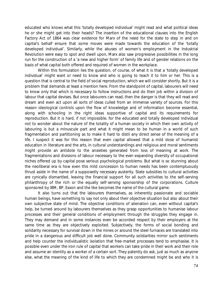educated who knows what this 'totally developed individual' might read and what political ideas he or she might get into their heads? The insertion of the educational clauses into the English Factory Act of 1864 was clear evidence for Marx of the need for the state to step in and on capital's behalf ensure that some moves were made towards the education of the 'totally developed individual'. Similarly, while the abuses of women's employment in the Industrial Revolution were easy to spot and dwell upon, Marx also saw progressive possibilities in the long run for the construction of a 'a new and higher form' of family life and of gender relations on the basis of what capital both offered and required of women in the workplace.

Within this formulation lies the question, of course, of what it is that a 'totally developed individual' might want or need to know and who is going to teach it to him or her. This is a question that is central to the field of social reproduction, which we will consider shortly. But it is a problem that demands at least a mention here. From the standpoint of capital, labourers will need to know only that which is necessary to follow instructions and do their job within a division of labour that capital devises. But once labourers can read, then the danger is that they will read and dream and even act upon all sorts of ideas culled from an immense variety of sources. For this reason ideological controls upon the flow of knowledge and of information become essential, along with schooling in the right ideas supportive of capital and its requirements for reproduction. But it is hard, if not impossible, for the educated and totally developed individual not to wonder about the nature of the totality of a human society in which their own activity of labouring is but a minuscule part and what it might mean to be human in a world of such fragmentation and partitioning as to make it hard to distil any direct sense of the meaning of a life. I suspect it was for this reason that even capital allowed that a mild dose of humanist education in literature and the arts, in cultural understandings and religious and moral sentiments might provide an antidote to the anxieties generated from loss of meaning at work. The fragmentations and divisions of labour necessary to the ever-expanding diversity of occupational niches offered up by capital pose serious psychological problems. But what is so stunning about the neoliberal era is how even this mild concession to human needs has been contemptuously thrust aside in the name of a supposedly necessary austerity. State subsidies to cultural activities are cynically dismantled, leaving the financial support for all such activities to the self-serving philanthropy of the rich or the equally self-serving sponsorship of the corporations. Culture sponsored by IBM, BP, Exxon and the like becomes the name of the cultural game.

It also turns out that the labourers themselves, as inherently passionate and sociable human beings, have something to say not only about their objective situation but also about their own subjective state of mind. The objective conditions of alienation can, even without capital's help, be turned around by labourers themselves as they grasp opportunities to humanise labour processes and their general conditions of employment through the struggles they engage in. They may demand and in some instances even be accorded respect by their employers at the same time as they are objectively exploited. Subjectively, the forms of social bonding and solidarity necessary for survival down in the mines or around the steel furnaces are translated into pride in a dangerous and difficult job well done. Community solidarities mirror such sentiments and help counter the individualistic isolation that free-market processes tend to emphasise. It is possible even under the iron rule of capital that workers can take pride in their work and their role and assume an identity as a worker of a certain sort. They patently do ask, just as much as anyone else, what the meaning of the kind of life to which they are condemned might be and who it is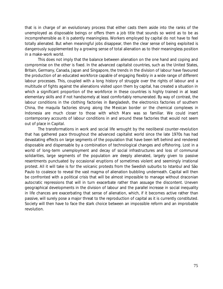that is in charge of an evolutionary process that either casts them aside into the ranks of the unemployed as disposable beings or offers them a job title that sounds so weird as to be as incomprehensible as it is patently meaningless. Workers employed by capital do not have to feel totally alienated. But when meaningful jobs disappear, then the clear sense of being exploited is dangerously supplemented by a growing sense of total alienation as to their meaningless position in a make-work world.

This does not imply that the balance between alienation on the one hand and coping and compromise on the other is fixed. In the advanced capitalist countries, such as the United States, Britain, Germany, Canada, Japan and Singapore, the trends in the division of labour have favoured the production of an educated workforce capable of engaging flexibly in a wide range of different labour processes. This, coupled with a long history of struggle over the rights of labour and a multitude of fights against the alienations visited upon them by capital, has created a situation in which a significant proportion of the workforce in these countries is highly trained in at least elementary skills and if not handsomely at least comfortably remunerated. By way of contrast, the labour conditions in the clothing factories in Bangladesh, the electronics factories of southern China, the *maquila* factories strung along the Mexican border or the chemical complexes in Indonesia are much closer to those with which Marx was so familiar. We could insert contemporary accounts of labour conditions in and around these factories that would not seem out of place in *Capital*.

The transformations in work and social life wrought by the neoliberal counter-revolution that has gathered pace throughout the advanced capitalist world since the late 1970s has had devastating effects on large segments of the population that have been left behind and rendered disposable and dispensable by a combination of technological changes and offshoring. Lost in a world of long-term unemployment and decay of social infrastructures and loss of communal solidarities, large segments of the population are deeply alienated, largely given to passive resentments punctuated by occasional eruptions of sometimes violent and seemingly irrational protest. All it will take is for the volcanic protests from the Swedish suburbs to Istanbul and São Paulo to coalesce to reveal the vast magma of alienation bubbling underneath. Capital will then be confronted with a political crisis that will be almost impossible to manage without draconian autocratic repressions that will in turn exacerbate rather than assuage the discontent. Uneven geographical developments in the division of labour and the parallel increase in social inequality in life chances are exacerbating that sense of alienation, which, if it becomes active rather than passive, will surely pose a major threat to the reproduction of capital as it is currently constituted. Society will then have to face the stark choice between an impossible reform and an improbable revolution.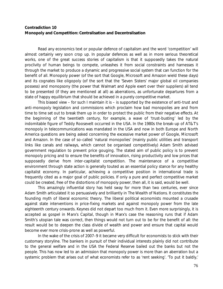## **Contradiction 10 Monopoly and Competition: Centralisation and Decentralisation**

Read any economics text or popular defence of capitalism and the word 'competition' will almost certainly very soon crop up. In popular defences as well as in more serious theoretical works, one of the great success stories of capitalism is that it supposedly takes the natural proclivity of human beings to compete, unleashes it from social constraints and harnesses it through the market to produce a dynamic and progressive social system that can function for the benefit of all. Monopoly power (of the sort that Google, Microsoft and Amazon wield these days) and its cognates like oligopoly (of the sort that the 'Seven Sisters' major global oil companies possess) and monopsony (the power that Walmart and Apple exert over their suppliers) all tend to be presented (if they are mentioned at all) as aberrations, as unfortunate departures from a state of happy equilibrium that should be achieved in a purely competitive market.

This biased view – for such I maintain it is – is supported by the existence of anti-trust and anti-monopoly legislation and commissions which proclaim how bad monopolies are and from time to time set out to break them up in order to protect the public from their negative effects. At the beginning of the twentieth century, for example, a wave of 'trust-busting' led by the indomitable figure of Teddy Roosevelt occurred in the USA. In the 1980s the break-up of AT&T's monopoly in telecommunications was mandated in the USA and now in both Europe and North America questions are being asked concerning the excessive market power of Google, Microsoft and Amazon. In the case of so-called 'natural monopolies' (mainly public utilities and transport links like canals and railways, which cannot be organised competitively) Adam Smith advised government regulation to prevent price gouging. The stated aim of public policy is to prevent monopoly pricing and to ensure the benefits of innovation, rising productivity and low prices that supposedly derive from inter-capitalist competition. The maintenance of a competitive environment through state action is generally touted as an essential policy stance for any healthy capitalist economy. In particular, achieving a competitive position in international trade is frequently cited as a major goal of public policies. If only a pure and perfect competitive market could be created, free of the distortions of monopoly power, then all, it is said, would be well.

This amazingly influential story has held sway for more than two centuries, ever since Adam Smith articulated it so persuasively and brilliantly in *The Wealth of Nations*. It constitutes *the* founding myth of liberal economic theory. The liberal political economists mounted a crusade against state interventions in price-fixing markets and against monopoly power from the late eighteenth century onwards. Keynes did not depart too much from it. Even more surprisingly, it is accepted as gospel in Marx's *Capital*, though in Marx's case the reasoning runs that if Adam Smith's utopian tale was correct, then things would not turn out to be for the benefit of all: the result would be to deepen the class divide of wealth and power and ensure that capital would become ever more crisis-prone as well as powerful.

In the wake of the crisis of 2007–9 it became very difficult for economists to stick with their customary storyline. The bankers in pursuit of their individual interests plainly did not contribute to the general welfare and in the USA the Federal Reserve bailed out the banks but not the people. This has now led to an admission that monopoly power is more than an aberration but a systemic problem that arises out of what economists refer to as 'rent seeking'. 'To put it baldly,'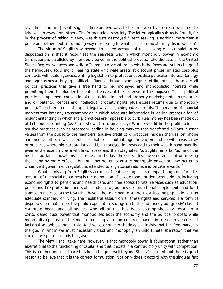says the economist Joseph Stiglitz, 'there are two ways to become wealthy: to create wealth or to take wealth away from others. The former adds to society. The latter typically subtracts from it, for in the process of taking it away, wealth gets destroyed.<sup>1</sup> Rent seeking is nothing more than a polite and rather neutral-sounding way of referring to what I call 'accumulation by dispossession'.

The virtue of Stiglitz's somewhat truncated account of rent seeking or accumulation by dispossession is that it recognises the seamless way in which monopoly power in economic transactions is paralleled by monopoly power in the political process. Take the case of the United States. Regressive taxes and write-offs; regulatory capture (in which the foxes are put in charge of the henhouse); acquiring or leasing state or private assets at discount prices; inflated cost-plus contracts with state agencies; writing legislation to protect or subsidise particular interests (energy and agribusiness); buying political influence through campaign contributions – these are all political practices that give a free hand to big moneyed and monopolistic interests while permitting them to plunder the public treasury at the expense of the taxpayer. These political practices supplement conventional rent seeking in land and property markets; rents on resources and on patents, licences and intellectual property rights; plus excess returns due to monopoly pricing. Then there are all the quasi-legal ways of gaining excess profits. The creation of financial markets that lack any transparency or in which adequate information is lacking creates a fog of misunderstanding in which sharp practices are impossible to curb. Real money has been made out of fictitious accounting (as Enron showed so dramatically). When we add in the proliferation of abusive practices such as predatory lending in housing markets that transferred billions in asset values from the public to the financiers, abusive credit card practices, hidden charges (on phone and medical bills), as well as practices that skirt if not infringe the law, we end up with a vast array of practices where big corporations and big moneyed interests add to their wealth hand over fist even as the economy as a whole collapses and then stagnates. As Stiglitz remarks, 'Some of the most important innovations in business in the last three decades have centered not on making the economy more efficient but on how better to ensure monopoly power or how better to circumvent government regulations intended to align social returns and private rewards. $\frac{1}{2}$ 

What is missing from Stiglitz's account of rent seeking as a strategy (though not from his account of the social outcomes) is the demolition of a wide range of democratic rights, including economic rights to pensions and health care, and free access to vital services such as education, police and fire protection, and state-funded programmes (like nutritional supplements and food stamps in the case of the USA) that have hitherto helped to support low-income populations at an adequate standard of living. The neoliberal assault on all these rights and services is a form of dispossession that passes the public expenditure savings on to the 'not needy but greedy' class of corporate heads and billionaires. And all of this has been accomplished by resort to a consolidated class power that monopolises both the economy and the political process while monopolising most of the media, reducing a supposed 'free market in ideas' to a series of factional squabbles about trivia. And yet economic orthodoxy still insists that the free market is the god in whom we must necessarily trust and monopoly an unfortunate aberration that we could, if we put our minds to it, avoid.

The view I shall take here, however, is that *monopoly power is foundational rather than aberrational to the functioning of capital and that it exists in a contradictory unity with competition*. This is a rather unusual stance to take and it goes well beyond Stiglitz's account, but there is good reason to believe that it is the correct formulation. Not only does it accord with the singular fact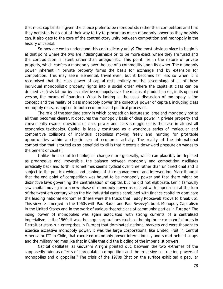that most capitalists if given the choice prefer to be monopolists rather than competitors and that they persistently go out of their way to try to procure as much monopoly power as they possibly can. It also gets to the core of the contradictory unity between competition and monopoly in the history of capital.

So how are we to understand this contradictory unity? The most obvious place to begin is at that point where the two are indistinguishable or, to be more exact, where they are fused and the contradiction is latent rather than antagonistic. This point lies in the nature of private property, which confers a monopoly over the use of a commodity upon its owner. The monopoly power inherent in private property forms the basis for exchange and by extension for competition. This may seem elemental, trivial even, but it becomes far less so when it is recognised that the class power of capital rests entirely on the assemblage of all of these individual monopolistic property rights into a social order where the capitalist class can be defined vis-à-vis labour by its *collective monopoly over the means of production (or, in its updated version, the means of financing)*. What is lacking in the usual discussion of monopoly is the concept and the reality of *class* monopoly power (the collective power of capital), including class monopoly rents, as applied to both economic and political processes.

The role of the standard story in which competition features so large and monopoly not at all then becomes clearer. It obscures the monopoly basis of class power in private property and conveniently evades questions of class power and class struggle (as is the case in almost all economics textbooks). Capital is ideally construed as a wondrous series of molecular and competitive collisions of individual capitalists moving freely and hunting for profitable opportunities within a chaotic sea of economic activity. The reality of the international competition that is touted as so beneficial to all is that it exerts a downward pressure on wages to the benefit of capital!

Unlike the case of technological change more generally, which can plausibly be depicted as progressive and irreversible, the balance between monopoly and competition oscillates erratically back and forth. It sometimes seems cyclical over time rather than unidirectional and is subject to the political whims and leanings of state management and intervention. Marx thought that the end point of competition was bound to be monopoly power and that there might be distinctive laws governing the centralisation of capital, but he did not elaborate. Lenin famously saw capital moving into a new phase of monopoly power associated with imperialism at the turn of the twentieth century when the big industrial cartels combined with finance capital to dominate the leading national economies (these were the trusts that Teddy Roosevelt strove to break up). This view re-emerged in the 1960s with Paul Baran and Paul Sweezy's book *Monopoly Capitalism* in the United States and in the work of various theoreticians of communist parties in Europe.<sup>3</sup> The rising power of monopolies was again associated with strong currents of a centralised imperialism. In the 1960s it was the large corporations (such as the big three car manufacturers in Detroit or state-run enterprises in Europe) that dominated national markets and were thought to exercise excessive monopoly power. It was the large corporations, like United Fruit in Central America or ITT in Chile, that exercised monopoly power internationally and stood behind coups and the military regimes like that in Chile that did the bidding of the imperialist powers.

Capital oscillates, as Giovanni Arrighi pointed out, between the two extremes of the supposedly ruinous effects of unregulated competition and the excessive centralising powers of monopolies and oligopolies.<sup>4</sup> The crisis of the 1970s (that on the surface exhibited a peculiar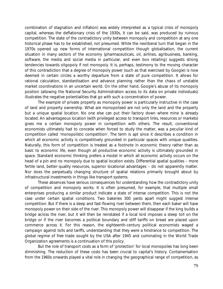combination of stagnation and inflation) was widely interpreted as a typical crisis of monopoly capital, whereas the deflationary crisis of the 1930s, it can be said, was produced by ruinous competition. The state of the contradictory unity between monopoly and competition at any one historical phase has to be established, not presumed. While the neoliberal turn that began in the 1970s opened up new forms of international competition though globalisation, the current situation in many sectors of the economy (pharmaceuticals, oil, airlines, agribusiness, banking, software, the media and social media in particular, and even box retailing) suggests strong tendencies towards oligopoly if not monopoly. It is, perhaps, testimony to the moving character of this contradiction that a degree of monopoly power (such as that exercised by Google) is now deemed in certain circles a worthy departure from a state of pure competition. It allows for rational calculation, standardisation and advance planning rather than the chaos of unstable market coordinations in an uncertain world. On the other hand, Google's abuse of its monopoly position (allowing the National Security Administration access to its data on private individuals) illustrates the negative potentialities that go with such a concentration of power.

The example of private property as monopoly power is particularly instructive in the case of land and property ownership. What are monopolised are not only the land and the property but a unique spatial location. No one else can put their factory down where mine is already located. An advantageous location (with privileged access to transport links, resources or markets) gives me a certain monopoly power in competition with others. The result, conventional economists ultimately had to concede when forced to study the matter, was a peculiar kind of competition called 'monopolistic competition'. The term is apt since it describes a condition in which all economic activity is competitively grounded in particular spaces with unique qualities. Naturally, this form of competition is treated as a footnote in economic theory rather than as basic to economic life, even though all productive economic activity is ultimately grounded in space. Standard economic thinking prefers a model in which all economic activity occurs on the head of a pin and no monopoly due to spatial location exists. Differential spatial qualities – more fertile land, better-quality resources, superior locational advantages – do not apparently matter. Nor does the perpetually changing structure of spatial relations primarily brought about by infrastructural investments in things like transport systems.

These absences have serious consequences for understanding how the contradictory unity of competition and monopoly works. It is often presumed, for example, that multiple small enterprises producing a similar product indicate a state of intense competition. This is not the case under certain spatial conditions. Two bakeries 300 yards apart might suggest intense competition. But if there is a deep and fast-flowing river between them, then each baker will have monopoly power on their side of the river. This monopoly power will disappear if the king builds a bridge across the river, but it will then be reinstated if a local lord imposes a steep toll on the bridge or if the river becomes a political boundary and stiff tariffs on bread are placed upon commerce across it. For this reason, the eighteenth-century political economists waged a campaign against tolls and tariffs, understanding that they were a hindrance to competition. The global regime of free trade sought by the USA after 1945 and culminating in the World Trade Organization agreements is a continuation of this policy.

But the role of transport costs as a form of 'protection' for local monopolies has long been diminishing. The reduction of these costs has been crucial to capital's history. Containerisation from the 1960s onwards played a vital role in changing the geographical range of competition, as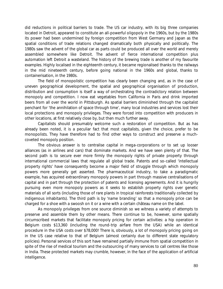did reductions in political barriers to trade. The US car industry, with its big three companies located in Detroit, appeared to constitute an all-powerful oligopoly in the 1960s, but by the 1980s its power had been undermined by foreign competition from West Germany and Japan as the spatial conditions of trade relations changed dramatically both physically and politically. The 1980s saw the advent of the global car as parts could be produced all over the world and merely assembled somewhere like Detroit. The advent of fierce international competition plus automation left Detroit a wasteland. The history of the brewing trade is another of my favourite examples. Highly localised in the eighteenth century, it became regionalised thanks to the railways in the mid nineteenth century, before going national in the 1960s and global, thanks to containerisation, in the 1980s.

The field of monopolistic competition has clearly been changing and, as in the case of uneven geographical development, the spatial and geographical organisation of production, distribution and consumption is itself a way of orchestrating the contradictory relation between monopoly and competition. I now eat vegetables from California in Paris and drink imported beers from all over the world in Pittsburgh. As spatial barriers diminished through the capitalist penchant for 'the annihilation of space through time', many local industries and services lost their local protections and monopoly privileges. They were forced into competition with producers in other locations, at first relatively close by, but then much further away.

Capitalists should presumably welcome such a restoration of competition. But as has already been noted, it is a peculiar fact that most capitalists, given the choice, prefer to be monopolists. They have therefore had to find other ways to construct and preserve a muchcoveted monopoly position.

The obvious answer is to centralise capital in mega-corporations or to set up looser alliances (as in airlines and cars) that dominate markets. And we have seen plenty of that. The second path is to secure ever more firmly the monopoly rights of private property through international commercial laws that regulate all global trade. Patents and so-called 'intellectual property rights' have consequently become a major field of struggle through which monopoly powers more generally get asserted. The pharmaceutical industry, to take a paradigmatic example, has acquired extraordinary monopoly powers in part through massive centralisations of capital and in part through the protection of patents and licensing agreements. And it is hungrily pursuing even more monopoly powers as it seeks to establish property rights over genetic materials of all sorts (including those of rare plants in tropical rainforests traditionally collected by indigenous inhabitants). The third path is by 'name branding' so that a monopoly price can be charged for a shoe with a swoosh on it or a wine with a certain château name on the label.

As monopoly privileges from one source diminish so we witness a variety of attempts to preserve and assemble them by other means. There continue to be, however, some spatially circumscribed markets that facilitate monopoly pricing for certain activities: a hip operation in Belgium costs \$13,360 (including the round-trip airfare from the USA) while an identical procedure in the USA costs over \$78,000! There is, obviously, a lot of monopoly pricing going on in the US case relative to that of Belgium (almost certainly due to different state regulatory policies). Personal services of this sort have remained partially immune from spatial competition in spite of the rise of medical tourism and the outsourcing of many services to call centres like those in India. These protected markets may crumble, however, in the face of the application of artificial intelligence.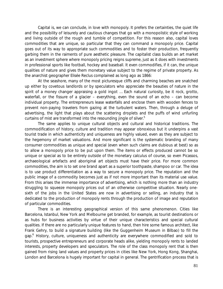Capital is, we can conclude, in love with monopoly. It prefers the certainties, the quiet life and the possibility of leisurely and cautious changes that go with a monopolistic style of working and living outside of the rough and tumble of competition. For this reason also, capital loves commodities that are unique, so particular that they can command a monopoly price. Capital goes out of its way to appropriate such commodities and to foster their production, frequently garbing them in the raiments of pure aesthetic pleasure. The capitalist class builds an art market as an investment sphere where monopoly pricing reigns supreme, just as it does with investments in professional sports like football, hockey and baseball. It even commodifies, if it can, the unique qualities of nature and gives them monetary value subject to the regime of private property. As the anarchist geographer Elisée Reclus complained as long ago as 1866:

At the seashore, many of the most picturesque cliffs and charming beaches are snatched up either by covetous landlords or by speculators who appreciate the beauties of nature in the spirit of a money changer appraising a gold ingot … Each natural curiosity, be it rock, grotto, waterfall, or the fissure of a glacier – everything, even the sound of an echo – can become individual property. The entrepreneurs lease waterfalls and enclose them with wooden fences to prevent non-paying travelers from gazing at the turbulent waters. Then, through a deluge of advertising, the light that plays about the scattering droplets and the puffs of wind unfurling curtains of mist are transformed into the resounding jingle of silver.<sup>5</sup>

The same applies to unique cultural objects and cultural and historical traditions. The commodification of history, culture and tradition may appear obnoxious but it underpins a vast tourist trade in which authenticity and uniqueness are highly valued, even as they are subject to the hegemony of market valuations. And more significant is the systematic branding of many consumer commodities as unique and special (even when such claims are dubious at best) so as to allow a monopoly price to be put upon them. The items or effects produced cannot be so unique or special as to be entirely outside of the monetary calculus of course, so even Picassos, archaeological artefacts and aboriginal art objects must have their price. For more common commodities, the aim is to set one brand apart as a superior toothpaste, shampoo or car. The idea is to use product differentiation as a way to secure a monopoly price. The reputation and the public image of a commodity becomes just as if not more important than its material use value. From this arises the immense importance of advertising, which is nothing more than an industry struggling to squeeze monopoly prices out of an otherwise competitive situation. Nearly onesixth of the jobs in the United States are now in advertising or selling, an industry that is dedicated to the production of monopoly rents through the production of image and reputation of particular commodities.

There is an interesting geographical version of this same phenomenon. Cities like Barcelona, Istanbul, New York and Melbourne get branded, for example, as tourist destinations or as hubs for business activities by virtue of their unique characteristics and special cultural qualities. If there are no particularly unique features to hand, then hire some famous architect, like Frank Gehry, to build a signature building (like the Guggenheim Museum in Bilbao) to fill the gap.<sup>6</sup> History, culture, uniqueness and authenticity are everywhere commodified and sold to tourists, prospective entrepreneurs and corporate heads alike, yielding monopoly rents to landed interests, property developers and speculators. The role of the class monopoly rent that is then gained from rising land values and property prices in cities like New York, Hong Kong, Shanghai, London and Barcelona is hugely important for capital in general. The gentrification process that is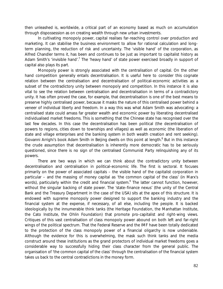then unleashed is, worldwide, a critical part of an economy based as much on accumulation through dispossession as on creating wealth through new urban investments.

In cultivating monopoly power, capital realises far-reaching control over production and marketing. It can stabilise the business environment to allow for rational calculation and longterm planning, the reduction of risk and uncertainty. The 'visible hand' of the corporation, as Alfred Chandler terms it, has been and continues to be just as important to capitalist history as Adam Smith's 'invisible hand'.<sup>7</sup> The 'heavy hand' of state power exercised broadly in support of capital also plays its part.

Monopoly power is strongly associated with the centralisation of capital. On the other hand competition generally entails decentralisation. It is useful here to consider this cognate relation between the centralisation and decentralisation of political-economic activities as a subset of the contradictory unity between monopoly and competition. In this instance it is also vital to see the relation between centralisation and decentralisation in terms of a contradictory unity. It has often proved the case, for example, that decentralisation is one of the best means to preserve highly centralised power, because it masks the nature of this centralised power behind a veneer of individual liberty and freedom. In a way this was what Adam Smith was advocating: a centralised state could amass far greater wealth and economic power by liberating decentralised individualised market freedoms. This is something that the Chinese state has recognised over the last few decades. In this case the decentralisation has been political (the decentralisation of powers to regions, cities down to townships and villages) as well as economic (the liberation of state and village enterprises and the banking system in both wealth creation and rent seeking). Giovanni Arrighi's book Adam Smith in Beijing dwells on this point at length.<sup>8</sup> But in this instance the crude assumption that decentralisation is inherently more democratic has to be seriously questioned, since there is no sign of the centralised Communist Party relinquishing any of its powers.

There are two ways in which we can think about the contradictory unity between decentralisation and centralisation in political-economic life. The first is sectoral. It focuses primarily on the power of associated capitals – the visible hand of the capitalist corporation in particular – and the massing of money capital as 'the common capital of the class' (in Marx's words), particularly within the credit and financial system.<sup>9</sup> The latter cannot function, however, without the singular backing of state power. The 'state–finance nexus' (the unity of the Central Bank and the Treasury Department in the case of the USA) sits at the apex of this structure. It is endowed with supreme monopoly power designed to support the banking industry and the financial system at the expense, if necessary, of all else, including the people. It is backed ideologically by the innumerable think tanks (the Heritage Foundation, the Manhattan Institute, the Cato Institute, the Ohlin Foundation) that promote pro-capitalist and right-wing views. Critiques of this vast centralisation of class monopoly power abound on both left and far-right wings of the political spectrum. That the Federal Reserve and the IMF have been totally dedicated to the protection of the class monopoly power of a financial oligarchy is now undeniable. Although the evidence for this is overwhelming, the mask such think tanks and the media construct around these institutions as the grand protectors of individual market freedoms goes a considerable way to successfully hiding their class character from the general public. The organisation of 'the common capital of the class' through the centralisation of the financial system takes us back to the central contradictions in the money form.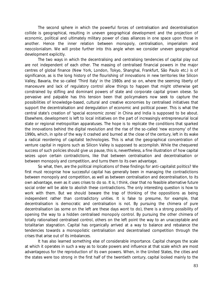The second sphere in which the powerful forces of centralisation and decentralisation collide is geographical, resulting in uneven geographical development and the projection of economic, political and ultimately military power of class alliances in one space upon those in another. Hence the inner relation between monopoly, centralisation, imperialism and neocolonialism. We will probe further into this angle when we consider uneven geographical development explicitly.

The two ways in which the decentralising and centralising tendencies of capital play out are not independent of each other. The massing of centralised financial powers in the major centres of global finance (New York, London, Tokyo, Shanghai, Frankfurt, São Paulo etc.) is of significance, as is the long history of the flourishing of innovations in new territories like Silicon Valley, Bavaria, the so-called 'Third Italy' in the 1980s and so on, where the seeming liberty of manoeuvre and lack of regulatory control allow things to happen that might otherwise get constrained by stifling and dominant powers of state and corporate capital grown obese. So pervasive and palpable has this tension been that policymakers now seek to capture the possibilities of knowledge-based, cultural and creative economies by centralised initiatives that support the decentralisation and deregulation of economic and political power. This is what the central state's creation of 'special economic zones' in China and India is supposed to be about. Elsewhere, development is left to local initiatives on the part of increasingly entrepreneurial local state or regional metropolitan apparatuses. The hope is to replicate the conditions that sparked the innovations behind the digital revolution and the rise of the so-called 'new economy' of the 1990s, which, in spite of the way it crashed and burned at the close of the century, left in its wake a radical reordering of capitalist technologies. This is what the geographical concentration of venture capital in regions such as Silicon Valley is supposed to accomplish. While the chequered success of such policies should give us pause, this is, nevertheless, a fine illustration of how capital seizes upon certain contradictions, like that between centralisation and decentralisation or between monopoly and competition, and turns them to its own advantage.

So what, then, are the political implications of these findings for anti-capitalist politics? We first must recognise how successful capital has generally been in managing the contradictions between monopoly and competition, as well as between centralisation and decentralisation, to its own advantage, even as it uses crises to do so. It is, I think, clear that no feasible alternative future social order will be able to abolish these contradictions. The only interesting question is how to work with them. But we should beware the trap of thinking of the oppositions as being independent rather than contradictory unities. It is false to presume, for example, that decentralisation is democratic and centralisation is not. By pursuing the chimera of pure decentralisation (as some on the left are these days wont to do), there is a strong possibility of opening the way to a hidden centralised monopoly control. By pursuing the other chimera of totally rationalised centralised control, others on the left point the way to an unacceptable and totalitarian stagnation. Capital has organically arrived at a way to balance and rebalance the tendencies towards a monopolistic centralisation and decentralised competition through the crises that arise out of its imbalances.

It has also learned something else of considerable importance. Capital changes the scale at which it operates in such a way as to locate powers and influence at that scale which are most advantageous for the reproduction of its own powers. When, in the United States, the cities and the states were too strong in the first half of the twentieth century, capital looked mainly to the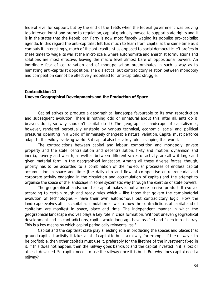federal level for support, but by the end of the 1960s when the federal government was proving too interventionist and prone to regulation, capital gradually moved to support state rights and it is in the states that the Republican Party is now most fiercely waging its populist pro-capitalist agenda. In this regard the anti-capitalist left has much to learn from capital at the same time as it combats it. Interestingly, much of the anti-capitalist as opposed to social democratic left prefers in these times to wage its war at the micro scale, where autonomista and anarchist formulations and solutions are most effective, leaving the macro level almost bare of oppositional powers. An inordinate fear of centralisation and of monopolisation predominates in such a way as to hamstring anti-capitalist opposition. The dialectical but contradictory relation between monopoly and competition cannot be effectively mobilised for anti-capitalist struggle.

## **Contradiction 11**

**Uneven Geographical Developments and the Production of Space** 

Capital strives to produce a geographical landscape favourable to its own reproduction and subsequent evolution. There is nothing odd or unnatural about this: after all, ants do it, beavers do it, so why shouldn't capital do it? The geographical landscape of capitalism is, however, rendered perpetually unstable by various technical, economic, social and political pressures operating in a world of immensely changeable natural variation. Capital must perforce adapt to this wildly evolving world. But capital also has a key role in shaping that world.

The contradictions between capital and labour, competition and monopoly, private property and the state, centralisation and decentralisation, fixity and motion, dynamism and inertia, poverty and wealth, as well as between different scales of activity, are all writ large and given material form in the geographical landscape. Among all these diverse forces, though, priority has to be accorded to a combination of the molecular processes of endless capital accumulation in space and time (the daily ebb and flow of competitive entrepreneurial and corporate activity engaging in the circulation and accumulation of capital) and the attempt to organise the space of the landscape in some systematic way through the exercise of state powers.

The geographical landscape that capital makes is not a mere passive product. It evolves according to certain rough and ready rules which – like those that govern the combinatorial evolution of technologies – have their own autonomous but contradictory logic. How the landscape evolves affects capital accumulation as well as how the contradictions of capital and of capitalism are manifest in space, place and time. The independent manner in which the geographical landscape evolves plays a key role in crisis formation. Without uneven geographical development and its contradictions, capital would long ago have ossified and fallen into disarray. This is a key means by which capital periodically reinvents itself.

Capital and the capitalist state play a leading role in producing the spaces and places that ground capitalist activity. It takes a lot of capital to build a railway, for example. If the railway is to be profitable, then other capitals must use it, preferably for the lifetime of the investment fixed in it. If this does not happen, then the railway goes bankrupt and the capital invested in it is lost or at least devalued. So capital needs to use the railway once it is built. But why does capital need a railway?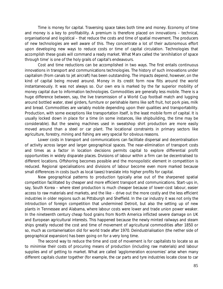Time is money for capital. Traversing space takes both time and money. Economy of time and money is a key to profitability. A premium is therefore placed on innovations – technical, organisational and logistical – that reduce the costs and time of spatial movement. The producers of new technologies are well aware of this. They concentrate a lot of their autonomous effort upon developing new ways to reduce costs or time of capital circulation. Technologies that accomplish these goals will command a ready market. What Marx called the 'annihilation of space through time' is one of the holy grails of capital's endeavours.

Cost and time reductions can be accomplished in two ways. The first entails continuous innovations in transport and communications technologies. The history of such innovations under capitalism (from canals to jet aircraft) has been outstanding. The impacts depend, however, on the kind of capital being moved around. Money in its credit form now flits around the world instantaneously. It was not always so. Our own era is marked by the far superior mobility of money capital due to information technologies. Commodities are generally less mobile. There is a huge difference between, say, the live transmission of a World Cup football match and lugging around bottled water, steel girders, furniture or perishable items like soft fruit, hot pork pies, milk and bread. Commodities are variably mobile depending upon their qualities and transportability. Production, with some exceptions like transportation itself, is the least mobile form of capital. It is usually locked down in place for a time (in some instances, like shipbuilding, the time may be considerable). But the sewing machines used in sweatshop shirt production are more easily moved around than a steel or car plant. The locational constraints in primary sectors like agriculture, forestry, mining and fishing are very special for obvious reasons.

Lower costs in transport and communications can facilitate dispersal and decentralisation of activity across larger and larger geographical spaces. The near-elimination of transport costs and times as a factor in location decisions permits capital to explore differential profit opportunities in widely disparate places. Divisions of labour within a firm can be decentralised to different locations. Offshoring becomes possible and the monopolistic element in competition is reduced. Regional specialisations and divisions of labour become even more marked because small differences in costs (such as local taxes) translate into higher profits for capital.

New geographical patterns to production typically arise out of the sharpened spatial competition facilitated by cheaper and more efficient transport and communications. Start-ups in, say, South Korea – where steel production is much cheaper because of lower-cost labour, easier access to raw materials and markets, and the like – drive out the more costly and the less efficient industries in older regions such as Pittsburgh and Sheffield. In the car industry it was not only the introduction of foreign competition that undermined Detroit, but also the setting up of new plants in Tennessee and Alabama, where labour costs were lower and trade union power weaker. In the nineteenth century cheap food grains from North America inflicted severe damage on UK and European agricultural interests. This happened because the newly minted railways and steam ships greatly reduced the cost and time of movement of agricultural commodities after 1850 or so, much as containerisation did for world trade after 1970. Deindustrialisation (the nether side of geographical expansion) has been going on for a very long time.

The second way to reduce the time and cost of movement is for capitalists to locate so as to minimise their costs of procuring means of production (including raw materials) and labour supplies and of getting to market. What are called 'agglomeration economies' arise when many different capitals cluster together (for example, the car parts and tyre industries locate close to car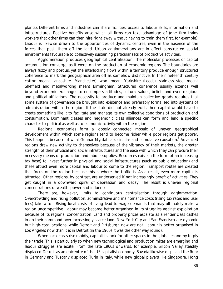plants). Different firms and industries can share facilities, access to labour skills, information and infrastructures. Positive benefits arise which all firms can take advantage of (one firm trains workers that other firms can then hire right away without having to train them first, for example). Labour is likewise drawn to the opportunities of dynamic centres, even in the absence of the forces that push them off the land. Urban agglomerations are in effect constructed spatial environments favourable to collectively sustaining particular sets of productive activities.

Agglomeration produces geographical centralisation. The molecular processes of capital accumulation converge, as it were, on the production of economic regions. The boundaries are always fuzzy and porous, yet the interlocking flows within a territory produce enough structured coherence to mark the geographical area off as somehow distinctive. In the nineteenth century cotton meant Lancashire (Manchester), wool meant Yorkshire (Leeds), stainless steel meant Sheffield and metalworking meant Birmingham. Structured coherence usually extends well beyond economic exchanges to encompass attitudes, cultural values, beliefs and even religious and political affiliations. The necessity to produce and maintain collective goods requires that some system of governance be brought into existence and preferably formalised into systems of administration within the region. If the state did not already exist, then capital would have to create something like it to facilitate and manage its own collective conditions of production and consumption. Dominant classes and hegemonic class alliances can form and lend a specific character to political as well as to economic activity within the region.

Regional economies form a loosely connected mosaic of uneven geographical development within which some regions tend to become richer while poor regions get poorer. This happens because of what Gunnar Myrdal calls circular and cumulative causation.<sup>1</sup> Advanced regions draw new activity to themselves because of the vibrancy of their markets, the greater strength of their physical and social infrastructures and the ease with which they can procure their necessary means of production and labour supplies. Resources exist (in the form of an increasing tax base) to invest further in physical and social infrastructures (such as public education) and these attract even more capital and labour to come to the region. Transport routes are created that focus on the region because this is where the traffic is. As a result, even more capital is attracted. Other regions, by contrast, are underserved if not increasingly bereft of activities. They get caught in a downward spiral of depression and decay. The result is uneven regional concentrations of wealth, power and influence.

There are, however, limits to continuous centralisation through agglomeration. Overcrowding and rising pollution, administrative and maintenance costs (rising tax rates and user fees) take a toll. Rising local costs of living lead to wage demands that may ultimately make a region uncompetitive. Labour may become better organised in its struggles against exploitation because of its regional concentration. Land and property prices escalate as a rentier class cashes in on their command over increasingly scarce land. New York City and San Francisco are dynamic but high-cost locations, while Detroit and Pittsburgh now are not. Labour is better organised in Los Angeles now than it is in Detroit (in the 1960s it was the other way round).

When local costs rise rapidly, capitalists look for other spaces in the global economy to ply their trade. This is particularly so when new technological and production mixes are emerging and labour struggles are acute. From the late 1960s onwards, for example, Silicon Valley steadily displaced Detroit as an epicentre of the US capitalist economy. Bavaria likewise displaced the Ruhr in Germany and Tuscany displaced Turin in Italy, while new global players like Singapore, Hong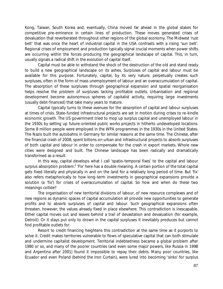Kong, Taiwan, South Korea and, eventually, China moved far ahead in the global stakes for competitive pre-eminence in certain lines of production. These moves generated crises of devaluation that reverberated throughout other regions of the global economy. The Midwest 'rust belt' that was once the heart of industrial capital in the USA contrasts with a rising 'sun belt'. Regional crises of employment and production typically signal crucial moments when power shifts are occurring within the forces producing the geographical landscape of capital. This, in turn, usually signals a radical shift in the evolution of capital itself.

Capital must be able to withstand the shock of the destruction of the old and stand ready to build a new geographical landscape on its ashes. Surpluses of capital and labour must be available for this purpose. Fortunately, capital, by its very nature, perpetually creates such surpluses, often in the form of mass unemployment of labour and an overaccumulation of capital. The absorption of these surpluses through geographical expansion and spatial reorganisation helps resolve the problem of surpluses lacking profitable outlets. Urbanisation and regional development become autonomous spheres of capitalist activity, requiring large investments (usually debt-financed) that take many years to mature.

Capital typically turns to these avenues for the absorption of capital and labour surpluses at times of crisis. State-funded infrastructural projects are set in motion during crises to re-kindle economic growth. The US government tried to mop up surplus capital and unemployed labour in the 1930s by setting up future-oriented public works projects in hitherto undeveloped locations. Some 8 million people were employed in the WPA programmes in the 1930s in the United States. The Nazis built the autobahns in Germany for similar reasons at the same time. The Chinese, after the financial crash of 2008, spent billions on urban and infrastructural projects to absorb surpluses of both capital and labour in order to compensate for the crash in export markets. Whole new cities were designed and built. The Chinese landscape has been radically and dramatically transformed as a result.

In this way, capital develops what I call 'spatio-temporal fixes' to the capital and labour surplus absorption problem.<sup>2</sup> 'Fix' here has a double meaning. A certain portion of the total capital gets fixed literally and physically in and on the land for a relatively long period of time. But 'fix' also refers metaphorically to how long-term investments in geographical expansions provide a solution (a 'fix') for crises of overaccumulation of capital. So how and when do these two meanings collide?

The organisation of new territorial divisions of labour, of new resource complexes and of new regions as dynamic spaces of capital accumulation all provide new opportunities to generate profits and to absorb surpluses of capital and labour. Such geographical expansions often threaten, however, the values already fixed in place elsewhere. This contradiction is inescapable. Either capital moves out and leaves behind a trail of devastation and devaluation (for example, Detroit). Or it stays put only to drown in the capital surpluses it inevitably produces but cannot find profitable outlets for.

Resort to credit financing heightens this contradiction at the same time as it purports to solve it. Credit makes territories vulnerable to flows of speculative capital that can both stimulate and undermine capitalist development. Territorial indebtedness became a global problem after 1980 or so, and many of the poorer countries (and even some major powers, like Russia in 1998 and Argentina after 2001) found it impossible to repay their debts. Many poor countries, like Ecuador and even Poland (behind the Iron Curtain), were lured into becoming 'sinks' for surplus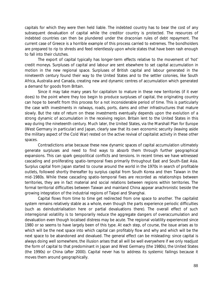capitals for which they were then held liable. The indebted country has to bear the cost of any subsequent devaluation of capital while the creditor country is protected. The resources of indebted countries can then be plundered under the draconian rules of debt repayment. The current case of Greece is a horrible example of this process carried to extremes. The bondholders are prepared to rip to shreds and feed relentlessly upon whole states that have been rash enough to fall into their clutches.

The export of capital typically has longer-term effects relative to the movement of 'hot' credit moneys. Surpluses of capital and labour are sent elsewhere to set capital accumulation in motion in the new regional space. Surpluses of British capital and labour generated in the nineteenth century found their way to the United States and to the settler colonies, like South Africa, Australia and Canada, creating new and dynamic centres of accumulation which generated a demand for goods from Britain.

Since it may take many years for capitalism to mature in these new territories (if it ever does) to the point where they too begin to produce surpluses of capital, the originating country can hope to benefit from this process for a not inconsiderable period of time. This is particularly the case with investments in railways, roads, ports, dams and other infrastructures that mature slowly. But the rate of return on these investments eventually depends upon the evolution of a strong dynamic of accumulation in the receiving region. Britain lent to the United States in this way during the nineteenth century. Much later, the United States, via the Marshall Plan for Europe (West Germany in particular) and Japan, clearly saw that its own economic security (leaving aside the military aspect of the Cold War) rested on the active revival of capitalist activity in these other spaces.

Contradictions arise because these new dynamic spaces of capital accumulation ultimately generate surpluses and need to find ways to absorb them through further geographical expansions. This can spark geopolitical conflicts and tensions. In recent times we have witnessed cascading and proliferating spatio-temporal fixes primarily throughout East and South-East Asia. Surplus capital from Japan started to course around the world in the 1970s in search of profitable outlets, followed shortly thereafter by surplus capital from South Korea and then Taiwan in the mid-1980s. While these cascading spatio-temporal fixes are recorded as relationships between territories, they are in fact material and social relations between regions within territories. The formal territorial difficulties between Taiwan and mainland China appear anachronistic beside the growing integration of the industrial regions of Taipei and Shanghai.

Capital flows from time to time get redirected from one space to another. The capitalist system remains relatively stable as a whole, even though the parts experience periodic difficulties (such as deindustrialisation here or partial devaluations there). The overall effect of such interregional volatility is to temporarily reduce the aggregate dangers of overaccumulation and devaluation even though localised distress may be acute. The regional volatility experienced since 1980 or so seems to have largely been of this type. At each step, of course, the issue arises as to which will be the next space into which capital can profitably flow and why and which will be the next space to be abandoned and devalued. The general effect can be misleading: since capital is always doing well somewhere, the illusion arises that all will be well everywhere if we only readjust the form of capital to that predominant in Japan and West Germany (the 1980s), the United States (the 1990s) or China (after 2000). Capital never has to address its systemic failings because it moves them around geographically.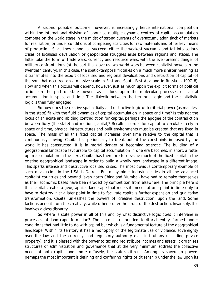A second possible outcome, however, is increasingly fierce international competition within the international division of labour as multiple dynamic centres of capital accumulation compete on the world stage in the midst of strong currents of overaccumulation (lack of markets for realisation) or under conditions of competing scarcities for raw materials and other key means of production. Since they cannot all succeed, either the weakest succumb and fall into serious crises of localised devaluation or geopolitical struggles arise between regions and states. The latter take the form of trade wars, currency and resource wars, with the ever-present danger of military confrontations (of the sort that gave us two world wars between capitalist powers in the twentieth century). In this case, the spatio-temporal fix takes on a much more sinister meaning as it transmutes into the export of localised and regional devaluations and destruction of capital (of the sort that occurred on a massive scale in East and South-East Asia and in Russia in 1997–8). How and when this occurs will depend, however, just as much upon the explicit forms of political action on the part of state powers as it does upon the molecular processes of capital accumulation in space and time. The dialectic between the territorial logic and the capitalistic logic is then fully engaged.

So how does the relative spatial fixity and distinctive logic of territorial power (as manifest in the state) fit with the fluid dynamics of capital accumulation in space and time? Is this not the locus of an acute and abiding contradiction for capital, perhaps the apogee of the contradiction between fixity (the state) and motion (capital)? Recall: 'In order for capital to circulate freely in space and time, physical infrastructures and built environments must be created that are fixed in space.' The mass of all this fixed capital increases over time relative to the capital that is continuously flowing. Capital has periodically to break out of the constraints imposed by the world it has constructed. It is in mortal danger of becoming sclerotic. The building of a geographical landscape favourable to capital accumulation in one era becomes, in short, a fetter upon accumulation in the next. Capital has therefore to devalue much of the fixed capital in the existing geographical landscape in order to build a wholly new landscape in a different image. This sparks intense and destructive localised crises. The most obvious contemporary example of such devaluation in the USA is Detroit. But many older industrial cities in all the advanced capitalist countries and beyond (even north China and Mumbai) have had to remake themselves as their economic bases have been eroded by competition from elsewhere. The principle here is this: capital creates a geographical landscape that meets its needs at one point in time only to have to destroy it at a later point in time to facilitate capital's further expansion and qualitative transformation. Capital unleashes the powers of 'creative destruction' upon the land. Some factions benefit from the creativity, while others suffer the brunt of the destruction. Invariably, this involves a class disparity.

So where is state power in all of this and by what distinctive logic does it intervene in processes of landscape formation? The state is a bounded territorial entity formed under conditions that had little to do with capital but which is a fundamental feature of the geographical landscape. Within its territory it has a monopoly of the legitimate use of violence, sovereignty over the law and the currency, and regulatory authority over institutions (including private property), and it is blessed with the power to tax and redistribute incomes and assets. It organises structures of administration and governance that at the very minimum address the collective needs of both capital and, more diffusely, the state's citizens. Among its sovereign powers perhaps the most important is defining and conferring rights of citizenship under the law upon its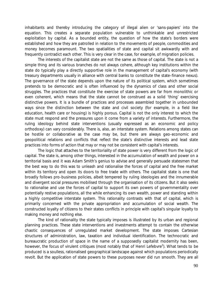inhabitants and thereby introducing the category of illegal alien or '*sans-papiers*' into the equation. This creates a separate population vulnerable to unthinkable and unrestricted exploitation by capital. As a bounded entity, the question of how the state's borders were established and how they are patrolled in relation to the movements of people, commodities and money becomes paramount. The two spatialities of state and capital sit awkwardly with and frequently contradict each other. This is very clear in the case, for example, of migration policies.

The interests of the capitalist state are not the same as those of capital. The state is not a simple thing and its various branches do not always cohere, although key institutions within the state do typically play a directly supportive role in the management of capital's economy (with treasury departments usually in alliance with central banks to constitute the state–finance nexus). The governance of the state depends upon the nature of its political system, which sometimes pretends to be democratic and is often influenced by the dynamics of class and other social struggles. The practices that constitute the exercise of state powers are far from monolithic or even coherent, which means that the state cannot be construed as a solid 'thing' exercising distinctive powers. It is a bundle of practices and processes assembled together in unbounded ways since the distinction between the state and civil society (for example, in a field like education, health care or housing) is highly porous. Capital is not the only interest to which the state must respond and the pressures upon it come from a variety of interests. Furthermore, the ruling ideology behind state interventions (usually expressed as an economic and policy orthodoxy) can vary considerably. There is, also, an interstate system. Relations among states can be hostile or collaborative as the case may be, but there are always geo-economic and geopolitical relations and conflicts that reflect the state's distinctive interests and lead state practices into forms of action that may or may not be consistent with capital's interests.

The logic that attaches to the territoriality of state power is very different from the logic of capital. The state is, among other things, interested in the accumulation of wealth and power on a territorial basis and it was Adam Smith's genius to advise and generally persuade statesmen that the best way to do this was to unleash and rationalise the forces of capital and the free market within its territory and open its doors to free trade with others. The capitalist state is one that broadly follows pro-business policies, albeit tempered by ruling ideologies and the innumerable and divergent social pressures mobilised through the organisation of its citizens. But it also seeks to rationalise and use the forces of capital to support its own powers of governmentality over potentially restive populations, all the while enhancing its own wealth, power and standing within a highly competitive interstate system. This rationality contrasts with that of capital, which is primarily concerned with the private appropriation and accumulation of social wealth. The constructed loyalty of citizens to their states conflicts in principle with capital's singular loyalty to making money and nothing else.

The kind of rationality the state typically imposes is illustrated by its urban and regional planning practices. These state interventions and investments attempt to contain the otherwise chaotic consequences of unregulated market development. The state imposes Cartesian structures of administration, law, taxation and individual identification. The technocratic and bureaucratic production of space in the name of a supposedly capitalist modernity has been, however, the focus of virulent critiques (most notably that of Henri Lefebvre<sup>3</sup>). What tends to be produced is a soulless, rationalised geographical landscape against which populations periodically revolt. But the application of state powers to these purposes never did run smooth. They are all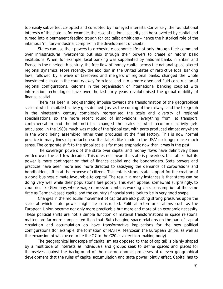too easily subverted, co-opted and corrupted by moneyed interests. Conversely, the foundational interests of the state in, for example, the case of national security can be subverted by capital and turned into a permanent feeding trough for capitalist ambitions – hence the historical role of the infamous 'military–industrial complex' in the development of capital.

States can use their powers to orchestrate economic life not only through their command over infrastructural investments but also through their powers to create or reform basic institutions. When, for example, local banking was supplanted by national banks in Britain and France in the nineteenth century, the free flow of money capital across the national space altered regional dynamics. More recently, the abolition in the United States of restrictive local banking laws, followed by a wave of takeovers and mergers of regional banks, changed the whole investment climate in the country away from local and into a more open and fluid construction of regional configurations. Reforms in the organisation of international banking coupled with information technologies have over the last forty years revolutionised the global mobility of finance capital.

There has been a long-standing impulse towards the transformation of the geographical scale at which capitalist activity gets defined. Just as the coming of the railways and the telegraph in the nineteenth century completely reorganised the scale and diversity of regional specialisations, so the more recent round of innovations (everything from jet transport, containerisation and the internet) has changed the scales at which economic activity gets articulated. In the 1980s much was made of the 'global car', with parts produced almost anywhere in the world being assembled rather than produced at the final factory. This is now normal practice in many lines of production so that labels like 'made in the USA' no longer make much sense. The corporate shift to the global scale is far more emphatic now than it was in the past.

The sovereign powers of the state over capital and money flows have definitively been eroded over the last few decades. This does not mean the state is powerless, but rather that its power is more contingent on that of finance capital and the bondholders. State powers and practices have been more and more directed to satisfying the demands of corporations and bondholders, often at the expense of citizens. This entails strong state support for the creation of a good business climate favourable to capital. The result in many instances is that states can be doing very well while their populations fare poorly. This even applies, somewhat surprisingly, to countries like Germany, where wage repression contains working-class consumption at the same time as German-based capital and the country's financial state look to be in very good shape.

Changes in the molecular movement of capital are also putting strong pressures upon the scale at which state power might be constructed. Political reterritorialisations such as the European Union become not only more practicable but more and more of an economic necessity. These political shifts are not a simple function of material transformations in space relations: matters are far more complicated than that. But changing space relations on the part of capital circulation and accumulation do have transformative implications for the new political configurations (for example, the formation of NAFTA, Mercosur, the European Union, as well as the expansion of what used to be the G7 to the G20 as a decision-making body).

The geographical landscape of capitalism (as opposed to that of capital) is plainly shaped by a multitude of interests as individuals and groups seek to define spaces and places for themselves against the background of the macroeconomic processes of uneven geographical development that the rules of capital accumulation and state power jointly effect. Capital has to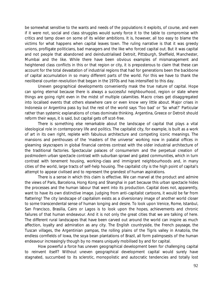be somewhat sensitive to the wants and needs of the populations it exploits, of course, and even if it were not, social and class struggles would surely force it to the table to compromise with critics and tamp down on some of its wilder ambitions. It is, however, all too easy to blame the victims for what happens when capital leaves town. The ruling narrative is that it was greedy unions, profligate politicians, bad managers and the like who forced capital out. But it was capital and not people that abandoned and deindustrialised Detroit, Pittsburgh, Sheffield, Manchester, Mumbai and the like. While there have been obvious examples of mismanagement and heightened class conflicts in this or that region or city, it is preposterous to claim that these can account for the total devastation of industrial regions that had for generations been the backbone of capital accumulation in so many different parts of the world. For this we have to thank the neoliberal counter-revolution that began in the 1970s and has intensified to this day.

Uneven geographical developments conveniently mask the true nature of capital. Hope can spring eternal because there is always a successful neighbourhood, region or state where things are going right even in the midst of multiple calamities. Macro crises get disaggregated into localised events that others elsewhere care or even know very little about. Major crises in Indonesia or Argentina pass by but the rest of the world says 'Too bad' or 'So what?' Particular rather than systemic explanations of crises dominate thinking. Argentina, Greece or Detroit should reform their ways, it is said, but capital gets off scot-free.

There is something else remarkable about the landscape of capital that plays a vital ideological role in contemporary life and politics. The capitalist city, for example, is built as a work of art in its own right, replete with fabulous architecture and competing iconic meanings. The mansions and penthouses of the 'masters of the universe' working now in palatial offices in gleaming skyscrapers in global financial centres contrast with the older industrial architecture of the traditional factories. Spectacular palaces of consumerism and the perpetual creation of postmodern urban spectacle contrast with suburban sprawl and gated communities, which in turn contrast with tenement housing, working-class and immigrant neighbourhoods and, in many cities of the world, large tracts of self-help housing. The capitalist city is the high point of capital's attempt to appear civilised and to represent the grandest of human aspirations.

There is a sense in which this claim is effective. We can marvel at the product and admire the views of Paris, Barcelona, Hong Kong and Shanghai in part because this urban spectacle hides the processes and the human labour that went into its production. Capital does not, apparently, want to have its own distinctive image. Judging from anti-capitalist cartoons, it would be far from flattering! The city landscape of capitalism exists as a diversionary image of another world closer to some transcendental sense of human longing and desire. To look upon Venice, Rome, Istanbul, San Francisco, Brasilia, Cairo or Lagos is to look upon the hopes, achievements and chronic failures of that human endeavour. And it is not only the great cities that we are talking of here. The different rural landscapes that have been carved out around the world can inspire as much affection, loyalty and admiration as any city. The English countryside, the French *paysage*, the Tuscan villages, the Argentinian pampas, the rolling plains of the Tigris valley in Anatolia, the endless cornfields of Iowa, the soya bean plantations of Brazil, all form palimpsests of the human endeavour increasingly though by no means uniquely mobilised by and for capital.

How powerful a force has uneven geographical development been for challenging capital to reinvent itself? Without uneven geographical development capital would surely have stagnated, succumbed to its sclerotic, monopolistic and autocratic tendencies and totally lost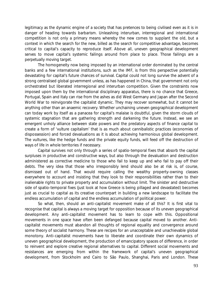legitimacy as the dynamic engine of a society that has pretences to being civilised even as it is in danger of heading towards barbarism. Unleashing interurban, interregional and international competition is not only a primary means whereby the new comes to supplant the old, but a context in which the search for the new, billed as the search for competitive advantage, becomes critical to capital's capacity to reproduce itself. Above all, uneven geographical development serves to move capital's systemic failings around from place to place. Those failings are a perpetually moving target.

The homogeneity now being imposed by an international order dominated by the central banks and a few international institutions, such as the IMF, is from this perspective potentially devastating for capital's future chances of survival. Capital could not long survive the advent of a strong centralised global government unless, as has happened in China, that government not only orchestrated but liberated interregional and interurban competition. Given the constraints now imposed upon them by the international disciplinary apparatus, there is no chance that Greece, Portugal, Spain and Italy can rise from the ashes as did West Germany and Japan after the Second World War to reinvigorate the capitalist dynamic. They may recover somewhat, but it cannot be anything other than an anaemic recovery. Whether unchaining uneven geographical development can today work by itself as a panacea for capital's malaise is doubtful, given the storm clouds of systemic stagnation that are gathering strength and darkening the future. Instead, we see an emergent unholy alliance between state powers and the predatory aspects of finance capital to create a form of 'vulture capitalism' that is as much about cannibalistic practices (economies of dispossession) and forced devaluations as it is about achieving harmonious global development. The vultures, like the hedge funds and the private equity funds, will feed off the destruction of ways of life in whole territories if necessary.

Capital survives not only through a series of spatio-temporal fixes that absorb the capital surpluses in productive and constructive ways, but also through the devaluation and destruction administered as corrective medicine to those who fail to keep up and who fail to pay off their debts. The very idea that those who irresponsibly lend should also be at risk is, of course, dismissed out of hand. That would require calling the wealthy property-owning classes everywhere to account and insisting that they look to their responsibilities rather than to their inalienable rights to private property and accumulation without limit. The sinister and destructive side of spatio-temporal fixes (just look at how Greece is being pillaged and devastated) becomes just as crucial to capital as its creative counterpart in building a new landscape to facilitate the endless accumulation of capital and the endless accumulation of political power.

So what, then, should an anti-capitalist movement make of all this? It is first vital to recognise that capital is always a moving target for opposition because of its uneven geographical development. Any anti-capitalist movement has to learn to cope with this. Oppositional movements in one space have often been defanged because capital moved to another. Anticapitalist movements must abandon all thoughts of regional equality and convergence around some theory of socialist harmony. These are recipes for an unacceptable and unachievable global monotony. Anti-capitalist movements have to liberate and coordinate their own dynamics of uneven geographical development, the production of emancipatory spaces of difference, in order to reinvent and explore creative regional alternatives to capital. Different social movements and resistances are emerging from within the framework of capital's uneven geographical development, from Stockholm and Cairo to São Paulo, Shanghai, Paris and London. These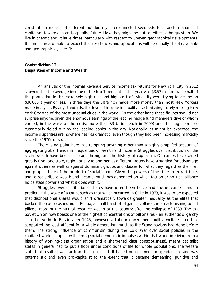constitute a mosaic of different but loosely interconnected seedbeds for transformations of capitalism towards an anti-capitalist future. How they might be put together is the question. We live in chaotic and volatile times, particularly with respect to uneven geographical developments. It is not unreasonable to expect that resistances and oppositions will be equally chaotic, volatile and geographically specific.

**Contradiction 12 Disparities of Income and Wealth** 

An analysis of the Internal Revenue Service income tax returns for New York City in 2012 showed that the average income of the top 1 per cent in that year was \$3.57 million, while half of the population in this extremely high-rent and high-cost-of-living city were trying to get by on \$30,000 a year or less. In three days the ultra rich made more money than most New Yorkers made in a year. By any standards, this level of income inequality is astonishing, surely making New York City one of the most unequal cities in the world. On the other hand these figures should not surprise anyone, given the enormous earnings of the leading hedge fund managers (five of whom earned, in the wake of the crisis, more than \$3 billion each in 2009) and the huge bonuses customarily doled out by the leading banks in the city. Nationally, as might be expected, the income disparities are nowhere near as dramatic, even though they had been increasing markedly since the 1970s or so.

There is no point here in attempting anything other than a highly simplifed account of aggregate global trends in inequalities of wealth and income. Struggles over distribution of the social wealth have been incessant throughout the history of capitalism. Outcomes have varied greatly from one state, region or city to another, as different groups have struggled for advantage against others as well as against dominant groups and classes for what they regard as their fair and proper share of the product of social labour. Given the powers of the state to extract taxes and to redistribute wealth and income, much has depended on which faction or political alliance holds state power and what it does with it.

Struggles over distributional shares have often been fierce and the outcomes hard to predict. In the wake of a coup, such as that which occurred in Chile in 1973, it was to be expected that distributional shares would shift dramatically towards greater inequality as the elites that backed the coup cashed in. In Russia, a small band of oligarchs collared, in an astonishing act of pillage, most of the natural resource wealth of the country after the collapse of 1989. The ex-Soviet Union now boasts one of the highest concentrations of billionaires – an authentic oligarchy – in the world. In Britain after 1945, however, a Labour government built a welfare state that supported the least affluent for a whole generation, much as the Scandinavians had done before them. The strong influence of communism during the Cold War over social policies in the capitalist world, coupled with strong social democratic impulses within that world (deriving from a history of working-class organisation and a sharpened class consciousness), meant capitalist states in general had to put a floor under conditions of life for whole populations. The welfare state that resulted was far from being socialist. It had strong elements of gender bias and was paternalistic and even pro-capitalist to the extent that it became demeaning, punitive and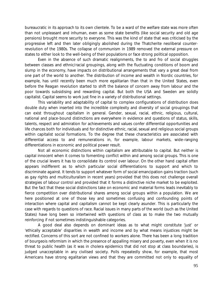bureaucratic in its approach to its own clientele. To be a ward of the welfare state was more often than not unpleasant and inhuman, even as some state benefits (like social security and old age pensions) brought more security to everyone. This was the kind of state that was criticised by the progressive left and then later obligingly abolished during the Thatcherite neoliberal counterrevolution of the 1980s. The collapse of communism in 1989 removed the external pressure on states to either look to the well-being of their populations or face strong political opposition.

Even in the absence of such dramatic realignments, the to and fro of social struggles between classes and ethnic/racial groupings, along with the fluctuating conditions of boom and slump in the economy, have impacts on distributional arrangements that vary a great deal from one part of the world to another. The distribution of income and wealth in Nordic countries, for example, has until recently been much more egalitarian than that in the United States, even before the Reagan revolution started to shift the balance of concern away from labour and the poor towards subsidising and rewarding capital. But both the USA and Sweden are solidly capitalist. Capital seems to work just fine in a variety of distributional settings.

This variability and adaptability of capital to complex configurations of distribution does double duty when inserted into the incredible complexity and diversity of social groupings that can exist throughout capitalism in general. Gender, sexual, racial, ethnic, religious, cultural, national and place-bound distinctions are everywhere in evidence and questions of status, skills, talents, respect and admiration for achievements and values confer differential opportunities and life chances both for individuals and for distinctive ethnic, racial, sexual and religious social groups within capitalist social formations. To the degree that these characteristics are associated with differential access to and remunerations in, for example, labour markets, wide-ranging differentiations in economic and political power result.

Not all economic distinctions within capitalism are attributable to capital. But neither is capital innocent when it comes to fomenting conflict within and among social groups. This is one of the crucial levers it has to consolidate its control over labour. On the other hand capital often appears indifferent as to which particular social differentiations to support and which to discriminate against. It tends to support whatever form of social emancipation gains traction (such as gay rights and multiculturalism in recent years) provided that this does not challenge overall strategies of labour control and provided that it forms a distinctive niche market to be exploited. But the fact that these social distinctions take on economic and material forms leads inevitably to fierce competition over distributional shares among social groups within a population. We are here positioned at one of those key and sometimes confusing and confounding points of interaction where capital and capitalism cannot be kept clearly asunder. This is particularly the case with regards to questions of race. Racial issues in many parts of the world (such as the United States) have long been so intertwined with questions of class as to make the two mutually reinforcing if not sometimes indistinguishable categories.

A good deal also depends on dominant ideas as to what might constitute 'just' or 'ethically acceptable' disparities in wealth and income and by what means injustices might be rectified. Concerns of this sort are not confined to workers alone. There has been a long tradition of bourgeois reformism in which the presence of appalling misery and poverty, even when it is no threat to public health (as it was in cholera epidemics that did not stop at class boundaries), is judged unacceptable in any civilised society. Polls repeatedly show, for example, that most Americans have strong egalitarian views and that they are committed not only to equality of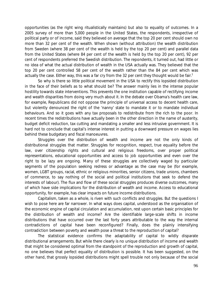opportunities (as the right wing ritualistically maintains) but also to equality of outcomes. In a 2005 survey of more than 5,000 people in the United States, the respondents, irrespective of political party or of income, said they believed on average that the top 20 per cent should own no more than 32 per cent of the wealth. When shown (without attribution) the wealth distribution from Sweden (where 38 per cent of the wealth is held by the top 20 per cent) and parallel data from the United States (where 84 per cent of the wealth is held by the top 20 per cent), 92 per cent of respondents preferred the Swedish distribution. The repondents, it turned out, had little or no idea of what the actual distribution of wealth in the USA actually was. They believed that the top 20 per cent controlled 58 per cent of the wealth rather than the 84 per cent which was actually the case. Either way, this was a far cry from the 32 per cent they thought would be fair.<sup>1</sup>

So why is there so little political movement in the USA to rectify this lopsided distribution in the face of their beliefs as to what should be? The answer mainly lies in the intense popular hostility towards state interventions. This prevents the one institution capable of rectifying income and wealth disparities from doing very much about it. In the debate over Obama's health care law, for example, Republicans did not oppose the principle of universal access to decent health care, but violently denounced the right of the 'nanny' state to mandate it or to mandate individual behaviours. And so it goes with any tax proposals to redistribute from the rich to the poor. In recent times the redistributions have actually been in the other direction in the name of austerity, budget deficit reduction, tax cutting and mandating a smaller and less intrusive government. It is hard not to conclude that capital's intense interest in putting a downward pressure on wages lies behind these budgetary and fiscal manoeuvres.

Struggles over the distribution of wealth and income are not the only kinds of distributional struggles that matter. Struggles for recognition, respect, true equality before the law, over citizenship rights and cultural and religious freedoms, over proper political representations, educational opportunities and access to job opportunities and even over the right to be lazy are ongoing. Many of these struggles are collectively waged by particular segments of the population seeking redress or advantage as the case may be (for example, women, LGBT groups, racial, ethnic or religious minorities, senior citizens, trade unions, chambers of commerce, to say nothing of the social and political institutions that seek to defend the interests of labour). The flux and flow of these social struggles produces diverse outcomes, many of which have side implications for the distribution of wealth and income. Access to educational opportunity, for example, has clear impacts on future income distributions.

Capitalism, taken as a whole, is riven with such conflicts and struggles. But the questions I wish to pose here are far narrower. In what ways does capital, understood as the organisation of the economic engine of capital circulation and accumulation, rest upon certain basic principles for the distribution of wealth and income? Are the identifiable large-scale shifts in income distributions that have occurred over the last forty years attributable to the way the internal contradictions of capital have been reconfigured? Finally, does the plainly intensifying contradiction between poverty and wealth pose a threat to the reproduction of capital?

The statistical evidence confirms the adaptability of capital to wildly disparate distributional arrangements. But while there clearly is no unique distribution of income and wealth that might be considered optimal from the standpoint of the reproduction and growth of capital, no one believes that perfect equality of distribution is possible. It has been suggested, on the other hand, that grossly lopsided distributions might spell trouble not only because of the social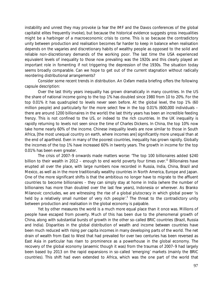instability and unrest they may provoke (a fear the IMF and the Davos conferences of the global capitalist elites frequently invoke), but because the historical evidence suggests gross inequalities might be a harbinger of a macroeconomic crisis to come. This is so because the contradictory unity between production and realisation becomes far harder to keep in balance when realisation depends on the vagaries and discretionary habits of wealthy people as opposed to the solid and reliable non-discretionary demands of the working poor. The last time the USA experienced equivalent levels of inequality to those now prevailing was the 1920s and this clearly played an important role in fomenting if not triggering the depression of the 1930s. The situation today seems broadly comparable. Can we hope to get out of the current stagnation without radically reordering distributional arrangements?

Consider some recent trends in distribution. An Oxfam media briefing offers the following capsule description:

Over the last thirty years inequality has grown dramatically in many countries. In the US the share of national income going to the top 1% has doubled since 1980 from 10 to 20%. For the top 0.01% it has quadrupled to levels never seen before. At the global level, the top 1% (60 million people) and particularly for the more select few in the top 0.01% (600,000 individuals – there are around 1200 billionaires in the world) the last thirty years has been an incredible feeding frenzy. This is not confined to the US, or indeed to the rich countries. In the UK inequality is rapidly returning to levels not seen since the time of Charles Dickens. In China, the top 10% now take home nearly 60% of the income. Chinese inequality levels are now similar to those in South Africa, [the most unequal country on earth, where incomes are] significantly more unequal than at the end of apartheid. Even in many of the poorest countries, inequality has grown rapidly. Globally the incomes of the top 1% have increased 60% in twenty years. The growth in income for the top 0.01% has been even greater.

The crisis of 2007–9 onwards made matters worse: 'The top 100 billionaires added \$240 billion to their wealth in 2012 – enough to end world poverty four times over.<sup>'2</sup> Billionaires have erupted all over the place, with large numbers now recorded in Russia, India, China, Brazil and Mexico, as well as in the more traditionally wealthy countries in North America, Europe and Japan. One of the more significant shifts is that the ambitious no longer have to migrate to the affluent countries to become billionaires – they can simply stay at home in India (where the number of billionaires has more than doubled over the last few years), Indonesia or wherever. As Branko Milanovic concludes, we are witnessing the rise of a global plutocracy in which global power 'is held by a relatively small number of very rich people'.<sup>3</sup> The threat to the contradictory unity between production and realisation in the global economy is palpable.

Yet by other measures the world is a much more equal place than it once was. Millions of people have escaped from poverty. Much of this has been due to the phenomenal growth of China, along with substantial bursts of growth in the other so-called BRIC countries (Brazil, Russia and India). Disparities in the global distribution of wealth and income *between* countries have been much reduced with rising per capita incomes in many developing parts of the world. The net drain of wealth from East to West that had prevailed for over two centuries has been reversed as East Asia in particular has risen to prominence as a powerhouse in the global economy. The recovery of the global economy (anaemic though it was) from the traumas of 2007–9 had largely been based by 2013 on the rapid expansions in so-called 'emerging' markets (mainly the BRIC countries). This shift had even extended to Africa, which was the one part of the world that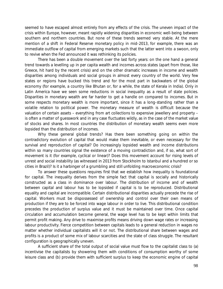seemed to have escaped almost entirely from any effects of the crisis. The uneven impact of the crisis within Europe, however, meant rapidly widening disparities in economic well-being between southern and northern countries. But none of these trends seemed very stable. At the mere mention of a shift in Federal Reserve monetary policy in mid-2013, for example, there was an immediate outflow of capital from emerging markets such that the latter went into a swoon, only to revive when the Fed announced it was rethinking its policies.

There has been a double movement over the last forty years: on the one hand a general trend towards a levelling up in per capita wealth and incomes across states (apart from those, like Greece, hit hard by the recent crisis) and on the other dramatic increases in income and wealth disparities among individuals and social groups in almost every country of the world. Very few states or regions have bucked this trend and for the most part in backwaters of the global economy (for example, a country like Bhutan or, for a while, the state of Kerala in India). Only in Latin America have we seen some reductions in social inequality as a result of state policies. Disparities in monetary wealth are far harder to get a handle on compared to incomes. But in some respects monetary wealth is more important, since it has a long-standing rather than a volatile relation to political power. The monetary measure of wealth is difficult because the valuation of certain assets – everything from art collections to expensive jewellery and property – is often a matter of guesswork and in any case fluctuates wildly, as in the case of the market value of stocks and shares. In most countries the distribution of monetary wealth seems even more lopsided than the distribution of incomes.

Why these general global trends? Has there been something going on within the contradictory evolution of capital that would make them inevitable, or even necessary for the survival and reproduction of capital? Do increasingly lopsided wealth and income distributions within so many countries signal the existence of a moving contradiction and, if so, what sort of movement is it (for example, cyclical or linear)? Does this movement account for rising levels of unrest and social instability (as witnessed in 2013 from Stockholm to Istanbul and a hundred or so cities in Brazil)? Is it a harbinger of a grumbling and still unfolding macroeconomic crisis?

To answer these questions requires first that we establish how inequality is foundational for capital. The inequality derives from the simple fact that capital is socially and historically constructed as a class in dominance over labour. The distribution of income and of wealth between capital and labour has to be lopsided if capital is to be reproduced. Distributional equality and capital are incompatible. Certain distributional disparities actually precede the rise of capital. Workers must be dispossessed of ownership and control over their own means of production if they are to be forced into wage labour in order to live. This distributional condition precedes the production of surplus value and it must be maintained over time. Once capital circulation and accumulation become general, the wage level has to be kept within limits that permit profit making. Any drive to maximise profits means driving down wage rates or increasing labour productivity. Fierce competition between capitals leads to a general reduction in wages no matter whether individual capitalists will it or not. The distributional share between wages and profits is a product of some mix of labour scarcities and the state of class struggle. The resultant configuration is geographically uneven.

A sufficient share of the total output of social value must flow to the capitalist class to (a) incentivise the capitalists by showering them with conditions of consumption worthy of some leisure class and (b) provide them with sufficient surplus to keep the economic engine of capital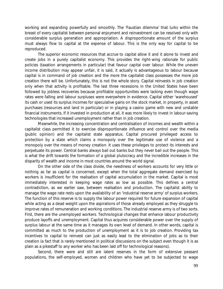working and expanding powerfully and smoothly. The 'Faustian dilemma' that lurks within the breast of every capitalist between personal enjoyment and reinvestment can be resolved only with considerable surplus generation and appropriation. A disproportionate amount of the surplus must always flow to capital at the expense of labour. This is the only way for capital to be reproduced.

The superior economic resources that accrue to capital allow it and it alone to invest and create jobs in a purely capitalist economy. This provides the right-wing rationale for public policies (taxation arrangements in particular) that favour capital over labour. While the uneven income distribution may appear unfair, it is said, it actually is advantageous to labour because capital is in command of job creation and the more the capitalist class possesses the more job creation there will be. Unfortunately, this is not the whole story. Capital reinvests in job creation only when that activity is profitable. The last three recessions in the United States have been followed by jobless recoveries because profitable opportunities were lacking even though wage rates were falling and labour surpluses were everywhere in evidence. Capital either 'warehoused' its cash or used its surplus incomes for speculative gains on the stock market, in property, in asset purchases (resources and land in particular) or in playing a casino game with new and unstable financial instruments. If it invested in production at all, it was more likely to invest in labour-saving technologies that increased unemployment rather than in job creation.

Meanwhile, the increasing concentration and centralisation of incomes and wealth within a capitalist class permitted it to exercise disproportionate influence and control over the media (public opinion) and the capitalist state apparatus. Capital procured privileged access to protection by a state which claims a monopoly over the legitimate use of violence and a monopoly over the means of money creation. It uses these privileges to protect its interests and perpetuate its power. Central banks always bail out banks but they never bail out the people. This is what the drift towards the formation of a global plutocracy and the incredible increases in the disparity of wealth and income in most countries around the world signal.

On the other side of the class divide, the neediness of workers accounts for very little or nothing as far as capital is concerned, except when the total aggregate demand exercised by workers is insufficient for the realisation of capital accumulation in the market. Capital is most immediately interested in keeping wage rates as low as possible. This defines a central contradiction, as we earlier saw, between realisation and production. The capitalist ability to manage the wage rate rests upon the availability of an 'industrial reserve army' of surplus workers. The function of this reserve is to supply the labour power required for future expansion of capital while acting as a dead weight upon the aspirations of those already employed as they struggle to improve rates of remuneration and working conditions. The industrial reserve army is of two sorts. First, there are the unemployed workers. Technological changes that enhance labour productivity produce layoffs and unemployment. Capital thus acquires considerable power over the supply of surplus labour at the same time as it manages its own level of demand. In other words, capital is committed as much to the production of unemployment as it is to job creation. Providing tax incentives to capital to reinvest can just as easily lead to the elimination of jobs as to their creation (a fact that is rarely mentioned in political discussions on the subject even though it is as plain as a pikestaff to any worker who has been laid off for technological reasons).

Second, there were and still are latent reserves in the form of extensive peasant populations, the self-employed, women and children who have yet to be subjected to wage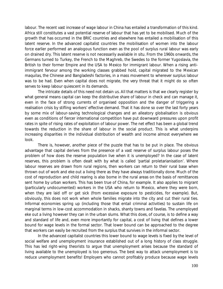labour. The recent vast increase of wage labour in China has entailed a transformation of this kind. Africa still constitutes a vast potential reserve of labour that has yet to be mobilised. Much of the growth that has occurred in the BRIC countries and elsewhere has entailed a mobilisation of this latent reserve. In the advanced capitalist countries the mobilisation of women into the labour force earlier performed an analogous function even as the pool of surplus rural labour was early on drained dry. This latent reserve is not necessarily available in situ. From the 1960s onwards, the Germans turned to Turkey, the French to the Maghreb, the Swedes to the former Yugoslavia, the British to their former Empire and the USA to Mexico for immigrant labour. When a rising antiimmigrant fervour among the working classes grabbed hold, capital migrated to the Mexican *maquilas*, the Chinese and Bangladeshi factories, in a mass movement to wherever surplus labour was to be had. Even when capital does not migrate, the very threat that it might do so often serves to keep labour quiescent in its demands.

The intricate details of this need not detain us. All that matters is that we clearly register by what general means capital can keep the distributive share of labour in check and can manage it, even in the face of strong currents of organised opposition and the danger of triggering a realisation crisis by stifling workers' effective demand. That it has done so over the last forty years by some mix of labour-saving technological changes and an alleatory globalisation is obvious even as conditions of fiercer international competition have put downward pressures upon profit rates in spite of rising rates of exploitation of labour power. The net effect has been a global trend towards the reduction in the share of labour in the social product. This is what underpins increasing disparities in the individual distribution of wealth and income almost everywhere we look.

There is, however, another piece of the puzzle that has to be put in place. The obvious advantage that capital derives from the presence of a vast reserve of surplus labour poses the problem of how does the reserve population live when it is unemployed? In the case of latent reserves, this problem is often dealt with by what is called 'partial proletarianisation'. Where labour reserves are drawn from rural regions, then workers can return to their rural base when thrown out of work and eke out a living there as they have always traditionally done. Much of the cost of reproduction and child rearing is also borne in the rural areas on the basis of remittances sent home by urban workers. This has been true of China, for example. It also applies to migrant (particularly undocumented) workers in the USA who return to Mexico, where they were born, when they are laid off or get sick (from excessive exposure to pesticides, for example). But, obviously, this does not work when whole families migrate into the city and cut their rural ties. Informal economies spring up (including those that entail criminal activities) to sustain life on marginal terms in low-cost accommodation in shacks, shanty towns and favelas. The unemployed eke out a living however they can in the urban slums. What this does, of course, is to define a way and standard of life and, even more importantly for capital, a cost of living that defines a lower bound for wage levels in the formal sector. That lower bound can be approached to the degree that workers can easily be recruited from the surplus that survives in the informal sector.

In the advanced capitalist countries this lower bound to wage levels is fixed by the level of social welfare and unemployment insurance established out of a long history of class struggle. This has led right-wing theorists to argue that unemployment arises because the standard of living available to the unemployed is too generous. The best way to attack unemployment is to reduce unemployment benefits! Employers who cannot profitably produce because wage levels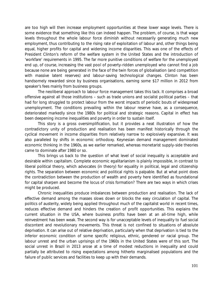are too high will then increase employment opportunities at these lower wage levels. There is some evidence that something like this can indeed happen. The problem, of course, is that wage levels throughout the whole labour force diminish without necessarily generating much new employment, thus contributing to the rising rate of exploitation of labour and, other things being equal, higher profits for capital and widening income disparities. This was one of the effects of President Clinton's reform of the welfare system in the United States and the introduction of 'workfare' requirements in 1995. The far more punitive conditions of welfare for the unemployed end up, of course, increasing the vast pool of poverty-ridden unemployed who cannot find a job because none are being generated in the face of the twin forces of globalisation (and competition with massive latent reserves) and labour-saving technological changes. Clinton has been handsomely rewarded since by business organisations, earning some \$17 million in 2012 from speaker's fees mainly from business groups.

The neoliberal approach to labour force management takes this tack. It comprises a broad offensive against all those institutions – such as trade unions and socialist political parties – that had for long struggled to protect labour from the worst impacts of periodic bouts of widespread unemployment. The conditions prevailing within the labour reserve have, as a consequence, deteriorated markedly since the 1980s for political and strategic reasons. Capital in effect has been deepening income inequalities and poverty in order to sustain itself.

This story is a gross oversimplification, but it provides a neat illustration of how the contradictory unity of production and realisation has been manifest historically through the cyclical movement in income disparities from relatively narrow to explosively expansive. It was also paralleled by shifts in economic orthodoxy. Keynesian demand management dominated economic thinking in the 1960s, as we earlier remarked, whereas monetarist supply-side theories came to dominate after 1980 or so.

This brings us back to the question of what level of social inequality is acceptable and desirable within capitalism. Complete economic egalitarianism is plainly impossible, in contrast to liberal political theory, which advocates (in theory) for equality in political, legal and citizenship rights. The separation between economic and political rights is palpable. But at what point does the contradiction between the production of wealth and poverty here identified as foundational for capital sharpen and become the locus of crisis formation? There are two ways in which crises might be produced.

Chronic inequalities produce imbalances between production and realisation. The lack of effective demand among the masses slows down or blocks the easy circulation of capital. The politics of austerity, widely being applied throughout much of the capitalist world in recent times, reduces effective demand and hinders the creation of profit opportunities. This explains the current situation in the USA, where business profits have been at an all-time high, while reinvestment has been weak. The second way is for unacceptable levels of inequality to fuel social discontent and revolutionary movements. This threat is not confined to situations of absolute deprivation. It can arise out of relative deprivation, particularly when that deprivation is tied to the inferior economic condition of some specific religious, ethnic, gendered or racial group. The labour unrest and the urban uprisings of the 1960s in the United States were of this sort. The social unrest in Brazil in 2013 arose at a time of modest reductions in inequality and could partially be attributed to rising expectations among hitherto marginalised populations and the failure of public services and facilities to keep up with their demands.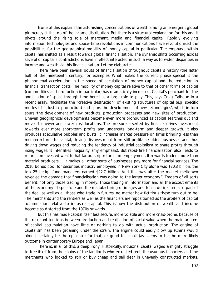None of this explains the astonishing concentrations of wealth among an emergent global plutocracy at the top of the income distribution. But there is a structural explanation for this and it pivots around the rising role of merchant, media and financial capital. Rapidly evolving information technologies and space–time revolutions in communications have revolutionised the possibilities for the geographical mobility of money capital in particular. The emphasis within capital has shifted as a result towards global financialisation. The dynamic shifts occurring across several of capital's contradictions have in effect interacted in such a way as to widen disparities in income and wealth via this financialisation. Let me elaborate.

There have been several bouts of financialisation throughout capital's history (the latter half of the nineteenth century, for example). What makes the current phase special is the phenomenal acceleration in the speed of circulation of money capital and the reduction in financial transaction costs. The mobility of money capital relative to that of other forms of capital (commodities and production in particular) has dramatically increased. Capital's penchant for the annihilation of space through time here has a large role to play. This, says Craig Calhoun in a recent essay, 'facilitates the "creative destruction" of existing structures of capital (e.g. specific modes of industrial production) and spurs the development of new technologies', which in turn spurs 'the development of new products, production processes and new sites of production'. Uneven geographical developments become even more pronounced as capital searches out and moves to newer and lower-cost locations. The pressure asserted by finance 'drives investment towards ever more short-term profits and undercuts long-term and deeper growth. It also produces speculative bubbles and busts. It increases market pressure on firms bringing less than median returns to capital, driving disinvestment from still-profitable older businesses and thus driving down wages and reducing the tendency of industrial capitalism to share profits through rising wages. *It intensifies inequality*' (my emphasis). But rapid-fire financialisation also 'leads to returns on invested wealth that far outstrip returns on employment. It rewards traders more than material producers … It makes all other sorts of businesses pay more for financial services. The 2010 bonus pool for securities industry employees in New York City alone was \$20.8 billion; the top 25 hedge fund managers earned \$22.7 billion. And this was after the market meltdown revealed the damage that financialisation was doing to the larger economy.<sup>4</sup> Traders of all sorts benefit, not only those trading in money. Those trading in information and all the accoutrements of the economy of spectacle and the manufacturing of images and fetish desires are also part of the deal, as well as all those who trade in futures, no matter how fictitious these turn out to be. The merchants and the rentiers as well as the financiers are repositioned as the arbiters of capital accumulation relative to industrial capital. This is how the distribution of wealth and income became so distorted from the 1970s onwards.

But this has made capital itself less secure, more volatile and more crisis-prone, because of the resultant tensions between production and realisation of social value when the main arbiters of capital accumulation have little or nothing to do with actual production. The engine of capitalism has been groaning under the strain. The engine could easily blow up (China would almost certainly be the epicentre for that) or grind to a halt (as seems to be the more likely outcome in contemporary Europe and Japan).

There is, in all of this, a deep irony. Historically, industrial capital waged a mighty struggle to free itself from the chains of the landlords who extracted rent, the usurious financiers and the merchants who looked to rob or buy cheap and sell dear in unevenly constructed markets.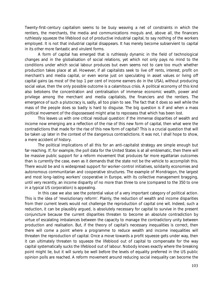Twenty-first-century capitalism seems to be busy weaving a net of constraints in which the rentiers, the merchants, the media and communications moguls and, above all, the financers ruthlessly squeeze the lifeblood out of productive industrial capital, to say nothing of the workers employed. It is not that industrial capital disappears. It has merely become subservient to capital in its other more fantastic and virulent forms.

A form of capital has emerged that is ruthlessly dynamic in the field of technological changes and in the globalisation of social relations, yet which not only pays no mind to the conditions under which social labour produces but even seems not to care too much whether production takes place at all. However, if all capitalists seek to live off rents, interest, profit on merchant's and media capital, or even worse just on speculating in asset values or living off capital gains (as most of the top 1 per cent of income earners do in the USA), without producing social value, then the only possible outcome is a calamitous crisis. A political economy of this kind also betokens the concentration and centralisation of immense economic wealth, power and privilege among the merchant and media capitalists, the financiers and the rentiers. The emergence of such a plutocracy is, sadly, all too plain to see. The fact that it does so well while the mass of the people does so badly is hard to disguise. The big question is if and when a mass political movement of the dispossessed might arise to repossess that which has been lost.

This leaves us with one critical residual question: if the immense disparities of wealth and income now emerging are a reflection of the rise of this new form of capital, then what were the contradictions that made for the rise of this new form of capital? This is a crucial question that will be taken up later in the context of the dangerous contradictions. It was not, I shall hope to show, a mere accident of history.

The political implications of all this for an anti-capitalist strategy are simple enough but far-reaching. If, for example, the poll data for the United States is at all emblematic, then there will be massive public support for a reform movement that produces far more egalitarian outcomes than is currently the case, even as it demands that the state not be the vehicle to accomplish this. There would be and is widespread support for worker-control initiatives, solidarity economies and autonomous communitarian and cooperative structures. The example of Mondragon, the largest and most long-lasting workers' cooperative in Europe, with its collective management bragging, until very recently, an income disparity of no more than three to one (compared to the 350 to one in a typical US corporation) is appealing.

In this case we also see the potential value of a very important category of political action. This is the idea of 'revolutionary reform'. Plainly, the reduction of wealth and income disparities from their current levels would not challenge the reproduction of capital one wit. Indeed, such a reduction, it can be plausibly argued, is absolutely necessary for capital to survive in the present conjuncture because the current disparities threaten to become an absolute contradiction by virtue of escalating imbalances between the capacity to manage the contradictory unity between production and realisation. But, if the theory of capital's necessary inequalities is correct, then there will come a point where a programme to reduce wealth and income inequalities will threaten the reproduction of capital. Once a move towards a profit squeeze gets under way, then it can ultimately threaten to squeeze the lifeblood out of capital to compensate for the way capital systematically sucks the lifeblood out of labour. Nobody knows exactly where the breaking point might lie, but it will surely be well before the levels of equality preferred in the US public opinion polls are reached. A reform movement around reducing social inequality can become the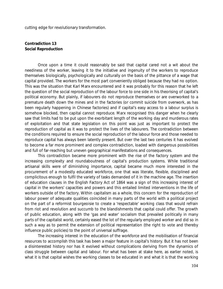cutting edge for revolutionary transformation.

**Contradiction 13 Social Reproduction** 

Once upon a time it could reasonably be said that capital cared not a wit about the neediness of the worker, leaving it to the initiative and ingenuity of the workers to reproduce themselves biologically, psychologically and culturally on the basis of the pittance of a wage that capital provided. The workers for the most part conveniently obliged because they had no option. This was the situation that Karl Marx encountered and it was probably for this reason that he left the question of the social reproduction of the labour force to one side in his theorising of capital's political economy. But plainly, if labourers do not reproduce themselves or are overworked to a premature death down the mines and in the factories (or commit suicide from overwork, as has been regularly happening in Chinese factories) and if capital's easy access to a labour surplus is somehow blocked, then capital cannot reproduce. Marx recognised this danger when he clearly saw that limits had to be put upon the exorbitant length of the working day and murderous rates of exploitation and that state legislation on this point was just as important to protect the reproduction of capital as it was to protect the lives of the labourers. The contradiction between the conditions required to ensure the social reproduction of the labour force and those needed to reproduce capital has always been latently present. But over the last two centuries it has evolved to become a far more prominent and complex contradiction, loaded with dangerous possibilities and full of far-reaching but uneven geographical manifestations and consequences.

This contradiction became more prominent with the rise of the factory system and the increasing complexity and roundaboutness of capital's production systems. While traditional artisanal skills were of diminishing importance, capital became much more interested in the procurement of a modestly educated workforce, one that was literate, flexible, disciplined and complicitous enough to fulfil the variety of tasks demanded of it in the machine age. The insertion of education clauses in the English Factory Act of 1864 was a sign of this increasing interest of capital in the workers' capacities and powers and this entailed limited interventions in the life of workers outside of the factory. Within capitalism as a whole, this concern for the reproduction of labour power of adequate qualities coincided in many parts of the world with a political project on the part of a reformist bourgeoisie to create a 'respectable' working class that would refrain from riot and revolution and succumb to the blandishments that capital could offer. The growth of public education, along with the 'gas and water' socialism that prevailed politically in many parts of the capitalist world, certainly eased the lot of the regularly employed worker and did so in such a way as to permit the extension of political representation (the right to vote and thereby influence public policies) to the point of universal suffrage.

The increasing interest in the education of the workforce and the mobilisation of financial resources to accomplish this task has been a major feature in capital's history. But it has not been a disinterested history nor has it evolved without complications deriving from the dynamics of class struggle between capital and labour. For what has been at stake here, as earlier noted, is what it is that capital wishes the working classes to be educated in and what it is that the working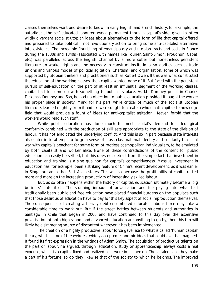classes themselves want and desire to know. In early English and French history, for example, the autodidact, the self-educated labourer, was a permanent thorn in capital's side, given to often wildly divergent socialist utopian ideas about alternatives to the form of life that capital offered and prepared to take political if not revolutionary action to bring some anti-capitalist alternative into existence. The incredible flourishing of emancipatory and utopian tracts and sects in France during the 1830s and 1840s (associated with names like Fourier, Saint-Simon, Proudhon, Cabet, etc.) was paralleled across the English Channel by a more sober but nonetheless persistent literature on worker rights and the necessity to construct institutional solidarities such as trade unions and various modes of political agitation (Chartism) and organisation, some of which was supported by utopian thinkers and practitioners such as Robert Owen. If this was what constituted the education of the working classes, then capital wanted none of it. But faced with the persistent pursuit of self-education on the part of at least an influential segment of the working classes, capital had to come up with something to put in its place. As Mr Dombey put it in Charles Dickens's *Dombey and Son*, he had no objection to public education provided it taught the worker his proper place in society. Marx, for his part, while critical of much of the socialist utopian literature, learned mightily from it and likewise sought to create a whole anti-capitalist knowledge field that would provide a fount of ideas for anti-capitalist agitation. Heaven forbid that the workers would read such stuff.

While public education has done much to meet capital's demand for ideological conformity combined with the production of skill sets appropriate to the state of the division of labour, it has not eradicated the underlying conflict. And this is so in part because state interests also enter in to attempt to forge a sense of cross-class national identity and solidarity that is at war with capital's penchant for some form of rootless cosmopolitan individualism, to be emulated by both capitalist and worker alike. None of these contradictions of the content for public education can easily be settled, but this does not detract from the simple fact that investment in education and training is a sine qua non for capital's competitiveness. Massive investment in education has, for example, been a striking feature of China's recent development, as it was earlier in Singapore and other East Asian states. This was so because the profitability of capital rested more and more on the increasing productivity of increasingly skilled labour.

But, as so often happens within the history of capital, education ultimately became a 'big business' unto itself. The stunning inroads of privatisation and fee paying into what had traditionally been public and free education have placed financial burdens on the populace such that those desirous of education have to pay for this key aspect of social reproduction themselves. The consequences of creating a heavily debt-encumbered educated labour force may take a considerable time to work out. But if the street battles between students and authorities in Santiago in Chile that began in 2006 and have continued to this day over the expensive privatisation of both high school and advanced education are anything to go by, then this too will likely be a simmering source of discontent wherever it has been implemented.

The creation of a highly productive labour force gave rise to what is called 'human capital' theory, which is one of the weirdest widely accepted economic ideas that could ever be imagined. It found its first expression in the writings of Adam Smith. The acquisition of productive talents on the part of labour, he argued, through 'education, study or apprenticeship, always costs a real expense, which is a capital fixed and realized as it were in his person. Those talents, as they make a part of his fortune, so do they likewise that of the society to which he belongs. The improved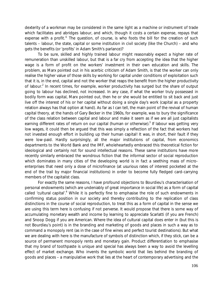dexterity of a workman may be considered in the same light as a machine or instrument of trade which facilitates and abridges labour, and which, though it costs a certain expense, repays that expense with a profit.<sup>1</sup> The question, of course, is who foots the bill for the creation of such talents – labour, the state, capital or some institution in civil society (like the Church) – and who gets the benefits (or 'profits' in Adam Smith's parlance)?

To be sure, skilled and highly trained labour might reasonably expect a higher rate of remuneration than unskilled labour, but that is a far cry from accepting the idea that the higher wage is a form of profit on the workers' investment in their own education and skills. The problem, as Marx pointed out in his acerbic criticism of Adam Smith, is that the worker can only realise the higher value of those skills by working for capital under conditions of exploitation such that it is, in the end, capital and not the worker that reaps the benefit from the higher productivity of labour.<sup>2</sup> In recent times, for example, worker productivity has surged but the share of output going to labour has declined, not increased. In any case, if what the worker truly possessed in bodily form was capital, Marx pointed out, then he or she would be entitled to sit back and just live off the interest of his or her capital without doing a single day's work (capital as a property relation always has that option at hand). As far as I can tell, the main point of the revival of human capital theory, at the hands of Gary Becker in the 1960s, for example, was to bury the significance of the class relation between capital and labour and make it seem as if we are all just capitalists earning different rates of return on our capital (human or otherwise). $3$  If labour was getting very low wages, it could then be argued that this was simply a reflection of the fact that workers had not invested enough effort in building up their human capital! It was, in short, their fault if they were low-paid. Hardly surprisingly, all the major institutions of capital, from economics departments to the World Bank and the IMF, wholeheartedly embraced this theoretical fiction for ideological and certainly not for sound intellectual reasons. These same institutions have more recently similarly embraced the wondrous fiction that the informal sector of social reproduction which dominates in many cities of the developing world is in fact a seething mass of microenterprises that need only a dose of microfinance (at usurious rates of interest pocketed at the end of the trail by major financial institutions) in order to become fully fledged card-carrying members of the capitalist class.

For exactly the same reasons, I have profound objections to Bourdieu's characterisation of personal endowments (which are undeniably of great importance in social life) as a form of capital called 'cultural capital'.<sup>4</sup> While it is perfectly fine to emphasise the role of such endowments in confirming status position in our society and thereby contributing to the replication of class distinctions in the course of social reproduction, to treat this as a form of capital in the sense we are using this term here is confusing if not perverse. It would propose that there is some way of accumulating monetary wealth and income by learning to appreciate Scarlatti (if you are French) and Snoop Dogg if you are American. Where the idea of cultural capital does enter in (but this is not Bourdieu's point) is in the branding and marketing of goods and places in such a way as to command a monopoly rent (as in the case of fine wines and perfect tourist destinations). But what we are dealing with here is the manufacture of symbols of distinction which, if they stick, can be a source of permanent monopoly rents and monetary gain. Product differentiation to emphasise that my brand of toothpaste is unique and special has always been a way to avoid the levelling effect of market exchange. Who invents the symbolic world that lies behind the branding of goods and places – a manipulative work that lies at the heart of contemporary advertising and the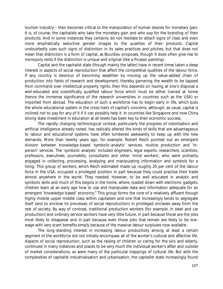tourism industry – then becomes critical to the manipulation of human desires for monetary gain. It is, of course, the capitalists who take the monetary gain and who pay for the branding of their products. And in some instances they certainly do not hesitate to attach signs of class and even more emphatically seductive gender images to the qualities of their products. Capital undoubtedly uses such signs of distinction in its sales practices and pitches, but that does not mean that distinction is a form of capital, as Bourdieu proposes, though it does often give rise to monopoly rents if the distinction is unique and original (like a Picasso painting).

Capital and the capitalist state (though mainly the latter) have in recent times taken a deep interest in aspects of social reproduction that affect the competitive qualities of the labour force. If any country is desirous of becoming wealthier by moving up the value-added chain of production into fields of research and development, thereby garnering the wealth to be tapped from command over intellectual property rights, then this depends on having at one's disposal a well-educated and scientifically qualified labour force which must be either trained at home (hence the immense significance of the research universities in countries such as the USA) or imported from abroad. The education of such a workforce has to begin early in life, which puts the whole educational system in the cross-hairs of capital's concerns, although, as usual, capital is inclined not to pay for any of it if it can possibly help it. In countries like Singapore and now China strong state investment in education at all levels has been key to their economic success.

The rapidly changing technological context, particularly the progress of robotisation and artificial intelligence already noted, has radically altered the kinds of skills that are advantageous to labour and educational systems have often lumbered awkwardly to keep up with the new demands. More than twenty years ago, for example, Robert Reich pointed out an emergent division between knowledge-based 'symbolic-analytic' services, routine production and 'inperson' services. The 'symbolic analysts' included engineers, legal experts, researchers, scientists, professors, executives, journalists, consultants and other 'mind workers', who were primarily engaged in collecting, processing, analysing and manipulating information and symbols for a living. This group of workers, which Reich estimated made up roughly 20 per cent of the labour force in the USA, occupied a privileged position in part because they could practise their trade almost anywhere in the world. They needed, however, to be well educated in analytic and symbolic skills and much of this begins in the home, where, loaded down with electronic gadgets, children learn at an early age how to use and manipulate data and information adequate for an emergent 'knowledge-based' economy.<sup>5</sup> This group forms the core of a relatively affluent though highly mobile upper middle class within capitalism and one that increasingly tends to segregate itself (and to enclose its processes of social reproduction) in privileged enclaves away from the rest of society. By way of contrast, traditional production workers (for example, in steel and car production) and ordinary service workers have very little future, in part because those are the jobs most likely to disappear and in part because even those jobs that remain are likely to be lowwage with very scant benefits simply because of the massive labour surpluses now available.

The long-standing interest in increasing labour productivity among at least a certain segment of the workforce did not initially encompass all of the worker's cultural and affective life. Aspects of social reproduction, such as the raising of children or caring for the sick and elderly, continued in many instances and places to be very much the individual worker's affair and outside of market considerations, as were many of the particular trappings of cultural life. But with the complexities of capitalist industrialisation and urbanisation, the capitalist state increasingly found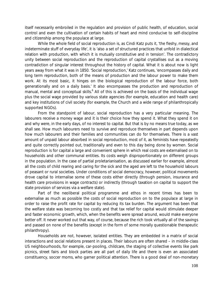itself necessarily embroiled in the regulation and provision of public health, of education, social control and even the cultivation of certain habits of heart and mind conducive to self-discipline and citizenship among the populace at large.

While the whole field of social reproduction is, as Cindi Katz puts it, 'the fleshy, messy, and indeterminate stuff of everyday life', it is 'also a set of structured practices that unfold in dialectical relation with production, with which it is mutually constitutive and in tension'. The contradictory unity between social reproduction and the reproduction of capital crystallises out as a moving contradiction of singular interest throughout the history of capital. What it is about now is light years away from what it was in 1850. 'Social reproduction,' Katz continues, 'encompasses daily and long term reproduction, both of the means of production and the labour power to make them work. At its most basic, it hinges on the biological reproduction of the labour force, both generationally and on a daily basis.' It also encompasses the production and reproduction of manual, mental and conceptual skills.<sup>6</sup> All of this is achieved on the basis of the individual wage plus the social wage provided by various state agencies (for example, education and health care) and key institutions of civil society (for example, the Church and a wide range of philanthropically supported NGOs).

From the standpoint of labour, social reproduction has a very particular meaning. The labourers receive a money wage and it is their choice how they spend it. What they spend it on and why were, in the early days, of no interest to capital. But that is by no means true today, as we shall see. How much labourers need to survive and reproduce themselves in part depends upon how much labourers and their families and communities can do for themselves. There is a vast amount of unpaid labour absorbed in social reproduction, most of it, as feminists have repeatedly and quite correctly pointed out, traditionally and even to this day being done by women. Social reproduction is for capital a large and convenient sphere in which real costs are externalised on to households and other communal entities. Its costs weigh disproportionately on different groups in the population. In the case of partial proletarianisation, as discussed earlier for example, almost all the costs of child rearing and caring for the sick and the aged are left to the household labours of peasant or rural societies. Under conditions of social democracy, however, political movements drove capital to internalise some of these costs either directly (through pension, insurance and health care provisions in wage contracts) or indirectly (through taxation on capital to support the state provision of services via a welfare state).

Part of the neoliberal political programme and ethos in recent times has been to externalise as much as possible the costs of social reproduction on to the populace at large in order to raise the profit rate for capital by reducing its tax burden. The argument has been that the welfare state was becoming too costly and that tax relief for capital would stimulate deeper and faster economic growth, which, when the benefits were spread around, would make everyone better off. It never worked out that way, of course, because the rich took virtually all of the savings and passed on none of the benefits (except in the form of some morally questionable therapeutic philanthropy).

Households are not, however, isolated entities. They are embedded in a matrix of social interactions and social relations present in places. Their labours are often shared – in middle-class US neighbourhoods, for example, car-pooling, childcare, the staging of collective events like park picnics, street fairs and block parties are all part of daily life and there is even an associated constituency, soccer moms, who garner political attention. There is a good deal of non-monetary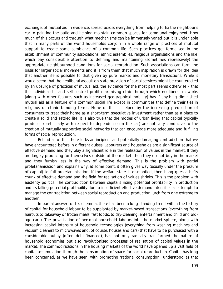exchange, of mutual aid in evidence, spread across everything from helping to fix the neighbour's car to painting the patio and helping maintain common spaces for communal enjoyment. How much of this occurs and through what mechanisms can be immensely varied but it is undeniable that in many parts of the world households conjoin in a whole range of practices of mututal support to create some semblance of a common life. Such practices get formalised in the establishment of community associations, ethnic assemblies, religious organisations and the like, which pay considerable attention to defining and maintaining (sometimes repressively) the appropriate neighbourhood conditions for social reproduction. Such associations can form the basis for larger social movements and it is from them that much inspiration is drawn for the idea that another life is possible to that given by pure market and monetary transactions. While it would seem that the neoliberal assault on state provision of social services might be counteracted by an upsurge of practices of mutual aid, the evidence for the most part seems otherwise – that the individualistic and self-centred profit-maximising ethic through which neoliberalism works (along with other features such as increased geographical mobility) has if anything diminished mutual aid as a feature of a common social life except in communities that define their ties in religious or ethnic bonding terms. None of this is helped by the increasing predilection of consumers to treat their home as a short-term speculative investment rather than as a place to create a solid and settled life. It is also true that the modes of urban living that capital typically produces (particularly with respect to dependence on the car) are not very conducive to the creation of mutually supportive social networks that can encourage more adequate and fulfilling forms of social reproduction.

Behind all of this there lurks an incipient and potentially damaging contradiction that we have encountered before in different guises. Labourers and households are a significant source of effective demand and they play a significant role in the realisation of values in the market. If they are largely producing for themselves outside of the market, then they do not buy in the market and they furnish less in the way of effective demand. This is the problem with partial proletarianisation and explains why, at some point, it often gives way (usually under the pressure of capital) to full proletarianisation. If the welfare state is dismantled, then bang goes a hefty chunk of effective demand and the field for realisation of values shrinks. This is the problem with austerity politics. The contradiction between capital's rising potential profitability in production and its falling potential profitability due to insufficient effective demand intensifies as attempts to manage the contradiction between social reproduction and production lurch from one extreme to another.

In partial answer to this dilemma, there has been a long-standing trend within the history of capital for household labour to be supplanted by market-based transactions (everything from haircuts to takeaway or frozen meals, fast foods, to dry-cleaning, entertainment and child and oldage care). The privatisation of personal household labours into the market sphere, along with increasing capital intensity of household technologies (everything from washing machines and vacuum cleaners to microwaves and, of course, houses and cars) that have to be purchased with a considerable outlay (often debt-financed), has not only radically transformed the nature of household economies but also revolutionised processes of realisation of capital values in the market. The commodifications in the housing markets of the world have opened up a vast field of capital accumulation through the consumption of space for social reproduction. Capital has long been concerned, as we have seen, with promoting 'rational consumption', understood as that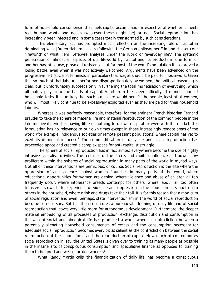form of household consumerism that fuels capital accumulation irrespective of whether it meets real human wants and needs (whatever these might be) or not. Social reproduction has increasingly been infected and in some cases totally transformed by such considerations.

This elementary fact has prompted much reflection on the increasing role of capital in dominating what Jürgen Habermas calls (following the German philosopher Edmund Husserl) our 'lifeworld' or what Henri Lefebvre analyses under the rubric of 'everyday life'.<sup>7</sup> The systemic penetration of almost all aspects of our lifeworld by capital and its products in one form or another has, of course, provoked resistance, but for most of the world's population it has proved a losing battle, even when it was not actively welcomed. Arguments have been advanced on the progressive left (socialist feminists in particular) that wages should be paid for housework. Given that so much of that labour is performed disproportionately by women, the political reasoning is clear, but it unfortunately succeeds only in furthering the total monetisation of everything, which ultimately plays into the hands of capital. Apart from the sheer difficulty of monetisation of household tasks, it is unlikely that such a measure would benefit the people, least of all women, who will most likely continue to be excessively exploited even as they are paid for their household labours.

Whereas it was perfectly reasonable, therefore, for the eminent French historian Fernand Braudel to take the sphere of material life and material reproduction of the common people in the late medieval period as having little or nothing to do with capital or even with the market, this formulation has no relevance to our own times except in those increasingly remote areas of the world (for example, indigenous societies or remote peasant populations) where capital has yet to exert its dominant influence.<sup>8</sup> The commodification of daily life and social reproduction has proceeded apace and created a complex space for anti-capitalist struggle.

The sphere of social reproduction has in fact almost everywhere become the site of highly intrusive capitalist activities. The tentacles of the state's and capital's influence and power now proliferate within the spheres of social reproduction in many parts of the world in myriad ways. Not all of these interventions are pernicious, of course. Social reproduction is the site where the oppression of and violence against women flourishes in many parts of the world, where educational opportunities for women are denied, where violence and abuse of children all too frequently occur, where intolerance breeds contempt for others, where labour all too often transfers its own bitter experience of violence and oppression in the labour process back on to others in the household, where drink and drugs take their toll. It is for this reason that a modicum of social regulation and even, perhaps, state interventionism in the world of social reproduction become so necessary. But this then constitutes a bureaucratic framing of daily life and of social reproduction that leaves very little room for autonomous development. Furthermore, the deeper material embedding of all processes of production, exchange, distribution and consumption in the web of social and biological life has produced a world where a contradiction between a potentially alienating household consumerism of excess and the consumption necessary for adequate social reproduction becomes every bit as salient as the contradiction between the social reproduction of the labour force and the reproduction of capital. How much of contemporary social reproduction in, say, the United States is given over to training as many people as possible in the insane arts of conspicuous consumption and speculative finance as opposed to training them to be good and well-educated workers?

What Randy Martin calls 'the financialization of daily life' has become a conspicuous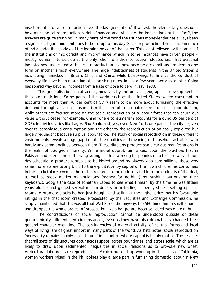insertion into social reproduction over the last generation.<sup>9</sup> If we ask the elementary questions: how much social reproduction is debt-financed and what are the implications of that fact?, the answers are quite stunning. In many parts of the world the usurious moneylender has always been a significant figure and continues to be so up to this day. Social reproduction takes place in much of India under the shadow of the looming power of the usurer. This is not relieved by the arrival of the institutions of microcredit and microfinance (which in some instances have driven people – mostly women – to suicide as the only relief from their collective indebtedness). But personal indebtedness associated with social reproduction has now become a calamitous problem in one form or another almost everywhere. The huge indebtedness of students in the United States is now being mimicked in Britain, Chile and China, while borrowings to finance the conduct of everyday life have been mounting at astonishing rates. In just a few years personal debt in China has soared way beyond incomes from a base of close to zero in, say, 1980.

This generalisation is cut across, however, by the uneven geographical development of these contradictions. Some parts of the world (such as the United States, where consumption accounts for more than 70 per cent of GDP) seem to be more about furnishing the effective demand through an alien consumerism that corrupts reasonable forms of social reproduction, while others are focused more on the social reproduction of a labour force that can churn out value without cease (for example, China, where consumerism accounts for around 35 per cent of GDP). In divided cities like Lagos, São Paulo and, yes, even New York, one part of the city is given over to conspicuous consumption and the other to the reproduction of an easily exploited but largely redundant because surplus labour force. The study of social reproduction in these different environments reveals a huge gap in both the qualities and meaning of household activities, with hardly any commonalities between them. These divisions produce some curious manifestations in the realm of bourgeois morality. While moral opprobrium is cast upon the practices first in Pakistan and later in India of having young children working for pennies on a ten- or twelve-hourday schedule to produce footballs to be kicked around by players who earn millions, these very same moralists are totally blind to the exploitation by capital of their own children as consumers in the marketplace, even as those children are also being inculcated into the dark arts of the deal, as well as stock market manipulations (money for nothing) by pushing buttons on their keyboards. Google the case of Jonathan Lebed to see what I mean. By the time he was fifteen years old he had gained several million dollars from trading in penny stocks, setting up chat rooms to promote stocks he had just bought and selling at the higher price that his favourable ratings in the chat room created. Prosecuted by the Securities and Exchange Commission, he simply maintained that this was all that Wall Street did anyway; the SEC fined him a small amount and dropped the whole project of prosecution like a hot potato because Lebed was quite right.

The contradictions of social reproduction cannot be understood outside of these geographically differentiated circumstances, even as they have also dramatically changed their general character over time. The contingencies of material activity, of cultural forms and local ways of living, are of great import in many parts of the world. As Katz notes, social reproduction 'necessarily remains mainly place-bound' in a context where capital is highly mobile. The result is that 'all sorts of disjunctures occur across space, across boundaries, and across scale, which are as likely to draw upon sedimented inequalities in social relations as to provoke new ones'. Agricultural labourers are reproduced in Mexico but end up working in the fields of California, women workers raised in the Philippines play a large part in furnishing domestic labour in New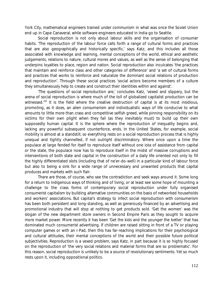York City, mathematical engineers trained under communism in what was once the Soviet Union end up in Cape Canaveral, while software engineers educated in India go to Seattle.

Social reproduction is not only about labour skills and the organisation of consumer habits. 'The reproduction of the labour force calls forth a range of cultural forms and practices that are also geographically and historically specific,' says Katz, and this includes all those associated with knowledge and learning, mental conceptions of the world, ethical and aesthetic judgements, relations to nature, cultural mores and values, as well as the sense of belonging that underpins loyalties to place, region and nation. Social reproduction also inculcates 'the practices that maintain and reinforce class and other categories of difference' and 'a set of cultural forms and practices that works to reinforce and naturalize the dominant social relations of production and reproduction'. Through these social practices 'social actors become members of a culture they simultaneously help to create and construct their identities within and against'.

'The questions of social reproduction are,' concludes Katz, 'vexed and slippery, but the arena of social reproduction is where much of the toll of globalized capitalist production can be witnessed.<sup>'10</sup> It is the field where the creative destruction of capital is at its most insidious, promoting, as it does, an alien consumerism and individualistic ways of life conducive to what amounts to little more than crass and competitive selfish greed, while pinning responsibility on its victims for their own plight when they fail (as they inevitably must) to build up their own supposedly human capital. It is the sphere where the reproduction of inequality begins and, lacking any powerful subsequent counterforce, ends. In the United States, for example, social mobility is almost at a standstill, so everything rests on a social reproduction process that is highly unequal and tightly channelled, if not outright discriminatory. Where once upon a time the populace at large fended for itself to reproduce itself without one iota of assistance from capital or the state, the populace now has to reproduce itself in the midst of massive corruptions and interventions of both state and capital in the construction of a daily life oriented not only to fill the highly differentiated slots (including that of ne'er-do-well) in a particular kind of labour force but also to being a sink for a wide range of unnecessary and unwanted products that capital produces and markets with such flair.

There are those, of course, who see the contradiction and seek ways around it. Some long for a return to indigenous ways of thinking and of living, or at least see some hope of mounting a challenge to the crass forms of contemporary social reproduction under fully organised consumerist capitalism by building alternative communities on the basis of networked households and workers' associations. But capital's strategy to infect social reproduction with consumerism has been both persistent and long-standing, as well as generously financed by an advertising and promotional industry that will stop at nothing to get products sold. 'Get the women' was the slogan of the new department store owners in Second Empire Paris as they sought to acquire more market power. More recently it has been 'Get the kids and the younger the better' that has dominated much consumerist advertising. If children are raised sitting in front of a TV or playing computer games or with an i-Pad, then this has far-reaching implications for their psychological and cultural attitudes, their mental conceptions of the world and their possible future political subjectivities. Reproduction is a vexed problem, says Katz, in part because it is so highly focused on the reproduction of 'the very social relations and material forms that are so problematic'. For this reason, social reproduction is unlikely to be a source of revolutionary sentiments. Yet so much rests upon it, including oppositional politics.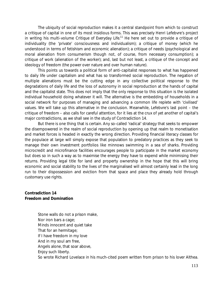The ubiquity of social reproduction makes it a central standpoint from which to construct a critique of capital in one of its most insidious forms. This was precisely Henri Lefebvre's project in writing his multi-volume *Critique of Everyday Life*.<sup>11</sup> He here set out to provide a critique of individuality (the 'private' consciousness and individualism); a critique of money (which he understood in terms of fetishism and economic alienation); a critique of needs (psychological and moral alienation from consumerism though not, of course, from necessary consumption); a critique of work (alienation of the worker); and, last but not least, a critique of the concept and ideology of freedom (the power over nature and over human nature).

This points us towards a political form of anti-capitalist responses to what has happened to daily life under capitalism and what has so transformed social reproduction. The negation of multiple alienations must be the cutting edge in any collective political response to the degradations of daily life and the loss of autonomy in social reproduction at the hands of capital and the capitalist state. This does not imply that the only response to this situation is the isolated individual household doing whatever it will. The alternative is the embedding of households in a social network for purposes of managing and advancing a common life replete with 'civilised' values. We will take up this alternative in the conclusion. Meanwhile, Lefebvre's last point – the critique of freedom – also calls for careful attention, for it lies at the crux of yet another of capital's major contradictions, as we shall see in the study of Contradiction 14.

But there is one thing that is certain. Any so-called 'radical' strategy that seeks to empower the disempowered in the realm of social reproduction by opening up that realm to monetisation and market forces is headed in exactly the wrong direction. Providing financial literacy classes for the populace at large will simply expose that population to predatory practices as they seek to manage their own investment portfolios like minnows swimming in a sea of sharks. Providing microcredit and microfinance facilities encourages people to participate in the market economy but does so in such a way as to maximise the energy they have to expend while minimising their returns. Providing legal title for land and property ownership in the hope that this will bring economic and social stability to the lives of the marginalised will almost certainly lead in the long run to their dispossession and eviction from that space and place they already hold through customary use rights.

**Contradiction 14 Freedom and Domination** 

> Stone walls do not a prison make, Nor iron bars a cage; Minds innocent and quiet take That for an hermitage; If I have freedom in my love And in my soul am free, Angels alone, that soar above, Enjoy such liberty. So wrote Richard Lovelace in his much-cited poem written from prison to his lover Althea.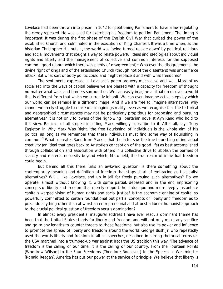Lovelace had been thrown into prison in 1642 for petitioning Parliament to have a law regulating the clergy repealed. He was jailed for exercising his freedom to petition Parliament. The timing is important. It was during the first phase of the English Civil War that curbed the power of the established Church and culminated in the execution of King Charles I. It was a time when, as the historian Christopher Hill puts it, the world was 'being turned upside down' by political, religious and social movements that sought a way to relate powerful ideas and ideologies about individual rights and liberty and the management of collective and common interests for the supposed common good (about which there was plenty of disagreement).<sup>1</sup> Whatever the disagreements, the divine right of kings and of the established Church (though not of the dissenters) was under fierce attack. But what sort of body politic could and might replace it and with what freedoms?

The sentiments expressed in Lovelace's poem are very much alive and well. Most of us socialised into the ways of capital believe we are blessed with a capacity for freedom of thought no matter what walls and barriers surround us. We can easily imagine a situation or even a world that is different from that which we currently inhabit. We can even imagine active steps by which our world can be remade in a different image. And if we are free to imagine alternatives, why cannot we freely struggle to make our imaginings reality, even as we recognise that the historical and geographical circumstances may not be particularly propitious for proposing and pursuing alternatives? It is not only followers of the right-wing libertarian novelist Ayn Rand who hold to this view. Radicals of all stripes, including Marx, willingly subscribe to it. After all, says Terry Eagleton in *Why Marx Was Right*, 'the free flourishing of individuals is the whole aim of his politics, as long as we remember that these individuals must find some way of flourishing in common'.<sup>2</sup> What separates Rand from Marx is that the latter saw the true flourishing of individual creativity (an ideal that goes back to Aristotle's conception of the good life) as best accomplished through collaboration and association with others in a collective drive to abolish the barriers of scarcity and material necessity beyond which, Marx held, the true realm of individual freedom could begin.

But behind all this there lurks an awkward question: is there something about the contemporary meaning and definition of freedom that stops short of embracing anti-capitalist alternatives? Will I, like Lovelace, end up in jail for freely pursuing such alternatives? Do we operate, almost without knowing it, with some partial, debased and in the end imprisoning concepts of liberty and freedom that merely support the status quo and more deeply instantiate capital's warped vision of human rights and social justice? Is the economic engine of capital so powerfully committed to certain foundational but partial concepts of liberty and freedom as to preclude anything other than at worst an entrepreneurial and at best a liberal humanist approach to the crucial political question of freedom versus domination?

In almost every presidential inaugural address I have ever read, a dominant theme has been that the United States stands for liberty and freedom and will not only make any sacrifice and go to any lengths to counter threats to those freedoms, but also use its power and influence to promote the spread of liberty and freedom around the world. George Bush Jr, who repeatedly used the words liberty and freedom in all his speeches, described in stirring rhetorical terms (as the USA marched into a trumped-up war against Iraq) the US tradition this way: 'The advance of freedom is the calling of our time. It is the calling of our country. From the Fourteen Points [Woodrow Wilson] to the Four Freedoms [Theodore Roosevelt] to the Speech at Westminster [Ronald Reagan], America has put our power at the service of principle. We believe that liberty is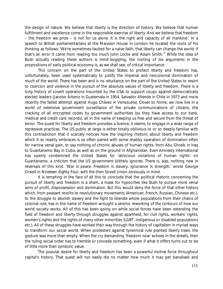the design of nature. We believe that liberty is the direction of history. We believe that human fulfillment and excellence come in the responsible exercise of liberty. And we believe that freedom – the freedom we prize – is not for us alone. It is the right and capacity of all mankind.' In a speech to British parliamentarians at the Mansion House in London he located the roots of his thinking as follows: 'We're sometimes faulted for a naïve faith, that liberty can change the world: if that's an error it came from reading too much John Locke and Adam Smith.<sup>,3</sup> While the idea of Bush actually reading these authors is mind-boggling, the rooting of his arguments in the propositions of early political economy is, as we shall see, of critical importance.

This concern on the part of the United States to protect liberty and freedom has, unfortunately, been used systematically to justify the imperial and neocolonial domination of much of the world. There has been and is no reluctance on the part of the United States to resort to coercion and violence in the pursuit of the absolute values of liberty and freedom. There is a long history of covert operations mounted by the USA to support coups against democratically elected leaders (Jacobo Arbenz in Guatemala in 1954, Salvador Allende in Chile in 1973 and more recently the failed attempt against Hugo Chávez in Venezuela). Closer to home, we now live in a world of extensive government surveillance of the private communications of citizens, the cracking of all encrypted codes by government authorities (so they have access to our bank, medical and credit card records), all in the name of keeping us free and secure from the threat of terror. The quest for liberty and freedom provides a licence, it seems, to engage in a wide range of repressive practices. The US public at large is either totally oblivious to or so deeply familiar with this contradiction that it scarcely notices how the inspiring rhetoric about liberty and freedom which it so readily embraces is so often paired with some shabby operation of domination often for narrow venal gain, to say nothing of chronic abuses of human rights, from Abu Ghraib in Iraq to Guantanamo Bay in Cuba, as well as on the ground in Afghanistan. Even Amnesty International has openly condemned the United States for 'atrocious violations of human rights' on Guantanamo, a criticism that the US government blithely ignores. There is, alas, nothing new in reversals of this kind. 'War is peace. Freedom is slavery. Ignorance is strength,' wrote George Orwell in *Nineteen Eighty-Four*, with the then Soviet Union obviously in mind.

It is tempting in the face of all this to conclude that the political rhetoric concerning the pursuit of liberty and freedom is a sham, a mask for hypocrites like Bush to pursue more venal aims of profit, dispossession and domination. But this would deny the force of that other history which, from peasant revolts to revolutionary movements (American, French, Russian, Chinese etc.), to the struggle to abolish slavery and the fight to liberate whole populations from their chains of colonial rule, has in the name of freedom wrought a seismic reworking of the contours of how our world society works. All of this has been going on while social forces have been extending the field of freedom and liberty through struggles against apartheid, for civil rights, workers' rights, women's rights and the rights of many other minorities (LGBT, indigenous or disabled populations etc.). All of these struggles have worked their way through the history of capitalism in myriad ways to transform our social world. When protesters against tyrannical rule planted liberty trees, the gesture was more than empty. When the cry demanding 'freedom now' echoes in the streets, then the ruling social order has to tremble or concede something, even if what it offers turns out to be of little more than symbolic value.

The popular desire for liberty and freedom has been a powerful motive force throughout capital's history. That quest will not easily die no matter how much it may get banalised and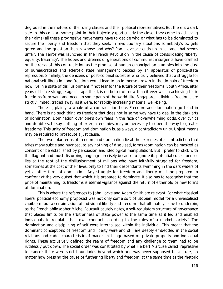degraded in the rhetoric of the ruling classes and their political representatives. But there is a dark side to this coin. At some point in their trajectory (particularly the closer they come to achieving their aims) all these progressive movements have to decide who or what has to be dominated to secure the liberty and freedom that they seek. In revolutionary situations somebody's ox gets gored and the question then is whose and why? Poor Lovelace ends up in jail and that seems unfair. The Terror was launched in the French Revolution in the cause of consolidating 'liberty, equality, fraternity'. The hopes and dreams of generations of communist insurgents have crashed on the rocks of this contradiction as the promise of human emancipation crumbles into the dust of bureaucratised and sclerotic state management backed by an apparatus of police-state repression. Similarly, the denizens of post-colonial societies who truly believed that a struggle for national self-liberation and freedom would lead to an immense growth in the domain of freedom now live in a state of disillusionment if not fear for the future of their freedoms. South Africa, after years of fierce struggle against apartheid, is no better off now than it ever was in achieving basic freedoms from want and need. In some parts of the world, like Singapore, individual freedoms are strictly limited, traded away, as it were, for rapidly increasing material well-being.

There is, plainly, a whale of a contradiction here. Freedom and domination go hand in hand. There is no such thing as freedom that does not in some way have to deal in the dark arts of domination. Domination over one's own fears in the face of overwhelming odds, over cynics and doubters, to say nothing of external enemies, may be necessary to open the way to greater freedoms. This unity of freedom and domination is, as always, a contradictory unity. Unjust means may be required to prosecute a just cause.

The two polar terms of freedom and domination lie at the extremes of a contradiction that takes many subtle and nuanced, to say nothing of disguised, forms (domination can be masked as consent or be established by persuasion and ideological manipulation). But I prefer to stick with the flagrant and most disturbing language precisely because to ignore its potential consequences lies at the root of the disillusionment of millions who have faithfully struggled for freedom, sometimes at the cost of their lives, only to find their descendants swimming in the dark waters of yet another form of domination. Any struggle for freedom and liberty must be prepared to confront at the very outset that which it is prepared to dominate. It also has to recognise that the price of maintaining its freedoms is eternal vigilance against the return of either old or new forms of domination.

This is where the references to John Locke and Adam Smith are relevant. For what classical liberal political economy proposed was not only some sort of utopian model for a universalised capitalism but a certain vision of individual liberty and freedom that ultimately came to underpin, as the French philosopher Michel Foucault acutely notes, a self-regulatory structure of governance that placed limits on the arbitrariness of state power at the same time as it led and enabled individuals to regulate their own conduct according to the rules of a market society.<sup>4</sup> The domination and disciplining of self were internalised within the individual. This meant that the dominant conceptions of freedom and liberty were and still are deeply embedded in the social relations and codes characteristic of market exchange based on private property and individual rights. These exclusively defined the realm of freedom and any challenge to them had to be ruthlessly put down. The social order was constituted by what Herbert Marcuse called 'repressive tolerance': there were strict boundaries beyond which one was never supposed to venture, no matter how pressing the cause of furthering liberty and freedom, at the same time as the rhetoric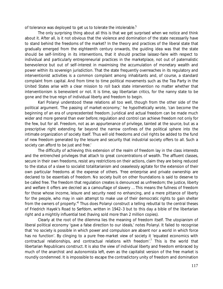of tolerance was deployed to get us to tolerate the intolerable.<sup>5</sup>

The only surprising thing about all this is that we get surprised when we notice and think about it. After all, is it not obvious that the violence and domination of the state necessarily have to stand behind the freedoms of the market? In the theory and practices of the liberal state that gradually emerged from the eighteenth century onwards, the guiding idea was that the state should be self-limiting in its interventions, that it should practise laissez-faire with respect to individual and particularly entrepreneurial practices in the marketplace, not out of paternalistic benevolence but out of self-interest in maximising the accumulation of monetary wealth and power within its sovereign jurisdiction. That the state frequently overreaches in its regulatory and interventionist activities is a common complaint among inhabitants and, of course, a standard complaint from capital. And from time to time political movements such as the Tea Party in the United States arise with a clear mission to roll back state intervention no matter whether that interventionism is benevolent or not. It is time, say libertarian critics, for the nanny state to be gone and the true reign of individual liberty and freedom to begin.

Karl Polanyi understood these relations all too well, though from the other side of the political argument. 'The passing of market-economy,' he hypothetically wrote, 'can become the beginning of an era of unprecedented freedom. Juridical and actual freedom can be made much wider and more general than ever before; regulation and control can achieve freedom not only for the few, but for all. Freedom, not as an appurtenance of privilege, tainted at the source, but as a prescriptive right extending far beyond the narrow confines of the political sphere into the intimate organization of society itself. Thus will old freedoms and civil rights be added to the fund of new freedom generated by the leisure and security that industrial society offers to all. Such a society can afford to be just and free.'

The difficulty of achieving this extension of the realm of freedom lay in the class interests and the entrenched privileges that attach to great concentrations of wealth. The affluent classes, secure in their own freedoms, resist any restrictions on their actions, claim they are being reduced to the status of a slave to socialist totalitarianism and ceaselessly agitate for the extension of their own particular freedoms at the expense of others. 'Free enterprise and private ownership are declared to be essentials of freedom. No society built on other foundations is said to deserve to be called free. The freedom that regulation creates is denounced as unfreedom; the justice, liberty and welfare it offers are decried as a camouflage of slavery … This means the fullness of freedom for those whose income, leisure and security need no enhancing, and a mere pittance of liberty for the people, who may in vain attempt to make use of their democratic rights to gain shelter from the owners of property.<sup>6</sup> Thus does Polanyi construct a telling rebuttal to the central theses of Friedrich Hayek's *Road to Serfdom*, written in 1942–3 but to this day a bible of the libertarian right and a mightily influential text (having sold more than 2 million copies).

Clearly at the root of the dilemma lies the meaning of freedom itself. The utopianism of liberal political economy 'gave a false direction to our ideals,' notes Polanyi. It failed to recognise that 'no society is possible in which power and compulsion are absent nor a world in which force has no function'. By clinging to a pure free-market view of society it 'equated economics with contractual relationships, and contractual relations with freedom'.<sup>7</sup> This is the world that libertarian Republicans construct. It is also the view of individual liberty and freedom embraced by much of the anarchist and autonomista left, even as the capitalist version of the free market is roundly condemned. It is impossible to escape the contradictory unity of freedom and domination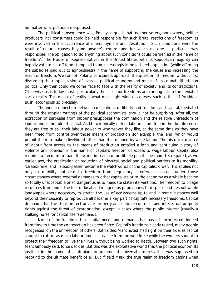no matter what politics are espoused.

The political consequence was, Polanyi argued, that 'neither voters, nor owners, neither producers, nor consumers could be held responsible for such brutal restrictions of freedom as were involved in the occurrence of unemployment and destitution'. Such conditions were the result of natural causes beyond anyone's control and for which no one in particular was responsible. The obligation to do anything about such conditions could be 'denied in the name of freedom'.<sup>8</sup> The House of Representatives in the United States with its Republican majority can happily vote to cut off food stamp aid to an increasingly impoverished population (while affirming the subsidies paid out to agribusiness) in the name of supporting the cause and increasing the realm of freedom. We cannot, Polanyi concluded, approach the question of freedom without first discarding the utopian vision of classical political economy and much of its cognate libertarian politics. Only then could we come 'face to face with the reality of society' and its contradictions. Otherwise, as is today most spectacularly the case, our freedoms are contingent on the denial of social reality. This denial of reality is what most right-wing discourses, such as that of President Bush, accomplish so precisely.

The inner connection between conceptions of liberty and freedom and capital, mediated through the utopian writings of the political economists, should not be surprising. After all, the extraction of surpluses from labour presupposes the domination and the relative unfreedom of labour under the rule of capital. As Marx ironically noted, labourers are free in the double sense: they are free to sell their labour power to whomsover they like, at the same time as they have been freed from control over those means of production (for example, the land) which would permit them to make a livelihood other than that defined by wage labour. The historical divorce of labour from access to the means of production entailed a long and continuing history of violence and coercion in the name of capital's freedom of access to wage labour. Capital also required a freedom to roam the world in search of profitable possibilities and this required, as we earlier saw, the eradication or reduction of physical, social and political barriers to its mobility. 'Laissez-faire' and 'laissez-passer' became the watchwords of the capitalist order. This applies not only to mobility but also to freedom from regulatory interference, except under those circumstances where external damages to other capitalists or to the economy as a whole became so totally unacceptable or so dangerous as to mandate state interventions. The freedom to pillage resources from under the feet of local and indigenous populations, to displace and despoil whole landscapes where necessary, to stretch the use of ecosystems up to and in some instances well beyond their capacity to reproduce all became a key part of capital's necessary freedoms. Capital demands that the state protect private property and enforce contracts and intellectual property rights against the threat of expropriation, except in cases where the public interest (usually a stalking horse for capital itself) demands.

None of the freedoms that capital needs and demands has passed uncontested. Indeed from time to time the contestation has been fierce. Capital's freedoms clearly rested, many people recognised, on the unfreedom of others. Both sides, Marx noted, had right on their side, as capital sought to extract as much labour time as possible from the workforce while the workers sought to protect their freedom to live their lives without being worked to death. Between two such rights, Marx famously said, force decides. But this was the exploitative world that the political economists justified in the name of a utopian programme of universal progress that was supposed to redound to the ultimate benefit of all. But if, said Marx, the true realm of freedom begins when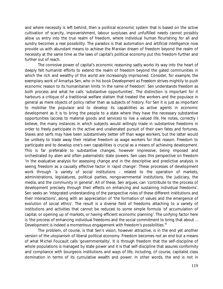and where necessity is left behind, then a political economic system that is based on the active cultivation of scarcity, impoverishment, labour surpluses and unfulfilled needs cannot possibly allow us entry into the true realm of freedom, where individual human flourishing for all and sundry becomes a real possibility. The paradox is that automation and artificial intelligence now provide us with abundant means to achieve the Marxian dream of freedom beyond the realm of necessity at the same time as the laws of capital's political economy put this freedom further and further out of reach.

The corrosive power of capital's economic reasoning sadly works its way into the heart of deeply felt humanist efforts to extend the realm of freedom beyond the gated communities in which the rich and wealthy of this world are increasingly imprisoned. Consider, for example, the exemplary work of Amartya Sen, who in his book *Development as Freedom* strives mightily to push economic reason to its humanitarian limits 'in the name of freedom'. Sen understands freedom as both process and what he calls 'substantive opportunities'. The distinction is important for it harbours a critique of a traditional welfare statism that treated the workers and the populace in general as mere objects of policy rather than as subjects of history. For Sen it is just as important to mobilise the populace and to develop its capabilities as active agents in economic development as it is to bring the people to a state where they have the necessary substantive opportunities (access to material goods and services) to live a valued life. He notes, correctly I believe, the many instances in which subjects would willingly trade in substantive freedoms in order to freely participate in the active and unalienated pursuit of their own fates and fortunes. Slaves and serfs may have been substantively better off than wage workers, but the latter would be unlikely to trade away their relative freedom as wage workers for that reason. Freedom to participate and to develop one's own capabilities is crucial as a means of achieving development. This is far preferable to substantive changes, however impressive, being imposed and orchestrated by alien and often paternalistic state powers. Sen uses this perspective on freedom 'in the evaluative analysis for assessing change and in the descriptive and predictive analysis in seeing freedom as a causally effective factor in rapid change'. These processes of development work through 'a variety of social institutions – related to the operation of markets, administrations, legislatures, political parties, nongovernmental institutions, the judiciary, the media, and the community in general'. All of these, Sen argues, can 'contribute to the process of development precisely through their effects on enhancing and sustaining individual freedoms'. Sen seeks an 'integrated understanding of the perspective roles of these different institutions and their interactions', along with an appreciation of 'the formation of values and the emergence of evolution of social ethics'. The result is a diverse field of freedoms attaching to a variety of institutions and activities that cannot be reduced to some simple formula 'of accumulation of capital, or opening up of markets, or having efficient economic planning'. The unifying factor here is 'the process of enhancing individual freedoms and the social commitment to bring that about … Development is indeed a momentous engagement with freedom's possibilities.<sup>'9</sup>

The problem, of course, is that Sen's vision, however attractive, is in the end yet another version of the utopianism of liberal political economy. Freedom becomes not an end but a means of what Michel Foucault calls 'governmentality'. It is *through* freedom that the self-discipline of whole populations is managed by state power and it is that self-discipline that assures conformity and compliance with bourgeois institutions and ways of life, including, of course, capitalist class domination in terms of its cumulative wealth and power. In other words, the end is not in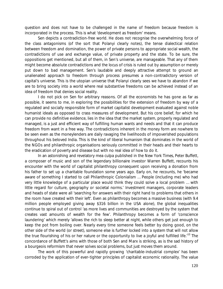question and does not have to be challenged in the name of freedom because freedom is incorporated in the process. This is what 'development as freedom' means.

Sen depicts a contradiction-free world. He does not recognise the overwhelming force of the class antagonisms (of the sort that Polanyi clearly notes), the tense dialectical relation between freedom and domination, the power of private persons to appropriate social wealth, the contradictions of use and exchange value, of private property and the state. To be sure, the oppositions get mentioned, but all of them, in Sen's universe, are manageable. That any of them might become absolute contradictions and the locus of crisis is ruled out by assumption or merely put down to bad management. Sen's laudable and deeply attractive attempt to ground an unalienated approach to freedom through process presumes a non-contradictory version of capital's universe. This is the utopian universe that Polanyi clearly sees we have to abandon if we are to bring society into a world where real substantive freedoms can be achieved instead of an idea of freedom that denies social reality.

I do not pick on Sen for arbitrary reasons. Of all the economists he has gone as far as possible, it seems to me, in exploring the possibilities for the extension of freedom by way of a regulated and socially responsible form of market capitalist development evaluated against noble humanist ideals as opposed to crass measures of development. But his core belief, for which he can provide no definitive evidence, lies in the idea that the market system, properly regulated and managed, is a just and efficient way of fulfilling human wants and needs and that it can produce freedom from want in a free way. The contradictions inherent in the money form are nowhere to be seen even as the moneylenders are daily ravaging the livelihoods of impoverished populations throughout his beloved India. This is the kind of liberal humanism that dominates in the world of the NGOs and philanthropic organisations seriously committed in their heads and their hearts to the eradication of poverty and disease but with no real idea of how to do it.

In an astonishing and revelatory mea culpa published in the *New York Times*, Peter Buffett, a composer of music and son of the legendary billionaire investor Warren Buffett, recounts his encounter with the world of capitalist philanthropy consequent upon receiving a donation from his father to set up a charitable foundation some years ago. Early on, he recounts, he 'became aware of something I started to call Philanthropic Colonialism … People (including me) who had very little knowledge of a particular place would think they could solve a local problem … with little regard for culture, geography or societal norms.' Investment managers, corporate leaders and heads of state were all 'searching for answers with their right hand to problems that others in the room have created with their left'. Even as philanthropy becomes a massive business (with 9.4 million people employed giving away \$316 billion in the USA alone), the global inequalities continue to spiral out of control 'as more lives and communities are destroyed by the system that creates vast amounts of wealth for the few'. Philanthropy becomes a form of 'conscience laundering' which merely 'allows the rich to sleep better at night, while others get just enough to keep the pot from boiling over. Nearly every time someone feels better by doing good, on the other side of the world (or street), someone else is further locked into a system that will not allow the true flourishing of his or her nature or the opportunity to live a joyful and fulfilled life.<sup>'10</sup> The concordance of Buffett's aims with those of both Sen and Marx is striking, as is the sad history of a bourgeois reformism that never solves social problems, but just moves them around.

The work of this powerful and rapidly growing 'charitable-industrial complex' has been corroded by the application of ever-tighter principles of capitalist economic rationality. The value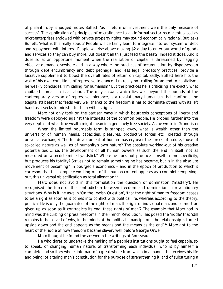of philanthropy is judged, notes Buffett, 'as if return on investment were the only measure of success'. The application of principles of microfinance to an informal sector reconceptualised as microenterprises endowed with private property rights may sound economically rational. But, asks Buffett, 'what is this really about? People will certainly learn to integrate into our system of debt and repayment with interest. People will rise above making \$2 a day to enter our world of goods and services so they can buy more. But doesn't all this just feed the beast?' Indeed it does. And it does so at an opportune moment when the realisation of capital is threatened by flagging effective demand elsewhere and in a way where the practices of accumulation by dispossession through debt encumbrancy and debt peonage (and less legal predatory practices) provide a lucrative supplement to boost the overall rates of return on capital. Sadly, Buffett here hits the wall of his own conditions of repressive tolerance. 'I'm really not calling for an end to capitalism,' he weakly concludes, 'I'm calling for humanism.' But the practices he is criticising are exactly what capitalist humanism is all about. The only answer, which lies well beyond the bounds of the contemporary version of repressive tolerance, is a revolutionary humanism that confronts the (capitalist) beast that feeds very well thanks to the freedom it has to dominate others with its left hand as it seeks to minister to them with its right.

Marx not only took on the partisan ways in which bourgeois conceptions of liberty and freedom were deployed against the interests of the common people. He probed further into the very depths of what true wealth might mean in a genuinely free society. As he wrote in *Grundrisse*:

When the limited bourgeois form is stripped away, what is wealth other than the universality of human needs, capacities, pleasures, productive forces etc., created through universal exchange? The full development of human mastery over the forces of nature, those of so-called nature as well as of humanity's own nature? The absolute working-out of his creative potentialities … i.e. the development of all human powers as such the end in itself, not as measured on a *predetermined* yardstick? Where he does not produce himself in one specificity, but produces his totality? Strives not to remain something he has become, but is in the absolute movement of becoming? In bourgeois economics – and in the epoch of production to which it corresponds – this complete working-out of the human content appears as a complete emptyingout, this universal objectification as total alienation.<sup>11</sup>

Marx does not avoid in this formulation the question of domination ('mastery'). He recognised the force of the contradiction between freedom and domination in revolutionary situations. Why is it, he asks in 'On the Jewish Question', 'that the right of man to freedom ceases to be a right as soon as it comes into conflict with political life, whereas according to the theory, political life is only the guarantee of the rights of man, the right of individual man, and so must be given up as soon as it contradicts its end, these rights of man'? The example that Marx had in mind was the curbing of press freedoms in the French Revolution. This posed the 'riddle' that 'still remains to be solved of why, in the minds of the political emancipators, the relationship is turned upside down and the end appears as the means and the means as the end'.<sup>12</sup> Marx got to the heart of the riddle of how freedom became slavery well before George Orwell.

Marx thought he found the answer in the writings of Rousseau:

He who dares to undertake the making of a people's institutions ought to feel capable, so to speak, of changing human nature, of transforming each individual, who is by himself a complete and solitary whole, into part of a great whole from which in a manner he receives his life and being; of altering man's constitution for the purpose of strengthening it; and of substituting a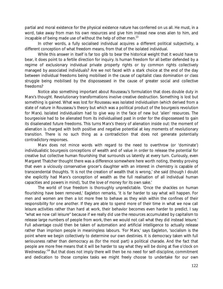partial and moral existence for the physical existence nature has conferred on us all. He must, in a word, take away from man his own resources and give him instead new ones alien to him, and incapable of being made use of without the help of other men.<sup>13</sup>

In other words, a fully socialised individual acquires a different political subjectivity, a different conception of what freedom means, from that of the isolated individual.

While this answer in itself is far too glib to bear the historical weight that it would have to bear, it does point to a fertile direction for inquiry. Is human freedom for all better defended by a regime of exclusionary individual private property rights or by common rights collectively managed by associated individuals? Are we not faced with a stark choice at the end of the day between individual freedoms being mobilised in the cause of capitalist class domination or class struggle being mobilised by the dispossessed in the cause of greater social and collective freedoms?

Notice also something important about Rousseau's formulation that does double duty in Marx's thought. Revolutionary transformations involve creative destruction. Something is lost but something is gained. What was lost for Rousseau was isolated individualism (which derived from a state of nature in Rousseau's theory but which was a political product of the bourgeois revolution for Marx). Isolated individualism had to give way in the face of new but 'alien' resources. The bourgeoisie had to be alienated from its individualised past in order for the dispossessed to gain its disalienated future freedoms. This turns Marx's theory of alienation inside out: the moment of alienation is charged with both positive and negative potential at key moments of revolutionary transition. There is no such thing as a contradiction that does not generate potentially contradictory responses.

Marx does not mince words with regard to the need to overthrow (or 'dominate') individualistic bourgeois conceptions of wealth and of value in order to release the potential for creative but collective human flourishing that surrounds us latently at every turn. Curiously, even Margaret Thatcher thought there was a difference somewhere here worth noting, thereby proving that even a viciously conservative grocer's daughter with an interest in chemistry is capable of transcendental thoughts. 'It is not the creation of wealth that is wrong,' she said (though I doubt she explicitly had Marx's conception of wealth as the full realisation of all individual human capacities and powers in mind), 'but the love of money for its own sake.'

The world of true freedom is thoroughly unpredictable. 'Once the shackles on human flourishing have been removed,' Eagleton remarks, 'it is far harder to say what will happen. For men and women are then a lot more free to behave as they wish within the confines of their responsibility for one another. If they are able to spend more of their time in what we now call leisure activities rather than hard at work, their behavior becomes even harder to predict. I say "what we now call leisure" because if we really did use the resources accumulated by capitalism to release large numbers of people from work, then we would not call what they did instead leisure.' Full advantage could then be taken of automation and artificial intelligence to actually release rather than imprison people in meaningless labours. 'For Marx,' says Eagleton, 'socialism is the point where we begin collectively to determine our own destinies. It is democracy taken with full seriousness rather than democracy as (for the most part) a political charade. And the fact that people are more free means that it will be harder to say what they will be doing at five o'clock on Wednesday.<sup>'14</sup> But that does not imply there will then be no need for self-discipline, commitment and dedication to those complex tasks we might freely choose to undertake for our own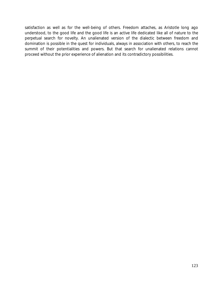satisfaction as well as for the well-being of others. Freedom attaches, as Aristotle long ago understood, to the good life and the good life is an active life dedicated like all of nature to the perpetual search for novelty. An unalienated version of the dialectic between freedom and domination is possible in the quest for individuals, always in association with others, to reach the summit of their potentialities and powers. But that search for unalienated relations cannot proceed without the prior experience of alienation and its contradictory possibilities.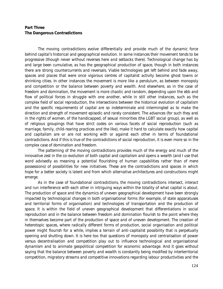## **Part Three The Dangerous Contradictions**

*The moving contradictions evolve differentially and provide much of the dynamic force behind capital's historical and geographical evolution. In some instances their movement tends to be progressive (though never without reverses here and setbacks there). Technological change has by and large been cumulative, as has the geographical production of space, though in both instances there are strong countercurrents and reversals. Viable technologies get left behind and fade away, spaces and places that were once vigorous centres of capitalist activity become ghost towns or shrinking cities. In other instances the movement is more like a pendulum, as between monopoly and competition or the balance between poverty and wealth. And elsewhere, as in the case of freedom and domination, the movement is more chaotic and random, depending upon the ebb and flow of political forces in struggle with one another, while in still other instances, such as the complex field of social reproduction, the intersections between the historical evolution of capitalism and the specific requirements of capital are so indeterminate and intermingled as to make the direction and strength of movement episodic and rarely consistent. The advances (for such they are) in the rights of women, of the handicapped, of sexual minorities (the LGBT social group), as well as of religious groupings that have strict codes on various facets of social reproduction (such as marriage, family, child-rearing practices and the like), make it hard to calculate exactly how capital and capitalism are or are not working with or against each other in terms of foundational contradictions. And if this is true of the contradictions of social reproduction, it is even more so in the complex case of domination and freedom*.

*The patterning of the moving contradictions provides much of the energy and much of the innovative zest in the co-evolution of both capital and capitalism and opens a wealth (and I use that word advisedly as meaning a potential flourishing of human capabilities rather than of mere possessions) of possibilities for new initiatives. These are the contradictions and spaces in which hope for a better society is latent and from which alternative architectures and constructions might emerge*.

*As in the case of foundational contradictions, the moving contradictions intersect, interact and run interference with each other in intriguing ways within the totality of what capital is about. The production of space and the dynamics of uneven geographical development have been strongly impacted by technological changes in both organisational forms (for example, of state apparatuses and territorial forms of organisation) and technologies of transportation and the production of*  space. It is within the field of uneven geographical development that differentiations in social *reproduction and in the balance between freedom and domination flourish to the point where they in themselves become part of the production of space and of uneven development. The creation of heterotopic spaces, where radically different forms of production, social organisation and political power might flourish for a while, implies a terrain of anti-capitalist possibility that is perpetually opening and shutting down. It is here too that questions of monopoly and centralisation of power versus decentralisation and competition play out to influence technological and organisational dynamism and to animate geopolitical competition for economic advantage. And it goes without saying that the balance between poverty and wealth is constantly being modified by interterritorial competition, migratory streams and competitive innovations regarding labour productivities and the*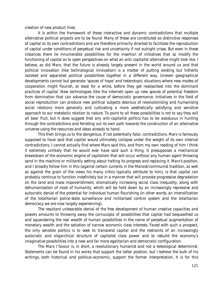## *creation of new product lines*.

*It is within the framework of these interactive and dynamic contradictions that multiple alternative political projects are to be found. Many of these are constituted as distinctive responses of capital to its own contradictions and are therefore primarily directed to facilitate the reproduction of capital under conditions of perpetual risk and uncertainty if not outright crises. But even in these instances there lie innumerable possibilities for the insertion of initiatives that so modify the functioning of capital as to open perspectives on what an anti-capitalist alternative might look like. I*  believe, as did Marx, that the future is already largely present in the world around us and that *political innovation (like technological innovation) is a matter of putting existing but hitherto isolated and separated political possibilities together in a different way. Uneven geographical developments cannot but generate 'spaces of hope' and heterotopic situations where new modes of cooperation might flourish, at least for a while, before they get reabsorbed into the dominant practices of capital. New technologies (like the internet) open up new spaces of potential freedom from domination that can advance the cause of democratic governance. Initiatives in the field of social reproduction can produce new political subjects desirous of revolutionising and humanising social relations more generally and cultivating a more aesthetically satisfying and sensitive approach to our metabolic relation to nature. To point to all these possibilities is not to say they will all bear fruit, but it does suggest that any anti-capitalist politics has to be assiduous in hunting through the contradictions and ferreting out its own path towards the construction of an alternative universe using the resources and ideas already to hand*.

*This then brings us to the dangerous, if not potentially fatal, contradictions. Marx is famously supposed to have said that capital would ultimately collapse under the weight of its own internal contradictions. I cannot actually find where Marx said this, and from my own reading of him I think it extremely unlikely that he would ever have said such a thing. It presupposes a mechanical breakdown of the economic engine of capitalism that will occur without any human agent throwing sand in the machine or militantly setting about halting its progress and replacing it. Marx's position,*  and I broadly follow him in this (against certain currents in the Marxist/communist tradition, as well *as against the grain of the views his many critics typically attribute to him), is that capital can probably continue to function indefinitely but in a manner that will provoke progressive degradation on the land and mass impoverishment, dramatically increasing social class inequality, along with dehumanisation of most of humanity, which will be held down by an increasingly repressive and autocratic denial of the potential for individual human flourishing (in other words, an intensification of the totalitarian police-state surveillance and militarised control system and the totalitarian democracy we are now largely experiencing)*.

*The resultant unbearable denial of the free development of human creative capacities and powers amounts to throwing away the cornucopia of possibilities that capital had bequeathed us and squandering the real wealth of human possibilities in the name of perpetual augmentation of monetary wealth and the satiation of narrow economic class interests. Faced with such a prospect, the only sensible politics is to seek to transcend capital and the restraints of an increasingly autocratic and oligarchical structure of capitalist class power and to rebuild the economy's imaginative possibilities into a new and far more egalitarian and democratic configuration*.

*The Marx I favour is, in short, a revolutionary humanist and not a teleological determinist. Statements can be found in his works that support the latter position, but I believe the bulk of his writings, both historical and political-economic, support the former interpretation. It is for this*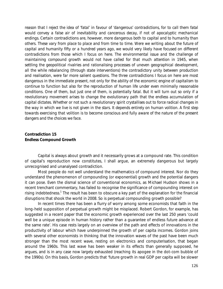*reason that I reject the idea of 'fatal' in favour of 'dangerous' contradictions, for to call them fatal would convey a false air of inevitability and cancerous decay, if not of apocalyptic mechanical endings. Certain contradictions are, however, more dangerous both to capital and to humanity than others. These vary from place to place and from time to time. Were we writing about the future of capital and humanity fifty or a hundred years ago, we would very likely have focused on different contradictions from those which I focus on here. The environmental issue and the challenge of maintaining compound growth would not have called for that much attention in 1945, when settling the geopolitical rivalries and rationalising processes of uneven geographical development, all the while rebalancing (through state interventions) the contradictory unity between production and realisation, were far more salient questions. The three contradictions I focus on here are most dangerous in the immediate present, not only for the ability of the economic engine of capitalism to continue to function but also for the reproduction of human life under even minimally reasonable conditions. One of them, but just one of them, is potentially fatal. But it will turn out so only if a revolutionary movement arises to change the evolutionary path that the endless accumulation of capital dictates. Whether or not such a revolutionary spirit crystallises out to force radical changes in the way in which we live is not given in the stars. It depends entirely on human volition. A first step towards exercising that volition is to become conscious and fully aware of the nature of the present dangers and the choices we face*.

**Contradiction 15 Endless Compound Growth** 

Capital is always about growth and it necessarily grows at a compound rate. This condition of capital's reproduction now constitutes, I shall argue, an extremely dangerous but largely unrecognised and unanalysed contradiction.

Most people do not well understand the mathematics of compound interest. Nor do they understand the phenomenon of compounding (or exponential) growth and the potential dangers it can pose. Even the dismal science of conventional economics, as Michael Hudson shows in a recent trenchant commentary, has failed to recognise the significance of compounding interest on rising indebtedness.<sup>1</sup> The result has been to obscure a key part of the explanation for the financial disruptions that shook the world in 2008. So is perpetual compounding growth possible?

In recent times there has been a flurry of worry among some economists that faith in the long-held supposition of perpetual growth might be misplaced. Robert Gordon, for example, has suggested in a recent paper that the economic growth experienced over the last 250 years 'could well be a unique episode in human history rather than a guarantee of endless future advance at the same rate'. His case rests largely on an overview of the path and effects of innovations in the productivity of labour which have underpinned the growth of per capita incomes. Gordon joins with several other economists in thinking that the innovation waves of the past have been much stronger than the most recent wave, resting on electronics and computerisation, that began around the 1960s. This last wave has been weaker in its effects than generally supposed, he argues, and is in any case now largely exhausted (reaching its apogee in the dot-com bubble of the 1990s). On this basis, Gordon predicts that 'future growth in real GDP per capita will be slower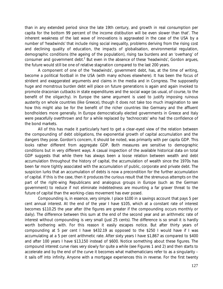than in any extended period since the late 19th century, and growth in real consumption per capita for the bottom 99 percent of the income distibution will be even slower than that'. The inherent weakness of the last wave of innovations is aggravated in the case of the USA by a number of 'headwinds' that include rising social inequality, problems deriving from the rising cost and declining quality of education, the impacts of globalisation, environmental regulation, demographic conditions (the ageing of the population), rising tax burdens and an 'overhang' of consumer and government debt.<sup>2</sup> But even in the absence of these 'headwinds', Gordon argues, the future would still be one of relative stagnation compared to the last 200 years.

A component of one of the 'headwinds', government debt, has, at the time of writing, become a political football in the USA (with many echoes elsewhere). It has been the focus of strident and exaggerated arguments and claims in the media and in Congress. The supposedly huge and monstrous burden debt will place on future generations is again and again invoked to promote draconian cutbacks in state expenditures and the social wage (as usual, of course, to the benefit of the oligarchy). In Europe the same argument is used to justify imposing ruinous austerity on whole countries (like Greece), though it does not take too much imagination to see how this might also be for the benefit of the richer countries like Germany and the affluent bondholders more generally. In Europe democratically elected governments in Greece and Italy were peacefully overthrown and for a while replaced by 'technocrats' who had the confidence of the bond markets.

All of this has made it particularly hard to get a clear-eyed view of the relation between the compounding of debt obligations, the exponential growth of capital accumulation and the dangers they pose. Gordon's concern, it should be noted, was primarily with per capita GDP. This looks rather different from aggregate GDP. Both measures are sensitive to demographic conditions but in very different ways. A casual inspection of the available historical data on total GDP suggests that while there has always been a loose relation between wealth and debt accumulation throughout the history of capital, the accumulation of wealth since the 1970s has been far more tightly associated with the accumulation of public, corporate and private debt. The suspicion lurks that an accumulation of debts is now a precondition for the further accumulation of capital. If this is the case, then it produces the curious result that the strenuous attempts on the part of the right-wing Republicans and analogous groups in Europe (such as the German government) to reduce if not eliminate indebtedness are mounting a far graver threat to the future of capital than the working-class movement has ever posed.

Compounding is, in essence, very simple. I place \$100 in a savings account that pays 5 per cent annual interest. At the end of the year I have \$105, which at a constant rate of interest becomes \$110.25 the year after (the figures are greater if the compounding occurs monthly or daily). The difference between this sum at the end of the second year and an arithmetic rate of interest without compounding is very small (just 25 cents). The difference is so small it is hardly worth bothering with. For this reason it easily escapes notice. But after thirty years of compounding at 5 per cent I have \$432.19 as opposed to the \$250 I would have if I was accumulating at a 5 per cent arithmetic rate. After sixty years I have \$1,867 as compared to \$400 and after 100 years I have \$13,150 instead of \$600. Notice something about these figures. The compound interest curve rises very slowly for quite a while (see Figures 1 and 2) and then starts to accelerate and by the end of the curve it becomes what mathematicians refer to as a singularity – it sails off into infinity. Anyone with a mortgage experiences this in reverse. For the first twenty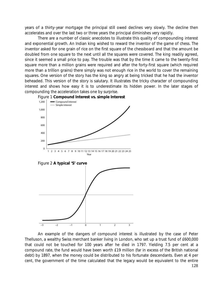years of a thirty-year mortgage the principal still owed declines very slowly. The decline then accelerates and over the last two or three years the principal diminishes very rapidly.

There are a number of classic anecdotes to illustrate this quality of compounding interest and exponential growth. An Indian king wished to reward the inventor of the game of chess. The inventor asked for one grain of rice on the first square of the chessboard and that the amount be doubled from one square to the next until all the squares were covered. The king readily agreed, since it seemed a small price to pay. The trouble was that by the time it came to the twenty-first square more than a million grains were required and after the forty-first square (which required more than a trillion grains) there simply was not enough rice in the world to cover the remaining squares. One version of the story has the king so angry at being tricked that he had the inventor beheaded. This version of the story is salutary. It illustrates the tricky character of compounding interest and shows how easy it is to underestimate its hidden power. In the later stages of compounding the acceleration takes one by surprise.



128 An example of the dangers of compound interest is illustrated by the case of Peter Thelluson, a wealthy Swiss merchant banker living in London, who set up a trust fund of £600,000 that could not be touched for 100 years after he died in 1797. Yielding 7.5 per cent at a compound rate, the fund would have been worth £19 million (far in excess of the British national debt) by 1897, when the money could be distributed to his fortunate descendants. Even at 4 per cent, the government of the time calculated that the legacy would be equivalent to the entire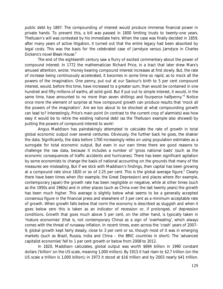public debt by 1897. The compounding of interest would produce immense financial power in private hands. To prevent this, a bill was passed in 1800 limiting trusts to twenty-one years. Thelluson's will was contested by his immediate heirs. When the case was finally decided in 1859, after many years of active litigation, it turned out that the entire legacy had been absorbed by legal costs. This was the basis for the celebrated case of Jarndyce versus Jarndyce in Charles Dickens's novel *Bleak House*. 3

The end of the eighteenth century saw a flurry of excited commentary about the power of compound interest. In 1772 the mathematician Richard Price, in a tract that later drew Marx's amused attention, wrote: 'money bearing compound interest increases at first slowly. But, the rate of increase being continuously accelerated, it becomes in some time so rapid, as to mock all the powers of the imagination. One penny, put out at our Saviour's birth to 5 per cent compound interest, would, before this time, have increased to a greater sum, than would be contained in one hundred and fifty millions of earths, all solid gold. But if put out to simple interest, it would, in the same time, have amounted to no more than seven shillings and fourpence halfpenny.<sup>,4</sup> Notice once more the element of surprise at how compound growth can produce results that 'mock all the powers of the imagination'. Are we too about to be shocked at what compounding growth can lead to? Interestingly, Price's main point (in contrast to the current crop of alarmists) was how easy it would be to retire the existing national debt (as the Thelluson example also showed) by putting the powers of compound interest to work!

Angus Maddison has painstakingly attempted to calculate the rate of growth in total global economic output over several centuries. Obviously, the further back he goes, the shakier the data. Significantly, the data before 1700 increasingly relies on using population estimates as a surrogate for total economic output. But even in our own times there are good reasons to challenge the raw data, because it includes a number of 'gross national bads' (such as the economic consequences of traffic accidents and hurricanes). There has been significant agitation by some economists to change the basis of national accounting on the grounds that many of the measures are misleading. But if we stick with Maddison's findings, then capital has been growing at a compound rate since 1820 or so of 2.25 per cent. This is the global average figure.<sup>5</sup> Clearly there have been times when (for example, the Great Depression) and places where (for example, contemporary Japan) the growth rate has been negligible or negative, while at other times (such as the 1950s and 1960s) and in other places (such as China over the last twenty years) the growth has been much higher. This average is slightly below what seems to be a generally accepted consensus figure in the financial press and elsewhere of 3 per cent as a minimum acceptable rate of growth. When growth falls below that norm the economy is described as sluggish and when it goes below zero this is taken as an indicator of recession or, if prolonged, of depression conditions. Growth that goes much above 5 per cent, on the other hand, is typically taken in 'mature economies' (that is, not contemporary China) as a sign of 'overheating', which always comes with the threat of runaway inflation. In recent times, even across the 'crash' years of 2007– 9, global growth kept fairly steady, close to 3 per cent or so, though most of it was in emerging markets (such as Brazil, Russia, India and China – the BRIC countries in short). The 'advanced capitalist economies' fell to 1 per cent growth or below from 2008 to 2012.

In 1820, Maddison calculates, global output was worth \$694 billion in 1990 constant dollars ('billion' on the US scale, meaning 1,000 million). By 1913 it had risen to \$2.7 trillion (on the US scale a trillion is 1,000 billion); in 1973 it stood at \$16 trillion and by 2003 nearly \$41 trillion.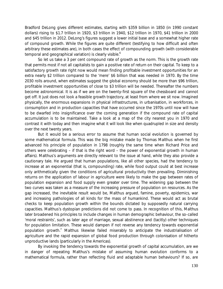Bradford DeLong gives different estimates, starting with \$359 billion in 1850 (in 1990 constant dollars) rising to \$1.7 trillion in 1920, \$3 trillion in 1940, \$12 trillion in 1970, \$41 trillion in 2000 and \$45 trillion in 2012. DeLong's figures suggest a lower initial base and a somewhat higher rate of compound growth. While the figures are quite different (testifying to how difficult and often arbitrary these estimates are), in both cases the effect of compounding growth (with considerable temporal and geographical variation) is clearly visible.<sup>6</sup>

So let us take a 3 per cent compound rate of growth as the norm. This is the growth rate that permits most if not all capitalists to gain a positive rate of return on their capital. To keep to a satisfactory growth rate right now would mean finding profitable investment opportunities for an extra nearly \$2 trillion compared to the 'mere' \$6 billion that was needed in 1970. By the time 2030 rolls around, when estimates suggest the global economy should be more than \$96 trillion, profitable investment opportunities of close to \$3 trillion will be needed. Thereafter the numbers become astronomical. It is as if we are on the twenty-first square of the chessboard and cannot get off. It just does not look a feasible growth trajectory, at least from where we sit now. Imagined physically, the enormous expansions in physical infrastructures, in urbanisation, in workforces, in consumption and in production capacities that have occurred since the 1970s until now will have to be dwarfed into insignificance over the coming generation if the compound rate of capital accumulation is to be maintained. Take a look at a map of the city nearest you in 1970 and contrast it with today and then imagine what it will look like when quadrupled in size and density over the next twenty years.

But it would be a serious error to assume that human social evolution is governed by some mathematical formula. This was the big mistake made by Thomas Malthus when he first advanced his principle of population in 1798 (roughly the same time when Richard Price and others were celebrating – if that is the right word – the power of exponential growth in human affairs). Malthus's arguments are directly relevant to the issue at hand, while they also provide a cautionary tale. He argued that human populations, like all other species, had the tendency to increase at an exponential (that is, compounding) rate, while food output could at best increase only arithmetically given the conditions of agricultural productivity then prevailing. Diminishing returns on the application of labour in agriculture were likely to make the gap between rates of population expansion and food supply even greater over time. The widening gap between the two curves was taken as a measure of the increasing pressure of population on resources. As the gap increased, the inevitable result would be, Malthus argued, famine, poverty, epidemics, war and increasing pathologies of all kinds for the mass of humankind. These would act as brutal checks to keep population growth within the bounds dictated by supposedly natural carrying capacities. Malthus's dystopian predictions did not come to pass. In recognition of this, Malthus later broadened his principles to include changes in human demographic behaviour, the so-called 'moral restraints', such as later age of marriage, sexual abstinence and (tacitly) other techniques for population limitation. These would dampen if not reverse any tendency towards exponential population growth.<sup>7</sup> Malthus likewise failed miserably to anticipate the industrialisation of agriculture and the rapid expansion of global food production through colonisation of hitherto unproductive lands (particularly in the Americas).

By invoking the tendency towards the exponential growth of capital accumulation, are we in danger of repeating Malthus's mistake of assuming human evolution conforms to a mathematical formula, rather than reflecting fluid and adaptable human behaviours? If so, are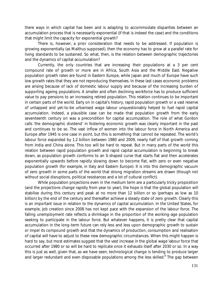there ways in which capital has been and is adapting to accommodate disparities between an accumulation process that is necessarily exponential (if that is indeed the case) and the conditions that might limit the capacity for exponential growth?

There is, however, a prior consideration that needs to be addressed. If population is growing exponentially (as Malthus supposed), then the economy has to grow at a parallel rate for living standards to be sustained. So what, then, is the relation between demographic trajectories and the dynamics of capital accumulation?

Currently, the only countries that are increasing their populations at a 3 per cent compound rate of growth or more are in Africa, South Asia and the Middle East. Negative population growth rates are found in Eastern Europe, while Japan and much of Europe have such low growth rates that they are not reproducing themselves. In these last cases economic problems are arising because of lack of domestic labour supply and because of the increasing burden of supporting ageing populations. A smaller and often declining workforce has to produce sufficient value to pay pensions to an increasing retired population. This relation continues to be important in certain parts of the world. Early on in capital's history, rapid population growth or a vast reserve of untapped and yet-to-be urbanised wage labour unquestionably helped to fuel rapid capital accumulation. Indeed, a plausible case can be made that population growth from the early seventeenth century on was a precondition for capital accumulation. The role of what Gordon calls 'the demographic dividend' in fostering economic growth was clearly important in the past and continues to be so. The vast inflow of women into the labour force in North America and Europe after 1945 is one case in point, but this is something that cannot be repeated. The world's labour force expanded by 1.2 billion between 1980 and 2009, nearly half of that growth coming from India and China alone. This too will be hard to repeat. But in many parts of the world this relation between rapid population growth and rapid capital accumulation is beginning to break down, as population growth conforms to an S-shaped curve that starts flat and then accelerates exponentially upwards before rapidly slowing down to become flat, with zero or even negative population growth (for example, in Italy and Eastern Europe). It is into this demographic vacuum of zero growth in some parts of the world that strong migration streams are drawn (though not without social disruptions, political resistances and a lot of cultural conflict).

While population projections even in the medium term are a particularly tricky proposition (and the projections change rapidly from year to year), the hope is that the global population will stabilise during this century and peak at no more than 12 billion or so (perhaps as low as 10 billion) by the end of the century and thereafter achieve a steady state of zero growth. Clearly this is an important issue in relation to the dynamics of capital accumulation. In the United States, for example, job creation since 2008 has not kept pace with the expansion of the labour force. The falling unemployment rate reflects a shrinkage in the proportion of the working-age population seeking to participate in the labour force. But whatever happens, it is pretty clear that capital accumulation in the long-term future can rely less and less upon demographic growth to sustain or impel its compound growth and that the dynamics of production, consumption and realisation of capital will have to adjust to these new demographic circumstances. When this might happen is hard to say, but most estimates suggest that the vast increase in the global wage labour force that occurred after 1980 or so will be hard to replicate once it exhausts itself after 2030 or so. In a way this is just as well, given that, as we have seen, technological change is tending to produce larger and larger redundant and even disposable populations among the less skilled.<sup>8</sup> The gap between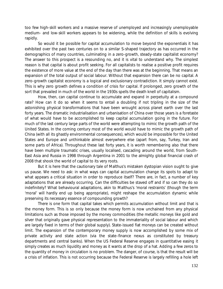too few high-skill workers and a massive reserve of unemployed and increasingly unemployable medium- and low-skill workers appears to be widening, while the definition of skills is evolving rapidly.

So would it be possible for capital accumulation to move beyond the exponentials it has exhibited over the past two centuries on to a similar S-shaped trajectory as has occurred in the demographics of many countries, culminating in a zero-growth, steady-state capitalist economy? The answer to this prospect is a resounding no, and it is vital to understand why. The simplest reason is that capital is about profit seeking. For all capitalists to realise a positive profit requires the existence of more value at the end of the day than there was at the beginning. That means an expansion of the total output of social labour. Without that expansion there can be no capital. A zero-growth capitalist economy is a logical and exclusionary contradiction. It simply cannot exist. This is why zero growth defines a condition of crisis for capital. If prolonged, zero growth of the sort that prevailed in much of the world in the 1930s spells the death knell of capitalism.

How, then, can capital continue to accumulate and expand in perpetuity at a compound rate? How can it do so when it seems to entail a doubling if not tripling in the size of the astonishing physical transformations that have been wrought across planet earth over the last forty years. The dramatic industrialisation and urbanisation of China over those years is a foretaste of what would have to be accomplished to keep capital accumulation going in the future. For much of the last century large parts of the world were attempting to mimic the growth path of the United States. In the coming century most of the world would have to mimic the growth path of China (with all its ghastly environmental consequences), which would be impossible for the United States and Europe and unthinkable almost everywhere else (apart from, say, Turkey, Iran and some parts of Africa). Throughout these last forty years, it is worth remembering also that there have been multiple traumatic crises, usually localised, cascading around the world, from South-East Asia and Russia in 1998 through Argentina in 2001 to the almighty global financial crash of 2008 that shook the world of capital to its very roots.

But it is here that the cautionary tale of Malthus's mistaken dystopian vision ought to give us pause. We need to ask: in what ways can capital accumulation change its spots to adapt to what appears a critical situation in order to reproduce itself? There are, in fact, a number of key adaptations that are already occurring. Can the difficulties be staved off and if so can they do so indefinitely? What behavioural adaptations, akin to Malthus's 'moral restraints' (though the term 'moral' will hardly end up being appropriate), might reshape the accumulation dynamic while preserving its necessary essence of compounding growth?

There is one form that capital takes which permits accumulation without limit and that is the money form. This is so only because the money form is now unchained from any physical limitations such as those imposed by the money commodities (the metallic moneys like gold and silver that originally gave physical representation to the immateriality of social labour and which are largely fixed in terms of their global supply). State-issued fiat moneys can be created without limit. The expansion of the contemporary money supply is now accomplished by some mix of private activity and state action (via the state–finance nexus as constituted by treasury departments and central banks). When the US Federal Reserve engages in quantitative easing it simply creates as much liquidity and money as it wants at the drop of a hat. Adding a few zeros to the quantity of money in circulation is no problem. The danger, of course, is that the result will be a crisis of inflation. This is not occurring because the Federal Reserve is largely refilling a hole left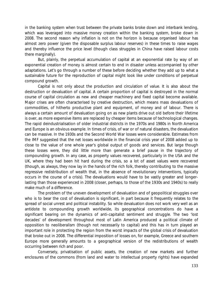in the banking system when trust between the private banks broke down and interbank lending, which was leveraged into massive money creation within the banking system, broke down in 2008. The second reason why inflation is not on the horizon is because organised labour has almost zero power (given the disposable surplus labour reserves) in these times to raise wages and thereby influence the price level (though class struggles in China have raised labour costs there marginally).

But, plainly, the perpetual accumulation of capital at an exponential rate by way of an exponential creation of money is almost certain to end in disaster unless accompanied by other adaptations. Let's go through a number of these before deciding whether they add up to what a sustainable future for the reproduction of capital might look like under conditions of perpetual compound growth.

Capital is not only about the production and circulation of value. It is also about the destruction or devaluation of capital. A certain proportion of capital is destroyed in the normal course of capital circulation as new and cheaper machinery and fixed capital become available. Major crises are often characterised by creative destruction, which means mass devaluations of commodities, of hitherto productive plant and equipment, of money and of labour. There is always a certain amount of devaluation going on as new plants drive out old before their lifetime is over, as more expensive items are replaced by cheaper items because of technological changes. The rapid deindustrialisation of older industrial districts in the 1970s and 1980s in North America and Europe is an obvious example. In times of crisis, of war or of natural disasters, the devaluation can be massive. In the 1930s and the Second World War losses were considerable. Estimates from the IMF suggested that the net losses worldwide in the financial crisis year of 2008 added up to close to the value of one whole year's global output of goods and services. But large though these losses were, they did little more than generate a brief pause in the trajectory of compounding growth. In any case, as property values recovered, particularly in the USA and the UK, where they had been hit hard during the crisis, so a lot of asset values were recovered (though, as always, they now lay in the hands of the rich folk, thereby contributing to the massive regressive redistribution of wealth that, in the absence of revolutionary interventions, typically occurs in the course of a crisis). The devaluations would have to be vastly greater and longerlasting than those experienced in 2008 (closer, perhaps, to those of the 1930s and 1940s) to really make much of a difference.

The problem of the uneven development of devaluation and of geopolitical struggles over who is to bear the cost of devaluation is significant, in part because it frequently relates to the spread of social unrest and political instability. So while devaluation does not work very well as an antidote to compounding growth worldwide, its geographical concentrations do have a significant bearing on the dynamics of anti-capitalist sentiment and struggle. The two 'lost decades' of development throughout most of Latin America produced a political climate of opposition to neoliberalism (though not necessarily to capital) and this has in turn played an important role in protecting the region from the worst impacts of the global crisis of devaluation that broke out in 2008. The differential imposition of losses on, for example, Greece and southern Europe more generally amounts to a geographical version of the redistributions of wealth occurring between rich and poor.

Conversely, privatisation of public assets, the creation of new markets and further enclosures of the commons (from land and water to intellectual property rights) have expanded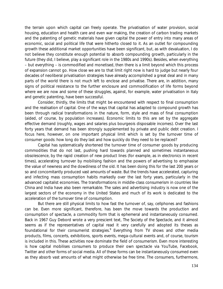the terrain upon which capital can freely operate. The privatisation of water provision, social housing, education and health care and even war making, the creation of carbon trading markets and the patenting of genetic materials have given capital the power of entry into many areas of economic, social and political life that were hitherto closed to it. As an outlet for compounding growth these additional market opportunities have been significant, but, as with devaluation, I do not believe they constitute enough potential to absorb compounding growth, particularly in the future (they did, I believe, play a significant role in the 1980s and 1990s). Besides, when everything – but everything – is commodified and monetised, then there is a limit beyond which this process of expansion cannot go. How close we are to that limit right now is hard to judge but nearly four decades of neoliberal privatisation strategies have already accomplished a great deal and in many parts of the world there is not much left to enclose and privatise. There are, in addition, many signs of political resistance to the further enclosure and commodification of life forms beyond where we are now and some of these struggles, against, for example, water privatisation in Italy and genetic patenting, have been successful.

Consider, thirdly, the limits that might be encountered with respect to final consumption and the realisation of capital. One of the ways that capital has adapted to compound growth has been through radical transformations in the nature, form, style and mass of final consumption (aided, of course, by population increases). Economic limits to this are set by the aggregate effective demand (roughly, wages and salaries plus bourgeois disposable incomes). Over the last forty years that demand has been strongly supplemented by private and public debt creation. I focus here, however, on one important physical limit which is set by the turnover time of consumer goods: how long do they last and how quickly do they need to be replaced?

Capital has systematically shortened the turnover time of consumer goods by producing commodities that do not last, pushing hard towards planned and sometimes instantaneous obsolescence, by the rapid creation of new product lines (for example, as in electronics in recent times), accelerating turnover by mobilising fashion and the powers of advertising to emphasise the value of newness and the dowdiness of the old. It has been doing this for the last 200 years or so and concomitantly produced vast amounts of waste. But the trends have accelerated, capturing and infecting mass consumption habits markedly over the last forty years, particularly in the advanced capitalist economies. The transformations in middle-class consumerism in countries like China and India have also been remarkable. The sales and advertising industry is now one of the largest sectors of the economy in the United States and much of its work is dedicated to the acceleration of the turnover time of consumption.

But there are still physical limits to how fast the turnover of, say, cellphones and fashions can be. Even more significant, therefore, has been the move towards the production and consumption of spectacle, a commodity form that is ephemeral and instantaneously consumed. Back in 1967 Guy Debord wrote a very prescient text, *The Society of the Spectacle*, and it almost seems as if the representatives of capital read it very carefully and adopted its theses as foundational for their consumerist strategies.<sup>9</sup> Everything from TV shows and other media products, films, concerts, exhibitions, sports events, mega-cultural events and, of course, tourism is included in this. These activities now dominate the field of consumerism. Even more interesting is how capital mobilises consumers to produce their own spectacle via YouTube, Facebook, Twitter and other forms of social media. All of these forms can be instantaneously consumed even as they absorb vast amounts of what might otherwise be free time. The consumers, furthermore,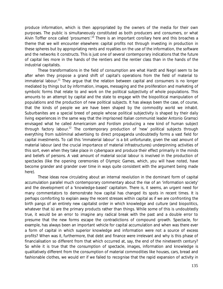produce information, which is then appropriated by the owners of the media for their own purposes. The public is simultaneously constituted as both producers and consumers, or what Alvin Toffler once called 'prosumers'.<sup>10</sup> There is an important corollary here and this broaches a theme that we will encounter elsewhere: capital profits not through investing in production in these spheres but by appropriating rents and royalties on the use of the information, the software and the networks it constructs. This is just one of several contemporary indications that the future of capital lies more in the hands of the rentiers and the rentier class than in the hands of the industrial capitalists.

These transformations in the field of consumption are what Hardt and Negri seem to be after when they propose a grand shift of capital's operations from the field of material to immaterial labour.<sup>11</sup> They argue that the relation between capital and consumers is no longer mediated by things but by information, images, messaging and the proliferation and marketing of symbolic forms that relate to and work on the political subjectivity of whole populations. This amounts to an attempt by capital and the state to engage with the biopolitical manipulation of populations and the production of new political subjects. It has always been the case, of course, that the kinds of people we are have been shaped by the commodity world we inhabit. Suburbanites are a special breed of people whose political subjectivity is shaped by their daily living experiences in the same way that the imprisoned Italian communist leader Antonio Gramsci envisaged what he called Americanism and Fordism producing a new kind of human subject through factory labour.<sup>12</sup> The contemporary production of 'new' political subjects through everything from subliminal advertising to direct propaganda undoubtedly forms a vast field for capital investments. To call this 'immaterial labour' is a bit unfortunate, given the vast amount of material labour (and the crucial importance of material infrastructures) underpinning activities of this sort, even when they take place in cyberspace and produce their effect primarily in the minds and beliefs of persons. A vast amount of material social labour is involved in the production of spectacles (like the opening ceremonies of Olympic Games, which, you will have noted, have become grander and grander over time in ways quite consistent with the argument being made here).

These ideas now circulating about an internal revolution in the dominant form of capital accumulation parallel much contemporary commentary about the rise of an 'information society' and the development of a 'knowledge-based' capitalism. There is, it seems, an urgent need for many commentators to demonstrate how capital has changed its spots in recent times. It is perhaps comforting to explain away the recent stresses within capital as if we are confronting the birth pangs of an entirely new capitalist order in which knowledge and culture (and biopolitics, whatever that is) are the primary products rather than things. While some of this is undoubtedly true, it would be an error to imagine any radical break with the past and a double error to presume that the new forms escape the contradictions of compound growth. Spectacle, for example, has always been an important vehicle for capital accumulation and when was there ever a form of capital in which superior knowledge and information were not a source of excess profits? When was it, furthermore, that debt and finance were irrelevant and why is this phase of financialisation so different from that which occurred at, say, the end of the nineteenth century? So while it is true that the consumption of spectacle, images, information and knowledge is qualitatively different from the consumption of material commodities like houses, cars, bread and fashionable clothes, we would err if we failed to recognise that the rapid expansion of activity in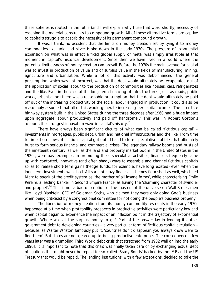these spheres is rooted in the futile (and I will explain why I use that word shortly) necessity of escaping the material constraints to compound growth. All of these alternative forms are captive to capital's struggle to absorb the necessity of its permanent compound growth.

It was, I think, no accident that the limits on money creation set by tying it to money commodities like gold and silver broke down in the early 1970s. The pressure of exponential expansion on what was in effect a fixed global supply of metal was simply irresistible at that moment in capital's historical development. Since then we have lived in a world where the potential limitlessness of money creation can prevail. Before the 1970s the main avenue for capital was to invest in production of value and of surplus value in the fields of manufacturing, mining, agriculture and urbanisation. While a lot of this activity was debt-financed, the general presumption, which was not incorrect, was that the debt would ultimately be recuperated out of the application of social labour to the production of commodities like houses, cars, refrigerators and the like. Even in the case of the long-term financing of infrastructures (such as roads, public works, urbanisation) there was a reasonable presumption that the debt would ultimately be paid off out of the increasing productivity of the social labour engaged in production. It could also be reasonably assumed that all of this would generate increasing per capita incomes. The interstate highway system built in the United States during the three decades after 1960 had a huge impact upon aggregate labour productivity and paid off handsomely. This was, in Robert Gordon's account, the strongest innovation wave in capital's history.<sup>13</sup>

There have always been significant circuits of what can be called 'fictitious capital' – investments in mortgages, public debt, urban and national infrastructures and the like. From time to time these flows of fictitious capital got out of hand to form speculative bubbles that ultimately burst to form serious financial and commercial crises. The legendary railway booms and busts of the nineteenth century, as well as the land and property market boom in the United States in the 1920s, were past examples. In promoting these speculative activities, financiers frequently came up with contorted, innovative (and often shady) ways to assemble and channel fictitious capitals so as to realise short-term gains (hedge funds, for example, have long existed) even when the long-term investments went bad. All sorts of crazy financial schemes flourished as well, which led Marx to speak of the credit system as 'the mother of all insane forms', while characterising Emile Pereire, a leading banker in Second Empire France, as having the 'charming character of swindler and prophet'.<sup>14</sup> This is not a bad description of the masters of the universe on Wall Street, men like Lloyd Blankfein, CEO of Goldman Sachs, who claimed they were only doing God's business when being criticised by a congressional committee for not doing the people's business properly.

The liberation of money creation from its money-commodity restraints in the early 1970s happened at a time when profitability prospects in productive activities were particularly low and when capital began to experience the impact of an inflexion point in the trajectory of exponential growth. Where was all the surplus money to go? Part of the answer lay in lending it out as government debt to developing countries – a very particular form of fictitious capital circulation – because, as Walter Wriston famously put it, 'countries don't disappear, you always know were to find them'. But states are not geared up to being productive enterprises. The consequence a few years later was a grumbling Third World debt crisis that stretched from 1982 well on into the early 1990s. It is important to note that this crisis was finally taken care of by exchanging actual debt obligations that might never be repaid for so-called 'Brady Bonds' backed by the IMF and the US Treasury that would be repaid. The lending institutions, with a few exceptions, decided to take the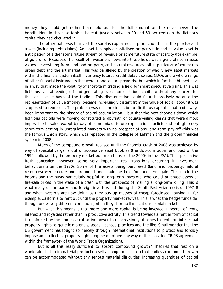money they could get rather than hold out for the full amount on the never-never. The bondholders in this case took a 'haircut' (usually between 30 and 50 per cent) on the fictitious capital they had circulated.<sup>15</sup>

The other path was to invest the surplus capital not in production but in the purchase of assets (including debt claims). An asset is simply a capitalised property title and its value is set in anticipation of either some future stream of revenue or some future state of scarcity (for example, of gold or of Picassos). The result of investment flows into these fields was a general rise in asset values – everything from land and property, and natural resources (oil in particular of course) to urban debt and the art market. This was paralleled by the creation of wholly new asset markets within the financial system itself – currency futures, credit default swaps, CDOs and a whole range of other financial instruments that were supposed to spread risk but which in fact heightened risks in a way that made the volatility of short-term trading a field for smart speculative gains. This was fictitious capital feeding off and generating even more fictitious capital without any concern for the social value basis of the trading. This disconnection could flourish precisely because the representation of value (money) became increasingly distant from the value of social labour it was supposed to represent. The problem was not the circulation of fictitious capital – that had always been important to the history of capital accumulation – but that the new channels down which fictitious capitals were moving constituted a labyrinth of countervailing claims that were almost impossible to value except by way of some mix of future expectations, beliefs and outright crazy short-term betting in unregulated markets with no prospect of any long-term pay-off (this was the famous Enron story, which was repeated in the collapse of Lehman and the global financial system in 2008).

Much of the compound growth realised until the financial crash of 2008 was achieved by way of speculative gains out of successive asset bubbles (the dot-com boom and bust of the 1990s followed by the property market boom and bust of the 2000s in the USA). This speculative froth concealed, however, some very important real transitions occurring in investment behaviours after the 1970s. Some of the assets being purchased (land and property, natural resources) were secure and grounded and could be held for long-term gain. This made the booms and the busts particularly helpful to long-term investors, who could purchase assets at fire-sale prices in the wake of a crash with the prospects of making a long-term killing. This is what many of the banks and foreign investors did during the South-East Asian crisis of 1997–8 and what investors are now doing as they buy up masses of cheap foreclosed housing in, for example, California to rent out until the property market revives. This is what the hedge funds do, though under very different conditions, when they short-sell in fictitious capital markets.

But what this means is that more and more capital is being invested in search of rents, interest and royalties rather than in productive activity. This trend towards a rentier form of capital is reinforced by the immense extractive power that increasingly attaches to rents on intellectual property rights to genetic materials, seeds, licensed practices and the like. Small wonder that the US government has fought so fiercely through international institutions to protect and forcibly impose an intellectual property rights regime on others (by way of the so-called TRIPS agreement within the framework of the World Trade Organization).

But is all this really sufficient to absorb compound growth? Theories that rest on a wholesale shift to immaterial production sell a dangerous illusion that endless compound growth can be accommodated without any serious material difficulties. Increasing quantities of capital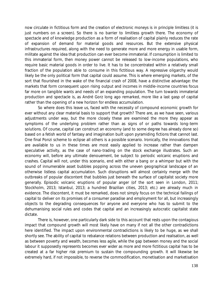now circulate in fictitious form and the creation of electronic moneys is in principle limitless (it is just numbers on a screen). So there is no barrier to limitless growth there. The economy of spectacle and of knowledge production as a form of realisation of capital plainly reduces the rate of expansion of demand for material goods and resources. But the extensive physical infrastructures required, along with the need to generate more and more energy in usable form, militate against the idea that production can ever become immaterial. If consumption is limited to this immaterial form, then money power cannot be released to low-income populations, who require basic material goods in order to live. It has to be concentrated within a relatively small fraction of the population able to consume in this fictitious way. A repressive oligarchy would likely be the only political form that capital could assume. This is where emerging markets, of the sort that flourished in the wake of the financial crash of 2008, have a distinctive advantage: the markets that form consequent upon rising output and incomes in middle-income countries focus far more on tangible wants and needs of an expanding population. The turn towards immaterial production and spectacle is, as André Gorz long ago remarked, more like a last gasp of capital rather than the opening of a new horizon for endless accumulation.

So where does this leave us, faced with the necessity of compound economic growth for ever without any clear material basis to support that growth? There are, as we have seen, various adjustments under way, but the more closely these are examined the more they appear as symptoms of the underlying problem rather than as signs of or paths towards long-term solutions. Of course, capital can construct an economy (and to some degree has already done so) based on a fetish world of fantasy and imagination built upon pyramiding fictions that cannot last. One final Ponzi scheme to eclipse all others is a possible scenario. Ironically, the innovations that are available to us in these times are most easily applied to increase rather than dampen speculative activity, as the case of nano-trading on the stock exchange illustrates. Such an economy will, before any ultimate denouement, be subject to periodic volcanic eruptions and crashes. Capital will not, under this scenario, end with either a bang or a whimper but with the sound of innumerable asset bubbles popping across the uneven geographical landscape of an otherwise listless capital accumulation. Such disruptions will almost certainly merge with the outbreaks of popular discontent that bubbles just beneath the surface of capitalist society more generally. Episodic volcanic eruptions of popular anger (of the sort seen in London, 2011; Stockholm, 2013; Istanbul, 2013; a hundred Brazilian cities, 2013; etc.) are already much in evidence. The discontent, it must be remarked, does not simply focus on the technical failings of capital to deliver on its promises of a consumer paradise and employment for all, but increasingly objects to the degrading consequences for anyone and everyone who has to submit to the dehumanising social rules and codes that capital and an increasingly autocratic capitalist state dictate.

There is, however, one particularly dark side to this account that rests upon the contagious impact that compound growth will most likely have on many if not all the other contradictions here identified. The impact upon environmental contradictions is likely to be huge, as we shall shortly see. The ability of capital to rebalance relations between production and realisation, as well as between poverty and wealth, becomes less agile, while the gap between money and the social labour it supposedly represents becomes ever wider as more and more fictitious capital has to be created at a far higher risk premium to sustain the compounding growth. It will likewise be extremely hard, if not impossible, to reverse the commodification, monetisation and marketisation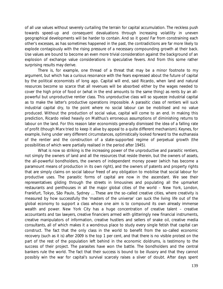of all use values without severely curtailing the terrain for capital accumulation. The reckless push towards speed-up and consequent devaluations through increasing volatility in uneven geographical developments will be harder to contain. And so it goes! Far from constraining each other's excesses, as has sometimes happened in the past, the contradictions are far more likely to explode contagiously with the rising pressure of a necessary compounding growth at their back. Use values are bound to become an even more trivial consideration against the background of an explosion of exchange value considerations in speculative fevers. And from this some rather surprising results may derive.

There is, for example, one thread of a threat that may be a minor footnote to my argument, but which has a curious resonance with the fears expressed about the future of capital by the political economists of long ago. Capital will end, said Ricardo, when land and natural resources become so scarce that all revenues will be absorbed either by the wages needed to cover the high price of food or (what in the end amounts to the same thing) as rents by an allpowerful but unproductive rentier class. This unproductive class will so squeeze industrial capital as to make the latter's productive operations impossible. A parasitic class of rentiers will suck industrial capital dry, to the point where no social labour can be mobilised and no value produced. Without the production of social value, capital will come to an end. In making this prediction, Ricardo relied heavily on Malthus's erroneous assumptions of diminishing returns to labour on the land. For this reason later economists generally dismissed the idea of a falling rate of profit (though Marx tried to keep it alive by appeal to a quite different mechanism). Keynes, for example, living under very different circumstances, optimistically looked forward to the euthanasia of the rentier and the construction of a state-supported regime of perpetual growth (the possibilities of which were partially realised in the period after 1945).

What is now so striking is the increasing power of the unproductive and parasitic rentiers, not simply the owners of land and all the resources that reside therein, but the owners of assets, the all-powerful bondholders, the owners of independent money power (which has become a paramount means of production in its own right), and the owners of patents and property rights that are simply claims on social labour freed of any obligation to mobilise that social labour for productive uses. The parasitic forms of capital are now in the ascendant. We see their representatives gliding through the streets in limousines and populating all the upmarket restaurants and penthouses in all the major global cities of the world – New York, London, Frankfurt, Tokyo, São Paulo, Sydney … These are the so-called creative cities, where creativity is measured by how successfully the 'masters of the universe' can suck the living life out of the global economy to support a class whose one aim is to compound its own already immense wealth and power. New York City has a huge concentration of creative talent – creative accountants and tax lawyers, creative financiers armed with glitteringly new financial instruments, creative manipulators of information, creative hustlers and sellers of snake oil, creative media consultants, all of which makes it a wondrous place to study every single fetish that capital can construct. The fact that the only class in the world to benefit from the so-called economic recovery (such as it is) after 2009 is the top 1 per cent, and that there is no visible protest on the part of the rest of the population left behind in the economic doldrums, is testimony to the success of their project. The parasites have won the battle. The bondholders and the central bankers rule the world. The fact that their success is bound to be illusory and that they cannot possibly win the war for capital's survival scarcely raises a sliver of doubt. After days spent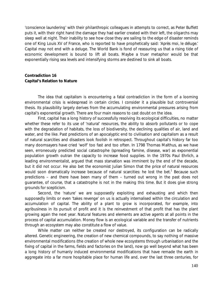'conscience laundering' with their philanthropic colleagues in attempts to correct, as Peter Buffett puts it, with their right hand the damage they had earlier created with their left, the oligarchs may sleep well at night. Their inability to see how close they are sailing to the edge of disaster reminds one of King Louis XV of France, who is reported to have prophetically said: '*Après moi, le déluge*.' Capital may not end with a deluge. The World Bank is fond of reassuring us that a rising tide of economic development is bound to lift all boats. Maybe a truer metaphor would be that exponentially rising sea levels and intensifying storms are destined to sink all boats.

**Contradiction 16 Capital's Relation to Nature** 

The idea that capitalism is encountering a fatal contradiction in the form of a looming environmental crisis is widespread in certain circles. I consider it a plausible but controversial thesis. Its plausibility largely derives from the accumulating environmental pressures arising from capital's exponential growth. There are four main reasons to cast doubt on the idea.

First, capital has a long history of successfully resolving its ecological difficulties, no matter whether these refer to its use of 'natural' resources, the ability to absorb pollutants or to cope with the degradation of habitats, the loss of biodiversity, the declining qualities of air, land and water, and the like. Past predictions of an apocalyptic end to civilisation and capitalism as a result of natural scarcities and disasters look foolish in retrospect. Throughout capital's history far too many doomsayers have cried 'wolf' too fast and too often. In 1798 Thomas Malthus, as we have seen, erroneously predicted social catastrophe (spreading famine, disease, war) as exponential population growth outran the capacity to increase food supplies. In the 1970s Paul Ehrlich, a leading environmentalist, argued that mass starvation was imminent by the end of the decade, but it did not occur. He also bet the economist Julian Simon that the price of natural resources would soon dramatically increase because of natural scarcities: he lost the bet.<sup>1</sup> Because such predictions – and there have been many of them – turned out wrong in the past does not guarantee, of course, that a catastrophe is not in the making this time. But it does give strong grounds for scepticism.

Second, the 'nature' we are supposedly exploiting and exhausting and which then supposedly limits or even 'takes revenge' on us is actually internalised within the circulation and accumulation of capital. The ability of a plant to grow is incorporated, for example, into agribusiness in its pursuit of profit and it is the reinvestment of that profit that has the plant growing again the next year. Natural features and elements are active agents at all points in the process of capital accumulation. Money flow is an ecological variable and the transfer of nutrients through an ecosystem may also constitute a flow of value.

While matter can neither be created nor destroyed, its configuration can be radically altered. Genetic engineering, the creation of new chemical compounds, to say nothing of massive environmental modifications (the creation of whole new ecosystems through urbanisation and the fixing of capital in the farms, fields and factories on the land), now go well beyond what has been a long history of humanly induced environmental modifications that have remade the earth in aggregate into a far more hospitable place for human life and, over the last three centuries, for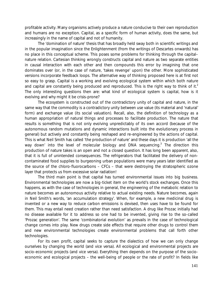profitable activity. Many organisms actively produce a nature conducive to their own reproduction and humans are no exception. Capital, as a specific form of human activity, does the same, but increasingly in the name of capital and not of humanity.

The 'domination of nature' thesis that has broadly held sway both in scientific writings and in the popular imagination since the Enlightenment (from the writings of Descartes onwards) has no place in this conceptual scheme. This poses some problems for thinking through the capital– nature relation. Cartesian thinking wrongly constructs capital and nature as two separate entities in causal interaction with each other and then compounds this error by imagining that one dominates over (or, in the case of nature, 'takes revenge' upon) the other. More sophisticated versions incorporate feedback loops. The alternative way of thinking proposed here is at first not so easy to grasp. Capital *is* a working and evolving ecological system within which both nature and capital are constantly being produced and reproduced. This is the right way to think of it.<sup>2</sup> The only interesting questions then are: what kind of ecological system is capital, how is it evolving and why might it be crisis-prone?

The ecosystem is constructed out of the contradictory unity of capital and nature, in the same way that the commodity is a contradictory unity between use value (its material and 'natural' form) and exchange value (its social valuation). Recall, also, the definition of technology as a human appropriation of natural things and processes to facilitate production. The nature that results is something that is not only evolving unpredictably of its own accord (because of the autonomous random mutations and dynamic interactions built into the evolutionary process in general) but actively and constantly being reshaped and re-engineered by the actions of capital. This is what Neil Smith has called 'the production of nature' and these days it is production 'all the way down' into the level of molecular biology and DNA sequencing.<sup>3</sup> The direction this production of nature takes is an open and not a closed question. It has long been apparent, also, that it is full of unintended consequences. The refrigerators that facilitated the delivery of noncontaminated food supplies to burgeoning urban populations were many years later identified as the source of the chloro-fluorocarbons – CFCs – that were destroying the stratospheric ozone layer that protects us from excessive solar radiation!

The third main point is that capital has turned environmental issues into big business. Environmental technologies are now a big-ticket item on the world's stock exchanges. Once this happens, as with the case of technologies in general, the engineering of the metabolic relation to nature becomes an autonomous activity relative to actual existing needs. Nature becomes, again in Neil Smith's words, 'an accumulation strategy'. When, for example, a new medicinal drug is invented or a new way to reduce carbon emissions is devised, then uses have to be found for them. This may entail need creation rather than need satisfaction. A drug like Prozac initially had no disease available for it to address so one had to be invented, giving rise to the so-called 'Prozac generation'. The same 'combinatorial evolution' as prevails in the case of technological change comes into play. New drugs create side effects that require other drugs to control them and new environmental technologies create environmental problems that call forth other technologies.

For its own profit, capital seeks to capture the dialectics of how we can only change ourselves by changing the world (and vice versa). All ecological and environmental projects are socio-economic projects (and vice versa). Everything then depends on the purpose of the socioeconomic and ecological projects – the well-being of people or the rate of profit? In fields like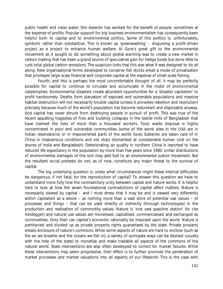public health and clean water, this dialectic has worked for the benefit of people, sometimes at the expense of profits. Popular support for big business environmentalism has consequently been helpful both to capital and to environmental politics. Some of this politics is, unfortunately, symbolic rather than substantive. This is known as 'greenwashing' – disguising a profit-driven project as a project to enhance human welfare. Al Gore's great gift to the environmental movement as it sought to do something about global warming was to create a new market in carbon trading that has been a grand source of speculative gain for hedge funds but done little to curb total global carbon emissions. The suspicion lurks that this was what it was designed to do all along. New organisational forms developed to conserve fish stocks entail a mode of privatisation that privileges large-scale financial and corporate capital at the expense of small-scale fishing.

Fourth, and this is perhaps the most uncomfortable thought of all, it may be perfectly possible for capital to continue to circulate and accumulate in the midst of environmental catastrophes. Environmental disasters create abundant opportunities for a 'disaster capitalism' to profit handsomely. Deaths from starvation of exposed and vulnerable populations and massive habitat destruction will not necessarily trouble capital (unless it provokes rebellion and revolution) precisely because much of the world's population has become redundant and disposable anyway. And capital has never shrunk from destroying people in pursuit of profit. This was true of the recent appalling tragedies of fires and building collapses in the textile mills of Bangladesh that have claimed the lives of more than a thousand workers. Toxic waste disposal is highly concentrated in poor and vulnerable communities (some of the worst sites in the USA are in Indian reservations) or in impoverished parts of the world (toxic batteries are taken care of in China in insalubrious conditions and old ships dismantled at considerable human cost on the shores of India and Bangladesh). Deteriorating air quality in northern China is reported to have reduced life expectancy in the population by more than five years since 1980. Unfair distributions of environmental damages of this sort may add fuel to an environmental justice movement. But the resultant social protests do not, as of now, constitute any major threat to the survival of capital.

The big underlying question is: under what circumstances might these internal difficulties be dangerous, if not fatal, for the reproduction of capital? To answer this question we have to understand more fully how the contradictory unity between capital and nature works. It is helpful here to look at how the seven foundational contradictions of capital affect matters. Nature is necessarily viewed by capital – and I must stress that it may be and is viewed very differently within capitalism as a whole – as nothing more than a vast store of potential use values – of processes and things – that can be used directly or indirectly (through technologies) in the production and realisation of commodity values. Nature is 'one vast gasoline station' (to cite Heidegger) and natural use values are monetised, capitalised, commercialised and exchanged as commodities. Only then can capital's economic rationality be imposed upon the world. Nature is partitioned and divided up as private property rights guaranteed by the state. Private property entails enclosure of nature's commons. While some aspects of nature are hard to enclose (such as the air we breathe and the oceans we fish in), a variety of surrogate ways can be devised (usually with the help of the state) to monetise and make tradable all aspects of the commons of the natural world. State interventions are also often developed to correct for market failures. While these interventions may seem progressive, their effect is to further promote the penetration of market processes and market valuations into all aspects of our lifeworld. This is the case with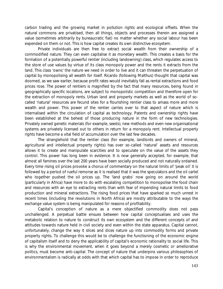carbon trading and the growing market in pollution rights and ecological offsets. When the natural commons are privatised, then all things, objects and processes therein are assigned a value (sometimes arbitrarily by bureaucratic fiat) no matter whether any social labour has been expended on them or not. This is how capital creates its own distinctive ecosystem.

Private individuals are then free to extract social wealth from their ownership of a commodified nature. They can even capitalise it as monetary wealth. This creates a basis for the formation of a potentially powerful rentier (including landowning) class, which regulates access to the store of use values by virtue of its class monopoly power and the rents it extracts from the land. This class 'owns' the nature we need in order to live and it can threaten the perpetuation of capital by monopolising all wealth for itself. Ricardo (following Malthus) thought that capital was doomed, as we saw earlier, because profit rates would inevitably fall as rental extractions and food prices rose. The power of rentiers is magnified by the fact that many resources, being found in geographically specific locations, are subject to monopolistic competition and therefore open for the extraction of monopoly rents. Urban land and property markets as well as the world of socalled 'natural' resources are fecund sites for a flourishing rentier class to amass more and more wealth and power. This power of the rentier carries over to that aspect of nature which is internalised within the circulation of capital as technology. Patents and ownership rights have been established at the behest of those producing nature in the form of new technologies. Privately owned genetic materials (for example, seeds), new methods and even new organisational systems are privately licensed out to others in return for a monopoly rent. Intellectual property rights have become a vital field of accumulation over the last few decades.

The stranglehold that the rentier class (for example, landlords and owners of mineral, agricultural and intellectual property rights) has over so-called 'natural' assets and resources allows it to create and manipulate scarcities and to speculate on the value of the assets they control. This power has long been in evidence. It is now generally accepted, for example, that almost all famines over the last 200 years have been socially produced and not naturally ordained. Every time rising oil prices provoke a chorus of commentary on the natural limits of 'peak oil' it is followed by a period of rueful remorse as it is realised that it was the speculators and the oil cartel who together pushed the oil prices up. The 'land grabs' now going on around the world (particularly in Africa) have more to do with escalating competition to monopolise the food chain and resources with an eye to extracting rents than with fear of impending natural limits to food production and mineral extractions. The rising food prices that have sparked so much unrest in recent times (including the revolutions in North Africa) are mostly attributable to the ways the exchange value system is being manipulated for reasons of profitability.

Capital's conception of nature as a mere objectified commodity does not pass unchallenged. A perpetual battle ensues between how capital conceptualises and uses the metabolic relation to nature to construct its own ecosystem and the different concepts of and attitudes towards nature held in civil society and even within the state apparatus. Capital cannot, unfortunately, change the way it slices and dices nature up into commodity forms and private property rights. To challenge this would be to challenge the functioning of the economic engine of capitalism itself and to deny the applicability of capital's economic rationality to social life. This is why the environmental movement, when it goes beyond a merely cosmetic or ameliorative politics, must become anti-capital. The concept of nature that underpins various philosophies of environmentalism is radically at odds with that which capital has to impose in order to reproduce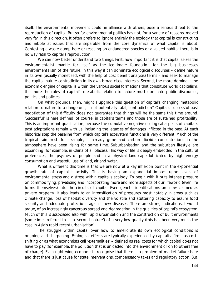itself. The environmental movement could, in alliance with others, pose a serious threat to the reproduction of capital. But so far environmental politics has not, for a variety of reasons, moved very far in this direction. It often prefers to ignore entirely the ecology that capital is constructing and nibble at issues that are separable from the core dynamics of what capital is about. Contesting a waste dump here or rescuing an endangered species or a valued habitat there is in no way fatal to capital's reproduction.

We can now better understand two things. First, how important it is that capital seizes the environmentalist mantle for itself as the legitimate foundation for the big businesses environmentalism of the future. In this way it can dominate ecological discourses – define nature in its own (usually monetised, with the help of cost benefit analysis) terms – and seek to manage the capital–nature contradiction in its own broad class interests. Second, the more dominant the economic engine of capital is within the various social formations that constitute world capitalism, the more the rules of capital's metabolic relation to nature must dominate public discourses, politics and policies.

On what grounds, then, might I upgrade this question of capital's changing metabolic relation to nature to a dangerous, if not potentially fatal, contradiction? Capital's successful past negotiation of this difficulty does not guarantee that things will be the same this time around. 'Successful' is here defined, of course, in capital's terms and those are of sustained profitability. This is an important qualification, because the cumulative negative ecological aspects of capital's past adaptations remain with us, including the legacies of damages inflicted in the past. At each historical step the baseline from which capital's ecosystem functions is very different. Much of the tropical rainforest, for example, is already gone and carbon dioxide concentrations in the atmosphere have been rising for some time. Suburbanisation and the suburban lifestyle are expanding (for example, in China of all places). This way of life is deeply embedded in the cultural preferences, the psyches of people and in a physical landscape lubricated by high energy consumption and wasteful use of land, air and water.

What is different this time is that we are now at a key inflexion point in the exponential growth rate of capitalist activity. This is having an exponential impact upon levels of environmental stress and distress within capital's ecology. To begin with it puts intense pressure on commodifying, privatising and incorporating more and more aspects of our lifeworld (even life forms themselves) into the circuits of capital. Even genetic identifications are now claimed as private property. It also leads to an intensification of pressures most notably in areas such as climate change, loss of habitat diversity and the volatile and stuttering capacity to assure food security and adequate protections against new diseases. There are strong indications, I would argue, of an increasingly cancerous spread and degradation in the qualities of capital's ecosystem. Much of this is associated also with rapid urbanisation and the construction of built environments (sometimes referred to as a 'second nature') of a very low quality (this has been very much the case in Asia's rapid recent urbanisation).

The struggle within capital over how to ameliorate its own ecological conditions is ongoing and sharpening. Ecological effects are typically experienced by capitalist firms as costshifting or as what economists call 'externalities' – defined as real costs for which capital does not have to pay (for example, the pollution that is unloaded into the environment or on to others free of charge). Even right-wing economists recognise that there is a problem of market failure here and that there is just cause for state interventions, compensatory taxes and regulatory action. But,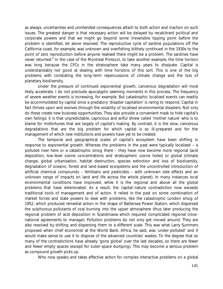as always, uncertainties and unintended consequences attach to both action and inaction on such issues. The greatest danger is that necessary action will be delayed by recalcitrant political and corporate powers and that we might go beyond some irreversible tipping point before the problem is identified, let alone resolved. The reproductive cycle of sardine populations off the California coast, for example, was unknown and overfishing blithely continued in the 1930s to the point of zero reproduction before anyone realised there might be a problem. The sardines have never returned.<sup>4</sup> In the case of the Montreal Protocol, to take another example, the time horizon was long because the CFCs in the stratosphere take many years to dissipate. Capital is understandably not good at dealing with time horizons of this sort. This is one of the big problems with combating the long-term repercussions of climate change and the loss of planetary biodiversity.

Under the pressure of continued exponential growth, cancerous degradation will most likely accelerate. I do not preclude apocalyptic-seeming moments in this process. The frequency of severe weather events is increasing, for example. But catastrophic localised events can readily be accommodated by capital since a predatory 'disaster capitalism' is raring to respond. Capital in fact thrives upon and evolves through the volatility of localised environmental disasters. Not only do these create new business opportunities. They also provide a convenient mask to hide capital's own failings: it is that unpredictable, capricious and wilful shrew called 'mother nature' who is to blame for misfortunes that are largely of capital's making. By contrast, it is the slow, cancerous degradations that are the big problem for which capital is so ill-prepared and for the management of which new institutions and powers have yet to be created.

The temporal and geographical scales of capital's ecosystem have been shifting in response to exponential growth. Whereas the problems in the past were typically localised – a polluted river here or a catastrophic smog there – they have now become more regional (acid deposition, low-level ozone concentrations and stratospheric ozone holes) or global (climate change, global urbanisation, habitat destruction, species extinction and loss of biodiversity, degradation of oceanic, forest and land-based ecosystems and the uncontrolled introduction of artificial chemical compounds – fertilisers and pesticides – with unknown side effects and an unknown range of impacts on land and life across the whole planet). In many instances local environmental conditions have improved, while it is the regional and above all the global problems that have deteriorated. As a result, the capital–nature contradiction now exceeds traditional tools of management and of action. It relied in the past on some combination of market forces and state powers to deal with problems, like the catastrophic London smog of 1952, which produced remedial action in the shape of Battersea Power Station, which dispersed the sulphurous pollutants of coal burning into the upper atmosphere (thus later producing the regional problem of acid deposition in Scandinavia which required complicated regional crossnational agreements to manage). Pollution problems do not only get moved around. They are also resolved by shifting and dispersing them to a different scale. This was what Larry Summers proposed when chief economist at the World Bank. Africa, he said, was 'under-polluted' and it would make sense to use it to dispose of the advanced countries' wastes. To the degree that so many of the contradictions have already 'gone global' over the last decades, so there are fewer and fewer empty spaces (except for outer-space dumping). This may become a serious problem as compound growth picks up.

Who now speaks and takes effective action for complex interactive problems on a global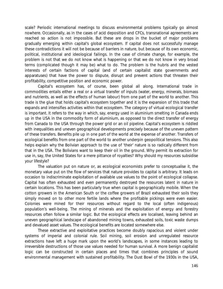scale? Periodic international meetings to discuss environmental problems typically go almost nowhere. Occasionally, as in the cases of acid deposition and CFCs, transnational agreements are reached so action is not impossible. But these are drops in the bucket of major problems gradually emerging within capital's global ecosystem. If capital does not successfully manage these contradictions it will not be because of barriers in nature, but because of its own economic, political, institutional and ideological failings. In the case of climate change, for example, the problem is not that we do not know what is happening or that we do not know in very broad terms (complicated though it may be) what to do. The problem is the hubris and the vested interests of certain factions of capital (and of certain capitalist state governments and apparatuses) that have the power to dispute, disrupt and prevent actions that threaten their profitability, competitive position and economic power.

Capital's ecosystem has, of course, been global all along. International trade in commodities entails either a real or a virtual transfer of inputs (water, energy, minerals, biomass and nutrients, as well as the effects of human labour) from one part of the world to another. This trade is the glue that holds capital's ecosystem together and it is the expansion of this trade that expands and intensifies activities within that ecosystem. The category of virtual ecological transfer is important. It refers to the way in which, say, energy used in aluminium smelting in Canada ends up in the USA in the commodity form of aluminium, as opposed to the direct transfer of energy from Canada to the USA through the power grid or an oil pipeline. Capital's ecosystem is riddled with inequalities and uneven geographical developments precisely because of the uneven pattern of these transfers. Benefits pile up in one part of the world at the expense of another. Transfers of ecological benefits from one part of the world to another underpin geopolitical tensions. This also helps explain why the Bolivian approach to the use of 'their' nature is so radically different from that in the USA. The Bolivians want to keep their oil in the ground. Why permit its extraction for use in, say, the United States for a mere pittance of royalties? Why should my resources subsidise your lifestyle?

The valuation put on nature or, as ecological economists prefer to conceptualise it, the monetary value put on the flow of services that nature provides to capital is arbitrary. It leads on occasion to indiscriminate exploitation of available use values to the point of ecological collapse. Capital has often exhausted and even permanently destroyed the resources latent in nature in certain locations. This has been particularly true when capital is geographically mobile. When the cotton growers in the American South or the coffee growers of Brazil exhausted their soils they simply moved on to other more fertile lands where the profitable pickings were even easier. Colonies were mined for their resources without regard to the local (often indigenous) population's well-being. The mining of minerals and the exploitation of energy and forestry resources often follow a similar logic. But the ecological effects are localised, leaving behind an uneven geographical landscape of abandoned mining towns, exhausted soils, toxic waste dumps and devalued asset values. The ecological benefits are located somewhere else.

These extractive and exploitative practices become doubly rapacious and violent under systems of imperial and colonial rule. Soil mining, soil erosion and unregulated resource extractions have left a huge mark upon the world's landscapes, in some instances leading to irreversible destructions of those use values needed for human survival. A more benign capitalist logic can be constructed in certain places and times that combines principles of sound environmental management with sustained profitability. The Dust Bowl of the 1930s in the USA,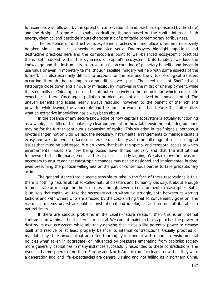for example, was followed by the spread of conservationist land practices (sponsored by the state) and the design of a more sustainable agriculture, though based on the capital-intensive, high energy, chemical and pesticide inputs characteristic of profitable contemporary agribusiness.

The existence of destructive ecosystemic practices in one place does not necessarily betoken similar practices elsewhere and vice versa. Doomsayers highlight rapacious and destructive practices here and the cornucopians point to well-balanced ecosystemic practices there. Both coexist within the dynamics of capital's ecosystem. Unfortunately, we lack the knowledge and the instruments to arrive at a full accounting of planetary benefits and losses in use value or even in monetary terms (though satellite imagery will help with some aspects of the former). It is also extremely difficult to account for the real and the virtual ecological transfers occurring through the trading in commodities over space. The steel mills of Sheffield and Pittsburgh close down and air quality miraculously improves in the midst of unemployment, while the steel mills of China open up and contribute massively to the air pollution which reduces life expectancies there. Once again, pollution problems do not get solved but moved around. The uneven benefits and losses nearly always redound, however, to the benefit of the rich and powerful while leaving the vulnerable and the poor far worse off than before. This, after all, is what an extractive imperialism has always been about.

In the absence of any secure knowledge of how capital's ecosystem is actually functioning as a whole, it is difficult to make any clear judgement on how fatal environmental degradations may be for the further continuous expansion of capital. This situation in itself signals, perhaps, a pivotal danger: not only do we lack the necessary instrumental arrangements to manage capital's ecosystem well, but we also face considerable uncertainty as to the full range of socio-ecological issues that must be addressed. We do know that both the spatial and temporal scales at which environmental issues are now being posed have shifted radically and that the institutional framework to handle management at these scales is clearly lagging. We also know the measures necessary to ensure against catastrophic changes may not be designed and implemented in time, even presuming the political willingness on the part of contentious parties to take precautionary action.

The general stance that it seems sensible to take in the face of these reservations is this: there is nothing natural about so-called natural disasters and humanity knows just about enough to ameliorate or manage the threat of most (though never all) environmental catastrophes. But it is unlikely that capital will take the necessary action without a struggle, both between its warring factions and with others who are affected by the cost-shifting that so conveniently goes on. The reasons problems persist are political, institutional and ideological and are not attributable to natural limits.

If there are serious problems in the capital–nature relation, then this is an internal contradiction within and not external to capital. We cannot maintain that capital has the power to destroy its own ecosystem while arbitrarily denying that it has a like potential power to cleanse itself and resolve or at least properly balance its internal contradictions. Usually prodded or mandated by state powers (that are often thoroughly incoherent with regard to environmental policies when taken in aggregate) or influenced by pressures emanating from capitalist society more generally, capital has in many instances successfully responded to these contradictions. The rivers and atmospheres of northern Europe and North America are far cleaner now than they were a generation ago and life expectancies are generally rising and not falling as in northern China.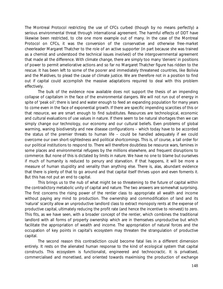The Montreal Protocol restricting the use of CFCs curbed (though by no means perfectly) a serious environmental threat through international agreement. The harmful effects of DDT have likewise been restricted, to cite one more example out of many. In the case of the Montreal Protocol on CFCs, it was the conversion of the conservative and otherwise free-market cheerleader Margaret Thatcher to the role of an active supporter (in part because she was trained as a chemist and understood the technical issues involved) of the intergovernmental agreement that made all the difference. With climate change, there are simply too many 'deniers' in positions of power to permit ameliorative actions and so far no Margaret Thatcher figure has ridden to the rescue. It has been left to some of the poorer and immediately threatened countries, like Bolivia and the Maldives, to plead the cause of climate justice. We are therefore not in a position to find out if capital could accomplish the massive adaptations required to deal with this problem effectively.

The bulk of the evidence now available does not support the thesis of an impending collapse of capitalism in the face of the environmental dangers. We will not run out of energy in spite of 'peak oil'; there is land and water enough to feed an expanding population for many years to come even in the face of exponential growth. If there are specific impending scarcities of this or that resource, we are smart enough to find substitutes. Resources are technological, economic and cultural evaluations of use values in nature. If there seem to be natural shortages then we can simply change our technology, our economy and our cultural beliefs. Even problems of global warming, waning biodiversity and new disease configurations – which today have to be accorded the status of the premier threats to human life – could be handled adequately if we could overcome our own short-sightedness and political shortcomings. This is, of course, a tall order for our political institutions to respond to. There will therefore doubtless be resource wars, famines in some places and environmental refugees by the millions elsewhere, and frequent disruptions to commerce. But none of this is dictated by limits in nature. We have no one to blame but ourselves if much of humanity is reduced to penury and starvation. If that happens, it will be more a measure of human stupidity and venality than anything else. There is, alas, abundant evidence that there is plenty of that to go around and that capital itself thrives upon and even foments it. But this has not put an end to capital.

This brings us to the nub of what might be so threatening to the future of capital within the contradictory metabolic unity of capital and nature. The two answers are somewhat surprising. The first concerns the rising power of the rentier class to appropriate all wealth and income without paying any mind to production. The ownership and commodification of land and its 'natural' scarcity allow an unproductive landlord class to extract monopoly rents at the expense of productive capital, ultimately reducing the profit rate (and hence the incentive to reinvest) to zero. This fits, as we have seen, with a broader concept of the rentier, which combines the traditional landlord with all forms of property ownership which are in themselves unproductive but which facilitate the appropriation of wealth and income. The appropriation of natural forces and the occupation of key points in capital's ecosystem may threaten the strangulation of productive capital.

The second reason this contradiction could become fatal lies in a different dimension entirely. It rests on the alienated human response to the kind of ecological system that capital constructs. This ecosystem is functionalist, engineered and technocractic. It is privatised, commercialised and monetised, and oriented towards maximising the production of exchange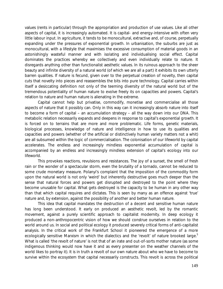values (rents in particular) through the appropriation and production of use values. Like all other aspects of capital, it is increasingly automated. It is capital- and energy-intensive with often very little labour input. In agriculture, it tends to be monocultural, extractive and, of course, perpetually expanding under the pressures of exponential growth. In urbanisation, the suburbs are just as monocultural, with a lifestyle that maximises the excessive consumption of material goods in an astonishingly wasteful manner and with isolating and individualising social effect. Capital dominates the practices whereby we collectively and even individually relate to nature. It disregards anything other than functionalist aesthetic values. In its ruinous approach to the sheer beauty and infinite diversity of a natural world (of which we are all a part) it exhibits its own utterly barren qualities. If nature is fecund, given over to the perpetual creation of novelty, then capital cuts that novelty into pieces and reassembles the bits into pure technology. Capital carries within itself a desiccating definition not only of the teeming diversity of the natural world but of the tremendous potentiality of human nature to evolve freely its on capacities and powers. Capital's relation to nature and human nature is alienating in the extreme.

Capital cannot help but privatise, commodify, monetise and commercialise all those aspects of nature that it possibly can. Only in this way can it increasingly absorb nature into itself to become a form of capital – an accumulation strategy – all the way down into our DNA. This metabolic relation necessarily expands and deepens in response to capital's exponential growth. It is forced on to terrains that are more and more problematic. Life forms, genetic materials, biological processes, knowledge of nature and intelligence in how to use its qualities and capacities and powers (whether of the artificial or distinctively human variety matters not a whit) are all subsumed within the logic of commercialisation. The colonisation of our lifeworld by capital accelerates. The endless and increasingly mindless exponential accumulation of capital is accompanied by an endless and increasingly mindless extension of capital's ecology into our lifeworld.

This provokes reactions, revulsions and resistances. The joy of a sunset, the smell of fresh rain or the wonder of a spectacular storm, even the brutality of a tornado, cannot be reduced to some crude monetary measure. Polanyi's complaint that the imposition of the commodity form upon the natural world is not only 'weird' but inherently destructive goes much deeper than the sense that natural forces and powers get disrupted and destroyed to the point where they become unusable for capital. What gets destroyed is the capacity to be human in any other way than that which capital requires and dictates. This is seen by many as an offence against 'true' nature and, by extension, against the possibility of another and better human nature.

This idea that capital mandates the destruction of a decent and sensitive human nature has long been understood. It early on produced an aesthetic revolt, led by the romantic movement, against a purely scientific approach to capitalist modernity. In deep ecology it produced a non-anthropocentric vision of how we should construe ourselves in relation to the world around us. In social and political ecology it produced severely critical forms of anti-capitalist analysis. In the critical work of the Frankfurt School it pioneered the emergence of a more ecologically sensitive Marxism in which the dialectics and the 'revolt' of nature brooked large.<sup>5</sup> What is called 'the revolt of nature' is not that of an irate and out-of-sorts mother nature (as some indigenous thinking would now have it and as every presenter on the weather channels of the world likes to portray it). It is in truth a revolt of our own nature about who we have to become to survive within the ecosystem that capital necessarily constructs. This revolt is across the political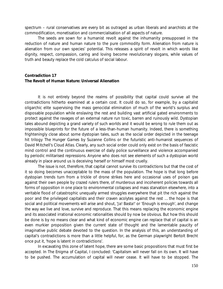spectrum – rural conservatives are every bit as outraged as urban liberals and anarchists at the commodification, monetisation and commercialisation of all aspects of nature.

The seeds are sown for a humanist revolt against the inhumanity presupposed in the reduction of nature and human nature to the pure commodity form. Alienation from nature is alienation from our own species' potential. This releases a spirit of revolt in which words like dignity, respect, compassion, caring and loving become revolutionary slogans, while values of truth and beauty replace the cold calculus of social labour.

**Contradiction 17 The Revolt of Human Nature: Universal Alienation** 

It is not entirely beyond the realms of possibility that capital could survive all the contradictions hitherto examined at a certain cost. It could do so, for example, by a capitalist oligarchic elite supervising the mass genocidal elimination of much of the world's surplus and disposable population while enslaving the rest and building vast artificial gated environments to protect against the ravages of an external nature run toxic, barren and ruinously wild. Dystopian tales abound depicting a grand variety of such worlds and it would be wrong to rule them out as impossible blueprints for the future of a less-than-human humanity. Indeed, there is something frighteningly close about some dystopian tales, such as the social order depicted in the teenage hit trilogy *The Hunger Games* by Suzanne Collins or the futuristic anti-humanist sequences of David Mitchell's *Cloud Atlas*. Clearly, any such social order could only exist on the basis of fascistic mind control and the continuous exercise of daily police surveillance and violence accompanied by periodic militarised repressions. Anyone who does not see elements of such a dystopian world already in place around us is deceiving herself or himself most cruelly.

The issue is not, therefore, that capital cannot survive its contradictions but that the cost of it so doing becomes unacceptable to the mass of the population. The hope is that long before dystopian trends turn from a trickle of drone strikes here and occasional uses of poison gas against their own people by crazed rulers there, of murderous and incoherent policies towards all forms of opposition in one place to environmental collapses and mass starvation elsewhere, into a veritable flood of catastrophic unequally armed struggles everywhere that pit the rich against the poor and the privileged capitalists and their craven acolytes against the rest … the hope is that social and political movements will arise and shout, '*Ja! Basta!*' or 'Enough is enough', and change the way we live and love, survive and reproduce. That this means replacing the economic engine and its associated irrational economic rationalities should by now be obvious. But how this should be done is by no means clear and what kind of economic engine can replace that of capital is an even murkier proposition given the current state of thought and the lamentable paucity of imaginative public debate devoted to the question. In the analysis of this, an understanding of capital's contradictions is more than a little helpful, for, as the German playwright Bertolt Brecht once put it, 'hope is latent in contradictions'.

In excavating this zone of latent hope, there are some basic propositions that must first be accepted. In *The Enigma of Capital*, I concluded: 'Capitalism will never fall on its own. It will have to be pushed. The accumulation of capital will never cease. It will have to be stopped. The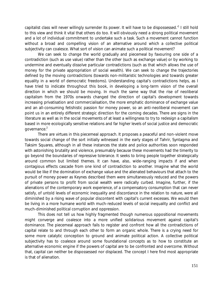capitalist class will never willingly surrender its power. It will have to be dispossessed.<sup>,1</sup> I still hold to this view and think it vital that others do too. It will obviously need a strong political movement and a lot of individual commitment to undertake such a task. Such a movement cannot function without a broad and compelling vision of an alternative around which a collective political subjectivity can coalesce. What sort of vision can animate such a political movement?

We can seek to change the world gradually and piecemeal by favouring one side of a contradiction (such as use value) rather than the other (such as exchange value) or by working to undermine and eventually dissolve particular contradictions (such as that which allows the use of money for the private appropriation of social wealth). We can seek to change the trajectories defined by the moving contradictions (towards non-militaristic technologies and towards greater equality in a world of democratic freedoms). Understanding capital's contradictions helps, as I have tried to indicate throughout this book, in developing a long-term vision of the overall *direction* in which we should be moving. In much the same way that the rise of neoliberal capitalism from the 1970s onwards changed the direction of capital's development towards increasing privatisation and commercialisation, the more emphatic dominance of exchange value and an all-consuming fetishistic passion for money power, so an anti-neoliberal movement can point us in an entirely different strategic direction for the coming decades. There are signs in the literature as well as in the social movements of at least a willingness to try to redesign a capitalism based in more ecologically sensitive relations and far higher levels of social justice and democratic governance.<sup>2</sup>

There are virtues in this piecemeal approach. It proposes a peaceful and non-violent move towards social change of the sort initially witnessed in the early stages of Tahrir, Syntagma and Taksim Squares, although in all these instances the state and police authorities soon responded with astonishing brutality and violence, presumably because these movements had the timerity to go beyond the boundaries of repressive tolerance. It seeks to bring people together strategically around common but limited themes. It can have, also, wide-ranging impacts if and when contagious effects cascade from one kind of contradiction to another. Imagine what the world would be like if the domination of exchange value and the alienated behaviours that attach to the pursuit of money power as Keynes described them were simultaneously reduced and the powers of private persons to profit from social wealth were radically curbed. Imagine, further, if the alienations of the contemporary work experience, of a compensatory consumption that can never satisfy, of untold levels of economic inequality and discordance in the relation to nature, were all diminished by a rising wave of popular discontent with capital's current excesses. We would then be living in a more humane world with much-reduced levels of social inequality and conflict and much-diminished political corruption and oppression.

This does not tell us how highly fragmented though numerous oppositional movements might converge and coalesce into a more unified solidarious movement against capital's dominance. The piecemeal approach fails to register and confront how all the contradictions of capital relate to and through each other to form an organic whole. There is a crying need for some more catalytic conception to ground and animate political action. A collective political subjectivity has to coalesce around some foundational concepts as to how to constitute an alternative economic engine if the powers of capital are to be confronted and overcome. Without that, capital can neither be dispossessed nor displaced. The concept I here find most appropriate is that of *alienation*.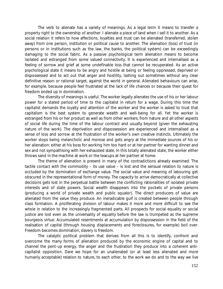The verb to alienate has a variety of meanings. As a legal term it means to transfer a property right to the ownership of another. I alienate a piece of land when I sell it to another. As a social relation it refers to how affections, loyalties and trust can be alienated (transferred, stolen away) from one person, institution or political cause to another. The alienation (loss) of trust (in persons or in institutions such as the law, the banks, the political system) can be exceedingly damaging to the social fabric. As a passive psychological term alienation means to become isolated and estranged from some valued connectivity. It is experienced and internalised as a feeling of sorrow and grief at some undefinable loss that cannot be recuperated. As an active psychological state it means to be angry and hostile at being or feeling oppressed, deprived or dispossessed and to act out that anger and hostility, lashing out sometimes without any clear definitive reason or rational target, against the world in general. Alienated behaviours can arise, for example, because people feel frustrated at the lack of life chances or because their quest for freedom ended up in domination.

The diversity of meanings is useful. The worker legally alienates the use of his or her labour power for a stated period of time to the capitalist in return for a wage. During this time the capitalist demands the loyalty and attention of the worker and the worker is asked to trust that capitalism is the best system to generate wealth and well-being for all. Yet the worker is estranged from his or her product as well as from other workers, from nature and all other aspects of social life during the time of the labour contract and usually beyond (given the exhausting nature of the work). The deprivation and dispossession are experienced and internalised as a sense of loss and sorrow at the frustration of the worker's own creative instincts. Ultimately the worker stops being melancholic and morose and gets angry at the immediate sources of his or her alienation: either at his boss for working him too hard or at her partner for wanting dinner and sex and not sympathising with her exhausted state. In this totally alienated state, the worker either throws sand in the machine at work or the teacups at her partner at home.

The theme of alienation is present in many of the contradictions already examined. The tactile contact with the commodity – its use value – is lost and the sensual relation to nature is occluded by the domination of exchange value. The social value and meaning of labouring get obscured in the representational form of money. The capacity to arrive democratically at collective decisions gets lost in the perpetual battle between the conflicting rationalities of isolated private interests and of state powers. Social wealth disappears into the pockets of private persons (producing a world of private wealth and public squalor). The direct producers of value are alienated from the value they produce. An ineradicable gulf is created between people through class formation. A proliferating division of labour makes it more and more difficult to see the whole in relation to the increasingly fragmented parts. All prospects for social equality or social justice are lost even as the universality of equality before the law is trumpeted as the supreme bourgeois virtue. Accumulated resentments at accumulation by dispossession in the field of the realisation of capital (through housing displacements and foreclosures, for example) boil over. Freedom becomes domination, slavery is freedom.

The catalytic political problem that derives from all this is to identify, confront and overcome the many forms of alienation produced by the economic engine of capital and to channel the pent-up energy, the anger and the frustration they produce into a coherent anticapitalist opposition. Dare we hope for an unalienated (or at least less alienated and more humanly acceptable) relation to nature, to each other, to the work we do and to the way we live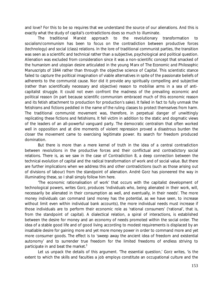and love? For this to be so requires that we understand the source of our alienations. And this is exactly what the study of capital's contradictions does so much to illuminate.

The traditional Marxist approach to the revolutionary transformation to socialism/communism has been to focus on the contradiction between productive forces (technology) and social (class) relations. In the lore of traditional communist parties, the transition was seen as a scientific and technical rather than a subjective, psychological and political question. Alienation was excluded from consideration since it was a non-scientific concept that smacked of the humanism and utopian desire articulated in the young Marx of *The Economic and Philosophic Manuscripts of 1844* rather than through the objective science of *Capital*. This scientistic stance failed to capture the political imagination of viable alternatives in spite of the passionate beliefs of adherents to the communist cause. Nor did it provide any spiritually compelling and subjective (rather than scientifically necessary and objective) reason to mobilise arms in a sea of anticapitalist struggle. It could not even confront the madness of the prevailing economic and political reason (in part because scientific communism embraced much of this economic reason and its fetish attachment to production for production's sake). It failed in fact to fully unmask the fetishisms and fictions peddled in the name of the ruling classes to protect themselves from harm. The traditional communist movement was, therefore, in perpetual danger of unwittingly replicating these fictions and fetishisms. It fell victim in addition to the static and dogmatic views of the leaders of an all-powerful vanguard party. The democratic centralism that often worked well in opposition and at dire moments of violent repression proved a disastrous burden the closer the movement came to exercising legitimate power. Its search for freedom produced domination.

But there is more than a mere kernel of truth in the idea of a central contradiction between revolutions in the productive forces and their conflictual and contradictory social relations. There is, as we saw in the case of Contradiction 8, a deep connection between the technical evolution of capital and the radical transformation of work and of social value. But there are further implications when we address this and other contradictions (such as those arising out of divisions of labour) from the standpoint of alienation. André Gorz has pioneered the way in illuminating these, so I shall simply follow him here.

'The economic rationalisation of work' that occurs with the capitalist development of technological powers, writes Gorz, produces 'individuals who, being alienated in their work, will, necessarily be alienated in their consumption as well, and eventually, in their needs'. The more money individuals can command (and money has the potential, as we have seen, to increase without limit even within individual bank accounts), the more individual needs must increase if those individuals are to perform their economic role as 'rational consumers' ('rational', that is, from the standpoint of capital). A dialectical relation, a spiral of interactions, is established between the desire for money and an economy of needs promoted within the social order. The idea of a stable good life and of good living according to modest requirements is displaced by an insatiable desire for gaining more and yet more money power in order to command more and yet more consumer goods. The effect is to 'sweep away the ancient idea of freedom and existential autonomy' and to surrender true freedom for the limited freedoms of endless striving to participate in and beat the market. $3$ 

Let us unpack the details of this argument. 'The essential question,' Gorz writes, 'is the extent to which the skills and faculties a job employs constitute an occupational culture and the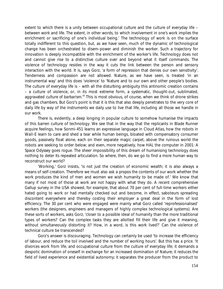extent to which there is a unity between occupational culture and the culture of everyday life – between work and life. The extent, in other words, to which involvement in one's work implies the enrichment or sacrificing of one's individual being.' The technology of work is on the surface totally indifferent to this question, but, as we have seen, much of the dynamic of technological change has been orchestrated to disem-power and diminish the worker. Such a trajectory for innovation is deeply incompatible with the enrichment of the worker's life. Technology does not and cannot give rise to a distinctive culture over and beyond what it itself commands. The violence of technology resides in the way it cuts the link between the person and sensory interaction with the world. It is, says Gorz, 'a form of repression that denies our own sensitivity'. Tenderness and compassion are not allowed. Nature, as we have seen, is treated 'in an instrumental way' and this does 'violence' to 'Nature and to our own and other people's bodies. The culture of everyday life is – with all the disturbing ambiguity this antinomic creation contains – a culture of violence, or, in its most extreme form, a systematic, thought-out, sublimated, aggravated *culture of barbarism*.<sup>,4</sup> This is most obvious, of course, when we think of drone strikes and gas chambers. But Gorz's point is that it is this that also deeply penetrates to the very core of daily life by way of the instruments we daily use to live that life, including all those we handle in our work.

There is, evidently, a deep longing in popular culture to somehow humanise the impacts of this barren culture of technology. We see that in the way that the replicants in *Blade Runner* acquire feelings, how Sonmi-451 learns an expressive language in *Cloud Atlas*, how the robots in *Wall-E* learn to care and shed a tear while human beings, bloated with compensatory consumer goods, passively float alone, each on their separate magic carpet, above the ruinous world the robots are seeking to order below; and even, more negatively, how HAL the computer in *2001: A Space Odyssey* goes rogue. The sheer impossibility of this dream of humanising technology does nothing to deter its repeated articulation. So where, then, do we go to find a more human way to reconstruct our world?

'Working,' Gorz insists, 'is not just the creation of economic wealth; it is also always a means of self-creation. Therefore we must also ask *a propos* the contents of our work whether the work produces the kind of men and women we wish humanity to be made of.' We know that many if not most of those at work are not happy with what they do. A recent comprehensive Gallup survey in the USA showed, for example, that about 70 per cent of full-time workers either hated going to work or had mentally checked out and become, in effect, saboteurs spreading discontent everywhere and thereby costing their employer a great deal in the form of lost efficiency. The 30 per cent who were engaged were mainly what Gorz called 'reprofessionalised' workers (the designers, engineers and managers of highly complex technological systems). Are these sorts of workers, asks Gorz, 'closer to a possible ideal of humanity than the more traditional types of workers? Can the complex tasks they are allotted fill their life and give it meaning, without simultaneously distorting it? How, in a word, is this work lived?' Can the violence of technical culture be transcended?

Gorz's answer is discouraging. Technology can certainly be used 'to increase the efficiency of labour, and reduce the toil involved and the number of working hours'. But this has a price. 'It divorces work from life, and occupational culture from the culture of everyday life; it demands a despotic domination of oneself in exchange for an increased domination of Nature; it reduces the field of lived experience and existential autonomy; it separates the producer from the product to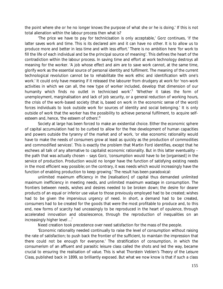the point where she or he no longer knows the purpose of what she or he is doing.' If this is not total alienation within the labour process then what is?

'The price we have to pay for technicisation is only acceptable,' Gorz continues, 'if the latter saves work and time. This is its declared aim and it can have no other. It is to allow us to produce more and better in less time and with less effort.' There is no ambition here 'for work to fill the life of each individual and be the principal source of meaning'. This defines the heart of the contradiction within the labour process. In saving time and effort at work technology destroys all meaning for the worker. 'A job whose effect and aim are to save work cannot, at the same time, glorify work as the essential source of personal identity and fulfilment. The meaning of the current technological revolution cannot be to rehabilitate the work ethic and identification with one's work.' It could only have meaning if it released the labourer from drudgery at work for 'non-work activities in which we can all, the new type of worker included, develop that dimension of our humanity which finds no outlet in technicised work'.<sup>5</sup> 'Whether it takes the form of unemployment, marginalisation and lack of job security, or a general reduction of working hours, the crisis of the work-based society (that is, based on work in the economic sense of the word) forces individuals to look outside work for sources of identity and social belonging.' It is only outside of work that the worker has the possibility to achieve personal fulfilment, to acquire selfesteem and, hence, 'the esteem of others'.<sup>6</sup>

Society at large has been forced to make an existential choice. Either the economic sphere of capital accumulation had to be curbed to allow for the free development of human capacities and powers outside the tyranny of the market and of work, 'or else economic rationality would have to make the needs of consumers grow at least as quickly as the production of commodities and commodified services'. This is exactly the problem that Martin Ford identifies, except that he eschews all talk of any alternative to capitalist economic rationality. But in this latter eventuality – the path that was actually chosen – says Gorz, 'consumption would have to be [organised] in the service of production. Production would no longer have the function of satisfying existing needs in the most efficient way possible; on the contrary, it was needs which would increasingly have the function of enabling production to keep growing.' The result has been paradoxical:

unlimited maximum efficiency in the [realisation] of capital thus demanded unlimited maximum inefficiency in meeting needs, and unlimited maximum wastage in consumption. The frontiers between needs, wishes and desires needed to be broken down; the desire for dearer products of an equal or inferior use value to those previously employed had to be created; wishes had to be given the impervious urgency of need. In short, a demand had to be created, consumers had to be created for the goods that were the most profitable to produce and, to this end, new forms of scarcity had unceasingly to be reproduced in the heart of opulence, through accelerated innovation and obsolescence, through the reproduction of inequalities on an increasingly higher level …<sup>7</sup>

Need creation took precedence over need satisfaction for the mass of the people.

'Economic rationality needed continually to raise the level of consumption without raising the rate of satisfaction; to push back the frontier of the sufficient, to maintain the impression that there could not be enough for everyone.' The stratification of consumption, in which the consumerism of an affluent and parasitic leisure class called the shots and led the way, became crucial to ensuring the realisation of value. This is what Thorstein Veblen's *Theory of the Leisure Class*, published back in 1899, so brilliantly exposed. But what we now know is that if such a class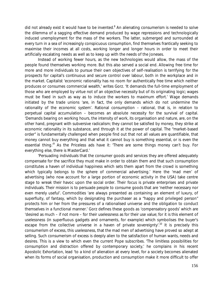did not already exist it would have to be invented. $8$  An alienating consumerism is needed to solve the dilemma of a sagging effective demand produced by wage repressions and technologically induced unemployment for the mass of the workers. The latter, submerged and surrounded at every turn in a sea of increasingly conspicuous consumption, find themselves frantically seeking to maximise their incomes at all costs, working longer and longer hours in order to meet their artificially escalating needs as well as to keep up with the needs of the Joneses.

Instead of working fewer hours, as the new technologies would allow, the mass of the people found themselves working more. But this also served a social end. Allowing free time for more and more individuals to pursue their own objectives of self-realisation is terrifying for the prospects for capital's continuous and secure control over labour, both in the workplace and in the market. Capitalist 'economic rationality has no room for authentically free time which neither produces or consumes commercial wealth,' writes Gorz. 'It demands the full-time employment of those who are employed by virtue not of an objective necessity but of its originating logic; wages must be fixed in such as way as to induce the workers to maximum effort.' Wage demands initiated by the trade unions 'are, in fact, the only demands which do not undermine the rationality of the economic system'. Rational consumption – rational, that is, in relation to perpetual capital accumulation – becomes an absolute necessity for the survival of capital. 'Demands bearing on working hours, the intensity of work, its organisation and nature, are, on the other hand, pregnant with subversive radicalism; they cannot be satisfied by money, they strike at economic rationality in its substance, and through it at the power of capital. The "market-based order" is fundamentally challenged when people find out that not all values are quantifiable, that money cannot buy everything and that what it cannot buy is something essential, or is even the essential thing.<sup>,9</sup> As the Priceless ads have it: 'There are some things money can't buy. For everything else, there is MasterCard.'

'Persuading individuals that the consumer goods and services they are offered adequately compensate for the sacrifice they must make in order to obtain them and that such consumption constitutes a haven of individual happiness which sets them apart from the crowd is something which typically belongs to the sphere of commercial advertising.' Here the 'mad men' of advertising (who now account for a large portion of economic activity in the USA) take centre stage to wreak their havoc upon the social order. Their focus is private enterprises and private individuals. Their mission is to persuade people to consume goods that are 'neither necessary nor even merely useful'. Commodities 'are always presented as containing an element of luxury, of superfluity, of fantasy, which by designating the purchaser as a "happy and privileged person" protects him or her from the pressures of a rationalised universe and the obligation to conduct themselves in a functional manner.' Gorz defines these goods as 'compensatory goods' which are 'desired as much – if not more – for their uselessness as for their use value; for it is this element of uselessness (in superfluous gadgets and ornaments, for example) which symbolises the buyer's escape from the collective universe in a haven of private sovereignty'.<sup>10</sup> It is precisely this consumerism of excess, this uselessness, that the mad men of advertising have proved so adept at selling. Such consumerism of excess is deeply alien to the satisfaction of human wants, needs and desires. This is a view to which even the current Pope subscribes. 'The limitless possibilities for consumption and distraction offered by contemporary society,' he complains in his recent Apostolic Exhortation, lead 'to a kind of alienation at every level, for a society becomes alienated when its forms of social organisation, production and consumption make it more difficult to offer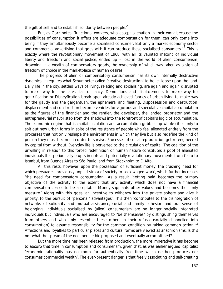the gift of self and to establish solidarity between people.<sup>'11</sup>

But, as Gorz notes, 'functional workers, who accept alienation in their work because the possibilities of consumption it offers are adequate compensation for them, can only come into being if they simultaneously become a socialised consumer. But only a market economy sector and commercial advertising that goes with it can produce these socialised consumers.<sup>12</sup> This is exactly where the revolutionary movement of 1968, with all its vaunted rhetoric of individual liberty and freedom and social justice, ended up – lost in the world of alien consumerism, drowning in a wealth of compensatory goods, the ownership of which was taken as a sign of freedom of choice in the marketplace of human desires.

The progress of alien or compensatory consumerism has its own internally destructive dynamics. It requires what Schumpeter called 'creative destruction' to be let loose upon the land. Daily life in the city, settled ways of living, relating and socialising, are again and again disrupted to make way for the latest fad or fancy. Demolitions and displacements to make way for gentrification or Disneyfication break open already achieved fabrics of urban living to make way for the gaudy and the gargantuan, the ephemeral and fleeting. Dispossession and destruction, displacement and construction become vehicles for vigorous and speculative capital accumulation as the figures of the financier and the rentier, the developer, the landed proprietor and the entrepreneurial mayor step from the shadows into the forefront of capital's logic of accumulation. The economic engine that is capital circulation and accumulation gobbles up whole cities only to spit out new urban forms in spite of the resistance of people who feel alienated entirely from the processes that not only reshape the environments in which they live but also redefine the kind of person they must become in order to survive. Processes of social reproduction get re-engineered by capital from without. Everyday life is perverted to the circulation of capital. The coalition of the unwilling in relation to this forced redefinition of human nature constitutes a pool of alienated individuals that periodically erupts in riots and potentially revolutionary movements from Cairo to Istanbul, from Buenos Aires to São Paulo, and from Stockholm to El Alto.

All this rests, however, upon the possession of sufficient money, the crushing need for which persuades 'previously unpaid strata of society to seek waged work', which further increases 'the need for compensatory consumption'. As a result 'getting paid becomes the primary objective of the activity to the extent that any activity which does not have a financial compensation ceases to be acceptable. Money supplants other values and becomes their only measure.' Along with this goes 'an incentive to withdraw into the private sphere and give it priority, to the pursuit of "personal" advantages'. This then 'contributes to the disintegration of networks of solidarity and mutual assistance, social and family cohesion and our sense of belonging. Individuals socialised by (alien) consumerism are no longer socially integrated individuals but individuals who are encouraged to "be themselves" by distinguishing themselves from others and who only resemble these others in their refusal (socially channelled into consumption) to assume responsibility for the common condition by taking common action.<sup>13</sup> Affections and loyalties to particular places and cultural forms are viewed as anachronisms. Is this not what the spread of the neoliberal ethic proposed and eventually accomplished?

But the more time has been released from production, the more imperative it has become to absorb that time in consumption and consumerism, given that, as was earlier argued, capitalist 'economic rationality has no room for authentically free time which neither produces nor consumes commercial wealth'. The ever-present danger is that freely associating and self-creating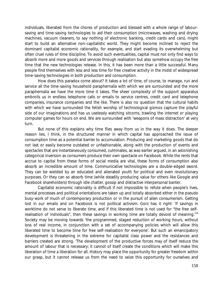individuals, liberated from the chores of production and blessed with a whole range of laboursaving and time-saving technologies to aid their consumption (microwaves, washing and drying machines, vacuum cleaners, to say nothing of electronic banking, credit cards and cars), might start to build an alternative non-capitalistic world. They might become inclined to reject the dominant capitalist economic rationality, for example, and start evading its overwhelming but often cruel rules of time discipline. To avoid such eventualities, capital must not only find ways to absorb more and more goods and services through realisation but also somehow occupy the free time that the new technologies release. In this, it has been more than a little successful. Many people find themselves with less and less time for free creative activity in the midst of widespread time-saving technologies in both production and consumption.

How does this paradox come about? It takes a lot of time, of course, to manage, run and service all the time-saving household paraphernalia with which we are surrounded and the more paraphernalia we have the more time it takes. The sheer complexity of the support apparatus embroils us in endless telephone calls or emails to service centres, credit card and telephone companies, insurance companies and the like. There is also no question that the cultural habits with which we have surrounded the fetish worship of technological gizmos capture the playful side of our imaginations and has us uselessly watching sitcoms, trawling the internet or playing computer games for hours on end. We are surrounded with 'weapons of mass distraction' at very turn.

But none of this explains why time flies away from us in the way it does. The deeper reason lies, I think, in the structured manner in which capital has approached the issue of consumption time as a potential barrier to accumulation. Producing and marketing goods that do not last or easily become outdated or unfashionable, along with the production of events and spectacles that are instantaneously consumed, culminates, as was earlier argued, in an astonishing categorical inversion as consumers produce their own spectacle on Facebook. While the rents that accrue to capital from these forms of social media are vital, these forms of consumption also absorb an incredible amount of time. Communicative technologies are a double-edged sword. They can be wielded by an educated and alienated youth for political and even revolutionary purposes. Or they can so absorb time (while steadily producing value for others like Google and Facebook shareholders) through idle chatter, gossip and distractive interpersonal banter.

Capitalist economic rationality is difficult if not impossible to refute when people's lives, mental processes and political orientations are taken up and totally absorbed either in the pseudo busy-work of much of contemporary production or in the pursuit of alien consumerism. Getting lost in our emails and on Facebook is not political activism. Gorz has it right: 'If savings in worktime do not serve to liberate time, and if this liberated time is not used for "the free selfrealisation of individuals", then these savings in working time are totally devoid of meaning.<sup>14</sup> Society may be moving towards 'the programmed, staged reduction of working hours, without loss of real income, in conjunction with a set of accompanying policies which will allow this liberated time to become time for free self-realisation for everyone'. But such an emancipatory development is threatening in the extreme for capitalist class power and the resistances and barriers created are strong. 'The development of the productive forces may of itself reduce the amount of labour that is necessary; it cannot of itself create the conditions which will make this liberation of time a liberation for all. History may place the opportunity for greater freedom within our grasp, but it cannot release us from the need to seize this opportunity for ourselves and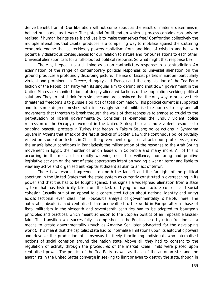derive benefit from it. Our liberation will not come about as the result of material determinism, behind our backs, as it were. The potential for liberation which a process contains can only be realised if human beings seize it and use it to make themselves free.' Confronting collectively the multiple alienations that capital produces is a compelling way to mobilise against the stuttering economic engine that so recklessly powers capitalism from one kind of crisis to another with potentially disastrous consequences for our relation to nature and for our relations to each other. Universal alienation calls for a full-blooded political response. So what might that response be?

There is, I repeat, no such thing as a non-contradictory response to a contradiction. An examination of the range of contemporary political responses to universal alienation on the ground produces a profoundly disturbing picture. The rise of fascist parties in Europe (particularly virulent and prominent in Greece, Hungary and France) and the organisation of the Tea Party faction of the Republican Party with its singular aim to defund and shut down government in the United States are manifestations of deeply alienated factions of the population seeking political solutions. They do not shrink from violence and are convinced that the only way to preserve their threatened freedoms is to pursue a politics of total domination. This political current is supported and to some degree meshes with increasingly violent militarised responses to any and all movements that threaten to break through the walls of that repressive tolerance so crucial to the perpetuation of liberal governmentality. Consider as examples the unduly violent police repression of the Occupy movement in the United States; the even more violent response to ongoing peaceful protests in Turkey that began in Taksim Square; police actions in Syntagma Square in Athens that smack of the fascist tactics of Golden Dawn; the continuous police brutality visited on student protesters in Chile; the government-organised attack upon protesters against the unsafe labour conditions in Bangladesh; the militarisation of the response to the Arab Spring movement in Egypt; the murder of union leaders in Colombia and many more. All of this is occurring in the midst of a rapidly widening net of surveillance, monitoring and punitive legislative activism on the part of state apparatuses intent on waging a war on terror and liable to view any active and organised anti-capitalist dissent as akin to an act of terror.

There is widespread agreement on both the far left and the far right of the political spectrum in the United States that the state system as currently constituted is overreaching in its power and that this has to be fought against. This signals a widespread alienation from a state system that has historically taken on the task of trying to manufacture consent and social cohesion (usually out of an appeal to a constructed fiction about national identity and unity) across factional, even class lines. Foucault's analysis of governmentality is helpful here. The autocratic, absolutist and centralised state bequeathed to the world in Europe after a phase of fiscal militarism in the sixteenth and seventeenth centuries had to be adapted to bourgeois principles and practices, which meant adhesion to the utopian politics of an impossible laissezfaire. This transition was successfully accomplished in the English case by using freedom as a means to create governmentality (much as Amartya Sen later advocated for the developing world). This meant that the capitalist state had to internalise limitations upon its autocratic powers and devolve the production of consensus to freely functioning individuals who internalised notions of social cohesion around the nation state. Above all, they had to consent to the regulation of activity through the procedures of the market. Clear limits were placed upon centralised power. The politics of the Tea Party as well as those of the autonomistas and the anarchists in the United States converge in seeking to limit or even to destroy the state, though in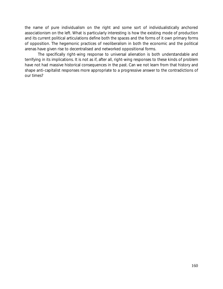the name of pure individualism on the right and some sort of individualistically anchored associationism on the left. What is particularly interesting is how the existing mode of production and its current political articulations define both the spaces and the forms of it own primary forms of opposition. The hegemonic practices of neoliberalism in both the economic and the political arenas have given rise to decentralised and networked oppositional forms.

The specifically right-wing response to universal alienation is both understandable and terrifying in its implications. It is not as if, after all, right-wing responses to these kinds of problem have not had massive historical consequences in the past. Can we not learn from that history and shape anti-capitalist responses more appropriate to a progressive answer to the contradictions of our times?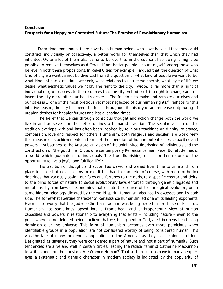## **Conclusion**

**Prospects for a Happy but Contested Future: The Promise of Revolutionary Humanism** 

From time immemorial there have been human beings who have believed that they could construct, individually or collectively, a better world for themselves than that which they had inherited. Quite a lot of them also came to believe that in the course of so doing it might be possible to remake themselves as different if not better people. I count myself among those who believe in both these propositions. In *Rebel Cities*, for example, I argued that 'the question of what kind of city we want cannot be divorced from the question of what kind of people we want to be, what kinds of social relations we seek, what relations to nature we cherish, what style of life we desire, what aesthetic values we hold'. The right to the city, I wrote, is 'far more than a right of individual or group access to the resources that the city embodies: it is a right to change and reinvent the city more after our heart's desire … The freedom to make and remake ourselves and our cities is ... one of the most precious yet most neglected of our human rights.<sup>1</sup> Perhaps for this intuitive reason, the city has been the focus throughout its history of an immense outpouring of utopian desires for happier futures and less alienating times.

The belief that we can through conscious thought and action change both the world we live in and ourselves for the better defines a humanist tradition. The secular version of this tradition overlaps with and has often been inspired by religious teachings on dignity, tolerance, compassion, love and respect for others. Humanism, both religious and secular, is a world view that measures its achievements in terms of the liberation of human potentialities, capacities and powers. It subscribes to the Aristotelian vision of the uninhibited flourishing of individuals and the construction of 'the good life'. Or, as one contemporary Renaissance man, Peter Buffett defines it, a world which guarantees to individuals 'the true flourishing of his or her nature or the opportunity to live a joyful and fulfilled life'.<sup>2</sup>

This tradition of thought and action has waxed and waned from time to time and from place to place but never seems to die. It has had to compete, of course, with more orthodox doctrines that variously assign our fates and fortunes to the gods, to a specific creator and deity, to the blind forces of nature, to social evolutionary laws enforced through genetic legacies and mutations, by iron laws of economics that dictate the course of technological evolution, or to some hidden teleology dictated by the world spirit. Humanism also has its excesses and its dark side. The somewhat libertine character of Renaissance humanism led one of its leading exponents, Erasmus, to worry that the Judaeo-Christian tradition was being traded in for those of Epicurus. Humanism has sometimes lapsed into a Promethean and anthropocentric view of human capacities and powers in relationship to everything that exists – including nature – even to the point where some deluded beings believe that we, being next to God, are *Übermenschen* having dominion over the universe. This form of humanism becomes even more pernicious when identifiable groups in a population are not considered worthy of being considered human. This was the fate of many indigenous populations in the Americas as they faced colonial settlers. Designated as 'savages', they were considered a part of nature and not a part of humanity. Such tendencies are alive and well in certain circles, leading the radical feminist Catherine MacKinnon to write a book on the question, *Are Women Human?*<sup>3</sup> That such exclusions have in many people's eyes a systematic and generic character in modern society is indicated by the popularity of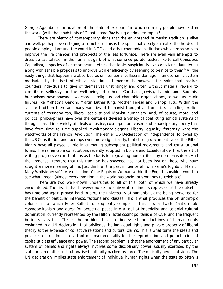Giorgio Agamben's formulation of 'the state of exception' in which so many people now exist in the world (with the inhabitants of Guantanamo Bay being a prime example).<sup>4</sup>

There are plenty of contemporary signs that the enlightened humanist tradition is alive and well, perhaps even staging a comeback. This is the spirit that clearly animates the hordes of people employed around the world in NGOs and other charitable institutions whose mission is to improve the life chances and prospects of the less fortunate. There are even vain attempts to dress up capital itself in the humanist garb of what some corporate leaders like to call Conscious Capitalism, a species of entrepreneurial ethics that looks suspiciously like conscience laundering along with sensible proposals to improve worker efficiency by seeming to be nice to them.<sup>5</sup> All the nasty things that happen are absorbed as unintentional collateral damage in an economic system motivated by the best of ethical intentions. Humanism is, however, the spirit that inspires countless individuals to give of themselves unstintingly and often without material reward to contribute selflessly to the well-being of others. Christian, Jewish, Islamic and Buddhist humanisms have spawned widespread religious and charitable organisations, as well as iconic figures like Mahatma Gandhi, Martin Luther King, Mother Teresa and Bishop Tutu. Within the secular tradition there are many varieties of humanist thought and practice, including explicit currents of cosmopolitan, liberal, socialist and Marxist humanism. And, of course, moral and political philosophers have over the centuries devised a variety of conflicting ethical systems of thought based in a variety of ideals of justice, cosmopolitan reason and emancipatory liberty that have from time to time supplied revolutionary slogans. Liberty, equality, fraternity were the watchwords of the French Revolution. The earlier US Declaration of Independence, followed by the US Constitution and, perhaps even more significantly, that stirring document called the Bill of Rights have all played a role in animating subsequent political movements and constitutional forms. The remarkable constitutions recently adopted in Bolivia and Ecuador show that the art of writing progressive constitutions as the basis for regulating human life is by no means dead. And the immense literature that this tradition has spawned has not been lost on those who have sought a more meaningful life. Just think of the past influence of Tom Paine's *Rights of Man* or Mary Wollstonecraft's *A Vindication of the Rights of Woman* within the English-speaking world to see what I mean (almost every tradition in the world has analogous writings to celebrate).

There are two well-known undersides to all of this, both of which we have already encountered. The first is that however noble the universal sentiments expressed at the outset, it has time and again proved hard to stop the universality of humanist claims being perverted for the benefit of particular interests, factions and classes. This is what produces the philanthropic colonialism of which Peter Buffett so eloquently complains. This is what twists Kant's noble cosmopolitanism and quest for perpetual peace into a tool of imperialist and colonial cultural domination, currently represented by the Hilton Hotel cosmopolitanism of CNN and the frequent business-class flier. This is the problem that has bedevilled the doctrines of human rights enshrined in a UN declaration that privileges the individual rights and private property of liberal theory at the expense of collective relations and cultural claims. This is what turns the ideals and practices of freedom into a tool of governmentality for the reproduction and perpetuation of capitalist class affluence and power. The second problem is that the enforcement of any particular system of beliefs and rights always involves some disciplinary power, usually exercised by the state or some other institutionalised authority backed by force. The difficulty here is obvious. The UN declaration implies state enforcement of individual human rights when the state so often is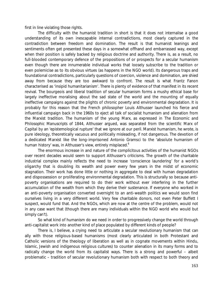first in line violating those rights.

The difficulty with the humanist tradition in short is that it does not internalise a good understanding of its own inescapable internal contradictions, most clearly captured in the contradiction between freedom and domination. The result is that humanist leanings and sentiments often get presented these days in a somewhat offhand and embarrassed way, except when their position is safely backed by religious doctrine and authority. There is, as a result, no full-blooded contemporary defence of the propositions of or prospects for a secular humanism even though there are innumerable individual works that loosely subscribe to the tradition or even polemicise as to its obvious virtues (as happens in the NGO world). Its dangerous traps and foundational contradictions, particularly questions of coercion, violence and domination, are shied away from because they are too awkward to confront. The result is what Frantz Fanon characterised as 'insipid humanitarianism'. There is plenty of evidence of that manifest in its recent revival. The bourgeois and liberal tradition of secular humanism forms a mushy ethical base for largely ineffective moralising about the sad state of the world and the mounting of equally ineffective campaigns against the plights of chronic poverty and environmental degradation. It is probably for this reason that the French philosopher Louis Althusser launched his fierce and influential campaign back in the 1960s to eject all talk of socialist humanism and alienation from the Marxist tradition. The humanism of the young Marx, as expressed in *The Economic and Philosophic Manuscripts of 1844*, Althusser argued, was separated from the scientific Marx of *Capital* by an 'epistemological rupture' that we ignore at our peril. Marxist humanism, he wrote, is pure ideology, theoretically vacuous and politically misleading, if not dangerous. The devotion of a dedicated Marxist like the long-imprisoned Antonio Gramsci to the 'absolute humanism of human history' was, in Althusser's view, entirely misplaced.<sup>6</sup>

The enormous increase in and nature of the complicitous activities of the humanist NGOs over recent decades would seem to support Althusser's criticisms. The growth of the charitable industrial complex mainly reflects the need to increase 'conscience laundering' for a world's oligarchy that is doubling its wealth and power every few years in the midst of economic stagnation. Their work has done little or nothing in aggregate to deal with human degradation and dispossession or proliferating environmental degradation. This is structurally so because antipoverty organisations are required to do their work without ever interfering in the further accumulation of the wealth from which they derive their sustenance. If everyone who worked in an anti-poverty organisation converted overnight to an anti-wealth politics we would soon find ourselves living in a very different world. Very few charitable donors, not even Peter Buffett I suspect, would fund that. And the NGOs, which are now at the centre of the problem, would not in any case want that (though there are many individuals within the NGO world who would but simply can't).

So what kind of humanism do we need in order to progressively change the world through anti-capitalist work into another kind of place populated by different kinds of people?

There is, I believe, a crying need to articulate a secular *revolutionary* humanism that can ally with those religious-based humanisms (most clearly articulated in both Protestant and Catholic versions of the theology of liberation as well as in cognate movements within Hindu, Islamic, Jewish and indigenous religious cultures) to counter alienation in its many forms and to radically change the world from its capitalist ways. There is a strong and powerful – albeit problematic – tradition of secular revolutionary humanism both with respect to both theory and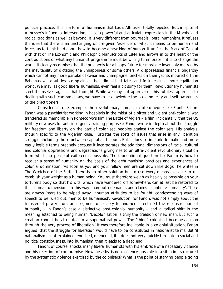political practice. This is a form of humanism that Louis Althusser totally rejected. But, in spite of Althusser's influential intervention, it has a powerful and articulate expression in the Marxist and radical traditions as well as beyond. It is very different from bourgeois liberal humanism. It refuses the idea that there is an unchanging or pre-given 'essence' of what it means to be human and forces us to think hard about how to become a new kind of human. It unifies the Marx of *Capital* with that of *The Economic and Philosophic Manuscripts of 1844* and arrows in to the heart of the contradictions of what any humanist programme must be willing to embrace if it is to change the world. It clearly recognises that the prospects for a happy future for most are invariably marred by the inevitability of dictating the unhappiness of some others. A dispossessed financial oligarchy which cannot any more partake of caviar and champagne lunches on their yachts moored off the Bahamas will doubtless complain at their diminished fates and fortunes in a more egalitarian world. We may, as good liberal humanists, even feel a bit sorry for them. Revolutionary humanists steel themselves against that thought. While we may not approve of this ruthless approach to dealing with such contradictions, we have to acknowledge the basic honesty and self-awareness of the practitioners.

Consider, as one example, the revolutionary humanism of someone like Frantz Fanon. Fanon was a psychiatrist working in hospitals in the midst of a bitter and violent anti-colonial war (rendered so memorable in Pontecorvo's film *The Battle of Algiers –* a film, incidentally, that the US military now uses for anti-insurgency training purposes). Fanon wrote in depth about the struggle for freedom and liberty on the part of colonised peoples against the colonisers. His analysis, though specific to the Algerian case, illustrates the sorts of issues that arise in any liberation struggle, including those between capital and labour. But it does so in stark dramatic and more easily legible terms precisely because it incorporates the additional dimensions of racial, cultural and colonial oppressions and degradations giving rise to an ultra-violent revolutionary situation from which no peaceful exit seems possible. The foundational question for Fanon is how to recover a sense of humanity on the basis of the dehumanising practices and experiences of colonial domination. 'As soon as you and your fellow men are cut down like dogs,' he writes in *The Wretched of the Earth*, 'there is no other solution but to use every means available to reestablish your weight as a human being. You must therefore weigh as heavily as possible on your torturer's body so that his wits, which have wandered off somewhere, can at last be restored to their human dimension.' In this way 'man both demands and claims his infinite humanity'. There are always 'tears to be wiped away, inhuman attitudes to be fought, condescending ways of speech to be ruled out, men to be humanised'. Revolution, for Fanon, was not simply about the transfer of power from one segment of society to another. It entailed the reconstruction of humanity – in Fanon's case a distinctive post-colonial humanity – and a radical shift in the meaning attached to being human. 'Decolonisation is truly the creation of new men. But such a creation cannot be attributed to a supernatural power. The "thing" colonised becomes a man through the very process of liberation.' It was therefore inevitable in a colonial situation, Fanon argued, that the struggle for liberation would have to be constituted in nationalist terms. But 'if nationalism is not explained, enriched, deepened, if it does not very quickly turn into a social and political consciousness, into humanism, then it leads to a dead end'.<sup>7</sup>

Fanon, of course, shocks many liberal humanists with his embrace of a necessary violence and his rejection of compromise. How, he asks, is non-violence possible in a situation structured by the systematic violence exercised by the colonisers? What is the point of starving people going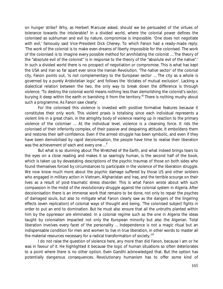on hunger strike? Why, as Herbert Marcuse asked, should we be persuaded of the virtues of tolerance towards the intolerable? In a divided world, where the colonial power defines the colonised as subhuman and evil by nature, compromise is impossible. 'One does not negotiate with evil,' famously said Vice-President Dick Cheney. To which Fanon had a ready-made reply: 'The work of the colonist is to make even dreams of liberty impossible for the colonised. The work of the colonised is to imagine every possible method for annihilating the colonist … The theory of the "absolute evil of the colonist" is in response to the theory of the "absolute evil of the native".' In such a divided world there is no prospect of negotiation or compromise. This is what has kept the USA and Iran so far apart ever since the Iranian Revolution. 'The native sector' of the colonial city, Fanon points out, 'is not complementary to the European sector … The city as a whole is governed by a purely Aristotelian logic' and follows the 'dictates of mutual exclusion'. Lacking a dialectical relation between the two, the only way to break down the difference is through violence. 'To destroy the colonial world means nothing less than demolishing the colonist's sector, burying it deep within the earth or banishing it from the territory.<sup>8</sup> There is nothing mushy about such a programme. As Fanon saw clearly:

For the colonised this violence is invested with positive formative features because it constitutes their only work. This violent praxis is totalising since each individual represents a violent link in a great chain, in the almighty body of violence rearing up in reaction to the primary violence of the coloniser … At the individual level, violence is a cleansing force. It rids the colonised of their inferiority complex, of their passive and despairing attitude. It emboldens them and restores their self-confidence. Even if the armed struggle has been symbolic, and even if they have been demobilised by rapid decolonisation, the people have time to realise their liberation was the achievement of each and every one ...<sup>9</sup>

But what is so stunning about *The Wretched of the Earth*, and what indeed brings tears to the eyes on a close reading and makes it so searingly human, is the second half of the book, which is taken up by devastating descriptions of the psychic traumas of those on both sides who found themselves forced by circumstances to participate in the violence of the liberation struggle. We now know much more about the psychic damage suffered by those US and other soldiers who engaged in military action in Vietnam, Afghanistan and Iraq, and the terrible scourge on their lives as a result of post-traumatic stress disorder. This is what Fanon wrote about with such compassion in the midst of the revolutionary struggle against the colonial system in Algeria. After decolonisation there is an immense work that remains to be done, not only to repair the psyches of damaged souls, but also to mitigate what Fanon clearly saw as the dangers of the lingering effects (even replication) of colonial ways of thought and being. 'The colonised subject fights in order to put an end to domination. But he must also ensure that all the untruths planted within him by the oppressor are eliminated. In a colonial regime such as the one in Algeria the ideas taught by colonialism impacted not only the European minority but also the Algerian. Total liberation involves every facet of the personality … Independence is not a magic ritual but an indispensable condition for men and women to live in true liberation, in other words to master all the material resources necessary for a radical transformation of society.<sup>10</sup>

I do not raise the question of violence here, any more than did Fanon, because I am or he was in favour of it. He highlighted it because the logic of human situations so often deteriorates to a point where there is no other option. Even Gandhi acknowledged that. But the option has potentially dangerous consequences. Revolutionary humanism has to offer some kind of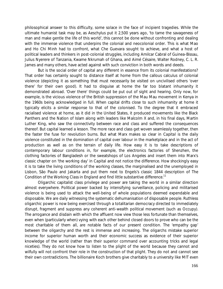philosophical answer to this difficulty, some solace in the face of incipient tragedies. While the ultimate humanist task may be, as Aeschylus put it 2,500 years ago, 'to tame the savageness of man and make gentle the life of this world', this cannot be done without confronting and dealing with the immense violence that underpins the colonial and neocolonial order. This is what Mao and Ho Chi Minh had to confront, what Che Guevara sought to achieve, and what a host of political leaders and thinkers in post-colonial struggles, including Amilcar Cabral of Guinea-Bissau, Julius Nyerere of Tanzania, Kwame Nkrumah of Ghana, and Aimé Césaire, Walter Rodney, C. L. R. James and many others, have acted against with such conviction in both words and deeds.

But is the social order of capital any different in essence from its colonial manifestations? That order has certainly sought to distance itself at home from the callous calculus of colonial violence (depicting it as something that must necessarily be visited on uncivilised others 'over there' for their own good). It had to disguise at home the far too blatant inhumanity it demonstrated abroad. 'Over there' things could be put out of sight and hearing. Only now, for example, is the vicious violence of the British suppression of the Mau Mau movement in Kenya in the 1960s being acknowledged in full. When capital drifts close to such inhumanity at home it typically elicits a similar response to that of the colonised. To the degree that it embraced racialised violence at home, as it did in the United States, it produced movements like the Black Panthers and the Nation of Islam along with leaders like Malcolm X and, in his final days, Martin Luther King, who saw the connectivity between race and class and suffered the consequences thereof. But capital learned a lesson. The more race and class get woven seamlessly together, then the faster the fuse for revolution burns. But what Marx makes so clear in *Capital* is the daily violence constituted in the domination of capital over labour in the marketplace and in the act of production as well as on the terrain of daily life. How easy it is to take descriptions of contemporary labour conditions in, for example, the electronics factories of Shenzhen, the clothing factories of Bangladesh or the sweatshops of Los Angeles and insert them into Marx's classic chapter on 'the working day' in *Capital* and not notice the difference. How shockingly easy it is to take the living conditions of the working classes, the marginalised and the unemployed in Lisbon, São Paulo and Jakarta and put them next to Engels's classic 1844 description of *The Condition of the Working Class in England* and find little substantive difference.<sup>11</sup>

Oligarchic capitalist class privilege and power are taking the world in a similar direction almost everywhere. Political power backed by intensifying surveillance, policing and militarised violence is being used to attack the well-being of whole populations deemed expendable and disposable. We are daily witnessing the systematic dehumanisation of disposable people. Ruthless oligarchic power is now being exercised through a totalitarian democracy directed to immediately disrupt, fragment and suppress any coherent anti-wealth political movement (such as Occupy). The arrogance and disdain with which the affluent now view those less fortunate than themselves, even when (particularly when) vying with each other behind closed doors to prove who can be the most charitable of them all, are notable facts of our present condition. The 'empathy gap' between the oligarchy and the rest is immense and increasing. The oligarchs mistake superior income for superior human worth and their economic success as evidence of their superior knowledge of the world (rather than their superior command over accounting tricks and legal niceties). They do not know how to listen to the plight of the world because they cannot and wilfully will not confront their role in the construction of that plight. They do not and cannot see their own contradictions. The billionaire Koch brothers give charitably to a university like MIT even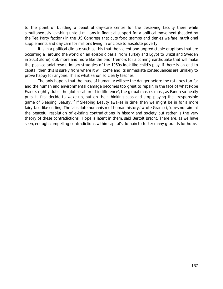to the point of building a beautiful day-care centre for the deserving faculty there while simultaneously lavishing untold millions in financial support for a political movement (headed by the Tea Party faction) in the US Congress that cuts food stamps and denies welfare, nutritional supplements and day care for millions living in or close to absolute poverty.

It is in a political climate such as this that the violent and unpredictable eruptions that are occurring all around the world on an episodic basis (from Turkey and Egypt to Brazil and Sweden in 2013 alone) look more and more like the prior tremors for a coming earthquake that will make the post-colonial revolutionary struggles of the 1960s look like child's play. If there is an end to capital, then this is surely from where it will come and its immediate consequences are unlikely to prove happy for anyone. This is what Fanon so clearly teaches.

The only hope is that the mass of humanity will see the danger before the rot goes too far and the human and environmental damage becomes too great to repair. In the face of what Pope Francis rightly dubs 'the globalisation of indifference', the global masses must, as Fanon so neatly puts it, 'first decide to wake up, put on their thinking caps and stop playing the irresponsible game of Sleeping Beauty'.<sup>12</sup> If Sleeping Beauty awakes in time, then we might be in for a more fairy-tale-like ending. The 'absolute humanism of human history,' wrote Gramsci, 'does not aim at the peaceful resolution of existing contradictions in history and society but rather is the very theory of these contradictions'. Hope is latent in them, said Bertolt Brecht. There are, as we have seen, enough compelling contradictions within capital's domain to foster many grounds for hope.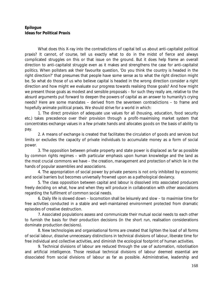**Epilogue Ideas for Political Praxis** 

What does this X-ray into the contradictions of capital tell us about anti-capitalist political praxis? It cannot, of course, tell us exactly what to do in the midst of fierce and always complicated struggles on this or that issue on the ground. But it does help frame an overall direction to anti-capitalist struggle even as it makes and strengthens the case for anti-capitalist politics. When pollsters ask their favourite question, 'Do you think the country is headed in the right direction?' that presumes that people have some sense as to what the right direction might be. So what do those of us who believe capital is headed in the wrong direction consider a right direction and how might we evaluate our progress towards realising those goals? And how might we present those goals as modest and sensible proposals – for such they really are, relative to the absurd arguments put forward to deepen the powers of capital as an answer to humanity's crying needs? Here are some mandates – derived from the seventeen contradictions – to frame and hopefully animate political praxis. We should strive for a world in which:

1. The direct provision of adequate use values for all (housing, education, food security etc.) takes precedence over their provision through a profit-maximising market system that concentrates exchange values in a few private hands and allocates goods on the basis of ability to pay.

2. A means of exchange is created that facilitates the circulation of goods and services but limits or excludes the capacity of private individuals to accumulate money as a form of social power.

3. The opposition between private property and state power is displaced as far as possible by common rights regimes – with particular emphasis upon human knowledge and the land as the most crucial commons we have – the creation, management and protection of which lie in the hands of popular assemblies and associations.

4. The appropriation of social power by private persons is not only inhibited by economic and social barriers but becomes universally frowned upon as a pathological deviancy.

5. The class opposition between capital and labour is dissolved into associated producers freely deciding on what, how and when they will produce in collaboration with other associations regarding the fulfilment of common social needs.

6. Daily life is slowed down – locomotion shall be leisurely and slow – to maximise time for free activities conducted in a stable and well-maintained environment protected from dramatic episodes of creative destruction.

7. Associated populations assess and communicate their mutual social needs to each other to furnish the basis for their production decisions (in the short run, realisation considerations dominate production decisions).

8. New technologies and organisational forms are created that lighten the load of all forms of social labour, dissolve unnecessary distinctions in technical divisions of labour, liberate time for free individual and collective activities, and diminish the ecological footprint of human activities.

9. Technical divisions of labour are reduced through the use of automation, robotisation and artificial intelligence. Those residual technical divisions of labour deemed essential are dissociated from social divisions of labour as far as possible. Administrative, leadership and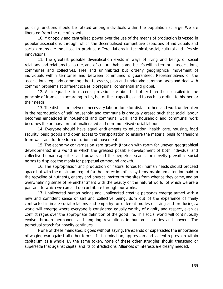policing functions should be rotated among individuals within the population at large. We are liberated from the rule of experts.

10. Monopoly and centralised power over the use of the means of production is vested in popular associations through which the decentralised competitive capacities of individuals and social groups are mobilised to produce differentiations in technical, social, cultural and lifestyle innovations.

11. The greatest possible diversification exists in ways of living and being, of social relations and relations to nature, and of cultural habits and beliefs within territorial associations, communes and collectives. Free and uninhibited but orderly geographical movement of individuals within territories and between communes is guaranteed. Representatives of the associations regularly come together to assess, plan and undertake common tasks and deal with common problems at different scales: bioregional, continental and global.

12. All inequalities in material provision are abolished other than those entailed in the principle of from each according to his, her or their capacities and to each according to his, her, or their needs.

13. The distinction between necessary labour done for distant others and work undertaken in the reproduction of self, household and commune is gradually erased such that social labour becomes embedded in household and communal work and household and communal work becomes the primary form of unalienated and non-monetised social labour.

14. Everyone should have equal entitlements to education, health care, housing, food security, basic goods and open access to transportation to ensure the material basis for freedom from want and for freedom of action and movement.

15. The economy converges on zero growth (though with room for uneven geographical developments) in a world in which the greatest possible development of both individual and collective human capacities and powers and the perpetual search for novelty prevail as social norms to displace the mania for perpetual compound growth.

16. The appropriation and production of natural forces for human needs should proceed apace but with the maximum regard for the protection of ecosystems, maximum attention paid to the recycling of nutrients, energy and physical matter to the sites from whence they came, and an overwhelming sense of re-enchantment with the beauty of the natural world, of which we are a part and to which we can and do contribute through our works.

17. Unalienated human beings and unalienated creative personas emerge armed with a new and confident sense of self and collective being. Born out of the experience of freely contracted intimate social relations and empathy for different modes of living and producing, a world will emerge where everyone is considered equally worthy of dignity and respect, even as conflict rages over the appropriate definition of the good life. This social world will continuously evolve through permanent and ongoing revolutions in human capacities and powers. The perpetual search for novelty continues.

None of these mandates, it goes without saying, transcends or supersedes the importance of waging war against all other forms of discrimination, oppression and violent repression within capitalism as a whole. By the same token, none of these other struggles should transcend or supersede that against capital and its contradictions. Alliances of interests are clearly needed.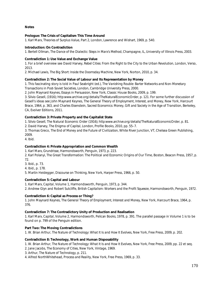**Notes** 

**Prologue: The Crisis of Capitalism This Time Around** 1. Karl Marx, *Theories of Surplus Value*, Part 2, London, Lawrence and Wishart, 1969, p. 540.

**Introduction: On Contradiction**

1. Bertell Ollman, *The Dance of the Dialectic: Steps in Marx's Method*, Champagne, IL, University of Illinois Press, 2003.

**Contradiction 1: Use Value and Exchange Value**

1. For a brief overview see David Harvey, *Rebel Cities: From the Right to the City to the Urban Revolution*, London, Verso, 2013.

2. Michael Lewis, *The Big Short: Inside the Doomsday Machine*, New York, Norton, 2010, p. 34.

**Contradiction 2: The Social Value of Labour and Its Representation by Money**

1. This fascinating story is told in Paul Seabright (ed.), *The Vanishing Rouble: Barter Networks and Non-Monetary Transactions in Post-Soviet Societies*, London, Cambridge University Press, 2000.

2. John Maynard Keynes, *Essays in Persuasion*, New York, Classic House Books, 2009, p. 199.

3. Silvio Gesell, (1916); http:www.archive.org/details/TheNaturalEconomicOrder, p. 121. For some further discussion of Gesell's ideas see John Maynard Keynes, *The General Theory of Employment, Interest, and Money*, New York, Harcourt Brace, 1964, p. 363, and Charles Eisenstein, *Sacred Economics: Money, Gift and Society in the Age of Transition*, Berkeley, CA, Evolver Editions, 2011.

**Contradiction 3: Private Property and the Capitalist State**

1. Silvio Gesell, *The Natural Economic Order* (1916); http:www.archive.org/details/TheNaturalEconomicOrder, p. 81.

2. David Harvey, *The Enigma of Capital*, London, Profile Books, 2010, pp. 55–7.

3. Thomas Greco, *The End of Money and the Future of Civilization*, White River Junction, VT, Chelsea Green Publishing, 2009.

4. Ibid.

**Contradiction 4: Private Appropriation and Common Wealth**

1. Karl Marx, *Grundrisse*, Harmondsworth, Penguin, 1973, p. 223.

2. Karl Polanyi, *The Great Transformation: The Political and Economic Origins of Our Time*, Boston, Beacon Press, 1957, p. 72.

3. Ibid., p. 73.

4. Ibid., p. 178.

5. Martin Heidegger, *Discourse on Thinking*, New York, Harper Press, 1966, p. 50.

**Contradiction 5: Capital and Labour**

1. Karl Marx, *Capital*, Volume 1, Harmondsworth, Penguin, 1973, p. 344.

2. Andrew Glyn and Robert Sutcliffe, *British Capitalism: Workers and the Profit Squeeze*, Harmondsworth, Penguin, 1972.

**Contradiction 6: Capital as Process or Thing?**

1. John Maynard Keynes, *The General Theory of Employment, Interest and Money*, New York, Harcourt Brace, 1964, p. 376.

**Contradiction 7: The Contradictory Unity of Production and Realisation**

1. Karl Marx, *Capital*, Volume 2, Harmondsworth, Pelican Books, 1978, p. 391. The parallel passage in Volume 1 is to be found on p. 799 of the Penguin edition.

**Part Two: The Moving Contradictions**

1. W. Brian Arthur, *The Nature of Technology: What It Is and How It Evolves*, New York, Free Press, 2009, p. 202.

**Contradiction 8: Technology, Work and Human Disposability**

1. W. Brian Arthur, *The Nature of Technology: What It Is and How It Evolves*, New York, Free Press, 2009, pp. 22 et seq.

2. Jane Jacobs, *The Economy of Cities*, New York, Vintage, 1969.

3. Arthur, *The Nature of Technology*, p. 211.

4. Alfred NorthWhitehead, *Process and Reality*, New York, Free Press, 1969, p. 33.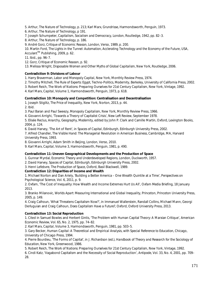5. Arthur, *The Nature of Technology*, p. 213; Karl Marx, *Grundrisse*, Harmondsworth, Penguin, 1973.

6. Arthur, *The Nature of Technology*, p 191.

7. Joseph Schumpeter, *Capitalism, Socialism and Democracy*, London, Routledge, 1942, pp. 82–3.

8. Arthur, *The Nature of Technology*, p. 186.

9. André Gorz, *Critique of Economic Reason*, London, Verso, 1989, p. 200.

10. Martin Ford, *The Lights in the Tunnel: Automation, Acclerating Technology and the Economy of the Future*, USA, Acculant<sup>™</sup> Publishing, 2009, p. 62.

11. Ibid., pp. 96–7.

12. Gorz, *Critique of Economic Reason*, p. 92.

13. Melissa Wright, *Disposable Women and Other Myths of Global Capitalism*, New York, Routledge, 2006.

**Contradiction 9: Divisions of Labour**

1. Harry Braverman, *Labor and Monopoly Capital*, New York, Monthly Review Press, 1974.

2. Timothy Mitchell, *The Rule of Experts: Egypt, Techno-Politics, Modernity*, Berkeley, University of California Press, 2002.

3. Robert Reich, *The Work of Nations: Preparing Ourselves for 21st Century Capitalism*, New York, Vintage, 1992.

4. Karl Marx, *Capital*, Volume 1, Harmondsworth, Penguin, 1973, p. 618.

**Contradiction 10: Monopoly and Competition: Centralisation and Decentralisation**

1. Joseph Stiglitz, *The Price of Inequality*, New York, Norton, 2013, p. 44.

2. Ibid.

3. Paul Baran and Paul Sweezy, *Monopoly Capitalism*, New York, Monthly Review Press, 1966.

4. Giovanni Arrighi, 'Towards a Theory of Capitalist Crisis', *New Left Review*, September 1978.

5. Elisée Reclus, *Anarchy, Geography, Modernity*, edited by John P. Clark and Camille Martin, Oxford, Lexington Books, 2004, p. 124.

6. David Harvey, 'The Art of Rent', in *Spaces of Capital*, Edinburgh, Edinburgh University Press, 2002.

7. Alfred Chandler, *The Visible Hand: The Managerial Revolution in American Business*, Cambridge, MA, Harvard University Press, 1993.

8. Giovanni Arrighi, *Adam Smith in Beijing*, London, Verso, 2010.

9. Karl Marx, *Capital*, Volume 3, Harmondsworth, Penguin, 1981, p. 490.

**Contradiction 11: Uneven Geographical Developments and the Production of Space**

1. Gunnar Myrdal, *Economic Theory and Underdeveloped Regions*, London, Duckworth, 1957.

2. David Harvey, *Spaces of Capital*, Edinburgh, Edinburgh University Press, 2002.

3. Henri Lefebvre, *The Production of Space*, Oxford, Basil Blackwell, 1989.

**Contradiction 12: Disparities of Income and Wealth**

1. Michael Norton and Dan Ariely, 'Building a Better America – One Wealth Quintile at a Time', *Perspectives on Psychological Science*, Vol. 6, 2011, p. 9.

2. Oxfam, 'The Cost of Inequality: How Wealth and Income Extremes Hurt Us All', *Oxfam Media Briefing*, 18 January 2013.

3. Branko Milanovic, *Worlds Apart: Measuring International and Global Inequality*, Princeton, Princeton University Press, 2005, p. 149.

4. Craig Calhoun, 'What Threatens Capitalism Now?', in Immanuel Wallerstein, Randall Collins, Michael Mann, Georgi Derluguian and Craig Calhoun, *Does Capitalism Have a Future?*, Oxford, Oxford University Press, 2013.

**Contradiction 13: Social Reproduction**

1. Cited in Samuel Bowles and Herbert Gintis, 'The Problem with Human Capital Theory: A Marxian Critique', *American Economic Review*, Vol. 65, No. 2, 1975, pp. 74–82.

2. Karl Marx, *Capital*, Volume 3, Harmondsworth, Penguin, 1981, pp. 503–5.

3. Gary Becker, *Human Capital: A Theoretical and Empirical Analysis, with Special Reference to Education*, Chicago, University of Chicago Press, 1994.

4. Pierre Bourdieu, 'The Forms of Capital', in J. Richardson (ed.), *Handbook of Theory and Research for the Sociology of Education*, New York, Greenwood, 1986.

5. Robert Reich, *The Work of Nations: Preparing Ourselves for 21st Century Capitalism*, New York, Vintage, 1992. 6. Cindi Katz, 'Vagabond Capitalism and the Necessity of Social Reproduction', *Antipode*, Vol. 33, No. 4, 2001, pp. 709– 28.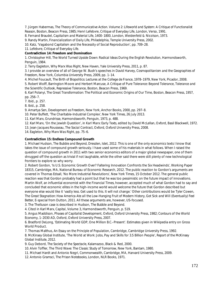7. Jürgen Habermas, *The Theory of Communicative Action. Volume 2: Lifeworld and System: A Critique of Functionalist Reason*, Boston, Beacon Press, 1985; Henri Lefebvre, *Critique of Everyday Life*, London, Verso, 1991.

8. Fernand Braudel, *Capitalism and Material Life, 1400–1800*, London, Weidenfeld & Nicolson, 1973.

9. Randy Martin, *Financialization of Daily Life*, Philadelphia, Temple University Press, 2002.

10. Katz, 'Vagabond Capitalism and the Necessity of Social Reproduction', pp. 709–28.

11. Lefebvre, *Critique of Everyday Life*.

**Contradiction 14: Freedom and Domination**

1. Christopher Hill, *The World Turned Upside Down: Radical Ideas During the English Revolution*, Harmondsworth, Penguin, 1984.

2. Terry Eagleton, *Why Marx Was Right*, New Haven, Yale University Press, 2011, p. 87.

3. I provide an overview of all of George W. Bush's speeches in David Harvey, *Cosmopolitanism and the Geographies of Freedom*, New York, Columbia University Press, 2009, pp. 1–14.

4. Michel Foucault, *The Birth of Biopolitics: Lectures at the College de France, 1978–1979*, New York, Picador, 2008.

5. Robert Wolff, Barrington Moore and Herbert Marcuse, *A Critique of Pure Tolerance: Beyond Tolerance, Tolerance and the Scientific Outlook, Repressive Tolerance*, Boston, Beacon Press, 1969.

6. Karl Polanyi, *The Great Transformation: The Political and Economic Origins of Our Time*, Boston, Beacon Press, 1957, pp. 256–7.

7. Ibid., p. 257.

8. Ibid., p. 258.

9. Amartya Sen, *Development as Freedom*, New York, Anchor Books, 2000, pp. 297–8.

10. Peter Buffett, 'The Charitable-Industrial Complex', *New York Times*, 26 July 2013.

11. Karl Marx, *Grundrisse*, Harmondsworth, Penguin, 1973, p. 488.

12. Karl Marx, 'On the Jewish Question', in *Karl Marx: Early Texts*, edited by David McLellan, Oxford, Basil Blackwell, 1972.

13. Jean-Jacques Rousseau, *The Social Contract*, Oxford, Oxford University Press, 2008.

14. Eagleton, *Why Marx Was Right*, pp. 75–6.

**Contradiction 15: Endless Compound Growth**

1. Michael Hudson, *The Bubble and Beyond*, Dresden, Islet, 2012. This is one of the only economics texts I know that takes the issue of compound growth seriously. I have used some of his materials in what follows. When I raised the question of compound growth in 2011 with two senior economics editors of a major global newspaper, one of them shrugged off the question as trivial if not laughable, while the other said there were still plenty of new technological frontiers to explore so why worry.

2. Robert Gordon, 'Is U.S. Economic Growth Over? Faltering Innovation Confronts the Six Headwinds', *Working Paper 18315*, Cambridge, MA, National Bureau of Economic Research, 2012. The public reaction to Gordon's arguments are covered in Thomas Edsall, 'No More Industrial Revolutions', *New York Times*, 15 October 2012. The general public reaction was that Gordon probably had a point but that he was too pessimistic on the future impact of innovations. Martin Wolf, an influential economist with the *Financial Times*, however, accepted much of what Gordon had to say and concluded that economic elites in the high-income world would welcome the future that Gordon described but everyone else would like it 'vastly less. Get used to this. It will not change.' Other contributions would be Tyler Cowen, *The Great Stagnation: How America Ate all the Low-Hanging Fruit of Modern History, Got Sick and Will (Eventually) Feel Better*, E-special from Dutton, 2011. All these arguments are, however, US-focused.

3. The Thelluson case is described in Hudson, *The Bubble and Beyond*.

4. Cited in Karl Marx, *Capital*, Volume 3, Harmondsworth, Penguin, p. 519.

5. Angus Maddison, *Phases of Capitalist Development*, Oxford, Oxford University Press, 1982; *Contours of the World Economy, 1–2030 AD*, Oxford, Oxford University Press, 2007.

6. Bradford DeLong, 'Estimating World GDP, One Million B.C.–Present'. Estimates given in Wikipedia entry on Gross World Product.

7. Thomas Malthus, *An Essay on the Principle of Population*, Cambridge, Cambridge University Press, 1992.

8. McKinsey Global Institute, 'The World at Work: Jobs, Pay and Skills for 3.5 Billion People', *Report of the McKinsey Global Institute*, 2012.

9. Guy Debord, *The Society of the Spectacle*, Kalamazoo, Black & Red, 2000.

10. Alvin Toffler, *The Third Wave: The Classic Study of Tomorrow*, New York, Bantam, 1980.

11. Michael Hardt and Antonio Negri, *Commonwealth*, Cambridge, MA, Harvard University Press, 2009.

12. Antonio Gramsci, *The Prison Notebooks*, London, NLR Books, 1971.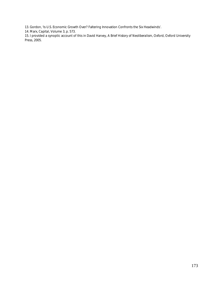13. Gordon, 'Is U.S. Economic Growth Over? Faltering Innovation Confronts the Six Headwinds'.

14. Marx, *Capital*, Volume 3, p. 573.

15. I provided a synoptic account of this in David Harvey, *A Brief History of Neoliberalism*, Oxford, Oxford University Press, 2005.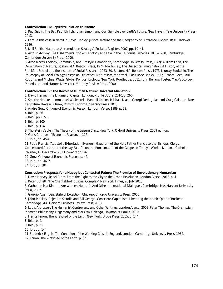**Contradiction 16: Capital's Relation to Nature**

1. Paul Sabin, *The Bet: Paul Ehrlich, Julian Simon, and Our Gamble over Earth's Future*, New Haven, Yale University Press, 2013.

2. I argue this case in detail in David Harvey, *Justice, Nature and the Geography of Difference*, Oxford, Basil Blackwell, 1996.

3. Neil Smith, 'Nature as Accumulation Strategy', *Socialist Register*, 2007, pp. 19–41.

4. Arthur McEvoy, *The Fisherman's Problem: Ecology and Law in the California Fisheries, 1850–1980*, Cambridge, Cambridge University Press, 1990.

5. Arne Naess, *Ecology, Community and Lifestyle*, Cambridge, Cambridge University Press, 1989; William Leiss, *The Domination of Nature*, Boston, MA, Beacon Press, 1974; Martin Jay, *The Dialectical Imagination: A History of the Frankfurt School and the Institute of Social Research, 1923–50*, Boston, MA, Beacon Press, 1973; Murray Bookchin, *The Philosophy of Social Ecology: Essays on Dialectical Naturalism*, Montreal, Black Rose Books, 1990; Richard Peet, Paul Robbins and Michael Watts, *Global Political Ecology*, New York, Routledge, 2011; John Bellamy Foster, *Marx's Ecology: Materialism and Nature*, New York, Monthly Review Press, 2000.

**Contradiction 17: The Revolt of Human Nature: Universal Alienation**

1. David Harvey, *The Enigma of Capital*, London, Profile Books, 2010, p. 260.

2. See the debate in Immanuel Wallerstein, Randall Collins, Michael Mann, Georgi Derluguian and Craig Calhoun, *Does Capitalism Have a Future?*, Oxford, Oxford University Press, 2013.

3. André Gorz, *Critique of Economic Reason*, London, Verso, 1989, p. 22.

4. Ibid., p. 86.

5. Ibid., pp. 87–8.

6. Ibid., p. 100.

7. Ibid., p. 114.

8. Thorstein Veblen, *The Theory of the Leisure Class*, New York, Oxford University Press, 2009 edition.

9. Gorz, *Critique of Economic Reason*, p. 116.

10. Ibid., pp. 45–6.

11. Pope Francis, 'Apostolic Exhortation Evangelii Gaudium of the Holy Father Francis to the Bishops, Clergy, Consecrated Persons and the Lay Faithful on the Proclamation of the Gospel in Today's World', *National Catholic Register*, 15 December 2013, paragraph 192.

12. Gorz, *Critique of Economic Reason*, p. 46.

13. Ibid., pp. 46–7.

14. Ibid., p. 184.

**Conclusion: Prospects for a Happy but Contested Future: The Promise of Revolutionary Humanism**

1. David Harvey, *Rebel Cities: From the Right to the City to the Urban Revolution*, London, Verso, 2013, p. 4.

2. Peter Buffett, 'The Charitable-Industrial Complex', *New York Times*, 26 July 2013.

3. Catherine MacKinnon, *Are Women Human?: And Other International Dialogues*, Cambridge, MA, Harvard University Press, 2007.

4. Giorgio Agamben, *State of Exception*, Chicago, Chicago University Press, 2005.

5. John Mackey, Rajendra Sisodia and Bill George, *Conscious Capitalism: Liberating the Heroic Spirit of Business*, Cambridge, MA, Harvard Business Review Press, 2013.

6. Louis Althusser, *The Humanist Controversy and Other Writings*, London, Verso, 2003; Peter Thomas, *The Gramscian Moment: Philosophy, Hegemony and Marxism*, Chicago, Haymarket Books, 2010.

7. Frantz Fanon, *The Wretched of the Earth*, New York, Grove Press, 2005, p. 144.

8. Ibid., p. 6.

9. Ibid., p. 51.

10. Ibid., p. 144.

11. Frederick Engels, *The Condition of the Working Class in England*, London, Cambridge University Press, 1962.

12. Fanon, *The Wretched of the Earth*, p. 62.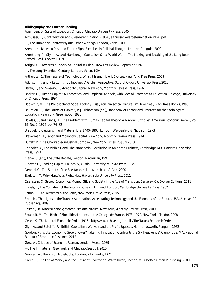**Bibliography and Further Reading** 

Agamben, G., *State of Exception*, Chicago, Chicago University Press, 2005

Althusser, L., 'Contradiction and Overdetermination' (1964); althusser\_overdetermination\_nlr41.pdf

—, *The Humanist Controversy and Other Writings*, London, Verso, 2003

Arendt, H., *Between Past and Future: Eight Exercises in Political Thought*, London, Penguin, 2009

Armstrong, P., Glynn, A., and Harrison, J., *Capitalism Since World War II: The Making and Breaking of the Long Boom*, Oxford, Basil Blackwell, 1991

Arrighi, G., 'Towards a Theory of Capitalist Crisis', *New Left Review*, September 1978

—, *The Long Twentieth Century*, London, Verso, 1994

Arthur, W. B., *The Nature of Technology: What It Is and How It Evolves*, New York, Free Press, 2009

Atkinson, T., and Piketty, T., *Top Incomes: A Global Perspective*, Oxford, Oxford University Press, 2010

Baran, P., and Sweezy, P., *Monopoly Capital*, New York, Monthly Review Press, 1966

Becker, G., *Human Capital: A Theoretical and Empirical Analysis, with Special Reference to Education*, Chicago, University of Chicago Press, 1994

Bookchin, M., *The Philosophy of Social Ecology: Essays on Dialectical Naturalism*, Montreal, Black Rose Books, 1990

Bourdieu, P., 'The Forms of Capital', in J. Richardson (ed.), *Handbook of Theory and Research for the Sociology of Education*, New York, Greenwood, 1986

Bowles, S., and Gintis, H., 'The Problem with Human Capital Theory: A Marxian Critique', *American Economic Review*, Vol. 65, No. 2, 1975, pp. 74–82

Braudel, F., *Capitalism and Material Life, 1400–1800*, London, Weidenfeld & Nicolson, 1973

Braverman, H., *Labor and Monopoly Capital*, New York, Monthly Review Press, 1974

Buffett, P., 'The Charitable-Industrial Complex', *New York Times*, 26 July 2013

Chandler, A., *The Visible Hand: The Managerial Revolution in American Business*, Cambridge, MA, Harvard University Press, 1993

Clarke, S. (ed.), *The State Debate*, London, Macmillan, 1991

Cleaver, H., *Reading Capital Politically*, Austin, University of Texas Press, 1979

Debord, G., *The Society of the Spectacle*, Kalamazoo, Black & Red, 2000

Eagleton, T., *Why Marx Was Right*, New Haven, Yale University Press, 2011

Eisenstein, C., *Sacred Economics: Money, Gift and Society in the Age of Transition*, Berkeley, Ca, Evolver Editions, 2011

Engels, F., *The Condition of the Working Class in England*, London, Cambridge University Press, 1962

Fanon, F., *The Wretched of the Earth*, New York, Grove Press, 2005

Ford, M., *The Lights in the Tunnel: Automation, Accelerating Technology and the Economy of the Future*, USA, AcculantTM Publishing, 2009

Foster, J. B., *Marx's Ecology; Materialism and Nature*, New York, Monthly Review Press, 2000

Foucault, M., *The Birth of Biopolitics: Lectures at the College de France*, *1978–1979*, New York, Picador, 2008

Gesell, S., *The Natural Economic Order* (1916); http:www.archive.org/details/TheNaturalEconomicOrder

Glyn, A., and Sutcliffe, R., *British Capitalism: Workers and the Profit Squeeze*, Harmondsworth, Penguin, 1972

Gordon, R., 'Is U.S. Economic Growth Over? Faltering Innovation Confronts the Six Headwinds', Cambridge, MA, National Bureau of Economic Research, 2012

Gorz, A., *Critique of Economic Reason*, London, Verso, 1989

—, *The Immaterial*, New York and Chicago, Seagull, 2010

Gramsci, A., *The Prison Notebooks*, London, NLR Books, 1971

Greco, T., *The End of Money and the Future of Civilization*, White River Junction, VT, Chelsea Green Publishing, 2009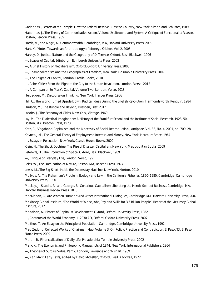Greider, W., *Secrets of the Temple: How the Federal Reserve Runs the Country*, New York, Simon and Schuster, 1989

Habermas, J., *The Theory of Communicative Action. Volume 2: Lifeworld and System: A Critique of Functionalist Reason*, Boston, Beacon Press, 1985

Hardt, M., and Negri, A., *Commonwealth*, Cambridge, MA, Harvard University Press, 2009

Hart, K., 'Notes Towards an Anthropology of Money', *Kritikos*, Vol. 2, 2005

Harvey, D., *Justice, Nature and the Geography of Difference*, Oxford, Basil Blackwell, 1996

—, *Spaces of Capital*, Edinburgh, Edinburgh University Press, 2002

- —, *A Brief History of Neoliberalism*, Oxford, Oxford University Press, 2005
- —, *Cosmopolitanism and the Geographies of Freedom*, New York, Columbia University Press, 2009
- —, *The Enigma of Capital*, London, Profile Books, 2010
- —, *Rebel Cities: From the Right to the City to the Urban Revolution*, London, Verso, 2012
- —, *A Companion to Marx's Capital*, Volume Two, London, Verso, 2013

Heidegger, M., *Discourse on Thinking*, New York, Harper Press, 1966

Hill, C., *The World Turned Upside Down: Radical Ideas During the English Revolution*, Harmondsworth, Penguin, 1984

Hudson, M., *The Bubble and Beyond*, Dresden, Islet, 2012

Jacobs, J., *The Economy of Cities*, New York, Vintage, 1969

Jay, M., *The Dialectical Imagination: A History of the Frankfurt School and the Institute of Social Research, 1923–50*, Boston, MA, Beacon Press, 1973

Katz, C., 'Vagabond Capitalism and the Necessity of Social Reproduction', *Antipode*, Vol. 33, No. 4, 2001, pp. 709–28

Keynes, J.M., *The General Theory of Employment, Interest, and Money*, New York, Harcourt Brace, 1964

—, *Essays in Persuasion*, New York, Classic House Books, 2009

Klein, N., *The Shock Doctrine: The Rise of Disaster Capitalism*, New York, Metropolitan Books, 2009

Lefebvre, H., *The Production of Space*, Oxford, Basil Blackwell, 1989

—, *Critique of Everyday Life*, London, Verso, 1991

Leiss, W., *The Domination of Nature*, Boston, MA, Beacon Press, 1974

Lewis, M., *The Big Short: Inside the Doomsday Machine*, New York, Norton, 2010

McEvoy, A., *The Fisherman's Problem: Ecology and Law in the California Fisheries, 1850–1980*, Cambridge, Cambridge University Press, 1990

Mackey, J., Sisodia, R., and George, B., *Conscious Capitalism: Liberating the Heroic Spirit of Business*, Cambridge, MA, Harvard Business Review Press, 2013

MacKinnon, C., *Are Women Human?: And Other International Dialogues*, Cambridge, MA, Harvard University Press, 2007

McKinsey Global Institute, 'The World at Work: Jobs, Pay and Skills for 3.5 Billion People', *Report of the McKinsey Global Institute*, 2012

Maddison, A., *Phases of Capitalist Development*, Oxford, Oxford University Press, 1982

—, *Contours of the World Economy, 1–2030 AD*, Oxford, Oxford University Press, 2007

Malthus, T., *An Essay on the Principle of Population*, Cambridge, Cambridge University Press, 1992

Mao Zedong, *Collected Works of Chairman Mao. Volume 3: On Policy*, *Practice and Contradiction*, El Paso, TX, El Paso Norte Press, 2009

Martin, R., *Financialization of Daily Life*, Philadelphia, Temple University Press, 2002

Marx, K., *The Economic and Philosophic Manuscripts of 1844*, New York, International Publishers, 1964

—, *Theories of Surplus Value*, Part 2, London, Lawrence and Wishart, 1969

—, *Karl Marx: Early Texts*, edited by David McLellan, Oxford, Basil Blackwell, 1972